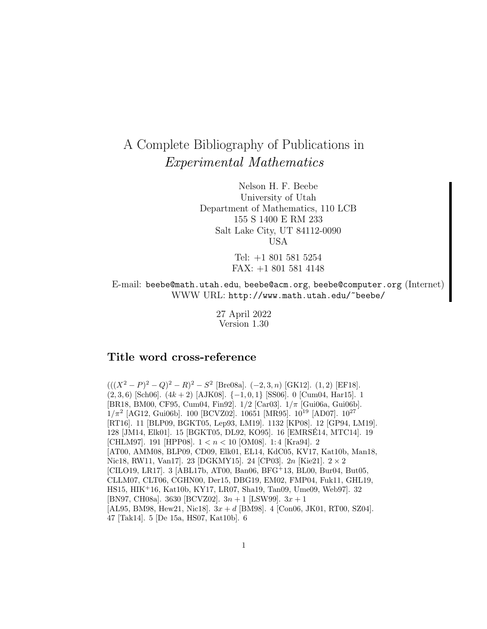# A Complete Bibliography of Publications in Experimental Mathematics

Nelson H. F. Beebe University of Utah Department of Mathematics, 110 LCB 155 S 1400 E RM 233 Salt Lake City, UT 84112-0090 USA

> Tel: +1 801 581 5254 FAX: +1 801 581 4148

E-mail: beebe@math.utah.edu, beebe@acm.org, beebe@computer.org (Internet) WWW URL: http://www.math.utah.edu/~beebe/

> 27 April 2022 Version 1.30

# **Title word cross-reference**

 $(((X<sup>2</sup> – P)<sup>2</sup> – Q)<sup>2</sup> – R)<sup>2</sup> – S<sup>2</sup>$  [Bre08a]. (-2, 3, n) [GK12]. (1, 2) [EF18].  $(2, 3, 6)$  [Sch06].  $(4k + 2)$  [AJK08].  $\{-1, 0, 1\}$  [SS06]. 0 [Cum04, Har15]. 1 [BR18, BM00, CF95, Cum04, Fin92]. 1/2 [Car03]. 1/π [Gui06a, Gui06b].  $1/\pi^2$  [AG12, Gui06b]. 100 [BCVZ02]. 10651 [MR95]. 10<sup>19</sup> [AD07]. 10<sup>27</sup> [RT16]. 11 [BLP09, BGKT05, Lep93, LM19]. 1132 [KP08]. 12 [GP94, LM19]. 128 [JM14, Elk01]. 15 [BGKT05, DL92, KO95]. 16 [EMRSE14, MTC14]. 19 ´ [CHLM97]. 191 [HPP08].  $1 < n < 10$  [OM08]. 1:4 [Kra94]. 2 [AT00, AMM08, BLP09, CD09, Elk01, EL14, KdC05, KV17, Kat10b, Man18, Nic18, RW11, Van17]. 23 [DGKMY15]. 24 [CP03]. 2n [Kie21]. 2 × 2 [CILO19, LR17]. 3 [ABL17b, AT00, Ban06, BFG<sup>+</sup>13, BL00, Bur04, But05, CLLM07, CLT06, CGHN00, Der15, DBG19, EM02, FMP04, Fuk11, GHL19, HS15, HIK<sup>+</sup>16, Kat10b, KY17, LR07, Sha19, Tan09, Ume09, Web97]. 32 [BN97, CH08a]. 3630 [BCVZ02].  $3n + 1$  [LSW99].  $3x + 1$ ] [AL95, BM98, Hew21, Nic18].  $3x + d$  [BM98]. 4 [Con06, JK01, RT00, SZ04]. 47 [Tak14]. 5 [De 15a, HS07, Kat10b]. 6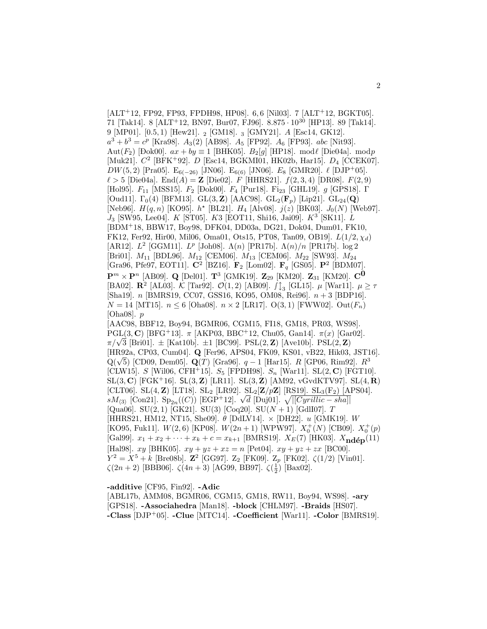$[ALT+12, FP92, FP93, FPDH98, HP08], 6, 6$  [Nil03]. 7  $[ALT+12, BGKT05]$ . 71 [Tak14]. 8 [ALT<sup>+</sup>12, BN97, Bur07, FJ96]. 8.875  $\cdot$  10<sup>30</sup> [HP13]. 89 [Tak14]. 9 [MP01]. [0.5, 1) [Hew21]. <sup>2</sup> [GM18]. <sup>3</sup> [GMY21]. A [Esc14, GK12].  $a^3 + b^3 = c^p$  [Kra98].  $A_3(2)$  [AB98].  $A_5$  [FP92].  $A_6$  [FP93]. abc [Nit93]. Aut $(F_2)$  [Đok00].  $ax + by \equiv 1$  [BHK05].  $B_2[g]$  [HP18]. mod $\ell$  [Die04a]. mod $p$ [Muk21].  $C^2$  [BFK+92]. D [Esc14, BGKMI01, HK02b, Har15].  $D_4$  [CCEK07].  $DW(5, 2)$  [Pra05].  $E_{6(-26)}$  [JN06].  $E_{6(6)}$  [JN06].  $E_8$  [GMR20].  $\ell$  [DJP<sup>+</sup>05].  $\ell > 5$  [Die04a]. End(A) = **Z** [Die02].  $F$  [HHRS21].  $f(2,3,4)$  [DR08].  $F(2,9)$ [Hol95].  $F_{11}$  [MSS15].  $F_2$  [Đok00].  $F_4$  [Pur18]. Fi<sub>23</sub> [GHL19].  $g$  [GPS18].  $\Gamma$ [Oud11].  $\Gamma_0(4)$  [BFM13]. GL $(3, \mathbf{Z})$  [AAC98]. GL<sub>2</sub>( $\mathbf{F}_p$ ) [Lip21]. GL<sub>24</sub>(**Q**) [Neb96].  $H(q, n)$  [KO95].  $h^*$  [BL21].  $H_4$  [Alv08].  $j(z)$  [BK03].  $J_0(N)$  [Web97].  $J_3$  [SW95, Lee04].  $K$  [ST05].  $K3$  [EOT11, Shi16, Jai09].  $K^3$  [SK11].  $L$ [BDM<sup>+</sup>18, BBW17, Boy98, DFK04, DD03a, DG21, Dok04, Dum01, FK10, FK12, Fer92, Hir00, Mil06, Oma01, Ots15, PT08, Tan09, OB19].  $L(1/2, \chi_d)$ [AR12].  $L^2$  [GGM11].  $L^p$  [Joh08].  $\Lambda(n)$  [PR17b].  $\Lambda(n)/n$  [PR17b]. log 2 [Bri01].  $M_{11}$  [BDL96].  $M_{12}$  [CEM06].  $M_{13}$  [CEM06].  $M_{22}$  [SW93].  $M_{24}$ [Gra96, Pfe97, EOT11]. **C**<sup>2</sup> [BZ16]. **F**<sup>2</sup> [Lom02]. **F**<sup>q</sup> [GS05]. **P**<sup>2</sup> [BDM07].  ${\bf P}^m \times {\bf P}^n$  [AB09]. **Q** [Del01]. **T**<sup>3</sup> [GMK19]. **Z**<sub>29</sub> [KM20]. **Z**<sub>31</sub> [KM20]. **C<sup>0</sup>** [BA02]. **R**<sup>2</sup> [AL03]. K [Tar92].  $\mathcal{O}(1, 2)$  [AB09].  $\iint_{3}$  [GL15].  $\mu$  [War11].  $\mu \geq \tau$ [Sha19]. n [BMRS19, CC07, GSS16, KO95, OM08, Rei96]. n + 3 [BDP16].  $N = 14$  [MT15].  $n \le 6$  [Oha08].  $n \times 2$  [LR17]. O(3,1) [FWW02]. Out( $F_n$ ) [Oha08].  $p$ [AAC98, BBF12, Boy94, BGMR06, CGM15, FI18, GM18, PR03, WS98]. PGL(3, **C**) [BFG<sup>+</sup>13].  $\pi$  [AKP03, BBC<sup>+</sup>12, Chu05, Gan14].  $\pi(x)$  [Gar02].  $\pi$ (3, C) [BFG<sup>+</sup>13].  $\pi$  [AKP03, BBC<sup>+</sup>12, Chu05, Gan14].  $\pi(x)$  [Gan $\pi/\sqrt{3}$  [Bri01].  $\pm$  [Kat10b].  $\pm$ 1 [BC99]. PSL(2, **Z**) [Ave10b]. PSL(2, **Z**) [HR92a, CP03, Cum04]. **Q** [Fer96, APS04, FK09, KS01, vB22, Hik03, JST16]. Q(<sup>√</sup> 5) [CD09, Dem05]. **Q**(T) [Gra96]. q − 1 [Har15]. R [GP06, Rim92]. R<sup>3</sup> [CLW15]. S [Wil06, CFH+15].  $S_5$  [FPDH98].  $S_n$  [War11]. SL $(2, C)$  [FGT10]. SL(3, **C**) [FGK<sup>+</sup>16]. SL(3, **Z**) [LR11]. SL(3, **Z**) [AM92, vGvdKTV97]. SL(4, **R**) [CLT06]. SL(4, **Z**) [LT18]. SL<sup>2</sup> [LR92]. SL2[**Z**/p**Z**] [RS19]. SL3(F2) [APS04].  $\mathcal{L}[L_1]$  [Consequence] [Consequence]. SL<sub>2</sub> [DR92]. SL<sub>2</sub>[D|PD] [RS19]. SL<sub>3</sub>(F<sub>2</sub>) [Alson]<br>  $\mathcal{L}[S_3]$  [Con21]. Sp<sub>2n</sub>((C)) [EGP<sup>+</sup>12].  $\sqrt{d}$  [Duj01].  $\sqrt{|[Cyrillic - sha]|}$ [Qua06]. SU(2, 1) [GK21]. SU(3) [Coq20]. SU( $N + 1$ ) [GdlI07]. T [HHRS21, HM12, NT15, She09].  $\theta$  [DdLV14].  $\times$  [DH22].  $u$  [GMK19].  $W$ [KO95, Fuk11].  $W(2,6)$  [KP08].  $W(2n+1)$  [WPW97].  $X_0^+(N)$  [CB09].  $X_0^+(p)$ [Gal99].  $x_1 + x_2 + \cdots + x_k + c = x_{k+1}$  [BMRS19].  $X_E(7)$  [HK03].  $X_{\text{nd\'{e}p}}(11)$ [Hal98].  $xy$  [BHK05].  $xy + yz + xz = n$  [Pet04].  $xy + yz + zx$  [BC00].  $Y^2 = X^5 + k$  [Bre08b]. **Z**<sup>2</sup> [GG97]. **Z**<sub>2</sub> [FK09]. **Z**<sub>p</sub> [FK02].  $\zeta(1/2)$  [Vin01].  $\zeta(2n+2)$  [BBB06].  $\zeta(4n+3)$  [AG99, BB97].  $\zeta(\frac{1}{2})$  [Bax02].

**-additive** [CF95, Fin92]. **-Adic**

[ABL17b, AMM08, BGMR06, CGM15, GM18, RW11, Boy94, WS98]. **-ary** [GPS18]. **-Associahedra** [Man18]. **-block** [CHLM97]. **-Braids** [HS07]. **-Class** [DJP<sup>+</sup>05]. **-Clue** [MTC14]. **-Coefficient** [War11]. **-Color** [BMRS19].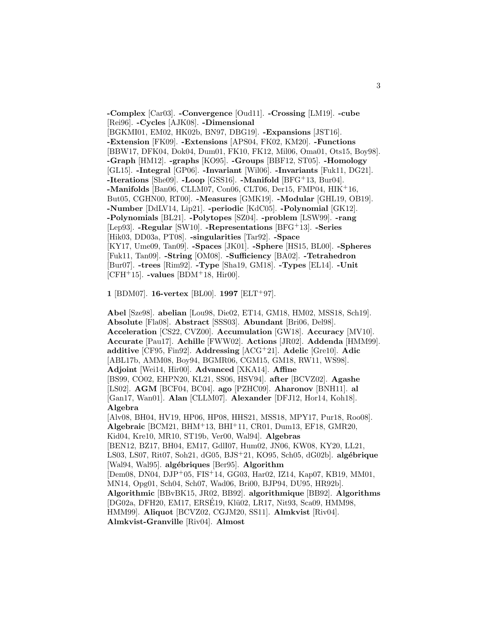**-Complex** [Car03]. **-Convergence** [Oud11]. **-Crossing** [LM19]. **-cube** [Rei96]. **-Cycles** [AJK08]. **-Dimensional** [BGKMI01, EM02, HK02b, BN97, DBG19]. **-Expansions** [JST16]. **-Extension** [FK09]. **-Extensions** [APS04, FK02, KM20]. **-Functions** [BBW17, DFK04, Dok04, Dum01, FK10, FK12, Mil06, Oma01, Ots15, Boy98]. **-Graph** [HM12]. **-graphs** [KO95]. **-Groups** [BBF12, ST05]. **-Homology** [GL15]. **-Integral** [GP06]. **-Invariant** [Wil06]. **-Invariants** [Fuk11, DG21]. **-Iterations** [She09]. **-Loop** [GSS16]. **-Manifold** [BFG<sup>+</sup>13, Bur04]. **-Manifolds** [Ban06, CLLM07, Con06, CLT06, Der15, FMP04, HIK<sup>+</sup>16, But05, CGHN00, RT00]. **-Measures** [GMK19]. **-Modular** [GHL19, OB19]. **-Number** [DdLV14, Lip21]. **-periodic** [KdC05]. **-Polynomial** [GK12]. **-Polynomials** [BL21]. **-Polytopes** [SZ04]. **-problem** [LSW99]. **-rang** [Lep93]. **-Regular** [SW10]. **-Representations** [BFG<sup>+</sup>13]. **-Series** [Hik03, DD03a, PT08]. **-singularities** [Tar92]. **-Space** [KY17, Ume09, Tan09]. **-Spaces** [JK01]. **-Sphere** [HS15, BL00]. **-Spheres** [Fuk11, Tan09]. **-String** [OM08]. **-Sufficiency** [BA02]. **-Tetrahedron** [Bur07]. **-trees** [Rim92]. **-Type** [Sha19, GM18]. **-Types** [EL14]. **-Unit** [CFH<sup>+</sup>15]. **-values** [BDM<sup>+</sup>18, Hir00].

**1** [BDM07]. **16-vertex** [BL00]. **1997** [ELT<sup>+</sup>97].

**Abel** [Sze98]. **abelian** [Lou98, Die02, ET14, GM18, HM02, MSS18, Sch19]. **Absolute** [Fla08]. **Abstract** [SSS03]. **Abundant** [Bri06, Del98]. **Acceleration** [CS22, CVZ00]. **Accumulation** [GW18]. **Accuracy** [MV10]. **Accurate** [Pau17]. **Achille** [FWW02]. **Actions** [JR02]. **Addenda** [HMM99]. **additive** [CF95, Fin92]. **Addressing** [ACG<sup>+</sup>21]. **Adelic** [Gre10]. **Adic** [ABL17b, AMM08, Boy94, BGMR06, CGM15, GM18, RW11, WS98]. **Adjoint** [Wei14, Hir00]. **Advanced** [XKA14]. **Affine** [BS99, CO02, EHPN20, KL21, SS06, HSV94]. **after** [BCVZ02]. **Agashe** [LS02]. **AGM** [BCF04, BC04]. **ago** [PZHC09]. **Aharonov** [BNH11]. **al** [Gan17, Wan01]. **Alan** [CLLM07]. **Alexander** [DFJ12, Hor14, Koh18]. **Algebra** [Alv08, BH04, HV19, HP06, HP08, HHS21, MSS18, MPY17, Pur18, Roo08]. **Algebraic** [BCM21, BHM<sup>+</sup>13, BHI<sup>+</sup>11, CR01, Dum13, EF18, GMR20, Kid04, Kre10, MR10, ST19b, Ver00, Wal94]. **Algebras** [BEN12, BZ17, BH04, EM17, GdlI07, Hum02, JN06, KW08, KY20, LL21, LS03, LS07, Rit07, Soh21, dG05, BJS<sup>+</sup>21, KO95, Sch05, dG02b]. **alg´ebrique** [Wal94, Wal95]. **algébriques** [Ber95]. **Algorithm** [Dem08, DN04, DJP<sup>+</sup>05, FIS<sup>+</sup>14, GG03, Har02, IZ14, Kap07, KB19, MM01, MN14, Opg01, Sch04, Sch07, Wad06, Bri00, BJP94, DU95, HR92b]. **Algorithmic** [BBvBK15, JR02, BB92]. **algorithmique** [BB92]. **Algorithms** [DG02a, DFH20, EM17, ERSÉ19, Klü02, LR17, Nit93, Sca09, HMM98, HMM99]. **Aliquot** [BCVZ02, CGJM20, SS11]. **Almkvist** [Riv04]. **Almkvist-Granville** [Riv04]. **Almost**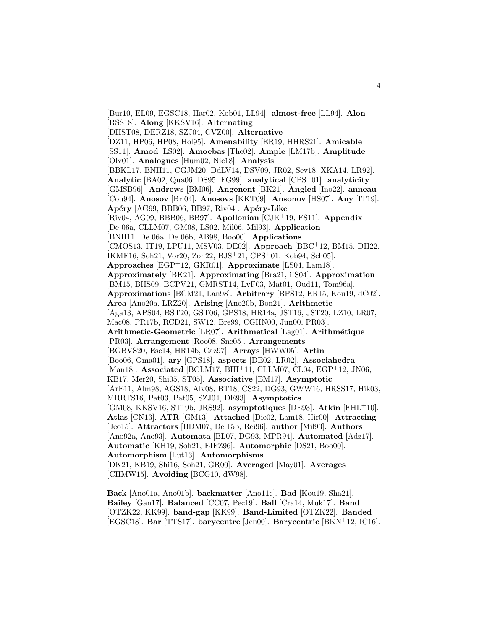[Bur10, EL09, EGSC18, Har02, Kob01, LL94]. **almost-free** [LL94]. **Alon** [RSS18]. **Along** [KKSV16]. **Alternating** [DHST08, DERZ18, SZJ04, CVZ00]. **Alternative** [DZ11, HP06, HP08, Hol95]. **Amenability** [ER19, HHRS21]. **Amicable** [SS11]. **Amod** [LS02]. **Amoebas** [The02]. **Ample** [LM17b]. **Amplitude** [Olv01]. **Analogues** [Hum02, Nic18]. **Analysis** [BBKL17, BNH11, CGJM20, DdLV14, DSV09, JR02, Sev18, XKA14, LR92]. **Analytic** [BA02, Qua06, DS95, FG99]. **analytical** [CPS<sup>+</sup>01]. **analyticity** [GMSB96]. **Andrews** [BM06]. **Angenent** [BK21]. **Angled** [Ino22]. **anneau** [Cou94]. **Anosov** [Bri04]. **Anosovs** [KKT09]. **Ansonov** [HS07]. **Any** [IT19]. Apéry [AG99, BBB06, BB97, Riv04]. Apéry-Like [Riv04, AG99, BBB06, BB97]. **Apollonian** [CJK<sup>+</sup>19, FS11]. **Appendix** [De 06a, CLLM07, GM08, LS02, Mil06, Mil93]. **Application** [BNH11, De 06a, De 06b, AB98, Boo00]. **Applications** [CMOS13, IT19, LPU11, MSV03, DE02]. **Approach** [BBC<sup>+</sup>12, BM15, DH22, IKMF16, Soh21, Vor20, Zon22, BJS<sup>+</sup>21, CPS<sup>+</sup>01, Kob94, Sch05]. **Approaches** [EGP<sup>+</sup>12, GKR01]. **Approximate** [LS04, Lam18]. **Approximately** [BK21]. **Approximating** [Bra21, iIS04]. **Approximation** [BM15, BHS09, BCPV21, GMRST14, LvF03, Mat01, Oud11, Tom96a]. **Approximations** [BCM21, Lan98]. **Arbitrary** [BPS12, ER15, Kou19, dC02]. **Area** [Ano20a, LRZ20]. **Arising** [Ano20b, Bon21]. **Arithmetic** [Aga13, APS04, BST20, GST06, GPS18, HR14a, JST16, JST20, LZ10, LR07, Mac08, PR17b, RCD21, SW12, Bre99, CGHN00, Jun00, PR03]. **Arithmetic-Geometric** [LR07]. **Arithmetical** [Lag01]. **Arithm´etique** [PR03]. **Arrangement** [Roo08, Sne05]. **Arrangements** [BGBVS20, Esc14, HR14b, Caz97]. **Arrays** [HWW05]. **Artin** [Boo06, Oma01]. **ary** [GPS18]. **aspects** [DE02, LR02]. **Associahedra** [Man18]. **Associated** [BCLM17, BHI<sup>+</sup>11, CLLM07, CL04, EGP<sup>+</sup>12, JN06, KB17, Mer20, Shi05, ST05]. **Associative** [EM17]. **Asymptotic** [ArE11, Alm98, AGS18, Alv08, BT18, CS22, DG93, GWW16, HRSS17, Hik03, MRRTS16, Pat03, Pat05, SZJ04, DE93]. **Asymptotics** [GM08, KKSV16, ST19b, JRS92]. **asymptotiques** [DE93]. **Atkin** [FHL<sup>+</sup>10]. **Atlas** [CN13]. **ATR** [GM13]. **Attached** [Die02, Lam18, Hir00]. **Attracting** [Jeo15]. **Attractors** [BDM07, De 15b, Rei96]. **author** [Mil93]. **Authors** [Ano92a, Ano93]. **Automata** [BL07, DG93, MPR94]. **Automated** [Adz17]. **Automatic** [KH19, Soh21, EIFZ96]. **Automorphic** [DS21, Boo00]. **Automorphism** [Lut13]. **Automorphisms** [DK21, KB19, Shi16, Soh21, GR00]. **Averaged** [May01]. **Averages** [CHMW15]. **Avoiding** [BCG10, dW98].

**Back** [Ano01a, Ano01b]. **backmatter** [Ano11c]. **Bad** [Kou19, Sha21]. **Bailey** [Gan17]. **Balanced** [CC07, Pec19]. **Ball** [Cra14, Muk17]. **Band** [OTZK22, KK99]. **band-gap** [KK99]. **Band-Limited** [OTZK22]. **Banded** [EGSC18]. **Bar** [TTS17]. **barycentre** [Jen00]. **Barycentric** [BKN<sup>+</sup>12, IC16].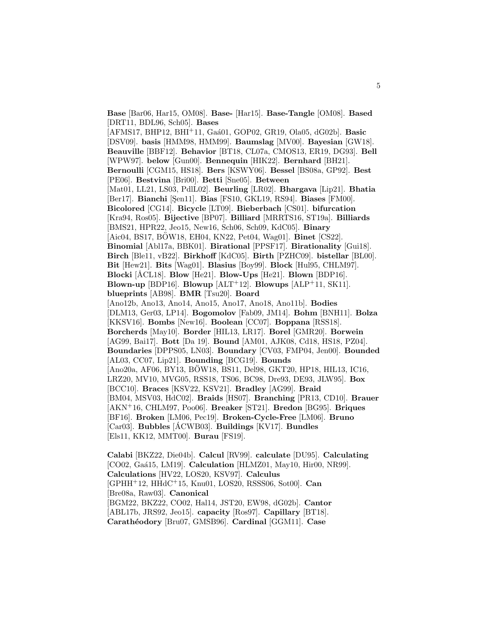**Base** [Bar06, Har15, OM08]. **Base-** [Har15]. **Base-Tangle** [OM08]. **Based** [DRT11, BDL96, Sch05]. **Bases** [AFMS17, BHP12, BHI<sup>+</sup>11, Ga´a01, GOP02, GR19, Ola05, dG02b]. **Basic** [DSV09]. **basis** [HMM98, HMM99]. **Baumslag** [MV00]. **Bayesian** [GW18]. **Beauville** [BBF12]. **Behavior** [BT18, CL07a, CMOS13, ER19, DG93]. **Bell** [WPW97]. **below** [Gun00]. **Bennequin** [HIK22]. **Bernhard** [BH21]. **Bernoulli** [CGM15, HS18]. **Bers** [KSWY06]. **Bessel** [BS08a, GP92]. **Best** [PE06]. **Bestvina** [Bri00]. **Betti** [Sne05]. **Between** [Mat01, LL21, LS03, PdlL02]. **Beurling** [LR02]. **Bhargava** [Lip21]. **Bhatia** [Ber17]. **Bianchi** [Şen11]. **Bias** [FS10, GKL19, RS94]. **Biases** [FM00]. **Bicolored** [CG14]. **Bicycle** [LT09]. **Bieberbach** [CS01]. **bifurcation** [Kra94, Ros05]. **Bijective** [BP07]. **Billiard** [MRRTS16, ST19a]. **Billiards** [BMS21, HPR22, Jeo15, New16, Sch06, Sch09, KdC05]. **Binary** [Aic04, BS17, BOW18, EH04, KN22, Pet04, Wag01]. **Binet** [CS22]. **Binomial** [Abl17a, BBK01]. **Birational** [PPSF17]. **Birationality** [Gui18]. **Birch** [Ble11, vB22]. **Birkhoff** [KdC05]. **Birth** [PZHC09]. **bistellar** [BL00]. **Bit** [Hew21]. **Bits** [Wag01]. **Blasius** [Boy99]. **Block** [Hul95, CHLM97]. **Blocki** [ÅCL18]. **Blow** [He21]. **Blow-Ups** [He21]. **Blown** [BDP16]. **Blown-up** [BDP16]. **Blowup** [ALT<sup>+</sup>12]. **Blowups** [ALP<sup>+</sup>11, SK11]. **blueprints** [AB98]. **BMR** [Tsu20]. **Board** [Ano12b, Ano13, Ano14, Ano15, Ano17, Ano18, Ano11b]. **Bodies** [DLM13, Ger03, LP14]. **Bogomolov** [Fab09, JM14]. **Bohm** [BNH11]. **Bolza** [KKSV16]. **Bombs** [New16]. **Boolean** [CC07]. **Boppana** [RSS18]. **Borcherds** [May10]. **Border** [HIL13, LR17]. **Borel** [GMR20]. **Borwein** [AG99, Bai17]. **Bott** [Da 19]. **Bound** [AM01, AJK08, Cd18, HS18, PZ04]. **Boundaries** [DPPS05, LN03]. **Boundary** [CV03, FMP04, Jen00]. **Bounded** [AL03, CC07, Lip21]. **Bounding** [BCG19]. **Bounds** [Ano20a, AF06, BY13, BOW18, BS11, Del98, GKT20, HP18, HIL13, IC16, ¨ LRZ20, MV10, MVG05, RSS18, TS06, BC98, Dre93, DE93, JLW95]. **Box** [BCC10]. **Braces** [KSV22, KSV21]. **Bradley** [AG99]. **Braid** [BM04, MSV03, HdC02]. **Braids** [HS07]. **Branching** [PR13, CD10]. **Brauer** [AKN<sup>+</sup>16, CHLM97, Poo06]. **Breaker** [ST21]. **Bredon** [BG95]. **Briques** [BF16]. **Broken** [LM06, Pec19]. **Broken-Cycle-Free** [LM06]. **Bruno** [Car03]. **Bubbles** [ACWB03]. ´ **Buildings** [KV17]. **Bundles** [Els11, KK12, MMT00]. **Burau** [FS19].

**Calabi** [BKZ22, Die04b]. **Calcul** [RV99]. **calculate** [DU95]. **Calculating** [CO02, Gaá15, LM19]. **Calculation** [HLMZ01, May10, Hir00, NR99]. **Calculations** [HV22, LOS20, KSV97]. **Calculus** [GPHH<sup>+</sup>12, HHdC<sup>+</sup>15, Knu01, LOS20, RSSS06, Sot00]. **Can** [Bre08a, Raw03]. **Canonical** [BGM22, BKZ22, CO02, Hal14, JST20, EW98, dG02b]. **Cantor** [ABL17b, JRS92, Jeo15]. **capacity** [Ros97]. **Capillary** [BT18]. **Carath´eodory** [Bru07, GMSB96]. **Cardinal** [GGM11]. **Case**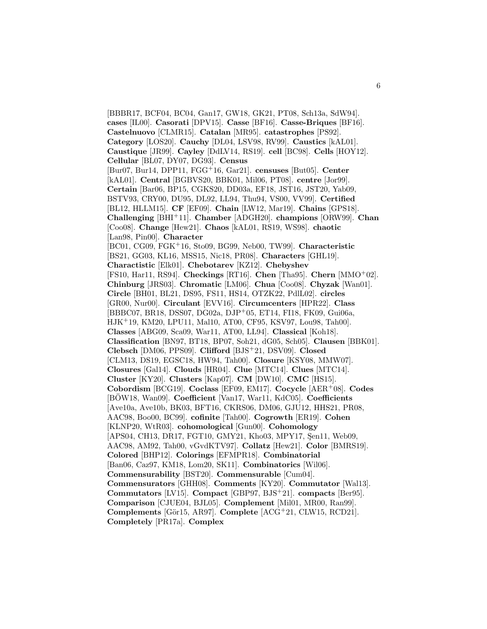[BBBR17, BCF04, BC04, Gan17, GW18, GK21, PT08, Sch13a, SdW94]. **cases** [IL00]. **Casorati** [DPV15]. **Casse** [BF16]. **Casse-Briques** [BF16]. **Castelnuovo** [CLMR15]. **Catalan** [MR95]. **catastrophes** [PS92]. **Category** [LOS20]. **Cauchy** [DL04, LSV98, RV99]. **Caustics** [kAL01]. **Caustique** [JR99]. **Cayley** [DdLV14, RS19]. **cell** [BC98]. **Cells** [HOY12]. **Cellular** [BL07, DY07, DG93]. **Census** [Bur07, Bur14, DPP11, FGG<sup>+</sup>16, Gar21]. **censuses** [But05]. **Center** [kAL01]. **Central** [BGBVS20, BBK01, Mil06, PT08]. **centre** [Jor99]. **Certain** [Bar06, BP15, CGKS20, DD03a, EF18, JST16, JST20, Yab09, BSTV93, CRY00, DU95, DL92, LL94, Thu94, VS00, VV99]. **Certified** [BL12, HLLM15]. **CF** [EF09]. **Chain** [LW12, Mar19]. **Chains** [GPS18]. **Challenging** [BHI<sup>+</sup>11]. **Chamber** [ADGH20]. **champions** [ORW99]. **Chan** [Coo08]. **Change** [Hew21]. **Chaos** [kAL01, RS19, WS98]. **chaotic** [Lan98, Pin00]. **Character** [BC01, CG09, FGK<sup>+</sup>16, Sto09, BG99, Neb00, TW99]. **Characteristic** [BS21, GG03, KL16, MSS15, Nic18, PR08]. **Characters** [GHL19]. **Charactistic** [Elk01]. **Chebotarev** [KZ12]. **Chebyshev** [FS10, Har11, RS94]. **Checkings** [RT16]. **Chen** [Tha95]. **Chern** [MMO<sup>+</sup>02]. **Chinburg** [JRS03]. **Chromatic** [LM06]. **Chua** [Coo08]. **Chyzak** [Wan01]. **Circle** [BH01, BL21, DS95, FS11, HS14, OTZK22, PdlL02]. **circles** [GR00, Nur00]. **Circulant** [EVV16]. **Circumcenters** [HPR22]. **Class** [BBBC07, BR18, DSS07, DG02a, DJP<sup>+</sup>05, ET14, FI18, FK09, Gui06a, HJK<sup>+</sup>19, KM20, LPU11, Mal10, AT00, CF95, KSV97, Lou98, Tah00]. **Classes** [ABG09, Sca09, War11, AT00, LL94]. **Classical** [Koh18]. **Classification** [BN97, BT18, BP07, Soh21, dG05, Sch05]. **Clausen** [BBK01]. **Clebsch** [DM06, PPS09]. **Clifford** [BJS<sup>+</sup>21, DSV09]. **Closed** [CLM13, DS19, EGSC18, HW94, Tah00]. **Closure** [KSY08, MMW07]. **Closures** [Gal14]. **Clouds** [HR04]. **Clue** [MTC14]. **Clues** [MTC14]. **Cluster** [KY20]. **Clusters** [Kap07]. **CM** [DW10]. **CMC** [HS15]. **Cobordism** [BCG19]. **Coclass** [EF09, EM17]. **Cocycle** [AER<sup>+</sup>08]. **Codes** [BOW18, Wan09]. **Coefficient** [Van17, War11, KdC05]. **Coefficients** [Ave10a, Ave10b, BK03, BFT16, CKRS06, DM06, GJU12, HHS21, PR08, AAC98, Boo00, BC99]. **cofinite** [Tah00]. **Cogrowth** [ER19]. **Cohen** [KLNP20, WtR03]. **cohomological** [Gun00]. **Cohomology** [APS04, CH13, DR17, FGT10, GMY21, Kho03, MPY17, Sen11, Web09, AAC98, AM92, Tah00, vGvdKTV97]. **Collatz** [Hew21]. **Color** [BMRS19]. **Colored** [BHP12]. **Colorings** [EFMPR18]. **Combinatorial** [Ban06, Caz97, KM18, Lom20, SK11]. **Combinatorics** [Wil06]. **Commensurability** [BST20]. **Commensurable** [Cum04]. **Commensurators** [GHH08]. **Comments** [KY20]. **Commutator** [Wal13]. **Commutators** [LV15]. **Compact** [GBP97, BJS<sup>+</sup>21]. **compacts** [Ber95]. **Comparison** [CJUE04, BJL05]. **Complement** [Mil01, MR00, Ran99]. **Complements** [Gör15, AR97]. **Complete** [ACG<sup>+</sup>21, CLW15, RCD21]. **Completely** [PR17a]. **Complex**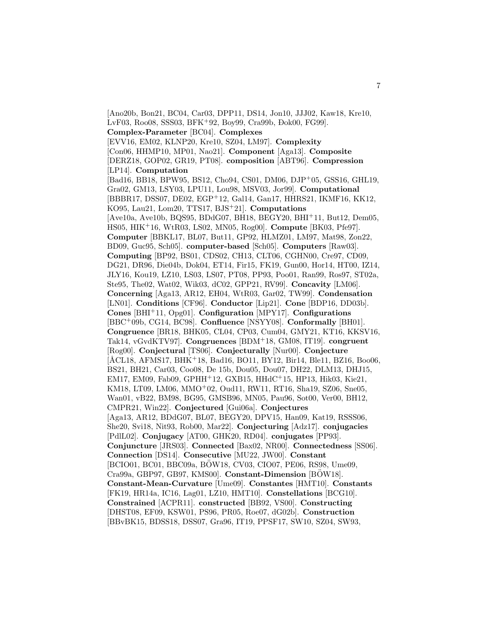[Ano20b, Bon21, BC04, Car03, DPP11, DS14, Jon10, JJJ02, Kaw18, Kre10, LvF03, Roo08, SSS03, BFK<sup>+</sup>92, Boy99, Cra99b, Đok00, FG99]. **Complex-Parameter** [BC04]. **Complexes** [EVV16, EM02, KLNP20, Kre10, SZ04, LM97]. **Complexity** [Con06, HHMP10, MP01, Nao21]. **Component** [Aga13]. **Composite** [DERZ18, GOP02, GR19, PT08]. **composition** [ABT96]. **Compression** [LP14]. **Computation** [Bad16, BB18, BPW95, BS12, Cho94, CS01, DM06, DJP<sup>+</sup>05, GSS16, GHL19, Gra02, GM13, LSY03, LPU11, Lou98, MSV03, Jor99]. **Computational** [BBBR17, DSS07, DE02, EGP<sup>+</sup>12, Gal14, Gan17, HHRS21, IKMF16, KK12, KO95, Lau21, Lom20, TTS17, BJS<sup>+</sup>21]. **Computations** [Ave10a, Ave10b, BQS95, BDdG07, BH18, BEGY20, BHI<sup>+</sup>11, But12, Dem05, HS05, HIK<sup>+</sup>16, WtR03, LS02, MN05, Rog00]. **Compute** [BK03, Pfe97]. **Computer** [BBKL17, BL07, But11, GP92, HLMZ01, LM97, Mat98, Zon22, BD09, Guc95, Sch05]. **computer-based** [Sch05]. **Computers** [Raw03]. **Computing** [BP92, BS01, CDS02, CH13, CLT06, CGHN00, Cre97, CD09, DG21, DR96, Die04b, Dok04, ET14, Fir15, FK19, Gun00, Hor14, HT00, IZ14, JLY16, Kou19, LZ10, LS03, LS07, PT08, PP93, Poo01, Ran99, Ros97, ST02a, Ste95, The02, Wat02, Wik03, dC02, GPP21, RV99]. **Concavity** [LM06]. **Concerning** [Aga13, AR12, EH04, WtR03, Gar02, TW99]. **Condensation** [LN01]. **Conditions** [CF96]. **Conductor** [Lip21]. **Cone** [BDP16, DD03b]. **Cones** [BHI<sup>+</sup>11, Opg01]. **Configuration** [MPY17]. **Configurations** [BBC<sup>+</sup>09b, CG14, BC98]. **Confluence** [NSYY08]. **Conformally** [BH01]. **Congruence** [BR18, BHK05, CL04, CP03, Cum04, GMY21, KT16, KKSV16, Tak14, vGvdKTV97]. **Congruences** [BDM<sup>+</sup>18, GM08, IT19]. **congruent** [Rog00]. **Conjectural** [TS06]. **Conjecturally** [Nur00]. **Conjecture**  $[\text{\AA}CL18, \text{\AA}FMS17, \text{\AA}HK^{+}18, \text{\text{Bad16}}, \text{BO}011, \text{BY}12, \text{Bir14}, \text{Ble11}, \text{BZ16}, \text{Boo}06,$ BS21, BH21, Car03, Coo08, De 15b, Dou05, Dou07, DH22, DLM13, DHJ15, EM17, EM09, Fab09, GPHH<sup>+</sup>12, GXB15, HHdC<sup>+</sup>15, HP13, Hik03, Kie21, KM18, LT09, LM06, MMO<sup>+</sup>02, Oud11, RW11, RT16, Sha19, SZ06, Sne05, Wan01, vB22, BM98, BG95, GMSB96, MN05, Pau96, Sot00, Ver00, BH12, CMPR21, Win22]. **Conjectured** [Gui06a]. **Conjectures** [Aga13, AR12, BDdG07, BL07, BEGY20, DPV15, Han09, Kat19, RSSS06, She20, Svi18, Nit93, Rob00, Mar22]. **Conjecturing** [Adz17]. **conjugacies** [PdlL02]. **Conjugacy** [AT00, GHK20, RD04]. **conjugates** [PP93]. **Conjuncture** [JRS03]. **Connected** [Bax02, NR00]. **Connectedness** [SS06]. **Connection** [DS14]. **Consecutive** [MU22, JW00]. **Constant** [BCIO01, BC01, BBC09a, BÖW18, CV03, CIO07, PE06, RS98, Ume09, Cra99a, GBP97, GB97, KMS00]. **Constant-Dimension** [BOW18]. ¨ **Constant-Mean-Curvature** [Ume09]. **Constantes** [HMT10]. **Constants** [FK19, HR14a, IC16, Lag01, LZ10, HMT10]. **Constellations** [BCG10]. **Constrained** [ACPR11]. **constructed** [BB92, VS00]. **Constructing** [DHST08, EF09, KSW01, PS96, PR05, Roe07, dG02b]. **Construction** [BBvBK15, BDSS18, DSS07, Gra96, IT19, PPSF17, SW10, SZ04, SW93,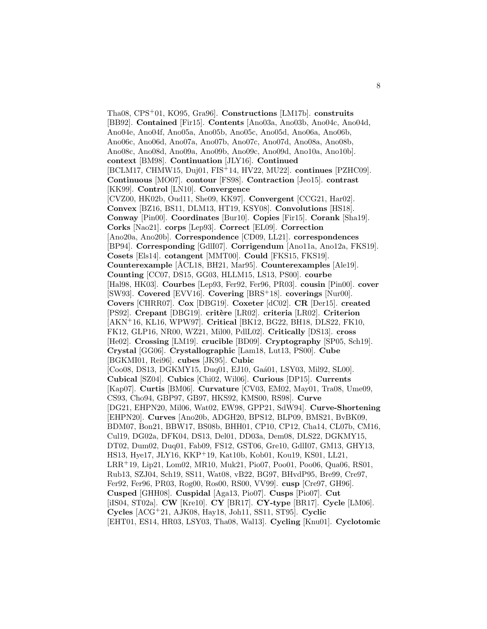Tha08, CPS<sup>+</sup>01, KO95, Gra96]. **Constructions** [LM17b]. **construits** [BB92]. **Contained** [Fir15]. **Contents** [Ano03a, Ano03b, Ano04c, Ano04d, Ano04e, Ano04f, Ano05a, Ano05b, Ano05c, Ano05d, Ano06a, Ano06b, Ano06c, Ano06d, Ano07a, Ano07b, Ano07c, Ano07d, Ano08a, Ano08b, Ano08c, Ano08d, Ano09a, Ano09b, Ano09c, Ano09d, Ano10a, Ano10b]. **context** [BM98]. **Continuation** [JLY16]. **Continued** [BCLM17, CHMW15, Duj01, FIS<sup>+</sup>14, HV22, MU22]. **continues** [PZHC09]. **Continuous** [MO07]. **contour** [FS98]. **Contraction** [Jeo15]. **contrast** [KK99]. **Control** [LN10]. **Convergence** [CVZ00, HK02b, Oud11, She09, KK97]. **Convergent** [CCG21, Har02]. **Convex** [BZ16, BS11, DLM13, HT19, KSY08]. **Convolutions** [HS18]. **Conway** [Pin00]. **Coordinates** [Bur10]. **Copies** [Fir15]. **Corank** [Sha19]. **Corks** [Nao21]. **corps** [Lep93]. **Correct** [EL09]. **Correction** [Ano20a, Ano20b]. **Correspondence** [CD09, LL21]. **correspondences** [BP94]. **Corresponding** [GdlI07]. **Corrigendum** [Ano11a, Ano12a, FKS19]. **Cosets** [Els14]. **cotangent** [MMT00]. **Could** [FKS15, FKS19]. **Counterexample** [ÅCL18, BH21, Mar95]. **Counterexamples** [Ale19]. **Counting** [CC07, DS15, GG03, HLLM15, LS13, PS00]. **courbe** [Hal98, HK03]. **Courbes** [Lep93, Fer92, Fer96, PR03]. **cousin** [Pin00]. **cover** [SW93]. **Covered** [EVV16]. **Covering** [BRS<sup>+</sup>18]. **coverings** [Nur00]. **Covers** [CHRR07]. **Cox** [DBG19]. **Coxeter** [dC02]. **CR** [Der15]. **created** [PS92]. **Crepant** [DBG19]. **crit`ere** [LR02]. **criteria** [LR02]. **Criterion** [AKN<sup>+</sup>16, KL16, WPW97]. **Critical** [BK12, BG22, BH18, DLS22, FK10, FK12, GLP16, NR00, WZ21, Mil00, PdlL02]. **Critically** [DS13]. **cross** [He02]. **Crossing** [LM19]. **crucible** [BD09]. **Cryptography** [SP05, Sch19]. **Crystal** [GG06]. **Crystallographic** [Lam18, Lut13, PS00]. **Cube** [BGKMI01, Rei96]. **cubes** [JK95]. **Cubic** [Coo08, DS13, DGKMY15, Duq01, EJ10, Gaá01, LSY03, Mil92, SL00]. **Cubical** [SZ04]. **Cubics** [Chi02, Wil06]. **Curious** [DP15]. **Currents** [Kap07]. **Curtis** [BM06]. **Curvature** [CV03, EM02, May01, Tra08, Ume09, CS93, Cho94, GBP97, GB97, HKS92, KMS00, RS98]. **Curve** [DG21, EHPN20, Mil06, Wat02, EW98, GPP21, SdW94]. **Curve-Shortening** [EHPN20]. **Curves** [Ano20b, ADGH20, BPS12, BLP09, BMS21, BvBK09, BDM07, Bon21, BBW17, BS08b, BHH01, CP10, CP12, Cha14, CL07b, CM16, Cul19, DG02a, DFK04, DS13, Del01, DD03a, Dem08, DLS22, DGKMY15, DT02, Dum02, Duq01, Fab09, FS12, GST06, Gre10, GdlI07, GM13, GHY13, HS13, Hye17, JLY16, KKP<sup>+</sup>19, Kat10b, Kob01, Kou19, KS01, LL21, LRR<sup>+</sup>19, Lip21, Lom02, MR10, Muk21, Pio07, Poo01, Poo06, Qua06, RS01, Rub13, SZJ04, Sch19, SS11, Wat08, vB22, BG97, BHvdP95, Bre99, Cre97, Fer92, Fer96, PR03, Rog00, Ros00, RS00, VV99]. **cusp** [Cre97, GH96]. **Cusped** [GHH08]. **Cuspidal** [Aga13, Pio07]. **Cusps** [Pio07]. **Cut** [iIS04, ST02a]. **CW** [Kre10]. **CY** [BR17]. **CY-type** [BR17]. **Cycle** [LM06]. **Cycles** [ACG<sup>+</sup>21, AJK08, Hay18, Joh11, SS11, ST95]. **Cyclic** [EHT01, ES14, HR03, LSY03, Tha08, Wal13]. **Cycling** [Knu01]. **Cyclotomic**

8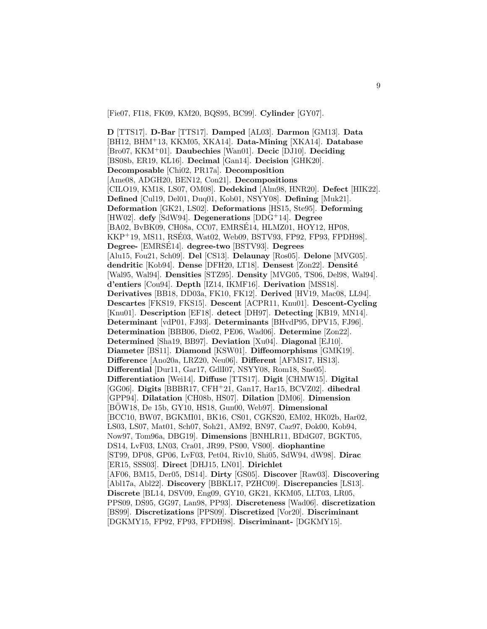[Fie07, FI18, FK09, KM20, BQS95, BC99]. **Cylinder** [GY07].

**D** [TTS17]. **D-Bar** [TTS17]. **Damped** [AL03]. **Darmon** [GM13]. **Data** [BH12, BHM<sup>+</sup>13, KKM05, XKA14]. **Data-Mining** [XKA14]. **Database** [Bro07, KKM<sup>+</sup>01]. **Daubechies** [Wan01]. **Decic** [DJ10]. **Deciding** [BS08b, ER19, KL16]. **Decimal** [Gan14]. **Decision** [GHK20]. **Decomposable** [Chi02, PR17a]. **Decomposition** [Ame08, ADGH20, BEN12, Con21]. **Decompositions** [CILO19, KM18, LS07, OM08]. **Dedekind** [Alm98, HNR20]. **Defect** [HIK22]. **Defined** [Cul19, Del01, Duq01, Kob01, NSYY08]. **Defining** [Muk21]. **Deformation** [GK21, LS02]. **Deformations** [HS15, Ste95]. **Deforming** [HW02]. **defy** [SdW94]. **Degenerations** [DDG<sup>+</sup>14]. **Degree** [BA02, BvBK09, CH08a, CC07, EMRSE14, HLMZ01, HOY12, HP08, ´ KKP<sup>+</sup>19, MS11, RSE03, Wat02, Web09, BSTV93, FP92, FP93, FPDH98]. ´ **Degree-** [EMRSE14]. ´ **degree-two** [BSTV93]. **Degrees** [Alu15, Fou21, Sch09]. **Del** [CS13]. **Delaunay** [Ros05]. **Delone** [MVG05]. dendritic<sup>[Kob94]</sup>. Dense<sup>[DFH20, LT18].</sup> Densest<sup>[Zon22]</sup>. Densité [Wal95, Wal94]. **Densities** [STZ95]. **Density** [MVG05, TS06, Del98, Wal94]. **d'entiers** [Cou94]. **Depth** [IZ14, IKMF16]. **Derivation** [MSS18]. **Derivatives** [BB18, DD03a, FK10, FK12]. **Derived** [HV19, Mac08, LL94]. **Descartes** [FKS19, FKS15]. **Descent** [ACPR11, Knu01]. **Descent-Cycling** [Knu01]. **Description** [EF18]. **detect** [DH97]. **Detecting** [KB19, MN14]. **Determinant** [vdP01, FJ93]. **Determinants** [BHvdP95, DPV15, FJ96]. **Determination** [BBB06, Die02, PE06, Wad06]. **Determine** [Zon22]. **Determined** [Sha19, BB97]. **Deviation** [Xu04]. **Diagonal** [EJ10]. **Diameter** [BS11]. **Diamond** [KSW01]. **Diffeomorphisms** [GMK19]. **Difference** [Ano20a, LRZ20, Neu06]. **Different** [AFMS17, HS13]. **Differential** [Dur11, Gar17, GdlI07, NSYY08, Rom18, Sne05]. **Differentiation** [Wei14]. **Diffuse** [TTS17]. **Digit** [CHMW15]. **Digital** [GG06]. **Digits** [BBBR17, CFH<sup>+</sup>21, Gan17, Har15, BCVZ02]. **dihedral** [GPP94]. **Dilatation** [CH08b, HS07]. **Dilation** [DM06]. **Dimension** [BOW18, De 15b, GY10, HS18, Gun00, Web97]. **Dimensional** [BCC10, BW07, BGKMI01, BK16, CS01, CGKS20, EM02, HK02b, Har02, LS03, LS07, Mat01, Sch07, Soh21, AM92, BN97, Caz97, Đok00, Kob94, Now97, Tom96a, DBG19]. **Dimensions** [BNHLR11, BDdG07, BGKT05, DS14, LvF03, LN03, Cra01, JR99, PS00, VS00]. **diophantine** [ST99, DP08, GP06, LvF03, Pet04, Riv10, Shi05, SdW94, dW98]. **Dirac** [ER15, SSS03]. **Direct** [DHJ15, LN01]. **Dirichlet** [AF06, BM15, Der05, DS14]. **Dirty** [GS05]. **Discover** [Raw03]. **Discovering** [Abl17a, Abl22]. **Discovery** [BBKL17, PZHC09]. **Discrepancies** [LS13]. **Discrete** [BL14, DSV09, Eng09, GY10, GK21, KKM05, LLT03, LR05, PPS09, DS95, GG97, Lan98, PP93]. **Discreteness** [Wad06]. **discretization** [BS99]. **Discretizations** [PPS09]. **Discretized** [Vor20]. **Discriminant** [DGKMY15, FP92, FP93, FPDH98]. **Discriminant-** [DGKMY15].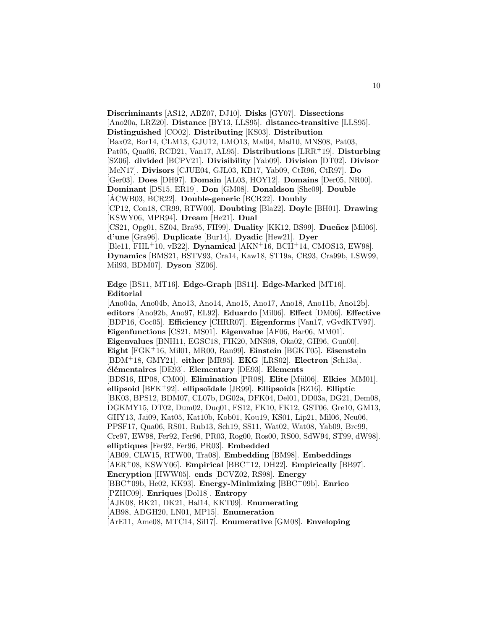**Discriminants** [AS12, ABZ07, DJ10]. **Disks** [GY07]. **Dissections** [Ano20a, LRZ20]. **Distance** [BY13, LLS95]. **distance-transitive** [LLS95]. **Distinguished** [CO02]. **Distributing** [KS03]. **Distribution** [Bax02, Bor14, CLM13, GJU12, LMO13, Mal04, Mal10, MNS08, Pat03, Pat05, Qua06, RCD21, Van17, AL95]. **Distributions** [LRR<sup>+</sup>19]. **Disturbing** [SZ06]. **divided** [BCPV21]. **Divisibility** [Yab09]. **Division** [DT02]. **Divisor** [McN17]. **Divisors** [CJUE04, GJL03, KB17, Yab09, CtR96, CtR97]. **Do** [Ger03]. **Does** [DH97]. **Domain** [AL03, HOY12]. **Domains** [Der05, NR00]. **Dominant** [DS15, ER19]. **Don** [GM08]. **Donaldson** [She09]. **Double** [ $\angle$ ACWB03, BCR22]. **Double-generic** [BCR22]. **Doubly** [CP12, Con18, CR99, RTW00]. **Doubting** [Bla22]. **Doyle** [BH01]. **Drawing** [KSWY06, MPR94]. **Dream** [He21]. **Dual** [CS21, Opg01, SZ04, Bra95, FH99]. **Duality** [KK12, BS99]. **Dueñez** [Mil06]. **d'une** [Gra96]. **Duplicate** [Bur14]. **Dyadic** [Hew21]. **Dyer** [Ble11, FHL<sup>+</sup>10, vB22]. **Dynamical** [AKN<sup>+</sup>16, BCH<sup>+</sup>14, CMOS13, EW98]. **Dynamics** [BMS21, BSTV93, Cra14, Kaw18, ST19a, CR93, Cra99b, LSW99, Mil93, BDM07]. **Dyson** [SZ06].

**Edge** [BS11, MT16]. **Edge-Graph** [BS11]. **Edge-Marked** [MT16]. **Editorial**

[Ano04a, Ano04b, Ano13, Ano14, Ano15, Ano17, Ano18, Ano11b, Ano12b]. **editors** [Ano92b, Ano97, EL92]. **Eduardo** [Mil06]. **Effect** [DM06]. **Effective** [BDP16, Coc05]. **Efficiency** [CHRR07]. **Eigenforms** [Van17, vGvdKTV97]. **Eigenfunctions** [CS21, MS01]. **Eigenvalue** [AF06, Bar06, MM01]. **Eigenvalues** [BNH11, EGSC18, FIK20, MNS08, Oka02, GH96, Gun00]. **Eight** [FGK<sup>+</sup>16, Mil01, MR00, Ran99]. **Einstein** [BGKT05]. **Eisenstein** [BDM<sup>+</sup>18, GMY21]. **either** [MR95]. **EKG** [LRS02]. **Electron** [Sch13a]. **´el´ementaires** [DE93]. **Elementary** [DE93]. **Elements** [BDS16, HP08, CM00]. **Elimination** [PR08]. **Elite** [M¨ul06]. **Elkies** [MM01]. **ellipsoid** [BFK<sup>+</sup>92]. **ellipso¨ıdale** [JR99]. **Ellipsoids** [BZ16]. **Elliptic** [BK03, BPS12, BDM07, CL07b, DG02a, DFK04, Del01, DD03a, DG21, Dem08, DGKMY15, DT02, Dum02, Duq01, FS12, FK10, FK12, GST06, Gre10, GM13, GHY13, Jai09, Kat05, Kat10b, Kob01, Kou19, KS01, Lip21, Mil06, Neu06, PPSF17, Qua06, RS01, Rub13, Sch19, SS11, Wat02, Wat08, Yab09, Bre99, Cre97, EW98, Fer92, Fer96, PR03, Rog00, Ros00, RS00, SdW94, ST99, dW98]. **elliptiques** [Fer92, Fer96, PR03]. **Embedded** [AB09, CLW15, RTW00, Tra08]. **Embedding** [BM98]. **Embeddings** [AER<sup>+</sup>08, KSWY06]. **Empirical** [BBC<sup>+</sup>12, DH22]. **Empirically** [BB97]. **Encryption** [HWW05]. **ends** [BCVZ02, RS98]. **Energy** [BBC<sup>+</sup>09b, He02, KK93]. **Energy-Minimizing** [BBC<sup>+</sup>09b]. **Enrico** [PZHC09]. **Enriques** [Dol18]. **Entropy** [AJK08, BK21, DK21, Hal14, KKT09]. **Enumerating** [AB98, ADGH20, LN01, MP15]. **Enumeration** [ArE11, Ame08, MTC14, Sil17]. **Enumerative** [GM08]. **Enveloping**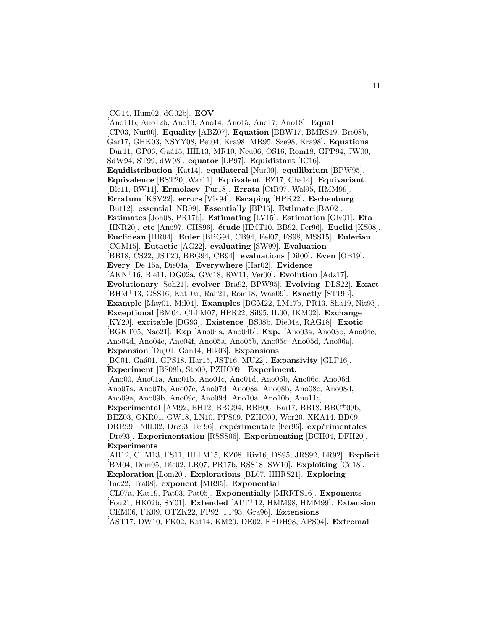[CG14, Hum02, dG02b]. **EOV**

[Ano11b, Ano12b, Ano13, Ano14, Ano15, Ano17, Ano18]. **Equal** [CP03, Nur00]. **Equality** [ABZ07]. **Equation** [BBW17, BMRS19, Bre08b, Gar17, GHK03, NSYY08, Pet04, Kra98, MR95, Sze98, Kra98]. **Equations** [Dur11, GP06, Ga´a15, HIL13, MR10, Neu06, OS16, Rom18, GPP94, JW00, SdW94, ST99, dW98]. **equator** [LP97]. **Equidistant** [IC16]. **Equidistribution** [Kat14]. **equilateral** [Nur00]. **equilibrium** [BPW95]. **Equivalence** [BST20, War11]. **Equivalent** [BZ17, Cha14]. **Equivariant** [Ble11, RW11]. **Ermolaev** [Pur18]. **Errata** [CtR97, Wal95, HMM99]. **Erratum** [KSV22]. **errors** [Viv94]. **Escaping** [HPR22]. **Eschenburg** [But12]. **essential** [NR99]. **Essentially** [BP15]. **Estimate** [BA02]. **Estimates** [Joh08, PR17b]. **Estimating** [LV15]. **Estimation** [Olv01]. **Eta** [HNR20]. **etc** [Ano97, CHS96]. **´etude** [HMT10, BB92, Fer96]. **Euclid** [KS08]. **Euclidean** [HR04]. **Euler** [BBG94, CB94, Eel07, FS98, MSS15]. **Eulerian** [CGM15]. **Eutactic** [AG22]. **evaluating** [SW99]. **Evaluation** [BB18, CS22, JST20, BBG94, CB94]. **evaluations** [Dil00]. **Even** [OB19]. **Every** [De 15a, Die04a]. **Everywhere** [Har02]. **Evidence** [AKN<sup>+</sup>16, Ble11, DG02a, GW18, RW11, Ver00]. **Evolution** [Adz17]. **Evolutionary** [Soh21]. **evolver** [Bra92, BPW95]. **Evolving** [DLS22]. **Exact** [BHM<sup>+</sup>13, GSS16, Kat10a, Rah21, Rom18, Wan09]. **Exactly** [ST19b]. **Example** [May01, Mil04]. **Examples** [BGM22, LM17b, PR13, Sha19, Nit93]. **Exceptional** [BM04, CLLM07, HPR22, Sil95, IL00, IKM02]. **Exchange** [KY20]. **excitable** [DG93]. **Existence** [BS08b, Die04a, RAG18]. **Exotic** [BGKT05, Nao21]. **Exp** [Ano04a, Ano04b]. **Exp.** [Ano03a, Ano03b, Ano04c, Ano04d, Ano04e, Ano04f, Ano05a, Ano05b, Ano05c, Ano05d, Ano06a]. **Expansion** [Duj01, Gan14, Hik03]. **Expansions** [BC01, Gaá01, GPS18, Har15, JST16, MU22]. **Expansivity** [GLP16]. **Experiment** [BS08b, Sto09, PZHC09]. **Experiment.** [Ano00, Ano01a, Ano01b, Ano01c, Ano01d, Ano06b, Ano06c, Ano06d, Ano07a, Ano07b, Ano07c, Ano07d, Ano08a, Ano08b, Ano08c, Ano08d, Ano09a, Ano09b, Ano09c, Ano09d, Ano10a, Ano10b, Ano11c]. **Experimental** [AM92, BH12, BBG94, BBB06, Bai17, BB18, BBC<sup>+</sup>09b, BEZ03, GKR01, GW18, LN10, PPS09, PZHC09, Wor20, XKA14, BD09, DRR99, PdlL02, Dre93, Fer96]. **expérimentale** [Fer96]. **expérimentales** [Dre93]. **Experimentation** [RSSS06]. **Experimenting** [BCH04, DFH20]. **Experiments** [AR12, CLM13, FS11, HLLM15, KZ08, Riv16, DS95, JRS92, LR92]. **Explicit** [BM04, Dem05, Die02, LR07, PR17b, RSS18, SW10]. **Exploiting** [Cd18]. **Exploration** [Lom20]. **Explorations** [BL07, HHRS21]. **Exploring** [Ino22, Tra08]. **exponent** [MR95]. **Exponential** [CL07a, Kat19, Pat03, Pat05]. **Exponentially** [MRRTS16]. **Exponents** [Fou21, HK02b, SY01]. **Extended** [ALT<sup>+</sup>12, HMM98, HMM99]. **Extension** [CEM06, FK09, OTZK22, FP92, FP93, Gra96]. **Extensions**

[AST17, DW10, FK02, Kat14, KM20, DE02, FPDH98, APS04]. **Extremal**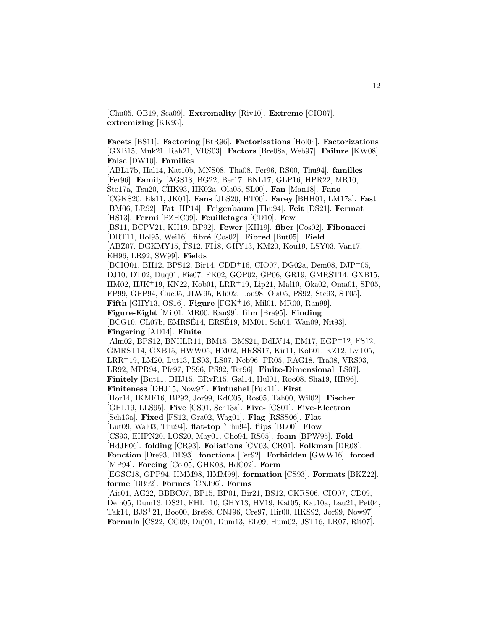[Chu05, OB19, Sca09]. **Extremality** [Riv10]. **Extreme** [CIO07]. **extremizing** [KK93].

**Facets** [BS11]. **Factoring** [BtR96]. **Factorisations** [Hol04]. **Factorizations** [GXB15, Muk21, Rah21, VRS03]. **Factors** [Bre08a, Web97]. **Failure** [KW08]. **False** [DW10]. **Families** [ABL17b, Hal14, Kat10b, MNS08, Tha08, Fer96, RS00, Thu94]. **familles** [Fer96]. **Family** [AGS18, BG22, Ber17, BNL17, GLP16, HPR22, MR10, Sto17a, Tsu20, CHK93, HK02a, Ola05, SL00]. **Fan** [Man18]. **Fano** [CGKS20, Els11, JK01]. **Fans** [JLS20, HT00]. **Farey** [BHH01, LM17a]. **Fast** [BM06, LR92]. **Fat** [HP14]. **Feigenbaum** [Thu94]. **Feit** [DS21]. **Fermat** [HS13]. **Fermi** [PZHC09]. **Feuilletages** [CD10]. **Few** [BS11, BCPV21, KH19, BP92]. **Fewer** [KH19]. **fiber** [Cos02]. **Fibonacci** [DRT11, Hol95, Wei16]. **fibr´e** [Cos02]. **Fibred** [But05]. **Field** [ABZ07, DGKMY15, FS12, FI18, GHY13, KM20, Kou19, LSY03, Van17, EH96, LR92, SW99]. **Fields** [BCIO01, BH12, BPS12, Bir14, CDD<sup>+</sup>16, CIO07, DG02a, Dem08, DJP<sup>+</sup>05, DJ10, DT02, Duq01, Fie07, FK02, GOP02, GP06, GR19, GMRST14, GXB15, HM02, HJK<sup>+</sup>19, KN22, Kob01, LRR<sup>+</sup>19, Lip21, Mal10, Oka02, Oma01, SP05, FP99, GPP94, Guc95, JLW95, Klü02, Lou98, Ola05, PS92, Ste93, ST05]. **Fifth** [GHY13, OS16]. **Figure** [FGK<sup>+</sup>16, Mil01, MR00, Ran99]. **Figure-Eight** [Mil01, MR00, Ran99]. **film** [Bra95]. **Finding** [BCG10, CL07b, EMRSÉ14, ERSÉ19, MM01, Sch04, Wan09, Nit93]. **Fingering** [AD14]. **Finite** [Alm02, BPS12, BNHLR11, BM15, BMS21, DdLV14, EM17, EGP<sup>+</sup>12, FS12, GMRST14, GXB15, HWW05, HM02, HRSS17, Kir11, Kob01, KZ12, LvT05, LRR<sup>+</sup>19, LM20, Lut13, LS03, LS07, Neb96, PR05, RAG18, Tra08, VRS03, LR92, MPR94, Pfe97, PS96, PS92, Ter96]. **Finite-Dimensional** [LS07]. **Finitely** [But11, DHJ15, ERvR15, Gal14, Hul01, Roo08, Sha19, HR96]. **Finiteness** [DHJ15, Now97]. **Fintushel** [Fuk11]. **First** [Hor14, IKMF16, BP92, Jor99, KdC05, Ros05, Tah00, Wil02]. **Fischer** [GHL19, LLS95]. **Five** [CS01, Sch13a]. **Five-** [CS01]. **Five-Electron** [Sch13a]. **Fixed** [FS12, Gra02, Wag01]. **Flag** [RSSS06]. **Flat** [Lut09, Wal03, Thu94]. **flat-top** [Thu94]. **flips** [BL00]. **Flow** [CS93, EHPN20, LOS20, May01, Cho94, RS05]. **foam** [BPW95]. **Fold** [HdJF06]. **folding** [CR93]. **Foliations** [CV03, CR01]. **Folkman** [DR08]. **Fonction** [Dre93, DE93]. **fonctions** [Fer92]. **Forbidden** [GWW16]. **forced** [MP94]. **Forcing** [Col05, GHK03, HdC02]. **Form** [EGSC18, GPP94, HMM98, HMM99]. **formation** [CS93]. **Formats** [BKZ22]. **forme** [BB92]. **Formes** [CNJ96]. **Forms** [Aic04, AG22, BBBC07, BP15, BP01, Bir21, BS12, CKRS06, CIO07, CD09, Dem05, Dum13, DS21, FHL<sup>+</sup>10, GHY13, HV19, Kat05, Kat10a, Lau21, Pet04, Tak14, BJS<sup>+</sup>21, Boo00, Bre98, CNJ96, Cre97, Hir00, HKS92, Jor99, Now97]. **Formula** [CS22, CG09, Duj01, Dum13, EL09, Hum02, JST16, LR07, Rit07].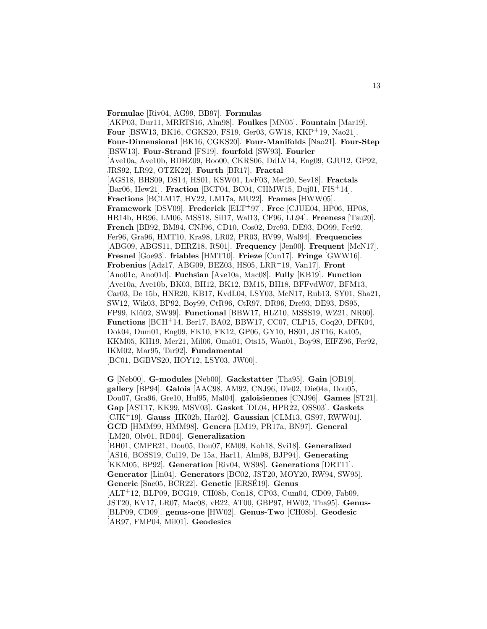**Formulae** [Riv04, AG99, BB97]. **Formulas** [AKP03, Dur11, MRRTS16, Alm98]. **Foulkes** [MN05]. **Fountain** [Mar19]. **Four** [BSW13, BK16, CGKS20, FS19, Ger03, GW18, KKP<sup>+</sup>19, Nao21]. **Four-Dimensional** [BK16, CGKS20]. **Four-Manifolds** [Nao21]. **Four-Step** [BSW13]. **Four-Strand** [FS19]. **fourfold** [SW93]. **Fourier** [Ave10a, Ave10b, BDHZ09, Boo00, CKRS06, DdLV14, Eng09, GJU12, GP92, JRS92, LR92, OTZK22]. **Fourth** [BR17]. **Fractal** [AGS18, BHS09, DS14, HS01, KSW01, LvF03, Mer20, Sev18]. **Fractals** [Bar06, Hew21]. **Fraction** [BCF04, BC04, CHMW15, Duj01, FIS<sup>+</sup>14]. **Fractions** [BCLM17, HV22, LM17a, MU22]. **Frames** [HWW05]. **Framework** [DSV09]. **Frederick** [ELT<sup>+</sup>97]. **Free** [CJUE04, HP06, HP08, HR14b, HR96, LM06, MSS18, Sil17, Wal13, CF96, LL94]. **Freeness** [Tsu20]. **French** [BB92, BM94, CNJ96, CD10, Cos02, Dre93, DE93, DO99, Fer92, Fer96, Gra96, HMT10, Kra98, LR02, PR03, RV99, Wal94]. **Frequencies** [ABG09, ABGS11, DERZ18, RS01]. **Frequency** [Jen00]. **Frequent** [McN17]. **Fresnel** [Goe93]. **friables** [HMT10]. **Frieze** [Cun17]. **Fringe** [GWW16]. **Frobenius** [Adz17, ABG09, BEZ03, HS05, LRR<sup>+</sup>19, Van17]. **Front** [Ano01c, Ano01d]. **Fuchsian** [Ave10a, Mac08]. **Fully** [KB19]. **Function** [Ave10a, Ave10b, BK03, BH12, BK12, BM15, BH18, BFFvdW07, BFM13, Car03, De 15b, HNR20, KB17, KvdL04, LSY03, McN17, Rub13, SY01, Sha21, SW12, Wik03, BP92, Boy99, CtR96, CtR97, DR96, Dre93, DE93, DS95, FP99, Kl¨u02, SW99]. **Functional** [BBW17, HLZ10, MSSS19, WZ21, NR00]. **Functions** [BCH<sup>+</sup>14, Ber17, BA02, BBW17, CC07, CLP15, Coq20, DFK04, Dok04, Dum01, Eng09, FK10, FK12, GP06, GY10, HS01, JST16, Kat05, KKM05, KH19, Mer21, Mil06, Oma01, Ots15, Wan01, Boy98, EIFZ96, Fer92, IKM02, Mar95, Tar92]. **Fundamental** [BC01, BGBVS20, HOY12, LSY03, JW00].

**G** [Neb00]. **G-modules** [Neb00]. **Gackstatter** [Tha95]. **Gain** [OB19]. **gallery** [BP94]. **Galois** [AAC98, AM92, CNJ96, Die02, Die04a, Dou05, Dou07, Gra96, Gre10, Hul95, Mal04]. **galoisiennes** [CNJ96]. **Games** [ST21]. **Gap** [AST17, KK99, MSV03]. **Gasket** [DL04, HPR22, OSS03]. **Gaskets** [CJK<sup>+</sup>19]. **Gauss** [HK02b, Har02]. **Gaussian** [CLM13, GS97, RWW01]. **GCD** [HMM99, HMM98]. **Genera** [LM19, PR17a, BN97]. **General** [LM20, Olv01, RD04]. **Generalization** [BH01, CMPR21, Dou05, Dou07, EM09, Koh18, Svi18]. **Generalized** [AS16, BOSS19, Cul19, De 15a, Har11, Alm98, BJP94]. **Generating** [KKM05, BP92]. **Generation** [Riv04, WS98]. **Generations** [DRT11]. **Generator** [Lin04]. **Generators** [BC02, JST20, MOY20, RW94, SW95]. **Generic** [Sne05, BCR22]. **Genetic** [ERSE19]. ´ **Genus** [ALT<sup>+</sup>12, BLP09, BCG19, CH08b, Con18, CP03, Cum04, CD09, Fab09, JST20, KV17, LR07, Mac08, vB22, AT00, GBP97, HW02, Tha95]. **Genus-** [BLP09, CD09]. **genus-one** [HW02]. **Genus-Two** [CH08b]. **Geodesic** [AR97, FMP04, Mil01]. **Geodesics**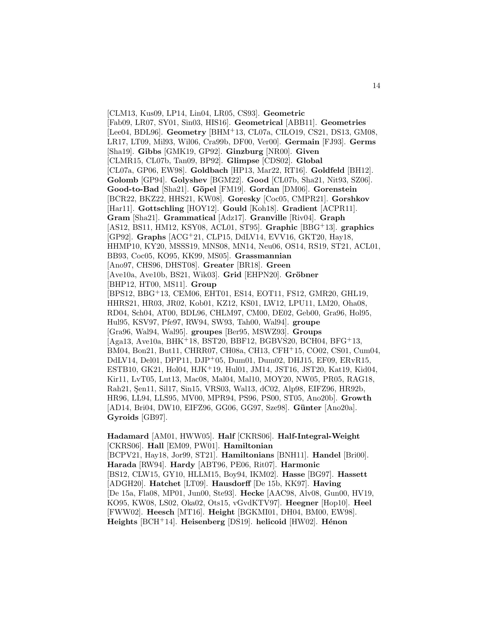[CLM13, Kus09, LP14, Lin04, LR05, CS93]. **Geometric** [Fab09, LR07, SY01, Sin03, HIS16]. **Geometrical** [ABB11]. **Geometries** [Lee04, BDL96]. **Geometry** [BHM<sup>+</sup>13, CL07a, CILO19, CS21, DS13, GM08, LR17, LT09, Mil93, Wil06, Cra99b, DF00, Ver00]. **Germain** [FJ93]. **Germs** [Sha19]. **Gibbs** [GMK19, GP92]. **Ginzburg** [NR00]. **Given** [CLMR15, CL07b, Tan09, BP92]. **Glimpse** [CDS02]. **Global** [CL07a, GP06, EW98]. **Goldbach** [HP13, Mar22, RT16]. **Goldfeld** [BH12]. **Golomb** [GP94]. **Golyshev** [BGM22]. **Good** [CL07b, Sha21, Nit93, SZ06]. **Good-to-Bad** [Sha21]. **G¨opel** [FM19]. **Gordan** [DM06]. **Gorenstein** [BCR22, BKZ22, HHS21, KW08]. **Goresky** [Coc05, CMPR21]. **Gorshkov** [Har11]. **Gottschling** [HOY12]. **Gould** [Koh18]. **Gradient** [ACPR11]. **Gram** [Sha21]. **Grammatical** [Adz17]. **Granville** [Riv04]. **Graph** [AS12, BS11, HM12, KSY08, ACL01, ST95]. **Graphic** [BBG<sup>+</sup>13]. **graphics** [GP92]. **Graphs** [ACG<sup>+</sup>21, CLP15, DdLV14, EVV16, GKT20, Hay18, HHMP10, KY20, MSSS19, MNS08, MN14, Neu06, OS14, RS19, ST21, ACL01, BB93, Coc05, KO95, KK99, MS05]. **Grassmannian** [Ano97, CHS96, DHST08]. **Greater** [BR18]. **Green** [Ave10a, Ave10b, BS21, Wik03]. **Grid** [EHPN20]. **Gröbner** [BHP12, HT00, MS11]. **Group** [BPS12, BBG<sup>+</sup>13, CEM06, EHT01, ES14, EOT11, FS12, GMR20, GHL19, HHRS21, HR03, JR02, Kob01, KZ12, KS01, LW12, LPU11, LM20, Oha08, RD04, Sch04, AT00, BDL96, CHLM97, CM00, DE02, Geb00, Gra96, Hol95, Hul95, KSV97, Pfe97, RW94, SW93, Tah00, Wal94]. **groupe** [Gra96, Wal94, Wal95]. **groupes** [Ber95, MSWZ93]. **Groups** [Aga13, Ave10a, BHK<sup>+</sup>18, BST20, BBF12, BGBVS20, BCH04, BFG<sup>+</sup>13, BM04, Bon21, But11, CHRR07, CH08a, CH13, CFH<sup>+</sup>15, CO02, CS01, Cum04, DdLV14, Del01, DPP11, DJP<sup>+</sup>05, Dum01, Dum02, DHJ15, EF09, ERvR15, ESTB10, GK21, Hol04, HJK<sup>+</sup>19, Hul01, JM14, JST16, JST20, Kat19, Kid04, Kir11, LvT05, Lut13, Mac08, Mal04, Mal10, MOY20, NW05, PR05, RAG18, Rah21, Şen11, Sil17, Sin15, VRS03, Wal13, dC02, Alp98, EIFZ96, HR92b, HR96, LL94, LLS95, MV00, MPR94, PS96, PS00, ST05, Ano20b]. **Growth** [AD14, Bri04, DW10, EIFZ96, GG06, GG97, Sze98]. **Günter** [Ano20a]. **Gyroids** [GB97].

**Hadamard** [AM01, HWW05]. **Half** [CKRS06]. **Half-Integral-Weight** [CKRS06]. **Hall** [EM09, PW01]. **Hamiltonian** [BCPV21, Hay18, Jor99, ST21]. **Hamiltonians** [BNH11]. **Handel** [Bri00]. **Harada** [RW94]. **Hardy** [ABT96, PE06, Rit07]. **Harmonic** [BS12, CLW15, GY10, HLLM15, Boy94, IKM02]. **Hasse** [BG97]. **Hassett** [ADGH20]. **Hatchet** [LT09]. **Hausdorff** [De 15b, KK97]. **Having** [De 15a, Fla08, MP01, Jun00, Ste93]. **Hecke** [AAC98, Alv08, Gun00, HV19, KO95, KW08, LS02, Oka02, Ots15, vGvdKTV97]. **Heegner** [Hop10]. **Heel** [FWW02]. **Heesch** [MT16]. **Height** [BGKMI01, DH04, BM00, EW98]. **Heights** [BCH<sup>+</sup>14]. **Heisenberg** [DS19]. **helicoid** [HW02]. **H´enon**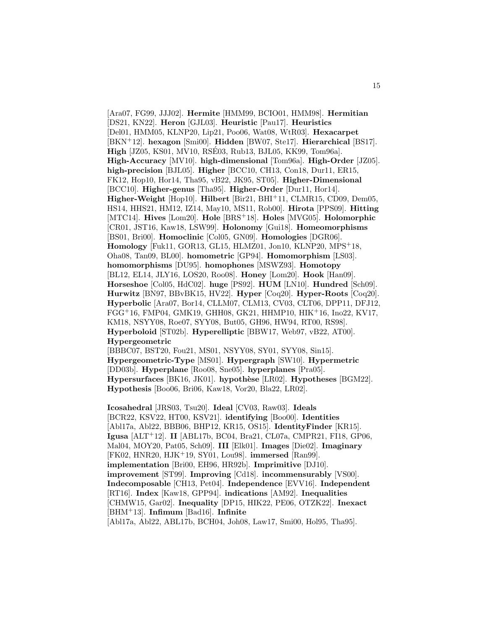[Ara07, FG99, JJJ02]. **Hermite** [HMM99, BCIO01, HMM98]. **Hermitian** [DS21, KN22]. **Heron** [GJL03]. **Heuristic** [Pau17]. **Heuristics** [Del01, HMM05, KLNP20, Lip21, Poo06, Wat08, WtR03]. **Hexacarpet** [BKN<sup>+</sup>12]. **hexagon** [Smi00]. **Hidden** [BW07, Ste17]. **Hierarchical** [BS17]. **High** [JZ05, KS01, MV10, RSE03, Rub13, BJL05, KK99, Tom96a]. ´ **High-Accuracy** [MV10]. **high-dimensional** [Tom96a]. **High-Order** [JZ05]. **high-precision** [BJL05]. **Higher** [BCC10, CH13, Con18, Dur11, ER15, FK12, Hop10, Hor14, Tha95, vB22, JK95, ST05]. **Higher-Dimensional** [BCC10]. **Higher-genus** [Tha95]. **Higher-Order** [Dur11, Hor14]. **Higher-Weight** [Hop10]. **Hilbert** [Bir21, BHI<sup>+</sup>11, CLMR15, CD09, Dem05, HS14, HHS21, HM12, IZ14, May10, MS11, Rob00]. **Hirota** [PPS09]. **Hitting** [MTC14]. **Hives** [Lom20]. **Hole** [BRS<sup>+</sup>18]. **Holes** [MVG05]. **Holomorphic** [CR01, JST16, Kaw18, LSW99]. **Holonomy** [Gui18]. **Homeomorphisms** [BS01, Bri00]. **Homoclinic** [Col05, GN09]. **Homologies** [DGR06]. **Homology** [Fuk11, GOR13, GL15, HLMZ01, Jon10, KLNP20, MPS<sup>+</sup>18, Oha08, Tan09, BL00]. **homometric** [GP94]. **Homomorphism** [LS03]. **homomorphisms** [DU95]. **homophones** [MSWZ93]. **Homotopy** [BL12, EL14, JLY16, LOS20, Roo08]. **Honey** [Lom20]. **Hook** [Han09]. **Horseshoe** [Col05, HdC02]. **huge** [PS92]. **HUM** [LN10]. **Hundred** [Sch09]. **Hurwitz** [BN97, BBvBK15, HV22]. **Hyper** [Coq20]. **Hyper-Roots** [Coq20]. **Hyperbolic** [Ara07, Bor14, CLLM07, CLM13, CV03, CLT06, DPP11, DFJ12, FGG<sup>+</sup>16, FMP04, GMK19, GHH08, GK21, HHMP10, HIK<sup>+</sup>16, Ino22, KV17, KM18, NSYY08, Roe07, SYY08, But05, GH96, HW94, RT00, RS98]. **Hyperboloid** [ST02b]. **Hyperelliptic** [BBW17, Web97, vB22, AT00]. **Hypergeometric**

[BBBC07, BST20, Fou21, MS01, NSYY08, SY01, SYY08, Sin15]. **Hypergeometric-Type** [MS01]. **Hypergraph** [SW10]. **Hypermetric** [DD03b]. **Hyperplane** [Roo08, Sne05]. **hyperplanes** [Pra05]. **Hypersurfaces** [BK16, JK01]. **hypothèse** [LR02]. **Hypotheses** [BGM22]. **Hypothesis** [Boo06, Bri06, Kaw18, Vor20, Bla22, LR02].

**Icosahedral** [JRS03, Tsu20]. **Ideal** [CV03, Raw03]. **Ideals** [BCR22, KSV22, HT00, KSV21]. **identifying** [Boo00]. **Identities** [Abl17a, Abl22, BBB06, BHP12, KR15, OS15]. **IdentityFinder** [KR15]. **Igusa** [ALT<sup>+</sup>12]. **II** [ABL17b, BC04, Bra21, CL07a, CMPR21, FI18, GP06, Mal04, MOY20, Pat05, Sch09]. **III** [Elk01]. **Images** [Die02]. **Imaginary** [FK02, HNR20, HJK<sup>+</sup>19, SY01, Lou98]. **immersed** [Ran99]. **implementation** [Bri00, EH96, HR92b]. **Imprimitive** [DJ10]. **improvement** [ST99]. **Improving** [Cd18]. **incommensurably** [VS00]. **Indecomposable** [CH13, Pet04]. **Independence** [EVV16]. **Independent** [RT16]. **Index** [Kaw18, GPP94]. **indications** [AM92]. **Inequalities** [CHMW15, Gar02]. **Inequality** [DP15, HIK22, PE06, OTZK22]. **Inexact** [BHM<sup>+</sup>13]. **Infimum** [Bad16]. **Infinite** [Abl17a, Abl22, ABL17b, BCH04, Joh08, Law17, Smi00, Hol95, Tha95].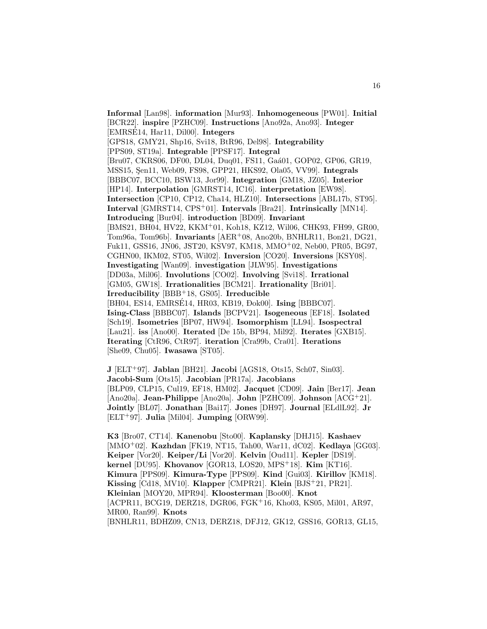**Informal** [Lan98]. **information** [Mur93]. **Inhomogeneous** [PW01]. **Initial** [BCR22]. **inspire** [PZHC09]. **Instructions** [Ano92a, Ano93]. **Integer** [EMRSE14, Har11, Dil00]. **Integers** [GPS18, GMY21, Shp16, Svi18, BtR96, Del98]. **Integrability** [PPS09, ST19a]. **Integrable** [PPSF17]. **Integral** [Bru07, CKRS06, DF00, DL04, Duq01, FS11, Gaa $(01, GOP02, GPO6, GR19,$ ] MSS15, Sen11, Web09, FS98, GPP21, HKS92, Ola05, VV99]. **Integrals** [BBBC07, BCC10, BSW13, Jor99]. **Integration** [GM18, JZ05]. **Interior** [HP14]. **Interpolation** [GMRST14, IC16]. **interpretation** [EW98]. **Intersection** [CP10, CP12, Cha14, HLZ10]. **Intersections** [ABL17b, ST95]. **Interval** [GMRST14, CPS<sup>+</sup>01]. **Intervals** [Bra21]. **Intrinsically** [MN14]. **Introducing** [Bur04]. **introduction** [BD09]. **Invariant** [BMS21, BH04, HV22, KKM<sup>+</sup>01, Koh18, KZ12, Wil06, CHK93, FH99, GR00, Tom96a, Tom96b]. **Invariants** [AER<sup>+</sup>08, Ano20b, BNHLR11, Bon21, DG21, Fuk11, GSS16, JN06, JST20, KSV97, KM18, MMO<sup>+</sup>02, Neb00, PR05, BG97, CGHN00, IKM02, ST05, Wil02]. **Inversion** [CO20]. **Inversions** [KSY08]. **Investigating** [Wan09]. **investigation** [JLW95]. **Investigations** [DD03a, Mil06]. **Involutions** [CO02]. **Involving** [Svi18]. **Irrational** [GM05, GW18]. **Irrationalities** [BCM21]. **Irrationality** [Bri01]. **Irreducibility** [BBB<sup>+</sup>18, GS05]. **Irreducible** [BH04, ES14, EMRSÉ14, HR03, KB19, Đok00]. **Ising** [BBBC07]. **Ising-Class** [BBBC07]. **Islands** [BCPV21]. **Isogeneous** [EF18]. **Isolated** [Sch19]. **Isometries** [BP07, HW94]. **Isomorphism** [LL94]. **Isospectral** [Lau21]. **iss** [Ano00]. **Iterated** [De 15b, BP94, Mil92]. **Iterates** [GXB15]. **Iterating** [CtR96, CtR97]. **iteration** [Cra99b, Cra01]. **Iterations** [She09, Chu05]. **Iwasawa** [ST05].

**J** [ELT<sup>+</sup>97]. **Jablan** [BH21]. **Jacobi** [AGS18, Ots15, Sch07, Sin03]. **Jacobi-Sum** [Ots15]. **Jacobian** [PR17a]. **Jacobians** [BLP09, CLP15, Cul19, EF18, HM02]. **Jacquet** [CD09]. **Jain** [Ber17]. **Jean** [Ano20a]. **Jean-Philippe** [Ano20a]. **John** [PZHC09]. **Johnson** [ACG<sup>+</sup>21]. **Jointly** [BL07]. **Jonathan** [Bai17]. **Jones** [DH97]. **Journal** [ELdlL92]. **Jr** [ELT<sup>+</sup>97]. **Julia** [Mil04]. **Jumping** [ORW99].

**K3** [Bro07, CT14]. **Kanenobu** [Sto00]. **Kaplansky** [DHJ15]. **Kashaev** [MMO<sup>+</sup>02]. **Kazhdan** [FK19, NT15, Tah00, War11, dC02]. **Kedlaya** [GG03]. **Keiper** [Vor20]. **Keiper/Li** [Vor20]. **Kelvin** [Oud11]. **Kepler** [DS19]. **kernel** [DU95]. **Khovanov** [GOR13, LOS20, MPS<sup>+</sup>18]. **Kim** [KT16]. **Kimura** [PPS09]. **Kimura-Type** [PPS09]. **Kind** [Gui03]. **Kirillov** [KM18]. **Kissing** [Cd18, MV10]. **Klapper** [CMPR21]. **Klein** [BJS<sup>+</sup>21, PR21]. **Kleinian** [MOY20, MPR94]. **Kloosterman** [Boo00]. **Knot** [ACPR11, BCG19, DERZ18, DGR06, FGK<sup>+</sup>16, Kho03, KS05, Mil01, AR97, MR00, Ran99]. **Knots** [BNHLR11, BDHZ09, CN13, DERZ18, DFJ12, GK12, GSS16, GOR13, GL15,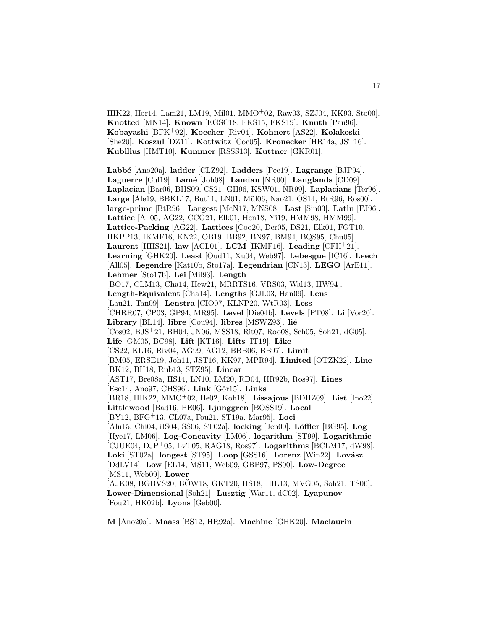HIK22, Hor14, Lam21, LM19, Mil01, MMO<sup>+</sup>02, Raw03, SZJ04, KK93, Sto00]. **Knotted** [MN14]. **Known** [EGSC18, FKS15, FKS19]. **Knuth** [Pau96]. **Kobayashi** [BFK<sup>+</sup>92]. **Koecher** [Riv04]. **Kohnert** [AS22]. **Kolakoski** [She20]. **Koszul** [DZ11]. **Kottwitz** [Coc05]. **Kronecker** [HR14a, JST16]. **Kubilius** [HMT10]. **Kummer** [RSSS13]. **Kuttner** [GKR01].

**Labb´e** [Ano20a]. **ladder** [CLZ92]. **Ladders** [Pec19]. **Lagrange** [BJP94]. **Laguerre** [Cul19]. **Lam´e** [Joh08]. **Landau** [NR00]. **Langlands** [CD09]. **Laplacian** [Bar06, BHS09, CS21, GH96, KSW01, NR99]. **Laplacians** [Ter96]. Large [Ale19, BBKL17, But11, LN01, Mül06, Nao21, OS14, BtR96, Ros00]. **large-prime** [BtR96]. **Largest** [McN17, MNS08]. **Last** [Sin03]. **Latin** [FJ96]. **Lattice** [All05, AG22, CCG21, Elk01, Hen18, Yi19, HMM98, HMM99]. **Lattice-Packing** [AG22]. **Lattices** [Coq20, Der05, DS21, Elk01, FGT10, HKPP13, IKMF16, KN22, OB19, BB92, BN97, BM94, BQS95, Chu05]. **Laurent** [HHS21]. **law** [ACL01]. **LCM** [IKMF16]. **Leading** [CFH<sup>+</sup>21]. **Learning** [GHK20]. **Least** [Oud11, Xu04, Web97]. **Lebesgue** [IC16]. **Leech** [All05]. **Legendre** [Kat10b, Sto17a]. **Legendrian** [CN13]. **LEGO** [ArE11]. **Lehmer** [Sto17b]. **Lei** [Mil93]. **Length** [BO17, CLM13, Cha14, Hew21, MRRTS16, VRS03, Wal13, HW94]. **Length-Equivalent** [Cha14]. **Lengths** [GJL03, Han09]. **Lens** [Lau21, Tan09]. **Lenstra** [CIO07, KLNP20, WtR03]. **Less** [CHRR07, CP03, GP94, MR95]. **Level** [Die04b]. **Levels** [PT08]. **Li** [Vor20]. Library<sup>[BL14].</sup> libre<sup>[Cou94]</sup>. libres<sup>[MSWZ93]</sup>. lié [Cos02, BJS<sup>+</sup>21, BH04, JN06, MSS18, Rit07, Roo08, Sch05, Soh21, dG05]. **Life** [GM05, BC98]. **Lift** [KT16]. **Lifts** [IT19]. **Like** [CS22, KL16, Riv04, AG99, AG12, BBB06, BB97]. **Limit** [BM05, ERSÉ19, Joh11, JST16, KK97, MPR94]. **Limited** [OTZK22]. **Line** [BK12, BH18, Rub13, STZ95]. **Linear** [AST17, Bre08a, HS14, LN10, LM20, RD04, HR92b, Ros97]. **Lines** [Esc14, Ano97, CHS96]. Link [Gör15]. Links [BR18, HIK22, MMO<sup>+</sup>02, He02, Koh18]. **Lissajous** [BDHZ09]. **List** [Ino22]. **Littlewood** [Bad16, PE06]. **Ljunggren** [BOSS19]. **Local** [BY12, BFG<sup>+</sup>13, CL07a, Fou21, ST19a, Mar95]. **Loci** [Alu15, Chi04, iIS04, SS06, ST02a]. **locking** [Jen00]. **L¨offler** [BG95]. **Log** [Hye17, LM06]. **Log-Concavity** [LM06]. **logarithm** [ST99]. **Logarithmic** [CJUE04, DJP<sup>+</sup>05, LvT05, RAG18, Ros97]. **Logarithms** [BCLM17, dW98]. Loki [ST02a]. **longest** [ST95]. **Loop** [GSS16]. **Lorenz** [Win22]. **Lovász** [DdLV14]. **Low** [EL14, MS11, Web09, GBP97, PS00]. **Low-Degree** [MS11, Web09]. **Lower** [AJK08, BGBVS20, BOW18, GKT20, HS18, HIL13, MVG05, Soh21, TS06]. **Lower-Dimensional** [Soh21]. **Lusztig** [War11, dC02]. **Lyapunov** [Fou21, HK02b]. **Lyons** [Geb00].

**M** [Ano20a]. **Maass** [BS12, HR92a]. **Machine** [GHK20]. **Maclaurin**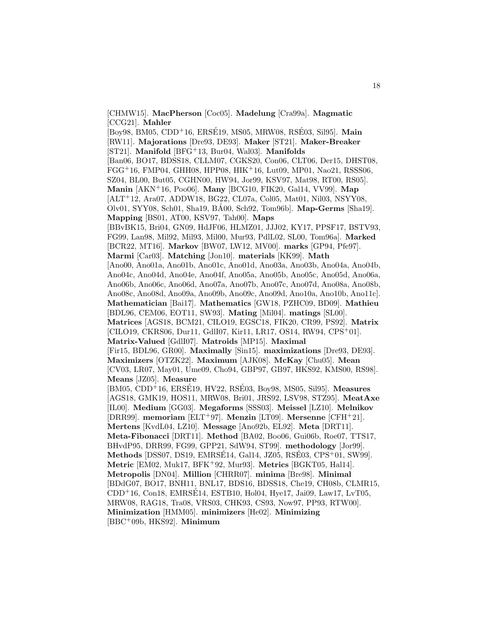[CHMW15]. **MacPherson** [Coc05]. **Madelung** [Cra99a]. **Magmatic** [CCG21]. **Mahler**

[Boy98, BM05, CDD<sup>+</sup>16, ERSÉ19, MS05, MRW08, RSÉ03, Sil95]. **Main** [RW11]. **Majorations** [Dre93, DE93]. **Maker** [ST21]. **Maker-Breaker** [ST21]. **Manifold** [BFG<sup>+</sup>13, Bur04, Wal03]. **Manifolds** [Ban06, BO17, BDSS18, CLLM07, CGKS20, Con06, CLT06, Der15, DHST08, FGG<sup>+</sup>16, FMP04, GHH08, HPP08, HIK<sup>+</sup>16, Lut09, MP01, Nao21, RSSS06, SZ04, BL00, But05, CGHN00, HW94, Jor99, KSV97, Mat98, RT00, RS05]. **Manin** [AKN<sup>+</sup>16, Poo06]. **Many** [BCG10, FIK20, Gal14, VV99]. **Map** [ALT<sup>+</sup>12, Ara07, ADDW18, BG22, CL07a, Col05, Mat01, Nil03, NSYY08, Olv01, SYY08, Sch01, Sha19, BA00, Sch92, Tom96b]. ´ **Map-Germs** [Sha19]. **Mapping** [BS01, AT00, KSV97, Tah00]. **Maps** [BBvBK15, Bri04, GN09, HdJF06, HLMZ01, JJJ02, KY17, PPSF17, BSTV93, FG99, Lan98, Mil92, Mil93, Mil00, Mur93, PdlL02, SL00, Tom96a]. **Marked** [BCR22, MT16]. **Markov** [BW07, LW12, MV00]. **marks** [GP94, Pfe97]. **Marmi** [Car03]. **Matching** [Jon10]. **materials** [KK99]. **Math** [Ano00, Ano01a, Ano01b, Ano01c, Ano01d, Ano03a, Ano03b, Ano04a, Ano04b, Ano04c, Ano04d, Ano04e, Ano04f, Ano05a, Ano05b, Ano05c, Ano05d, Ano06a, Ano06b, Ano06c, Ano06d, Ano07a, Ano07b, Ano07c, Ano07d, Ano08a, Ano08b, Ano08c, Ano08d, Ano09a, Ano09b, Ano09c, Ano09d, Ano10a, Ano10b, Ano11c]. **Mathematician** [Bai17]. **Mathematics** [GW18, PZHC09, BD09]. **Mathieu** [BDL96, CEM06, EOT11, SW93]. **Mating** [Mil04]. **matings** [SL00]. **Matrices** [AGS18, BCM21, CILO19, EGSC18, FIK20, CR99, PS92]. **Matrix** [CILO19, CKRS06, Dur11, GdlI07, Kir11, LR17, OS14, RW94, CPS<sup>+</sup>01]. **Matrix-Valued** [GdlI07]. **Matroids** [MP15]. **Maximal** [Fir15, BDL96, GR00]. **Maximally** [Sin15]. **maximizations** [Dre93, DE93]. **Maximizers** [OTZK22]. **Maximum** [AJK08]. **McKay** [Chu05]. **Mean** [CV03, LR07, May01, Ume09, Cho94, GBP97, GB97, HKS92, KMS00, RS98]. **Means** [JZ05]. **Measure** [BM05, CDD<sup>+</sup>16, ERSÉ19, HV22, RSÉ03, Boy98, MS05, Sil95]. Measures [AGS18, GMK19, HOS11, MRW08, Bri01, JRS92, LSV98, STZ95]. **MeatAxe** [IL00]. **Medium** [GG03]. **Megaforms** [SSS03]. **Meissel** [LZ10]. **Melnikov** [DRR99]. **memoriam** [ELT<sup>+</sup>97]. **Menzin** [LT09]. **Mersenne** [CFH<sup>+</sup>21]. **Mertens** [KvdL04, LZ10]. **Message** [Ano92b, EL92]. **Meta** [DRT11]. **Meta-Fibonacci** [DRT11]. **Method** [BA02, Boo06, Gui06b, Roe07, TTS17, BHvdP95, DRR99, FG99, GPP21, SdW94, ST99]. **methodology** [Jor99]. **Methods** [DSS07, DS19, EMRSÉ14, Gal14, JZ05, RSÉ03, CPS<sup>+</sup>01, SW99]. **Metric** [EM02, Muk17, BFK<sup>+</sup>92, Mur93]. **Metrics** [BGKT05, Hal14]. **Metropolis** [DN04]. **Million** [CHRR07]. **minima** [Bre98]. **Minimal** [BDdG07, BO17, BNH11, BNL17, BDS16, BDSS18, Che19, CH08b, CLMR15,  $CDD+16$ , Con18, EMRSE14, ESTB10, Hol04, Hye17, Jai09, Law17, LvT05, MRW08, RAG18, Tra08, VRS03, CHK93, CS93, Now97, PP93, RTW00]. **Minimization** [HMM05]. **minimizers** [He02]. **Minimizing**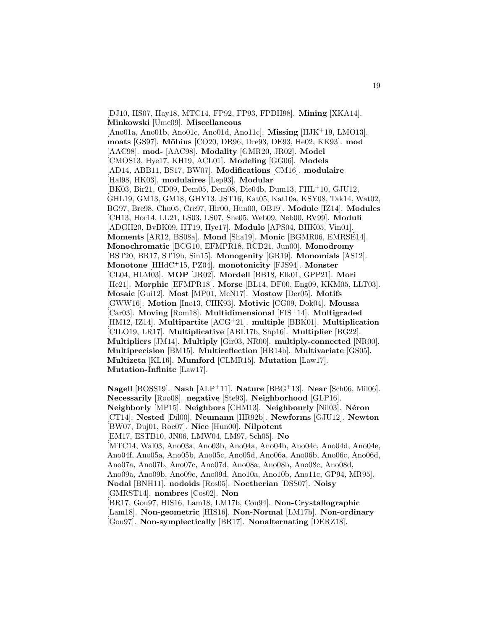[DJ10, HS07, Hay18, MTC14, FP92, FP93, FPDH98]. **Mining** [XKA14]. **Minkowski** [Ume09]. **Miscellaneous** [Ano01a, Ano01b, Ano01c, Ano01d, Ano11c]. **Missing** [HJK<sup>+</sup>19, LMO13]. **moats** [GS97]. **M¨obius** [CO20, DR96, Dre93, DE93, He02, KK93]. **mod** [AAC98]. **mod-** [AAC98]. **Modality** [GMR20, JR02]. **Model** [CMOS13, Hye17, KH19, ACL01]. **Modeling** [GG06]. **Models** [AD14, ABB11, BS17, BW07]. **Modifications** [CM16]. **modulaire** [Hal98, HK03]. **modulaires** [Lep93]. **Modular** [BK03, Bir21, CD09, Dem05, Dem08, Die04b, Dum13, FHL<sup>+</sup>10, GJU12, GHL19, GM13, GM18, GHY13, JST16, Kat05, Kat10a, KSY08, Tak14, Wat02, BG97, Bre98, Chu05, Cre97, Hir00, Hun00, OB19]. **Module** [IZ14]. **Modules** [CH13, Hor14, LL21, LS03, LS07, Sne05, Web09, Neb00, RV99]. **Moduli** [ADGH20, BvBK09, HT19, Hye17]. **Modulo** [APS04, BHK05, Vin01]. **Moments** [AR12, BS08a]. **Mond** [Sha19]. **Monic** [BGMR06, EMRSE14]. ´ **Monochromatic** [BCG10, EFMPR18, RCD21, Jun00]. **Monodromy** [BST20, BR17, ST19b, Sin15]. **Monogenity** [GR19]. **Monomials** [AS12]. **Monotone** [HHdC<sup>+</sup>15, PZ04]. **monotonicity** [FJS94]. **Monster** [CL04, HLM03]. **MOP** [JR02]. **Mordell** [BB18, Elk01, GPP21]. **Mori** [He21]. **Morphic** [EFMPR18]. **Morse** [BL14, DF00, Eng09, KKM05, LLT03]. **Mosaic** [Gui12]. **Most** [MP01, McN17]. **Mostow** [Der05]. **Motifs** [GWW16]. **Motion** [Ino13, CHK93]. **Motivic** [CG09, Dok04]. **Moussa** [Car03]. **Moving** [Rom18]. **Multidimensional** [FIS<sup>+</sup>14]. **Multigraded** [HM12, IZ14]. **Multipartite** [ACG<sup>+</sup>21]. **multiple** [BBK01]. **Multiplication** [CILO19, LR17]. **Multiplicative** [ABL17b, Shp16]. **Multiplier** [BG22]. **Multipliers** [JM14]. **Multiply** [Gir03, NR00]. **multiply-connected** [NR00]. **Multiprecision** [BM15]. **Multireflection** [HR14b]. **Multivariate** [GS05]. **Multizeta** [KL16]. **Mumford** [CLMR15]. **Mutation** [Law17]. **Mutation-Infinite** [Law17].

**Nagell** [BOSS19]. **Nash** [ALP<sup>+</sup>11]. **Nature** [BBG<sup>+</sup>13]. **Near** [Sch06, Mil06]. **Necessarily** [Roo08]. **negative** [Ste93]. **Neighborhood** [GLP16]. **Neighborly** [MP15]. **Neighbors** [CHM13]. **Neighbourly** [Nil03]. **N´eron** [CT14]. **Nested** [Dil00]. **Neumann** [HR92b]. **Newforms** [GJU12]. **Newton** [BW07, Duj01, Roe07]. **Nice** [Hun00]. **Nilpotent** [EM17, ESTB10, JN06, LMW04, LM97, Sch05]. **No** [MTC14, Wal03, Ano03a, Ano03b, Ano04a, Ano04b, Ano04c, Ano04d, Ano04e, Ano04f, Ano05a, Ano05b, Ano05c, Ano05d, Ano06a, Ano06b, Ano06c, Ano06d, Ano07a, Ano07b, Ano07c, Ano07d, Ano08a, Ano08b, Ano08c, Ano08d, Ano09a, Ano09b, Ano09c, Ano09d, Ano10a, Ano10b, Ano11c, GP94, MR95]. **Nodal** [BNH11]. **nodoids** [Ros05]. **Noetherian** [DSS07]. **Noisy** [GMRST14]. **nombres** [Cos02]. **Non** [BR17, Gou97, HIS16, Lam18, LM17b, Cou94]. **Non-Crystallographic** [Lam18]. **Non-geometric** [HIS16]. **Non-Normal** [LM17b]. **Non-ordinary** [Gou97]. **Non-symplectically** [BR17]. **Nonalternating** [DERZ18].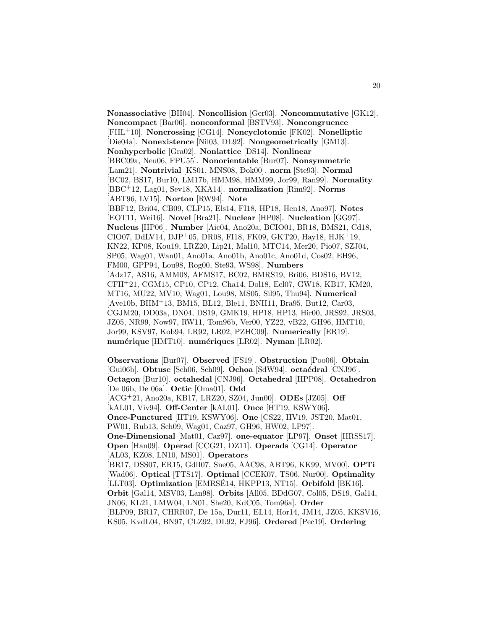**Nonassociative** [BH04]. **Noncollision** [Ger03]. **Noncommutative** [GK12]. **Noncompact** [Bar06]. **nonconformal** [BSTV93]. **Noncongruence** [FHL<sup>+</sup>10]. **Noncrossing** [CG14]. **Noncyclotomic** [FK02]. **Nonelliptic** [Die04a]. **Nonexistence** [Nil03, DL92]. **Nongeometrically** [GM13]. **Nonhyperbolic** [Gra02]. **Nonlattice** [DS14]. **Nonlinear** [BBC09a, Neu06, FPU55]. **Nonorientable** [Bur07]. **Nonsymmetric** [Lam21]. **Nontrivial** [KS01, MNS08, Đok00]. **norm** [Ste93]. **Normal** [BC02, BS17, Bur10, LM17b, HMM98, HMM99, Jor99, Ran99]. **Normality** [BBC<sup>+</sup>12, Lag01, Sev18, XKA14]. **normalization** [Rim92]. **Norms** [ABT96, LV15]. **Norton** [RW94]. **Note** [BBF12, Bri04, CB09, CLP15, Els14, FI18, HP18, Hen18, Ano97]. **Notes** [EOT11, Wei16]. **Novel** [Bra21]. **Nuclear** [HP08]. **Nucleation** [GG97]. **Nucleus** [HP06]. **Number** [Aic04, Ano20a, BCIO01, BR18, BMS21, Cd18, CIO07, DdLV14, DJP+05, DR08, FI18, FK09, GKT20, Hay18, HJK+19, KN22, KP08, Kou19, LRZ20, Lip21, Mal10, MTC14, Mer20, Pio07, SZJ04, SP05, Wag01, Wan01, Ano01a, Ano01b, Ano01c, Ano01d, Cos02, EH96, FM00, GPP94, Lou98, Rog00, Ste93, WS98]. **Numbers** [Adz17, AS16, AMM08, AFMS17, BC02, BMRS19, Bri06, BDS16, BV12, CFH<sup>+</sup>21, CGM15, CP10, CP12, Cha14, Dol18, Eel07, GW18, KB17, KM20, MT16, MU22, MV10, Wag01, Lou98, MS05, Sil95, Thu94]. **Numerical** [Ave10b, BHM<sup>+</sup>13, BM15, BL12, Ble11, BNH11, Bra95, But12, Car03, CGJM20, DD03a, DN04, DS19, GMK19, HP18, HP13, Hir00, JRS92, JRS03, JZ05, NR99, Now97, RW11, Tom96b, Ver00, YZ22, vB22, GH96, HMT10, Jor99, KSV97, Kob94, LR92, LR02, PZHC09]. **Numerically** [ER19]. **num´erique** [HMT10]. **num´eriques** [LR02]. **Nyman** [LR02].

**Observations** [Bur07]. **Observed** [FS19]. **Obstruction** [Poo06]. **Obtain** [Gui06b]. **Obtuse** [Sch06, Sch09]. **Ochoa** [SdW94]. **octaédral** [CNJ96]. **Octagon** [Bur10]. **octahedal** [CNJ96]. **Octahedral** [HPP08]. **Octahedron** [De 06b, De 06a]. **Octic** [Oma01]. **Odd** [ACG<sup>+</sup>21, Ano20a, KB17, LRZ20, SZ04, Jun00]. **ODEs** [JZ05]. **Off** [kAL01, Viv94]. **Off-Center** [kAL01]. **Once** [HT19, KSWY06]. **Once-Punctured** [HT19, KSWY06]. **One** [CS22, HV19, JST20, Mat01, PW01, Rub13, Sch09, Wag01, Caz97, GH96, HW02, LP97]. **One-Dimensional** [Mat01, Caz97]. **one-equator** [LP97]. **Onset** [HRSS17]. **Open** [Han09]. **Operad** [CCG21, DZ11]. **Operads** [CG14]. **Operator** [AL03, KZ08, LN10, MS01]. **Operators** [BR17, DSS07, ER15, GdlI07, Sne05, AAC98, ABT96, KK99, MV00]. **OPTi** [Wad06]. **Optical** [TTS17]. **Optimal** [CCEK07, TS06, Nur00]. **Optimality** [LLT03]. **Optimization** [EMRSÉ14, HKPP13, NT15]. **Orbifold** [BK16]. **Orbit** [Gal14, MSV03, Lan98]. **Orbits** [All05, BDdG07, Col05, DS19, Gal14, JN06, KL21, LMW04, LN01, She20, KdC05, Tom96a]. **Order** [BLP09, BR17, CHRR07, De 15a, Dur11, EL14, Hor14, JM14, JZ05, KKSV16, KS05, KvdL04, BN97, CLZ92, DL92, FJ96]. **Ordered** [Pec19]. **Ordering**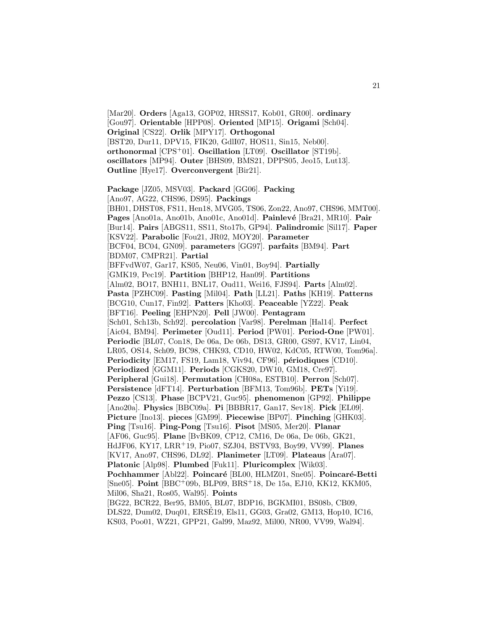[Mar20]. **Orders** [Aga13, GOP02, HRSS17, Kob01, GR00]. **ordinary** [Gou97]. **Orientable** [HPP08]. **Oriented** [MP15]. **Origami** [Sch04]. **Original** [CS22]. **Orlik** [MPY17]. **Orthogonal** [BST20, Dur11, DPV15, FIK20, GdlI07, HOS11, Sin15, Neb00]. **orthonormal** [CPS<sup>+</sup>01]. **Oscillation** [LT09]. **Oscillator** [ST19b]. **oscillators** [MP94]. **Outer** [BHS09, BMS21, DPPS05, Jeo15, Lut13]. **Outline** [Hye17]. **Overconvergent** [Bir21]. **Package** [JZ05, MSV03]. **Packard** [GG06]. **Packing**

21

[Ano97, AG22, CHS96, DS95]. **Packings** [BH01, DHST08, FS11, Hen18, MVG05, TS06, Zon22, Ano97, CHS96, MMT00]. Pages [Ano01a, Ano01b, Ano01c, Ano01d]. **Painlevé** [Bra21, MR10]. **Pair** [Bur14]. **Pairs** [ABGS11, SS11, Sto17b, GP94]. **Palindromic** [Sil17]. **Paper** [KSV22]. **Parabolic** [Fou21, JR02, MOY20]. **Parameter** [BCF04, BC04, GN09]. **parameters** [GG97]. **parfaits** [BM94]. **Part** [BDM07, CMPR21]. **Partial** [BFFvdW07, Gar17, KS05, Neu06, Vin01, Boy94]. **Partially** [GMK19, Pec19]. **Partition** [BHP12, Han09]. **Partitions** [Alm02, BO17, BNH11, BNL17, Oud11, Wei16, FJS94]. **Parts** [Alm02]. **Pasta** [PZHC09]. **Pasting** [Mil04]. **Path** [LL21]. **Paths** [KH19]. **Patterns** [BCG10, Cun17, Fin92]. **Patters** [Kho03]. **Peaceable** [YZ22]. **Peak** [BFT16]. **Peeling** [EHPN20]. **Pell** [JW00]. **Pentagram** [Sch01, Sch13b, Sch92]. **percolation** [Var98]. **Perelman** [Hal14]. **Perfect** [Aic04, BM94]. **Perimeter** [Oud11]. **Period** [PW01]. **Period-One** [PW01]. **Periodic** [BL07, Con18, De 06a, De 06b, DS13, GR00, GS97, KV17, Lin04, LR05, OS14, Sch09, BC98, CHK93, CD10, HW02, KdC05, RTW00, Tom96a]. **Periodicity** [EM17, FS19, Lam18, Viv94, CF96]. **périodiques** [CD10]. **Periodized** [GGM11]. **Periods** [CGKS20, DW10, GM18, Cre97]. **Peripheral** [Gui18]. **Permutation** [CH08a, ESTB10]. **Perron** [Sch07]. **Persistence** [dFT14]. **Perturbation** [BFM13, Tom96b]. **PETs** [Yi19]. **Pezzo** [CS13]. **Phase** [BCPV21, Guc95]. **phenomenon** [GP92]. **Philippe** [Ano20a]. **Physics** [BBC09a]. **Pi** [BBBR17, Gan17, Sev18]. **Pick** [EL09]. **Picture** [Ino13]. **pieces** [GM99]. **Piecewise** [BP07]. **Pinching** [GHK03]. **Ping** [Tsu16]. **Ping-Pong** [Tsu16]. **Pisot** [MS05, Mer20]. **Planar** [AF06, Guc95]. **Plane** [BvBK09, CP12, CM16, De 06a, De 06b, GK21, HdJF06, KY17, LRR<sup>+</sup>19, Pio07, SZJ04, BSTV93, Boy99, VV99]. **Planes** [KV17, Ano97, CHS96, DL92]. **Planimeter** [LT09]. **Plateaus** [Ara07]. **Platonic** [Alp98]. **Plumbed** [Fuk11]. **Pluricomplex** [Wik03]. Pochhammer<sup>[Abl22]</sup>. Poincaré<sup>[BL00</sup>, HLMZ01, Sne05]. Poincaré-Betti [Sne05]. **Point** [BBC<sup>+</sup>09b, BLP09, BRS<sup>+</sup>18, De 15a, EJ10, KK12, KKM05, Mil06, Sha21, Ros05, Wal95]. **Points** [BG22, BCR22, Ber95, BM05, BL07, BDP16, BGKMI01, BS08b, CB09, DLS22, Dum02, Duq01, ERSE19, Els11, GG03, Gra02, GM13, Hop10, IC16, ´ KS03, Poo01, WZ21, GPP21, Gal99, Maz92, Mil00, NR00, VV99, Wal94].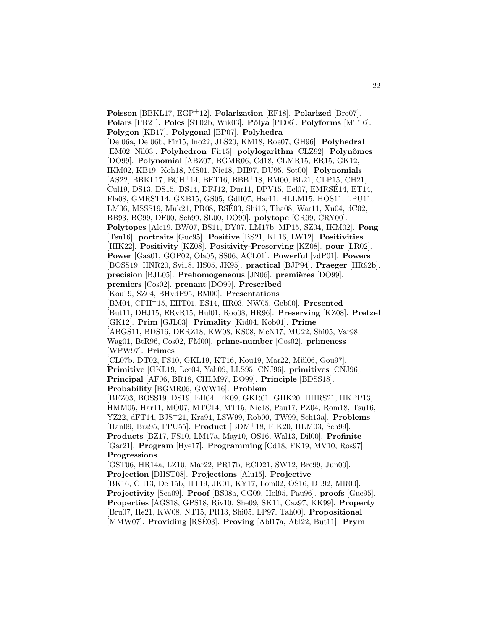**Poisson** [BBKL17, EGP<sup>+</sup>12]. **Polarization** [EF18]. **Polarized** [Bro07]. **Polars** [PR21]. **Poles** [ST02b, Wik03]. **P´olya** [PE06]. **Polyforms** [MT16]. **Polygon** [KB17]. **Polygonal** [BP07]. **Polyhedra** [De 06a, De 06b, Fir15, Ino22, JLS20, KM18, Roe07, GH96]. **Polyhedral** [EM02, Nil03]. **Polyhedron** [Fir15]. **polylogarithm** [CLZ92]. **Polynˆomes** [DO99]. **Polynomial** [ABZ07, BGMR06, Cd18, CLMR15, ER15, GK12, IKM02, KB19, Koh18, MS01, Nic18, DH97, DU95, Sot00]. **Polynomials** [AS22, BBKL17, BCH<sup>+</sup>14, BFT16, BBB<sup>+</sup>18, BM00, BL21, CLP15, CH21, Cul19, DS13, DS15, DS14, DFJ12, Dur11, DPV15, Eel07, EMRSE14, ET14, ´ Fla08, GMRST14, GXB15, GS05, GdlI07, Har11, HLLM15, HOS11, LPU11, LM06, MSSS19, Muk21, PR08, RSE03, Shi16, Tha08, War11, Xu04, dC02, ´ BB93, BC99, DF00, Sch99, SL00, DO99]. **polytope** [CR99, CRY00]. **Polytopes** [Ale19, BW07, BS11, DY07, LM17b, MP15, SZ04, IKM02]. **Pong** [Tsu16]. **portraits** [Guc95]. **Positive** [BS21, KL16, LW12]. **Positivities** [HIK22]. **Positivity** [KZ08]. **Positivity-Preserving** [KZ08]. **pour** [LR02]. **Power** [Ga´a01, GOP02, Ola05, SS06, ACL01]. **Powerful** [vdP01]. **Powers** [BOSS19, HNR20, Svi18, HS05, JK95]. **practical** [BJP94]. **Praeger** [HR92b]. **precision** [BJL05]. **Prehomogeneous** [JN06]. **premières** [DO99]. **premiers** [Cos02]. **prenant** [DO99]. **Prescribed** [Kou19, SZ04, BHvdP95, BM00]. **Presentations** [BM04, CFH<sup>+</sup>15, EHT01, ES14, HR03, NW05, Geb00]. **Presented** [But11, DHJ15, ERvR15, Hul01, Roo08, HR96]. **Preserving** [KZ08]. **Pretzel** [GK12]. **Prim** [GJL03]. **Primality** [Kid04, Kob01]. **Prime** [ABGS11, BDS16, DERZ18, KW08, KS08, McN17, MU22, Shi05, Var98, Wag01, BtR96, Cos02, FM00]. **prime-number** [Cos02]. **primeness** [WPW97]. **Primes** [CL07b, DT02, FS10, GKL19, KT16, Kou19, Mar22, Mül06, Gou97]. **Primitive** [GKL19, Lee04, Yab09, LLS95, CNJ96]. **primitives** [CNJ96]. **Principal** [AF06, BR18, CHLM97, DO99]. **Principle** [BDSS18]. **Probability** [BGMR06, GWW16]. **Problem** [BEZ03, BOSS19, DS19, EH04, FK09, GKR01, GHK20, HHRS21, HKPP13, HMM05, Har11, MO07, MTC14, MT15, Nic18, Pau17, PZ04, Rom18, Tsu16, YZ22, dFT14, BJS<sup>+</sup>21, Kra94, LSW99, Rob00, TW99, Sch13a]. **Problems** [Han09, Bra95, FPU55]. **Product** [BDM<sup>+</sup>18, FIK20, HLM03, Sch99]. **Products** [BZ17, FS10, LM17a, May10, OS16, Wal13, Dil00]. **Profinite** [Gar21]. **Program** [Hye17]. **Programming** [Cd18, FK19, MV10, Ros97]. **Progressions** [GST06, HR14a, LZ10, Mar22, PR17b, RCD21, SW12, Bre99, Jun00]. **Projection** [DHST08]. **Projections** [Alu15]. **Projective** [BK16, CH13, De 15b, HT19, JK01, KY17, Lom02, OS16, DL92, MR00]. **Projectivity** [Sca09]. **Proof** [BS08a, CG09, Hol95, Pau96]. **proofs** [Guc95]. **Properties** [AGS18, GPS18, Riv10, She09, SK11, Caz97, KK99]. **Property** [Bru07, He21, KW08, NT15, PR13, Shi05, LP97, Tah00]. **Propositional** [MMW07]. **Providing** [RSE03]. **Proving** [Abl17a, Abl22, But11]. **Prym** 

22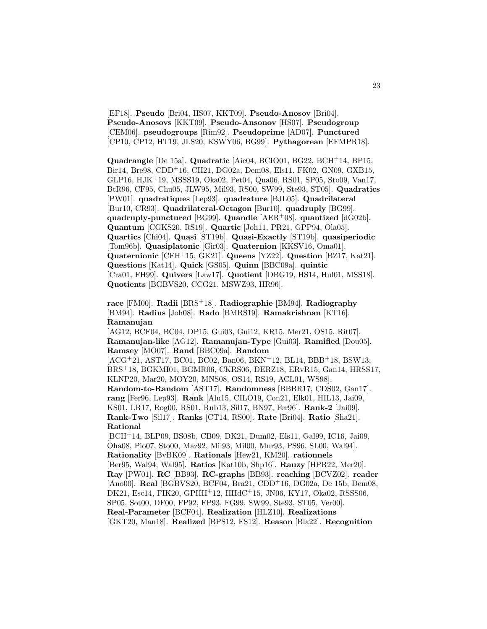[EF18]. **Pseudo** [Bri04, HS07, KKT09]. **Pseudo-Anosov** [Bri04]. **Pseudo-Anosovs** [KKT09]. **Pseudo-Ansonov** [HS07]. **Pseudogroup** [CEM06]. **pseudogroups** [Rim92]. **Pseudoprime** [AD07]. **Punctured** [CP10, CP12, HT19, JLS20, KSWY06, BG99]. **Pythagorean** [EFMPR18].

**Quadrangle** [De 15a]. **Quadratic** [Aic04, BCIO01, BG22, BCH<sup>+</sup>14, BP15, Bir14, Bre98, CDD<sup>+</sup>16, CH21, DG02a, Dem08, Els11, FK02, GN09, GXB15, GLP16, HJK<sup>+</sup>19, MSSS19, Oka02, Pet04, Qua06, RS01, SP05, Sto09, Van17, BtR96, CF95, Chu05, JLW95, Mil93, RS00, SW99, Ste93, ST05]. **Quadratics** [PW01]. **quadratiques** [Lep93]. **quadrature** [BJL05]. **Quadrilateral** [Bur10, CR93]. **Quadrilateral-Octagon** [Bur10]. **quadruply** [BG99]. **quadruply-punctured** [BG99]. **Quandle** [AER<sup>+</sup>08]. **quantized** [dG02b]. **Quantum** [CGKS20, RS19]. **Quartic** [Joh11, PR21, GPP94, Ola05]. **Quartics** [Chi04]. **Quasi** [ST19b]. **Quasi-Exactly** [ST19b]. **quasiperiodic** [Tom96b]. **Quasiplatonic** [Gir03]. **Quaternion** [KKSV16, Oma01]. **Quaternionic** [CFH<sup>+</sup>15, GK21]. **Queens** [YZ22]. **Question** [BZ17, Kat21]. **Questions** [Kat14]. **Quick** [GS05]. **Quinn** [BBC09a]. **quintic** [Cra01, FH99]. **Quivers** [Law17]. **Quotient** [DBG19, HS14, Hul01, MSS18]. **Quotients** [BGBVS20, CCG21, MSWZ93, HR96].

**race** [FM00]. **Radii** [BRS<sup>+</sup>18]. **Radiographie** [BM94]. **Radiography** [BM94]. **Radius** [Joh08]. **Rado** [BMRS19]. **Ramakrishnan** [KT16]. **Ramanujan**

[AG12, BCF04, BC04, DP15, Gui03, Gui12, KR15, Mer21, OS15, Rit07]. **Ramanujan-like** [AG12]. **Ramanujan-Type** [Gui03]. **Ramified** [Dou05]. **Ramsey** [MO07]. **Rand** [BBC09a]. **Random**

 $[ACG+21, AST17, BC01, BC02, Ban06, BKN+12, BL14, BBB+18, BSW13,$ BRS<sup>+</sup>18, BGKMI01, BGMR06, CKRS06, DERZ18, ERvR15, Gan14, HRSS17, KLNP20, Mar20, MOY20, MNS08, OS14, RS19, ACL01, WS98].

**Random-to-Random** [AST17]. **Randomness** [BBBR17, CDS02, Gan17]. **rang** [Fer96, Lep93]. **Rank** [Alu15, CILO19, Con21, Elk01, HIL13, Jai09, KS01, LR17, Rog00, RS01, Rub13, Sil17, BN97, Fer96]. **Rank-2** [Jai09]. **Rank-Two** [Sil17]. **Ranks** [CT14, RS00]. **Rate** [Bri04]. **Ratio** [Sha21]. **Rational**

[BCH<sup>+</sup>14, BLP09, BS08b, CB09, DK21, Dum02, Els11, Gal99, IC16, Jai09, Oha08, Pio07, Sto00, Maz92, Mil93, Mil00, Mur93, PS96, SL00, Wal94]. **Rationality** [BvBK09]. **Rationals** [Hew21, KM20]. **rationnels** [Ber95, Wal94, Wal95]. **Ratios** [Kat10b, Shp16]. **Rauzy** [HPR22, Mer20]. **Ray** [PW01]. **RC** [BB93]. **RC-graphs** [BB93]. **reaching** [BCVZ02]. **reader** [Ano00]. **Real** [BGBVS20, BCF04, Bra21, CDD<sup>+</sup>16, DG02a, De 15b, Dem08, DK21, Esc14, FIK20, GPHH+12, HHdC+15, JN06, KY17, Oka02, RSSS06, SP05, Sot00, DF00, FP92, FP93, FG99, SW99, Ste93, ST05, Ver00]. **Real-Parameter** [BCF04]. **Realization** [HLZ10]. **Realizations** [GKT20, Man18]. **Realized** [BPS12, FS12]. **Reason** [Bla22]. **Recognition**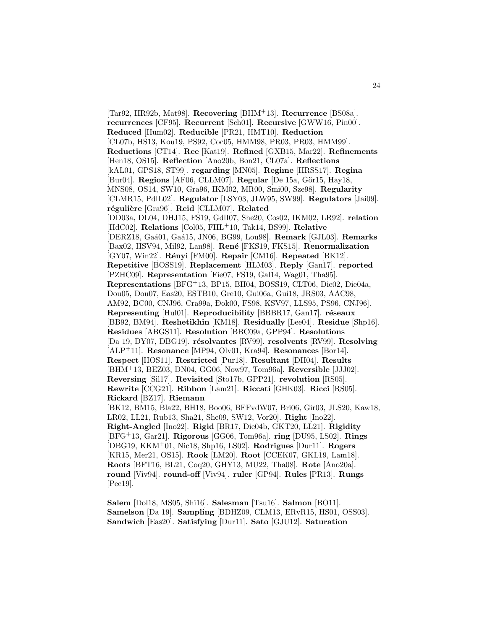[Tar92, HR92b, Mat98]. **Recovering** [BHM<sup>+</sup>13]. **Recurrence** [BS08a]. **recurrences** [CF95]. **Recurrent** [Sch01]. **Recursive** [GWW16, Pin00]. **Reduced** [Hum02]. **Reducible** [PR21, HMT10]. **Reduction** [CL07b, HS13, Kou19, PS92, Coc05, HMM98, PR03, PR03, HMM99]. **Reductions** [CT14]. **Ree** [Kat19]. **Refined** [GXB15, Mar22]. **Refinements** [Hen18, OS15]. **Reflection** [Ano20b, Bon21, CL07a]. **Reflections** [kAL01, GPS18, ST99]. **regarding** [MN05]. **Regime** [HRSS17]. **Regina** [Bur04]. **Regions** [AF06, CLLM07]. **Regular** [De 15a, Gör15, Hay18, MNS08, OS14, SW10, Gra96, IKM02, MR00, Smi00, Sze98]. **Regularity** [CLMR15, PdlL02]. **Regulator** [LSY03, JLW95, SW99]. **Regulators** [Jai09]. **r´eguli`ere** [Gra96]. **Reid** [CLLM07]. **Related** [DD03a, DL04, DHJ15, FS19, GdlI07, She20, Cos02, IKM02, LR92]. **relation** [HdC02]. **Relations** [Col05, FHL<sup>+</sup>10, Tak14, BS99]. **Relative** [DERZ18, Ga´a01, Ga´a15, JN06, BG99, Lou98]. **Remark** [GJL03]. **Remarks** [Bax02, HSV94, Mil92, Lan98]. **Ren´e** [FKS19, FKS15]. **Renormalization** [GY07, Win22]. **R´enyi** [FM00]. **Repair** [CM16]. **Repeated** [BK12]. **Repetitive** [BOSS19]. **Replacement** [HLM03]. **Reply** [Gan17]. **reported** [PZHC09]. **Representation** [Fie07, FS19, Gal14, Wag01, Tha95]. **Representations** [BFG<sup>+</sup>13, BP15, BH04, BOSS19, CLT06, Die02, Die04a, Dou05, Dou07, Eas20, ESTB10, Gre10, Gui06a, Gui18, JRS03, AAC98, AM92, BC00, CNJ96, Cra99a, Đok00, FS98, KSV97, LLS95, PS96, CNJ96]. **Representing** [Hul01]. **Reproducibility** [BBBR17, Gan17]. **réseaux** [BB92, BM94]. **Reshetikhin** [KM18]. **Residually** [Lee04]. **Residue** [Shp16]. **Residues** [ABGS11]. **Resolution** [BBC09a, GPP94]. **Resolutions** [Da 19, DY07, DBG19]. **résolvantes** [RV99]. **resolvents** [RV99]. **Resolving** [ALP<sup>+</sup>11]. **Resonance** [MP94, Olv01, Kra94]. **Resonances** [Bor14]. **Respect** [HOS11]. **Restricted** [Pur18]. **Resultant** [DH04]. **Results** [BHM<sup>+</sup>13, BEZ03, DN04, GG06, Now97, Tom96a]. **Reversible** [JJJ02]. **Reversing** [Sil17]. **Revisited** [Sto17b, GPP21]. **revolution** [RS05]. **Rewrite** [CCG21]. **Ribbon** [Lam21]. **Riccati** [GHK03]. **Ricci** [RS05]. **Rickard** [BZ17]. **Riemann** [BK12, BM15, Bla22, BH18, Boo06, BFFvdW07, Bri06, Gir03, JLS20, Kaw18, LR02, LL21, Rub13, Sha21, She09, SW12, Vor20]. **Right** [Ino22]. **Right-Angled** [Ino22]. **Rigid** [BR17, Die04b, GKT20, LL21]. **Rigidity** [BFG<sup>+</sup>13, Gar21]. **Rigorous** [GG06, Tom96a]. **ring** [DU95, LS02]. **Rings** [DBG19, KKM<sup>+</sup>01, Nic18, Shp16, LS02]. **Rodrigues** [Dur11]. **Rogers** [KR15, Mer21, OS15]. **Rook** [LM20]. **Root** [CCEK07, GKL19, Lam18]. **Roots** [BFT16, BL21, Coq20, GHY13, MU22, Tha08]. **Rote** [Ano20a]. **round** [Viv94]. **round-off** [Viv94]. **ruler** [GP94]. **Rules** [PR13]. **Rungs** [Pec19].

**Salem** [Dol18, MS05, Shi16]. **Salesman** [Tsu16]. **Salmon** [BO11]. **Samelson** [Da 19]. **Sampling** [BDHZ09, CLM13, ERvR15, HS01, OSS03]. **Sandwich** [Eas20]. **Satisfying** [Dur11]. **Sato** [GJU12]. **Saturation**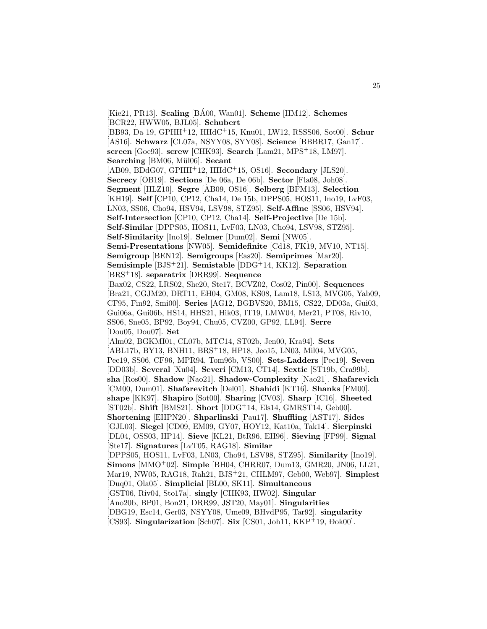$[Kie21, PR13]$ . **Scaling**  $[B\AA00, Wan01]$ . **Scheme**  $[HM12]$ . **Schemes** [BCR22, HWW05, BJL05]. **Schubert** [BB93, Da 19, GPHH<sup>+</sup>12, HHdC<sup>+</sup>15, Knu01, LW12, RSSS06, Sot00]. **Schur** [AS16]. **Schwarz** [CL07a, NSYY08, SYY08]. **Science** [BBBR17, Gan17]. **screen** [Goe93]. **screw** [CHK93]. **Search** [Lam21, MPS<sup>+</sup>18, LM97]. **Searching** [BM06, Mül06]. **Secant** [AB09, BDdG07, GPHH<sup>+</sup>12, HHdC<sup>+</sup>15, OS16]. **Secondary** [JLS20]. **Secrecy** [OB19]. **Sections** [De 06a, De 06b]. **Sector** [Fla08, Joh08]. **Segment** [HLZ10]. **Segre** [AB09, OS16]. **Selberg** [BFM13]. **Selection** [KH19]. **Self** [CP10, CP12, Cha14, De 15b, DPPS05, HOS11, Ino19, LvF03, LN03, SS06, Cho94, HSV94, LSV98, STZ95]. **Self-Affine** [SS06, HSV94]. **Self-Intersection** [CP10, CP12, Cha14]. **Self-Projective** [De 15b]. **Self-Similar** [DPPS05, HOS11, LvF03, LN03, Cho94, LSV98, STZ95]. **Self-Similarity** [Ino19]. **Selmer** [Dum02]. **Semi** [NW05]. **Semi-Presentations** [NW05]. **Semidefinite** [Cd18, FK19, MV10, NT15]. **Semigroup** [BEN12]. **Semigroups** [Eas20]. **Semiprimes** [Mar20]. **Semisimple** [BJS<sup>+</sup>21]. **Semistable** [DDG<sup>+</sup>14, KK12]. **Separation** [BRS<sup>+</sup>18]. **separatrix** [DRR99]. **Sequence** [Bax02, CS22, LRS02, She20, Ste17, BCVZ02, Cos02, Pin00]. **Sequences** [Bra21, CGJM20, DRT11, EH04, GM08, KS08, Lam18, LS13, MVG05, Yab09, CF95, Fin92, Smi00]. **Series** [AG12, BGBVS20, BM15, CS22, DD03a, Gui03, Gui06a, Gui06b, HS14, HHS21, Hik03, IT19, LMW04, Mer21, PT08, Riv10, SS06, Sne05, BP92, Boy94, Chu05, CVZ00, GP92, LL94]. **Serre** [Dou05, Dou07]. **Set** [Alm02, BGKMI01, CL07b, MTC14, ST02b, Jen00, Kra94]. **Sets** [ABL17b, BY13, BNH11, BRS<sup>+</sup>18, HP18, Jeo15, LN03, Mil04, MVG05, Pec19, SS06, CF96, MPR94, Tom96b, VS00]. **Sets-Ladders** [Pec19]. **Seven** [DD03b]. **Several** [Xu04]. **Severi** [CM13, CT14]. **Sextic** [ST19b, Cra99b]. **sha** [Ros00]. **Shadow** [Nao21]. **Shadow-Complexity** [Nao21]. **Shafarevich** [CM00, Dum01]. **Shafarevitch** [Del01]. **Shahidi** [KT16]. **Shanks** [FM00]. **shape** [KK97]. **Shapiro** [Sot00]. **Sharing** [CV03]. **Sharp** [IC16]. **Sheeted** [ST02b]. **Shift** [BMS21]. **Short** [DDG<sup>+</sup>14, Els14, GMRST14, Geb00]. **Shortening** [EHPN20]. **Shparlinski** [Pau17]. **Shuffling** [AST17]. **Sides** [GJL03]. **Siegel** [CD09, EM09, GY07, HOY12, Kat10a, Tak14]. **Sierpinski** [DL04, OSS03, HP14]. **Sieve** [KL21, BtR96, EH96]. **Sieving** [FP99]. **Signal** [Ste17]. **Signatures** [LvT05, RAG18]. **Similar** [DPPS05, HOS11, LvF03, LN03, Cho94, LSV98, STZ95]. **Similarity** [Ino19]. **Simons** [MMO<sup>+</sup>02]. **Simple** [BH04, CHRR07, Dum13, GMR20, JN06, LL21, Mar19, NW05, RAG18, Rah21, BJS<sup>+</sup>21, CHLM97, Geb00, Web97]. **Simplest** [Duq01, Ola05]. **Simplicial** [BL00, SK11]. **Simultaneous** [GST06, Riv04, Sto17a]. **singly** [CHK93, HW02]. **Singular** [Ano20b, BP01, Bon21, DRR99, JST20, May01]. **Singularities** [DBG19, Esc14, Ger03, NSYY08, Ume09, BHvdP95, Tar92]. **singularity** [CS93]. Singularization [Sch07]. Six [CS01, Joh11, KKP+19, Đok00].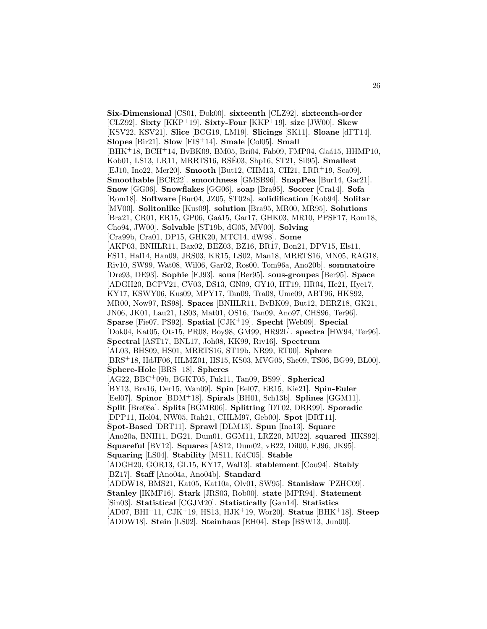Six-Dimensional [CS01, Đok00]. sixteenth [CLZ92]. sixteenth-order [CLZ92]. **Sixty** [KKP<sup>+</sup>19]. **Sixty-Four** [KKP<sup>+</sup>19]. **size** [JW00]. **Skew** [KSV22, KSV21]. **Slice** [BCG19, LM19]. **Slicings** [SK11]. **Sloane** [dFT14]. **Slopes** [Bir21]. **Slow** [FIS<sup>+</sup>14]. **Smale** [Col05]. **Small**  $[BHK+18, BCH+14, BvBK09, BMO5, Bri04, Fab09, FMP04, Gaá15, HHMP10,$ Kob01, LS13, LR11, MRRTS16, RSÉ03, Shp16, ST21, Sil95]. **Smallest** [EJ10, Ino22, Mer20]. **Smooth** [But12, CHM13, CH21, LRR<sup>+</sup>19, Sca09]. **Smoothable** [BCR22]. **smoothness** [GMSB96]. **SnapPea** [Bur14, Gar21]. **Snow** [GG06]. **Snowflakes** [GG06]. **soap** [Bra95]. **Soccer** [Cra14]. **Sofa** [Rom18]. **Software** [Bur04, JZ05, ST02a]. **solidification** [Kob94]. **Solitar** [MV00]. **Solitonlike** [Kus09]. **solution** [Bra95, MR00, MR95]. **Solutions** [Bra21, CR01, ER15, GP06, Gaá15, Gar17, GHK03, MR10, PPSF17, Rom18, Cho94, JW00]. **Solvable** [ST19b, dG05, MV00]. **Solving** [Cra99b, Cra01, DP15, GHK20, MTC14, dW98]. **Some** [AKP03, BNHLR11, Bax02, BEZ03, BZ16, BR17, Bon21, DPV15, Els11, FS11, Hal14, Han09, JRS03, KR15, LS02, Man18, MRRTS16, MN05, RAG18, Riv10, SW99, Wat08, Wil06, Gar02, Ros00, Tom96a, Ano20b]. **sommatoire** [Dre93, DE93]. **Sophie** [FJ93]. **sous** [Ber95]. **sous-groupes** [Ber95]. **Space** [ADGH20, BCPV21, CV03, DS13, GN09, GY10, HT19, HR04, He21, Hye17, KY17, KSWY06, Kus09, MPY17, Tan09, Tra08, Ume09, ABT96, HKS92, MR00, Now97, RS98]. **Spaces** [BNHLR11, BvBK09, But12, DERZ18, GK21, JN06, JK01, Lau21, LS03, Mat01, OS16, Tan09, Ano97, CHS96, Ter96]. **Sparse** [Fie07, PS92]. **Spatial** [CJK<sup>+</sup>19]. **Specht** [Web09]. **Special** [Dok04, Kat05, Ots15, PR08, Boy98, GM99, HR92b]. **spectra** [HW94, Ter96]. **Spectral** [AST17, BNL17, Joh08, KK99, Riv16]. **Spectrum** [AL03, BHS09, HS01, MRRTS16, ST19b, NR99, RT00]. **Sphere** [BRS<sup>+</sup>18, HdJF06, HLMZ01, HS15, KS03, MVG05, She09, TS06, BG99, BL00]. **Sphere-Hole** [BRS<sup>+</sup>18]. **Spheres** [AG22, BBC<sup>+</sup>09b, BGKT05, Fuk11, Tan09, BS99]. **Spherical** [BY13, Bra16, Der15, Wan09]. **Spin** [Eel07, ER15, Kie21]. **Spin-Euler** [Eel07]. **Spinor** [BDM<sup>+</sup>18]. **Spirals** [BH01, Sch13b]. **Splines** [GGM11]. **Split** [Bre08a]. **Splits** [BGMR06]. **Splitting** [DT02, DRR99]. **Sporadic** [DPP11, Hol04, NW05, Rah21, CHLM97, Geb00]. **Spot** [DRT11]. **Spot-Based** [DRT11]. **Sprawl** [DLM13]. **Spun** [Ino13]. **Square** [Ano20a, BNH11, DG21, Dum01, GGM11, LRZ20, MU22]. **squared** [HKS92]. **Squareful** [BV12]. **Squares** [AS12, Dum02, vB22, Dil00, FJ96, JK95]. **Squaring** [LS04]. **Stability** [MS11, KdC05]. **Stable** [ADGH20, GOR13, GL15, KY17, Wal13]. **stablement** [Cou94]. **Stably** [BZ17]. **Staff** [Ano04a, Ano04b]. **Standard** [ADDW18, BMS21, Kat05, Kat10a, Olv01, SW95]. **Stanisław** [PZHC09]. **Stanley** [IKMF16]. **Stark** [JRS03, Rob00]. **state** [MPR94]. **Statement** [Sin03]. **Statistical** [CGJM20]. **Statistically** [Gan14]. **Statistics** [AD07, BHI<sup>+</sup>11, CJK<sup>+</sup>19, HS13, HJK<sup>+</sup>19, Wor20]. **Status** [BHK<sup>+</sup>18]. **Steep** [ADDW18]. **Stein** [LS02]. **Steinhaus** [EH04]. **Step** [BSW13, Jun00].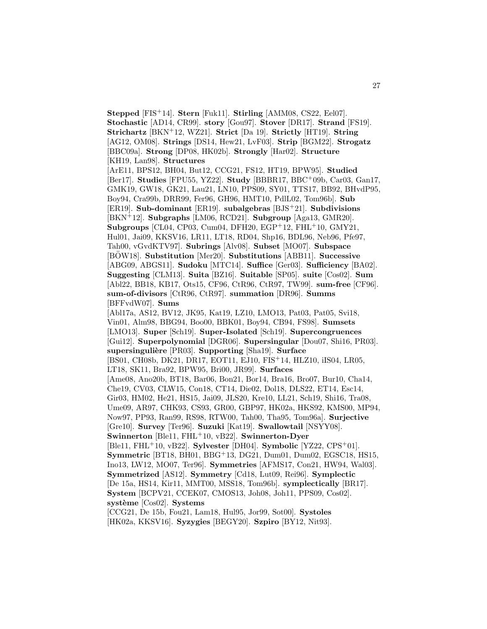**Stepped** [FIS<sup>+</sup>14]. **Stern** [Fuk11]. **Stirling** [AMM08, CS22, Eel07]. **Stochastic** [AD14, CR99]. **story** [Gou97]. **Stover** [DR17]. **Strand** [FS19]. **Strichartz** [BKN<sup>+</sup>12, WZ21]. **Strict** [Da 19]. **Strictly** [HT19]. **String** [AG12, OM08]. **Strings** [DS14, Hew21, LvF03]. **Strip** [BGM22]. **Strogatz** [BBC09a]. **Strong** [DP08, HK02b]. **Strongly** [Har02]. **Structure** [KH19, Lan98]. **Structures** [ArE11, BPS12, BH04, But12, CCG21, FS12, HT19, BPW95]. **Studied** [Ber17]. **Studies** [FPU55, YZ22]. **Study** [BBBR17, BBC<sup>+</sup>09b, Car03, Gan17, GMK19, GW18, GK21, Lau21, LN10, PPS09, SY01, TTS17, BB92, BHvdP95, Boy94, Cra99b, DRR99, Fer96, GH96, HMT10, PdlL02, Tom96b]. **Sub** [ER19]. **Sub-dominant** [ER19]. **subalgebras** [BJS<sup>+</sup>21]. **Subdivisions** [BKN<sup>+</sup>12]. **Subgraphs** [LM06, RCD21]. **Subgroup** [Aga13, GMR20]. **Subgroups** [CL04, CP03, Cum04, DFH20, EGP<sup>+</sup>12, FHL<sup>+</sup>10, GMY21, Hul01, Jai09, KKSV16, LR11, LT18, RD04, Shp16, BDL96, Neb96, Pfe97, Tah00, vGvdKTV97]. **Subrings** [Alv08]. **Subset** [MO07]. **Subspace** [BOW18]. Substitution [Mer20]. Substitutions [ABB11]. Successive [ABG09, ABGS11]. **Sudoku** [MTC14]. **Suffice** [Ger03]. **Sufficiency** [BA02]. **Suggesting** [CLM13]. **Suita** [BZ16]. **Suitable** [SP05]. **suite** [Cos02]. **Sum** [Abl22, BB18, KB17, Ots15, CF96, CtR96, CtR97, TW99]. **sum-free** [CF96]. **sum-of-divisors** [CtR96, CtR97]. **summation** [DR96]. **Summs** [BFFvdW07]. **Sums** [Abl17a, AS12, BV12, JK95, Kat19, LZ10, LMO13, Pat03, Pat05, Svi18, Vin01, Alm98, BBG94, Boo00, BBK01, Boy94, CB94, FS98]. **Sumsets** [LMO13]. **Super** [Sch19]. **Super-Isolated** [Sch19]. **Supercongruences** [Gui12]. **Superpolynomial** [DGR06]. **Supersingular** [Dou07, Shi16, PR03]. **supersinguli`ere** [PR03]. **Supporting** [Sha19]. **Surface** [BS01, CH08b, DK21, DR17, EOT11, EJ10, FIS<sup>+</sup>14, HLZ10, iIS04, LR05, LT18, SK11, Bra92, BPW95, Bri00, JR99]. **Surfaces** [Ame08, Ano20b, BT18, Bar06, Bon21, Bor14, Bra16, Bro07, Bur10, Cha14, Che19, CV03, CLW15, Con18, CT14, Die02, Dol18, DLS22, ET14, Esc14, Gir03, HM02, He21, HS15, Jai09, JLS20, Kre10, LL21, Sch19, Shi16, Tra08, Ume09, AR97, CHK93, CS93, GR00, GBP97, HK02a, HKS92, KMS00, MP94, Now97, PP93, Ran99, RS98, RTW00, Tah00, Tha95, Tom96a]. **Surjective** [Gre10]. **Survey** [Ter96]. **Suzuki** [Kat19]. **Swallowtail** [NSYY08]. **Swinnerton** [Ble11, FHL<sup>+</sup>10, vB22]. **Swinnerton-Dyer** [Ble11, FHL<sup>+</sup>10, vB22]. **Sylvester** [DH04]. **Symbolic** [YZ22, CPS<sup>+</sup>01]. **Symmetric** [BT18, BH01, BBG<sup>+</sup>13, DG21, Dum01, Dum02, EGSC18, HS15, Ino13, LW12, MO07, Ter96]. **Symmetries** [AFMS17, Con21, HW94, Wal03]. **Symmetrized** [AS12]. **Symmetry** [Cd18, Lut09, Rei96]. **Symplectic** [De 15a, HS14, Kir11, MMT00, MSS18, Tom96b]. **symplectically** [BR17]. **System** [BCPV21, CCEK07, CMOS13, Joh08, Joh11, PPS09, Cos02]. **syst`eme** [Cos02]. **Systems** [CCG21, De 15b, Fou21, Lam18, Hul95, Jor99, Sot00]. **Systoles** [HK02a, KKSV16]. **Syzygies** [BEGY20]. **Szpiro** [BY12, Nit93].

27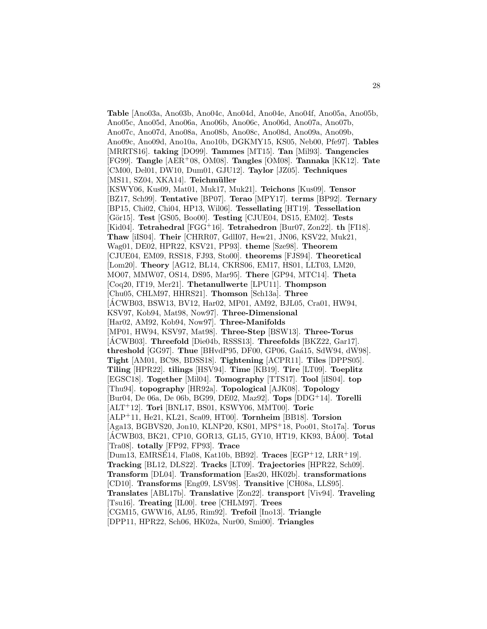**Table** [Ano03a, Ano03b, Ano04c, Ano04d, Ano04e, Ano04f, Ano05a, Ano05b, Ano05c, Ano05d, Ano06a, Ano06b, Ano06c, Ano06d, Ano07a, Ano07b, Ano07c, Ano07d, Ano08a, Ano08b, Ano08c, Ano08d, Ano09a, Ano09b, Ano09c, Ano09d, Ano10a, Ano10b, DGKMY15, KS05, Neb00, Pfe97]. **Tables** [MRRTS16]. **taking** [DO99]. **Tammes** [MT15]. **Tan** [Mil93]. **Tangencies** [FG99]. **Tangle** [AER<sup>+</sup>08, OM08]. **Tangles** [OM08]. **Tannaka** [KK12]. **Tate** [CM00, Del01, DW10, Dum01, GJU12]. **Taylor** [JZ05]. **Techniques** [MS11, SZ04, XKA14]. **Teichmüller** [KSWY06, Kus09, Mat01, Muk17, Muk21]. **Teichons** [Kus09]. **Tensor** [BZ17, Sch99]. **Tentative** [BP07]. **Terao** [MPY17]. **terms** [BP92]. **Ternary** [BP15, Chi02, Chi04, HP13, Wil06]. **Tessellating** [HT19]. **Tessellation** [G¨or15]. **Test** [GS05, Boo00]. **Testing** [CJUE04, DS15, EM02]. **Tests** [Kid04]. **Tetrahedral** [FGG<sup>+</sup>16]. **Tetrahedron** [Bur07, Zon22]. **th** [FI18]. **Thaw** [iIS04]. **Their** [CHRR07, GdlI07, Hew21, JN06, KSV22, Muk21, Wag01, DE02, HPR22, KSV21, PP93]. **theme** [Sze98]. **Theorem** [CJUE04, EM09, RSS18, FJ93, Sto00]. **theorems** [FJS94]. **Theoretical** [Lom20]. **Theory** [AG12, BL14, CKRS06, EM17, HS01, LLT03, LM20, MO07, MMW07, OS14, DS95, Mar95]. **There** [GP94, MTC14]. **Theta** [Coq20, IT19, Mer21]. **Thetanullwerte** [LPU11]. **Thompson** [Chu05, CHLM97, HHRS21]. **Thomson** [Sch13a]. **Three** [ACWB03, BSW13, BV12, Har02, MP01, AM92, BJL05, Cra01, HW94, ´ KSV97, Kob94, Mat98, Now97]. **Three-Dimensional** [Har02, AM92, Kob94, Now97]. **Three-Manifolds** [MP01, HW94, KSV97, Mat98]. **Three-Step** [BSW13]. **Three-Torus** [ACWB03]. Threefold [Die04b, RSSS13]. Threefolds [BKZ22, Gar17]. **threshold** [GG97]. **Thue** [BHvdP95, DF00, GP06, Ga´a15, SdW94, dW98]. **Tight** [AM01, BC98, BDSS18]. **Tightening** [ACPR11]. **Tiles** [DPPS05]. **Tiling** [HPR22]. **tilings** [HSV94]. **Time** [KB19]. **Tire** [LT09]. **Toeplitz** [EGSC18]. **Together** [Mil04]. **Tomography** [TTS17]. **Tool** [iIS04]. **top** [Thu94]. **topography** [HR92a]. **Topological** [AJK08]. **Topology** [Bur04, De 06a, De 06b, BG99, DE02, Maz92]. **Tops** [DDG<sup>+</sup>14]. **Torelli** [ALT<sup>+</sup>12]. **Tori** [BNL17, BS01, KSWY06, MMT00]. **Toric** [ALP<sup>+</sup>11, He21, KL21, Sca09, HT00]. **Tornheim** [BB18]. **Torsion** [Aga13, BGBVS20, Jon10, KLNP20, KS01, MPS<sup>+</sup>18, Poo01, Sto17a]. **Torus** [ÁCWB03, BK21, CP10, GOR13, GL15, GY10, HT19, KK93, BÁ00]. **Total** [Tra08]. **totally** [FP92, FP93]. **Trace** [Dum13, EMRSE14, Fla08, Kat10b, BB92]. ´ **Traces** [EGP<sup>+</sup>12, LRR<sup>+</sup>19]. **Tracking** [BL12, DLS22]. **Tracks** [LT09]. **Trajectories** [HPR22, Sch09]. **Transform** [DL04]. **Transformation** [Eas20, HK02b]. **transformations** [CD10]. **Transforms** [Eng09, LSV98]. **Transitive** [CH08a, LLS95]. **Translates** [ABL17b]. **Translative** [Zon22]. **transport** [Viv94]. **Traveling** [Tsu16]. **Treating** [IL00]. **tree** [CHLM97]. **Trees** [CGM15, GWW16, AL95, Rim92]. **Trefoil** [Ino13]. **Triangle** [DPP11, HPR22, Sch06, HK02a, Nur00, Smi00]. **Triangles**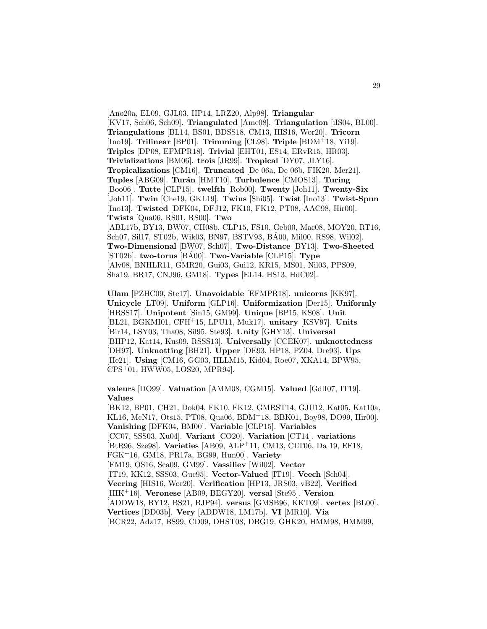[Ano20a, EL09, GJL03, HP14, LRZ20, Alp98]. **Triangular** [KV17, Sch06, Sch09]. **Triangulated** [Ame08]. **Triangulation** [iIS04, BL00]. **Triangulations** [BL14, BS01, BDSS18, CM13, HIS16, Wor20]. **Tricorn** [Ino19]. **Trilinear** [BP01]. **Trimming** [CL98]. **Triple** [BDM<sup>+</sup>18, Yi19]. **Triples** [DP08, EFMPR18]. **Trivial** [EHT01, ES14, ERvR15, HR03]. **Trivializations** [BM06]. **trois** [JR99]. **Tropical** [DY07, JLY16]. **Tropicalizations** [CM16]. **Truncated** [De 06a, De 06b, FIK20, Mer21]. **Tuples** [ABG09]. **Tur´an** [HMT10]. **Turbulence** [CMOS13]. **Turing** [Boo06]. **Tutte** [CLP15]. **twelfth** [Rob00]. **Twenty** [Joh11]. **Twenty-Six** [Joh11]. **Twin** [Che19, GKL19]. **Twins** [Shi05]. **Twist** [Ino13]. **Twist-Spun** [Ino13]. **Twisted** [DFK04, DFJ12, FK10, FK12, PT08, AAC98, Hir00]. **Twists** [Qua06, RS01, RS00]. **Two** [ABL17b, BY13, BW07, CH08b, CLP15, FS10, Geb00, Mac08, MOY20, RT16, Sch07, Sil17, ST02b, Wik03, BN97, BSTV93, BA00, Mil00, RS98, Wil02]. ´ **Two-Dimensional** [BW07, Sch07]. **Two-Distance** [BY13]. **Two-Sheeted** [ST02b]. **two-torus** [BA00]. ´ **Two-Variable** [CLP15]. **Type** [Alv08, BNHLR11, GMR20, Gui03, Gui12, KR15, MS01, Nil03, PPS09, Sha19, BR17, CNJ96, GM18]. **Types** [EL14, HS13, HdC02].

**Ulam** [PZHC09, Ste17]. **Unavoidable** [EFMPR18]. **unicorns** [KK97]. **Unicycle** [LT09]. **Uniform** [GLP16]. **Uniformization** [Der15]. **Uniformly** [HRSS17]. **Unipotent** [Sin15, GM99]. **Unique** [BP15, KS08]. **Unit** [BL21, BGKMI01, CFH<sup>+</sup>15, LPU11, Muk17]. **unitary** [KSV97]. **Units** [Bir14, LSY03, Tha08, Sil95, Ste93]. **Unity** [GHY13]. **Universal** [BHP12, Kat14, Kus09, RSSS13]. **Universally** [CCEK07]. **unknottedness** [DH97]. **Unknotting** [BH21]. **Upper** [DE93, HP18, PZ04, Dre93]. **Ups** [He21]. **Using** [CM16, GG03, HLLM15, Kid04, Roe07, XKA14, BPW95, CPS<sup>+</sup>01, HWW05, LOS20, MPR94].

**valeurs** [DO99]. **Valuation** [AMM08, CGM15]. **Valued** [GdlI07, IT19]. **Values**

[BK12, BP01, CH21, Dok04, FK10, FK12, GMRST14, GJU12, Kat05, Kat10a, KL16, McN17, Ots15, PT08, Qua06, BDM<sup>+</sup>18, BBK01, Boy98, DO99, Hir00]. **Vanishing** [DFK04, BM00]. **Variable** [CLP15]. **Variables** [CC07, SSS03, Xu04]. **Variant** [CO20]. **Variation** [CT14]. **variations** [BtR96, Sze98]. **Varieties** [AB09, ALP<sup>+</sup>11, CM13, CLT06, Da 19, EF18, FGK<sup>+</sup>16, GM18, PR17a, BG99, Hun00]. **Variety** [FM19, OS16, Sca09, GM99]. **Vassiliev** [Wil02]. **Vector** [IT19, KK12, SSS03, Guc95]. **Vector-Valued** [IT19]. **Veech** [Sch04]. **Veering** [HIS16, Wor20]. **Verification** [HP13, JRS03, vB22]. **Verified** [HIK<sup>+</sup>16]. **Veronese** [AB09, BEGY20]. **versal** [Ste95]. **Version** [ADDW18, BY12, BS21, BJP94]. **versus** [GMSB96, KKT09]. **vertex** [BL00]. **Vertices** [DD03b]. **Very** [ADDW18, LM17b]. **VI** [MR10]. **Via** [BCR22, Adz17, BS99, CD09, DHST08, DBG19, GHK20, HMM98, HMM99,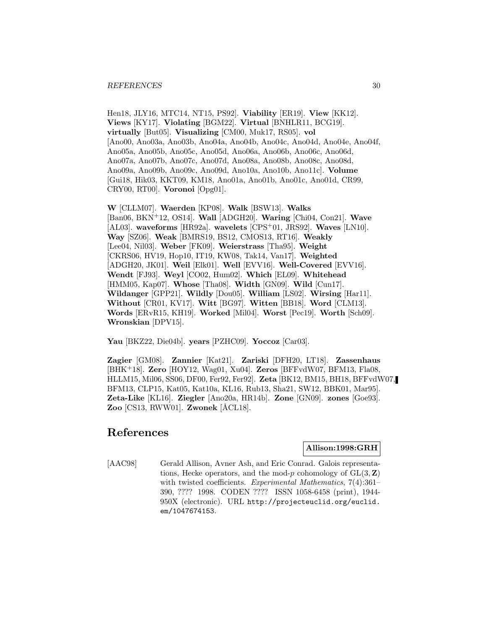#### *REFERENCES* 30

Hen18, JLY16, MTC14, NT15, PS92]. **Viability** [ER19]. **View** [KK12]. **Views** [KY17]. **Violating** [BGM22]. **Virtual** [BNHLR11, BCG19]. **virtually** [But05]. **Visualizing** [CM00, Muk17, RS05]. **vol** [Ano00, Ano03a, Ano03b, Ano04a, Ano04b, Ano04c, Ano04d, Ano04e, Ano04f, Ano05a, Ano05b, Ano05c, Ano05d, Ano06a, Ano06b, Ano06c, Ano06d, Ano07a, Ano07b, Ano07c, Ano07d, Ano08a, Ano08b, Ano08c, Ano08d, Ano09a, Ano09b, Ano09c, Ano09d, Ano10a, Ano10b, Ano11c]. **Volume** [Gui18, Hik03, KKT09, KM18, Ano01a, Ano01b, Ano01c, Ano01d, CR99, CRY00, RT00]. **Voronoi** [Opg01].

**W** [CLLM07]. **Waerden** [KP08]. **Walk** [BSW13]. **Walks** [Ban06, BKN<sup>+</sup>12, OS14]. **Wall** [ADGH20]. **Waring** [Chi04, Con21]. **Wave** [AL03]. **waveforms** [HR92a]. **wavelets** [CPS<sup>+</sup>01, JRS92]. **Waves** [LN10]. **Way** [SZ06]. **Weak** [BMRS19, BS12, CMOS13, RT16]. **Weakly** [Lee04, Nil03]. **Weber** [FK09]. **Weierstrass** [Tha95]. **Weight** [CKRS06, HV19, Hop10, IT19, KW08, Tak14, Van17]. **Weighted** [ADGH20, JK01]. **Weil** [Elk01]. **Well** [EVV16]. **Well-Covered** [EVV16]. **Wendt** [FJ93]. **Weyl** [CO02, Hum02]. **Which** [EL09]. **Whitehead** [HMM05, Kap07]. **Whose** [Tha08]. **Width** [GN09]. **Wild** [Cun17]. **Wildanger** [GPP21]. **Wildly** [Dou05]. **William** [LS02]. **Wirsing** [Har11]. **Without** [CR01, KV17]. **Witt** [BG97]. **Witten** [BB18]. **Word** [CLM13]. **Words** [ERvR15, KH19]. **Worked** [Mil04]. **Worst** [Pec19]. **Worth** [Sch09]. **Wronskian** [DPV15].

**Yau** [BKZ22, Die04b]. **years** [PZHC09]. **Yoccoz** [Car03].

**Zagier** [GM08]. **Zannier** [Kat21]. **Zariski** [DFH20, LT18]. **Zassenhaus** [BHK<sup>+</sup>18]. **Zero** [HOY12, Wag01, Xu04]. **Zeros** [BFFvdW07, BFM13, Fla08, HLLM15, Mil06, SS06, DF00, Fer92, Fer92]. **Zeta** [BK12, BM15, BH18, BFFvdW07, BFM13, CLP15, Kat05, Kat10a, KL16, Rub13, Sha21, SW12, BBK01, Mar95]. **Zeta-Like** [KL16]. **Ziegler** [Ano20a, HR14b]. **Zone** [GN09]. **zones** [Goe93]. **Zoo** [CS13, RWW01]. **Zwonek** [ÅCL18].

# **References**

# **Allison:1998:GRH**

[AAC98] Gerald Allison, Avner Ash, and Eric Conrad. Galois representations, Hecke operators, and the mod-p cohomology of  $GL(3, \mathbb{Z})$ with twisted coefficients. Experimental Mathematics, 7(4):361– 390, ???? 1998. CODEN ???? ISSN 1058-6458 (print), 1944- 950X (electronic). URL http://projecteuclid.org/euclid. em/1047674153.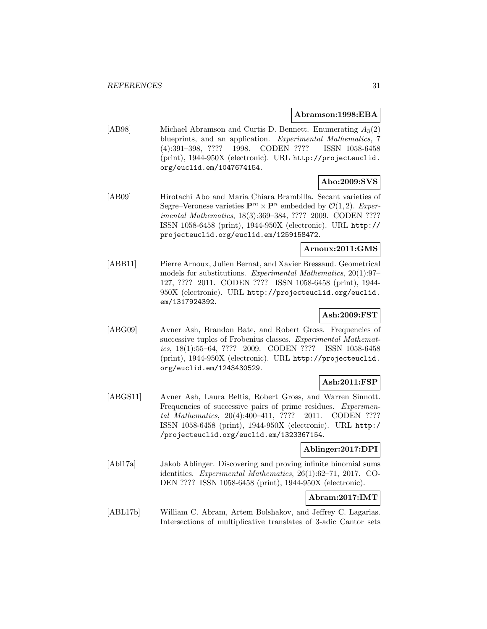#### **Abramson:1998:EBA**

[AB98] Michael Abramson and Curtis D. Bennett. Enumerating  $A_3(2)$ blueprints, and an application. Experimental Mathematics, 7 (4):391–398, ???? 1998. CODEN ???? ISSN 1058-6458 (print), 1944-950X (electronic). URL http://projecteuclid. org/euclid.em/1047674154.

# **Abo:2009:SVS**

[AB09] Hirotachi Abo and Maria Chiara Brambilla. Secant varieties of Segre–Veronese varieties  $\mathbf{P}^m \times \mathbf{P}^n$  embedded by  $\mathcal{O}(1, 2)$ . Experimental Mathematics, 18(3):369–384, ???? 2009. CODEN ???? ISSN 1058-6458 (print), 1944-950X (electronic). URL http:// projecteuclid.org/euclid.em/1259158472.

# **Arnoux:2011:GMS**

[ABB11] Pierre Arnoux, Julien Bernat, and Xavier Bressaud. Geometrical models for substitutions. Experimental Mathematics, 20(1):97– 127, ???? 2011. CODEN ???? ISSN 1058-6458 (print), 1944- 950X (electronic). URL http://projecteuclid.org/euclid. em/1317924392.

# **Ash:2009:FST**

[ABG09] Avner Ash, Brandon Bate, and Robert Gross. Frequencies of successive tuples of Frobenius classes. Experimental Mathematics, 18(1):55–64, ???? 2009. CODEN ???? ISSN 1058-6458 (print), 1944-950X (electronic). URL http://projecteuclid. org/euclid.em/1243430529.

# **Ash:2011:FSP**

[ABGS11] Avner Ash, Laura Beltis, Robert Gross, and Warren Sinnott. Frequencies of successive pairs of prime residues. Experimental Mathematics, 20(4):400–411, ???? 2011. CODEN ???? ISSN 1058-6458 (print), 1944-950X (electronic). URL http:/ /projecteuclid.org/euclid.em/1323367154.

## **Ablinger:2017:DPI**

[Abl17a] Jakob Ablinger. Discovering and proving infinite binomial sums identities. Experimental Mathematics, 26(1):62–71, 2017. CO-DEN ???? ISSN 1058-6458 (print), 1944-950X (electronic).

# **Abram:2017:IMT**

[ABL17b] William C. Abram, Artem Bolshakov, and Jeffrey C. Lagarias. Intersections of multiplicative translates of 3-adic Cantor sets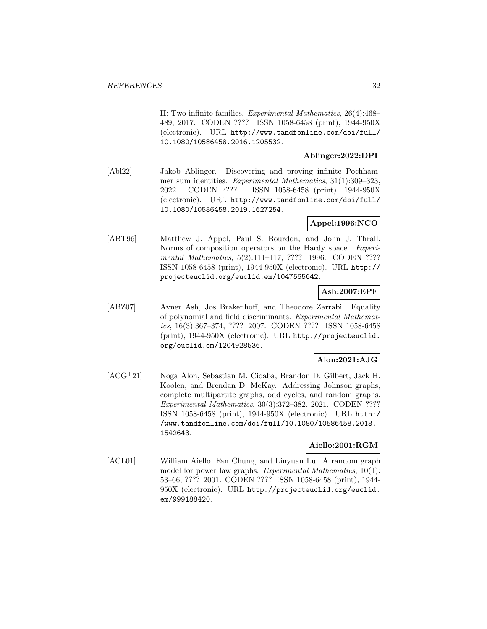II: Two infinite families. Experimental Mathematics, 26(4):468– 489, 2017. CODEN ???? ISSN 1058-6458 (print), 1944-950X (electronic). URL http://www.tandfonline.com/doi/full/ 10.1080/10586458.2016.1205532.

## **Ablinger:2022:DPI**

[Abl22] Jakob Ablinger. Discovering and proving infinite Pochhammer sum identities. Experimental Mathematics, 31(1):309–323, 2022. CODEN ???? ISSN 1058-6458 (print), 1944-950X (electronic). URL http://www.tandfonline.com/doi/full/ 10.1080/10586458.2019.1627254.

# **Appel:1996:NCO**

[ABT96] Matthew J. Appel, Paul S. Bourdon, and John J. Thrall. Norms of composition operators on the Hardy space. Experimental Mathematics, 5(2):111-117, ???? 1996. CODEN ???? ISSN 1058-6458 (print), 1944-950X (electronic). URL http:// projecteuclid.org/euclid.em/1047565642.

# **Ash:2007:EPF**

[ABZ07] Avner Ash, Jos Brakenhoff, and Theodore Zarrabi. Equality of polynomial and field discriminants. Experimental Mathematics, 16(3):367–374, ???? 2007. CODEN ???? ISSN 1058-6458 (print), 1944-950X (electronic). URL http://projecteuclid. org/euclid.em/1204928536.

## **Alon:2021:AJG**

[ACG<sup>+</sup>21] Noga Alon, Sebastian M. Cioaba, Brandon D. Gilbert, Jack H. Koolen, and Brendan D. McKay. Addressing Johnson graphs, complete multipartite graphs, odd cycles, and random graphs. Experimental Mathematics, 30(3):372–382, 2021. CODEN ???? ISSN 1058-6458 (print), 1944-950X (electronic). URL http:/ /www.tandfonline.com/doi/full/10.1080/10586458.2018. 1542643.

# **Aiello:2001:RGM**

[ACL01] William Aiello, Fan Chung, and Linyuan Lu. A random graph model for power law graphs. Experimental Mathematics, 10(1): 53–66, ???? 2001. CODEN ???? ISSN 1058-6458 (print), 1944- 950X (electronic). URL http://projecteuclid.org/euclid. em/999188420.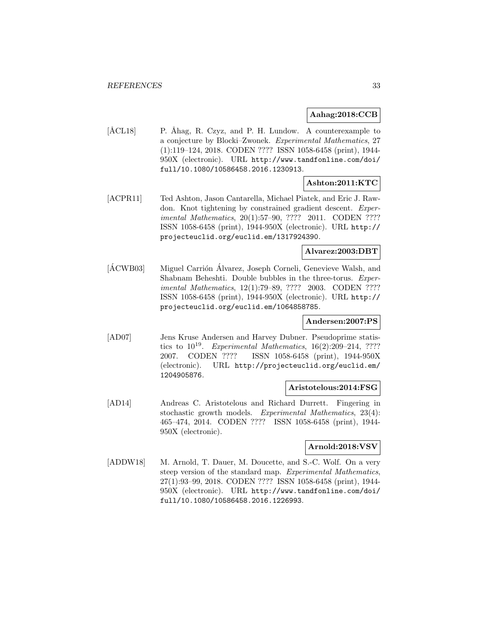## **Aahag:2018:CCB**

 $[\text{ÅCL18}]$  P. Åhag, R. Czyz, and P. H. Lundow. A counterexample to a conjecture by Blocki–Zwonek. Experimental Mathematics, 27 (1):119–124, 2018. CODEN ???? ISSN 1058-6458 (print), 1944- 950X (electronic). URL http://www.tandfonline.com/doi/ full/10.1080/10586458.2016.1230913.

# **Ashton:2011:KTC**

[ACPR11] Ted Ashton, Jason Cantarella, Michael Piatek, and Eric J. Rawdon. Knot tightening by constrained gradient descent. Experimental Mathematics, 20(1):57-90, ???? 2011. CODEN ???? ISSN 1058-6458 (print), 1944-950X (electronic). URL http:// projecteuclid.org/euclid.em/1317924390.

#### **Alvarez:2003:DBT**

[ÁCWB03] Miguel Carrión Álvarez, Joseph Corneli, Genevieve Walsh, and Shabnam Beheshti. Double bubbles in the three-torus. Experimental Mathematics, 12(1):79–89, ???? 2003. CODEN ???? ISSN 1058-6458 (print), 1944-950X (electronic). URL http:// projecteuclid.org/euclid.em/1064858785.

# **Andersen:2007:PS**

[AD07] Jens Kruse Andersen and Harvey Dubner. Pseudoprime statistics to  $10^{19}$ . Experimental Mathematics,  $16(2):209-214$ , ???? 2007. CODEN ???? ISSN 1058-6458 (print), 1944-950X (electronic). URL http://projecteuclid.org/euclid.em/ 1204905876.

#### **Aristotelous:2014:FSG**

[AD14] Andreas C. Aristotelous and Richard Durrett. Fingering in stochastic growth models. Experimental Mathematics, 23(4): 465–474, 2014. CODEN ???? ISSN 1058-6458 (print), 1944- 950X (electronic).

# **Arnold:2018:VSV**

[ADDW18] M. Arnold, T. Dauer, M. Doucette, and S.-C. Wolf. On a very steep version of the standard map. Experimental Mathematics, 27(1):93–99, 2018. CODEN ???? ISSN 1058-6458 (print), 1944- 950X (electronic). URL http://www.tandfonline.com/doi/ full/10.1080/10586458.2016.1226993.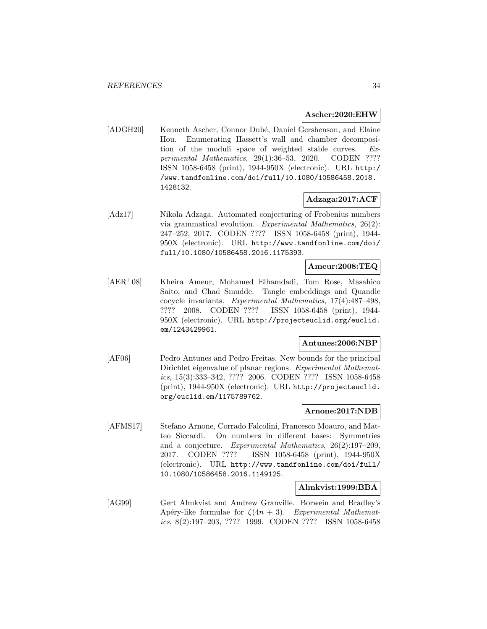#### **Ascher:2020:EHW**

[ADGH20] Kenneth Ascher, Connor Dub´e, Daniel Gershenson, and Elaine Hou. Enumerating Hassett's wall and chamber decomposition of the moduli space of weighted stable curves. Experimental Mathematics, 29(1):36–53, 2020. CODEN ???? ISSN 1058-6458 (print), 1944-950X (electronic). URL http:/ /www.tandfonline.com/doi/full/10.1080/10586458.2018. 1428132.

# **Adzaga:2017:ACF**

[Adz17] Nikola Adzaga. Automated conjecturing of Frobenius numbers via grammatical evolution. Experimental Mathematics, 26(2): 247–252, 2017. CODEN ???? ISSN 1058-6458 (print), 1944- 950X (electronic). URL http://www.tandfonline.com/doi/ full/10.1080/10586458.2016.1175393.

# **Ameur:2008:TEQ**

[AER<sup>+</sup>08] Kheira Ameur, Mohamed Elhamdadi, Tom Rose, Masahico Saito, and Chad Smudde. Tangle embeddings and Quandle cocycle invariants. Experimental Mathematics, 17(4):487–498, ???? 2008. CODEN ???? ISSN 1058-6458 (print), 1944- 950X (electronic). URL http://projecteuclid.org/euclid. em/1243429961.

## **Antunes:2006:NBP**

[AF06] Pedro Antunes and Pedro Freitas. New bounds for the principal Dirichlet eigenvalue of planar regions. Experimental Mathematics, 15(3):333–342, ???? 2006. CODEN ???? ISSN 1058-6458 (print), 1944-950X (electronic). URL http://projecteuclid. org/euclid.em/1175789762.

#### **Arnone:2017:NDB**

[AFMS17] Stefano Arnone, Corrado Falcolini, Francesco Moauro, and Matteo Siccardi. On numbers in different bases: Symmetries and a conjecture. Experimental Mathematics, 26(2):197–209, 2017. CODEN ???? ISSN 1058-6458 (print), 1944-950X (electronic). URL http://www.tandfonline.com/doi/full/ 10.1080/10586458.2016.1149125.

## **Almkvist:1999:BBA**

[AG99] Gert Almkvist and Andrew Granville. Borwein and Bradley's Apéry-like formulae for  $\zeta(4n+3)$ . Experimental Mathematics, 8(2):197–203, ???? 1999. CODEN ???? ISSN 1058-6458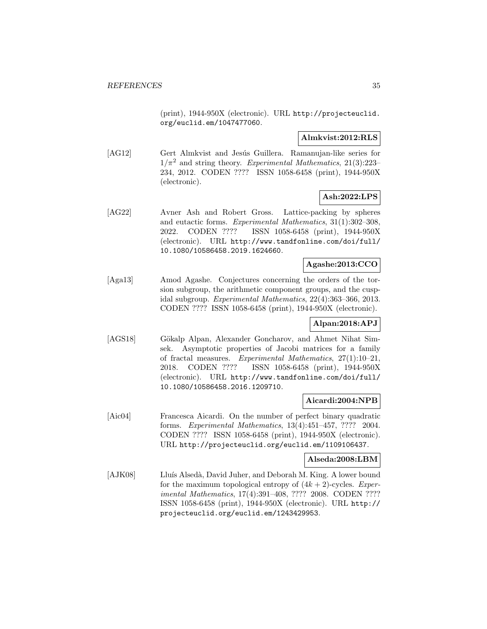(print), 1944-950X (electronic). URL http://projecteuclid. org/euclid.em/1047477060.

## **Almkvist:2012:RLS**

[AG12] Gert Almkvist and Jesús Guillera. Ramanujan-like series for  $1/\pi^2$  and string theory. Experimental Mathematics, 21(3):223-234, 2012. CODEN ???? ISSN 1058-6458 (print), 1944-950X (electronic).

# **Ash:2022:LPS**

[AG22] Avner Ash and Robert Gross. Lattice-packing by spheres and eutactic forms. Experimental Mathematics, 31(1):302–308, 2022. CODEN ???? ISSN 1058-6458 (print), 1944-950X (electronic). URL http://www.tandfonline.com/doi/full/ 10.1080/10586458.2019.1624660.

# **Agashe:2013:CCO**

[Aga13] Amod Agashe. Conjectures concerning the orders of the torsion subgroup, the arithmetic component groups, and the cuspidal subgroup. Experimental Mathematics, 22(4):363–366, 2013. CODEN ???? ISSN 1058-6458 (print), 1944-950X (electronic).

# **Alpan:2018:APJ**

[AGS18] Gökalp Alpan, Alexander Goncharov, and Ahmet Nihat Simsek. Asymptotic properties of Jacobi matrices for a family of fractal measures. Experimental Mathematics, 27(1):10–21, 2018. CODEN ???? ISSN 1058-6458 (print), 1944-950X (electronic). URL http://www.tandfonline.com/doi/full/ 10.1080/10586458.2016.1209710.

## **Aicardi:2004:NPB**

[Aic04] Francesca Aicardi. On the number of perfect binary quadratic forms. Experimental Mathematics, 13(4):451–457, ???? 2004. CODEN ???? ISSN 1058-6458 (print), 1944-950X (electronic). URL http://projecteuclid.org/euclid.em/1109106437.

#### **Alseda:2008:LBM**

[AJK08] Lluís Alsedà, David Juher, and Deborah M. King. A lower bound for the maximum topological entropy of  $(4k + 2)$ -cycles. Experimental Mathematics, 17(4):391–408, ???? 2008. CODEN ???? ISSN 1058-6458 (print), 1944-950X (electronic). URL http:// projecteuclid.org/euclid.em/1243429953.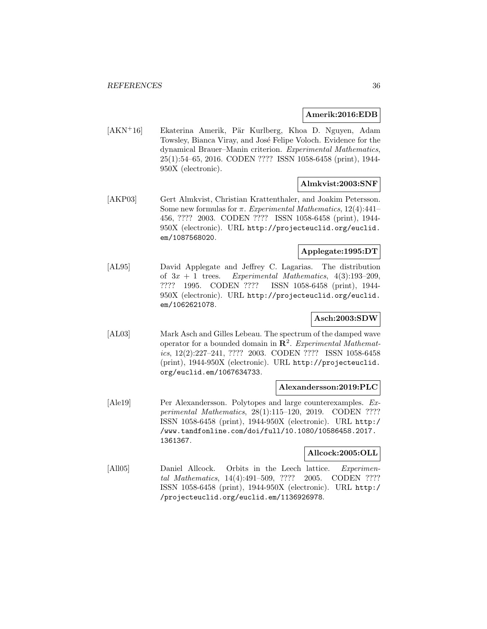## **Amerik:2016:EDB**

[AKN<sup>+</sup>16] Ekaterina Amerik, Pär Kurlberg, Khoa D. Nguyen, Adam Towsley, Bianca Viray, and José Felipe Voloch. Evidence for the dynamical Brauer–Manin criterion. Experimental Mathematics, 25(1):54–65, 2016. CODEN ???? ISSN 1058-6458 (print), 1944- 950X (electronic).

## **Almkvist:2003:SNF**

[AKP03] Gert Almkvist, Christian Krattenthaler, and Joakim Petersson. Some new formulas for  $\pi$ . Experimental Mathematics, 12(4):441– 456, ???? 2003. CODEN ???? ISSN 1058-6458 (print), 1944- 950X (electronic). URL http://projecteuclid.org/euclid. em/1087568020.

## **Applegate:1995:DT**

[AL95] David Applegate and Jeffrey C. Lagarias. The distribution of  $3x + 1$  trees. Experimental Mathematics,  $4(3):193-209$ , ???? 1995. CODEN ???? ISSN 1058-6458 (print), 1944- 950X (electronic). URL http://projecteuclid.org/euclid. em/1062621078.

# **Asch:2003:SDW**

[AL03] Mark Asch and Gilles Lebeau. The spectrum of the damped wave operator for a bounded domain in **R**<sup>2</sup>. Experimental Mathematics, 12(2):227–241, ???? 2003. CODEN ???? ISSN 1058-6458 (print), 1944-950X (electronic). URL http://projecteuclid. org/euclid.em/1067634733.

## **Alexandersson:2019:PLC**

[Ale19] Per Alexandersson. Polytopes and large counterexamples. Experimental Mathematics, 28(1):115–120, 2019. CODEN ???? ISSN 1058-6458 (print), 1944-950X (electronic). URL http:/ /www.tandfonline.com/doi/full/10.1080/10586458.2017. 1361367.

## **Allcock:2005:OLL**

[All05] Daniel Allcock. Orbits in the Leech lattice. Experimental Mathematics, 14(4):491–509, ???? 2005. CODEN ???? ISSN 1058-6458 (print), 1944-950X (electronic). URL http:/ /projecteuclid.org/euclid.em/1136926978.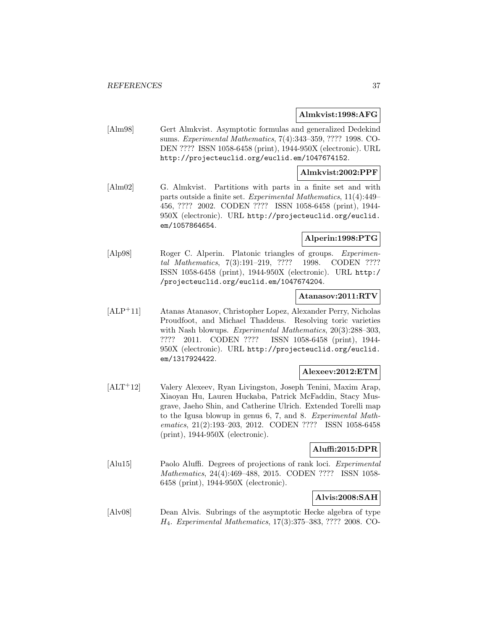### **Almkvist:1998:AFG**

[Alm98] Gert Almkvist. Asymptotic formulas and generalized Dedekind sums. Experimental Mathematics, 7(4):343–359, ???? 1998. CO-DEN ???? ISSN 1058-6458 (print), 1944-950X (electronic). URL http://projecteuclid.org/euclid.em/1047674152.

## **Almkvist:2002:PPF**

[Alm02] G. Almkvist. Partitions with parts in a finite set and with parts outside a finite set. Experimental Mathematics, 11(4):449– 456, ???? 2002. CODEN ???? ISSN 1058-6458 (print), 1944- 950X (electronic). URL http://projecteuclid.org/euclid. em/1057864654.

### **Alperin:1998:PTG**

[Alp98] Roger C. Alperin. Platonic triangles of groups. Experimental Mathematics, 7(3):191–219, ???? 1998. CODEN ???? ISSN 1058-6458 (print), 1944-950X (electronic). URL http:/ /projecteuclid.org/euclid.em/1047674204.

## **Atanasov:2011:RTV**

[ALP<sup>+</sup>11] Atanas Atanasov, Christopher Lopez, Alexander Perry, Nicholas Proudfoot, and Michael Thaddeus. Resolving toric varieties with Nash blowups. *Experimental Mathematics*, 20(3):288–303, ???? 2011. CODEN ???? ISSN 1058-6458 (print), 1944- 950X (electronic). URL http://projecteuclid.org/euclid. em/1317924422.

### **Alexeev:2012:ETM**

[ALT<sup>+</sup>12] Valery Alexeev, Ryan Livingston, Joseph Tenini, Maxim Arap, Xiaoyan Hu, Lauren Huckaba, Patrick McFaddin, Stacy Musgrave, Jaeho Shin, and Catherine Ulrich. Extended Torelli map to the Igusa blowup in genus 6, 7, and 8. Experimental Mathematics, 21(2):193–203, 2012. CODEN ???? ISSN 1058-6458 (print), 1944-950X (electronic).

## **Aluffi:2015:DPR**

[Alu15] Paolo Aluffi. Degrees of projections of rank loci. Experimental Mathematics, 24(4):469–488, 2015. CODEN ???? ISSN 1058- 6458 (print), 1944-950X (electronic).

# **Alvis:2008:SAH**

[Alv08] Dean Alvis. Subrings of the asymptotic Hecke algebra of type H4. Experimental Mathematics, 17(3):375–383, ???? 2008. CO-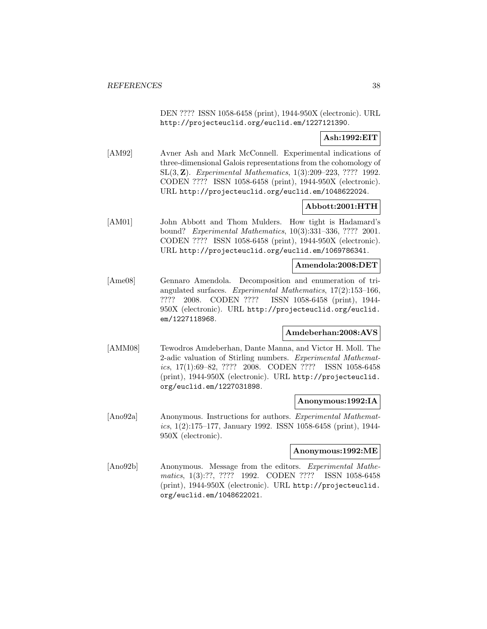DEN ???? ISSN 1058-6458 (print), 1944-950X (electronic). URL http://projecteuclid.org/euclid.em/1227121390.

# **Ash:1992:EIT**

[AM92] Avner Ash and Mark McConnell. Experimental indications of three-dimensional Galois representations from the cohomology of SL(3, **Z**). Experimental Mathematics, 1(3):209–223, ???? 1992. CODEN ???? ISSN 1058-6458 (print), 1944-950X (electronic). URL http://projecteuclid.org/euclid.em/1048622024.

# **Abbott:2001:HTH**

[AM01] John Abbott and Thom Mulders. How tight is Hadamard's bound? Experimental Mathematics, 10(3):331–336, ???? 2001. CODEN ???? ISSN 1058-6458 (print), 1944-950X (electronic). URL http://projecteuclid.org/euclid.em/1069786341.

### **Amendola:2008:DET**

[Ame08] Gennaro Amendola. Decomposition and enumeration of triangulated surfaces. Experimental Mathematics, 17(2):153–166, ???? 2008. CODEN ???? ISSN 1058-6458 (print), 1944- 950X (electronic). URL http://projecteuclid.org/euclid. em/1227118968.

### **Amdeberhan:2008:AVS**

[AMM08] Tewodros Amdeberhan, Dante Manna, and Victor H. Moll. The 2-adic valuation of Stirling numbers. Experimental Mathematics, 17(1):69–82, ???? 2008. CODEN ???? ISSN 1058-6458 (print), 1944-950X (electronic). URL http://projecteuclid. org/euclid.em/1227031898.

### **Anonymous:1992:IA**

[Ano92a] Anonymous. Instructions for authors. Experimental Mathematics, 1(2):175–177, January 1992. ISSN 1058-6458 (print), 1944- 950X (electronic).

### **Anonymous:1992:ME**

[Ano92b] Anonymous. Message from the editors. Experimental Mathematics, 1(3):??, ???? 1992. CODEN ???? ISSN 1058-6458 (print), 1944-950X (electronic). URL http://projecteuclid. org/euclid.em/1048622021.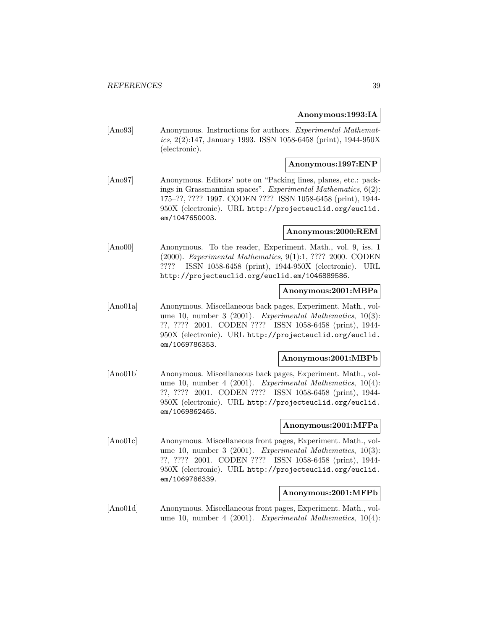### **Anonymous:1993:IA**

[Ano93] Anonymous. Instructions for authors. Experimental Mathematics, 2(2):147, January 1993. ISSN 1058-6458 (print), 1944-950X (electronic).

### **Anonymous:1997:ENP**

[Ano97] Anonymous. Editors' note on "Packing lines, planes, etc.: packings in Grassmannian spaces". Experimental Mathematics, 6(2): 175–??, ???? 1997. CODEN ???? ISSN 1058-6458 (print), 1944- 950X (electronic). URL http://projecteuclid.org/euclid. em/1047650003.

#### **Anonymous:2000:REM**

[Ano00] Anonymous. To the reader, Experiment. Math., vol. 9, iss. 1 (2000). Experimental Mathematics, 9(1):1, ???? 2000. CODEN ???? ISSN 1058-6458 (print), 1944-950X (electronic). URL http://projecteuclid.org/euclid.em/1046889586.

### **Anonymous:2001:MBPa**

[Ano01a] Anonymous. Miscellaneous back pages, Experiment. Math., volume 10, number 3 (2001). Experimental Mathematics, 10(3): ??, ???? 2001. CODEN ???? ISSN 1058-6458 (print), 1944- 950X (electronic). URL http://projecteuclid.org/euclid. em/1069786353.

### **Anonymous:2001:MBPb**

[Ano01b] Anonymous. Miscellaneous back pages, Experiment. Math., volume 10, number 4 (2001). Experimental Mathematics, 10(4): ??, ???? 2001. CODEN ???? ISSN 1058-6458 (print), 1944- 950X (electronic). URL http://projecteuclid.org/euclid. em/1069862465.

#### **Anonymous:2001:MFPa**

[Ano01c] Anonymous. Miscellaneous front pages, Experiment. Math., volume 10, number 3 (2001). Experimental Mathematics, 10(3): ??, ???? 2001. CODEN ???? ISSN 1058-6458 (print), 1944- 950X (electronic). URL http://projecteuclid.org/euclid. em/1069786339.

#### **Anonymous:2001:MFPb**

[Ano01d] Anonymous. Miscellaneous front pages, Experiment. Math., volume 10, number 4 (2001). Experimental Mathematics, 10(4):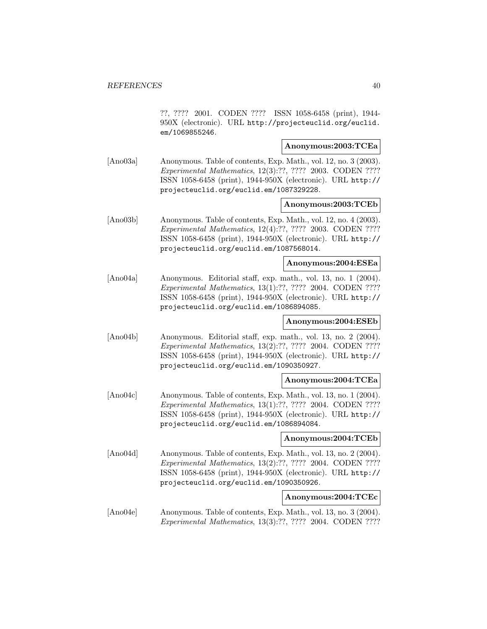??, ???? 2001. CODEN ???? ISSN 1058-6458 (print), 1944- 950X (electronic). URL http://projecteuclid.org/euclid. em/1069855246.

### **Anonymous:2003:TCEa**

[Ano03a] Anonymous. Table of contents, Exp. Math., vol. 12, no. 3 (2003). Experimental Mathematics, 12(3):??, ???? 2003. CODEN ???? ISSN 1058-6458 (print), 1944-950X (electronic). URL http:// projecteuclid.org/euclid.em/1087329228.

### **Anonymous:2003:TCEb**

[Ano03b] Anonymous. Table of contents, Exp. Math., vol. 12, no. 4 (2003). Experimental Mathematics, 12(4):??, ???? 2003. CODEN ???? ISSN 1058-6458 (print), 1944-950X (electronic). URL http:// projecteuclid.org/euclid.em/1087568014.

### **Anonymous:2004:ESEa**

[Ano04a] Anonymous. Editorial staff, exp. math., vol. 13, no. 1 (2004). Experimental Mathematics, 13(1):??, ???? 2004. CODEN ???? ISSN 1058-6458 (print), 1944-950X (electronic). URL http:// projecteuclid.org/euclid.em/1086894085.

### **Anonymous:2004:ESEb**

[Ano04b] Anonymous. Editorial staff, exp. math., vol. 13, no. 2 (2004). Experimental Mathematics, 13(2):??, ???? 2004. CODEN ???? ISSN 1058-6458 (print), 1944-950X (electronic). URL http:// projecteuclid.org/euclid.em/1090350927.

## **Anonymous:2004:TCEa**

[Ano04c] Anonymous. Table of contents, Exp. Math., vol. 13, no. 1 (2004). Experimental Mathematics, 13(1):??, ???? 2004. CODEN ???? ISSN 1058-6458 (print), 1944-950X (electronic). URL http:// projecteuclid.org/euclid.em/1086894084.

### **Anonymous:2004:TCEb**

[Ano04d] Anonymous. Table of contents, Exp. Math., vol. 13, no. 2 (2004). Experimental Mathematics, 13(2):??, ???? 2004. CODEN ???? ISSN 1058-6458 (print), 1944-950X (electronic). URL http:// projecteuclid.org/euclid.em/1090350926.

### **Anonymous:2004:TCEc**

[Ano04e] Anonymous. Table of contents, Exp. Math., vol. 13, no. 3 (2004). Experimental Mathematics, 13(3):??, ???? 2004. CODEN ????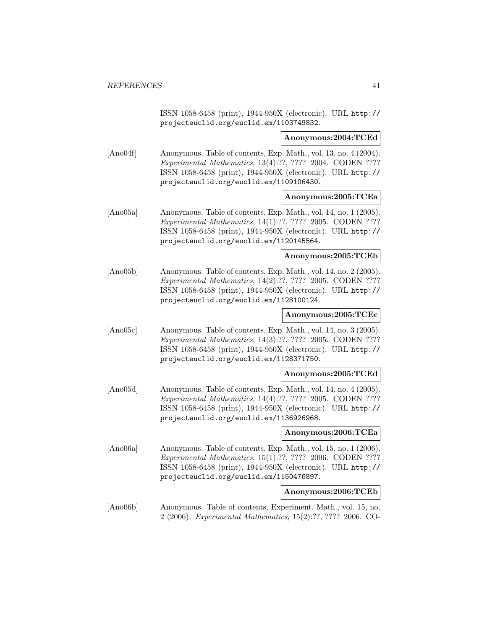ISSN 1058-6458 (print), 1944-950X (electronic). URL http:// projecteuclid.org/euclid.em/1103749832.

**Anonymous:2004:TCEd**

[Ano04f] Anonymous. Table of contents, Exp. Math., vol. 13, no. 4 (2004). Experimental Mathematics, 13(4):??, ???? 2004. CODEN ???? ISSN 1058-6458 (print), 1944-950X (electronic). URL http:// projecteuclid.org/euclid.em/1109106430.

### **Anonymous:2005:TCEa**

[Ano05a] Anonymous. Table of contents, Exp. Math., vol. 14, no. 1 (2005). Experimental Mathematics, 14(1):??, ???? 2005. CODEN ???? ISSN 1058-6458 (print), 1944-950X (electronic). URL http:// projecteuclid.org/euclid.em/1120145564.

**Anonymous:2005:TCEb**

[Ano05b] Anonymous. Table of contents, Exp. Math., vol. 14, no. 2 (2005). Experimental Mathematics, 14(2):??, ???? 2005. CODEN ???? ISSN 1058-6458 (print), 1944-950X (electronic). URL http:// projecteuclid.org/euclid.em/1128100124.

### **Anonymous:2005:TCEc**

[Ano05c] Anonymous. Table of contents, Exp. Math., vol. 14, no. 3 (2005). Experimental Mathematics, 14(3):??, ???? 2005. CODEN ???? ISSN 1058-6458 (print), 1944-950X (electronic). URL http:// projecteuclid.org/euclid.em/1128371750.

**Anonymous:2005:TCEd**

[Ano05d] Anonymous. Table of contents, Exp. Math., vol. 14, no. 4 (2005). Experimental Mathematics, 14(4):??, ???? 2005. CODEN ???? ISSN 1058-6458 (print), 1944-950X (electronic). URL http:// projecteuclid.org/euclid.em/1136926968.

**Anonymous:2006:TCEa**

[Ano06a] Anonymous. Table of contents, Exp. Math., vol. 15, no. 1 (2006). Experimental Mathematics, 15(1):??, ???? 2006. CODEN ???? ISSN 1058-6458 (print), 1944-950X (electronic). URL http:// projecteuclid.org/euclid.em/1150476897.

**Anonymous:2006:TCEb**

[Ano06b] Anonymous. Table of contents, Experiment. Math., vol. 15, no. 2 (2006). Experimental Mathematics, 15(2):??, ???? 2006. CO-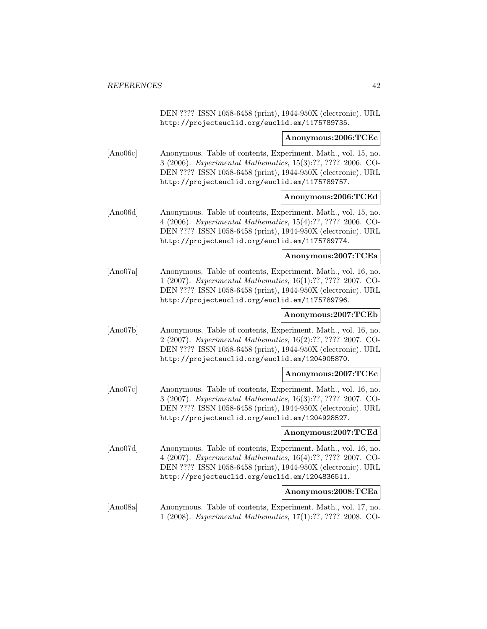DEN ???? ISSN 1058-6458 (print), 1944-950X (electronic). URL http://projecteuclid.org/euclid.em/1175789735.

#### **Anonymous:2006:TCEc**

[Ano06c] Anonymous. Table of contents, Experiment. Math., vol. 15, no. 3 (2006). Experimental Mathematics, 15(3):??, ???? 2006. CO-DEN ???? ISSN 1058-6458 (print), 1944-950X (electronic). URL http://projecteuclid.org/euclid.em/1175789757.

### **Anonymous:2006:TCEd**

[Ano06d] Anonymous. Table of contents, Experiment. Math., vol. 15, no. 4 (2006). Experimental Mathematics, 15(4):??, ???? 2006. CO-DEN ???? ISSN 1058-6458 (print), 1944-950X (electronic). URL http://projecteuclid.org/euclid.em/1175789774.

### **Anonymous:2007:TCEa**

[Ano07a] Anonymous. Table of contents, Experiment. Math., vol. 16, no. 1 (2007). Experimental Mathematics, 16(1):??, ???? 2007. CO-DEN ???? ISSN 1058-6458 (print), 1944-950X (electronic). URL http://projecteuclid.org/euclid.em/1175789796.

### **Anonymous:2007:TCEb**

[Ano07b] Anonymous. Table of contents, Experiment. Math., vol. 16, no. 2 (2007). Experimental Mathematics, 16(2):??, ???? 2007. CO-DEN ???? ISSN 1058-6458 (print), 1944-950X (electronic). URL http://projecteuclid.org/euclid.em/1204905870.

### **Anonymous:2007:TCEc**

[Ano07c] Anonymous. Table of contents, Experiment. Math., vol. 16, no. 3 (2007). Experimental Mathematics, 16(3):??, ???? 2007. CO-DEN ???? ISSN 1058-6458 (print), 1944-950X (electronic). URL http://projecteuclid.org/euclid.em/1204928527.

#### **Anonymous:2007:TCEd**

[Ano07d] Anonymous. Table of contents, Experiment. Math., vol. 16, no. 4 (2007). Experimental Mathematics, 16(4):??, ???? 2007. CO-DEN ???? ISSN 1058-6458 (print), 1944-950X (electronic). URL http://projecteuclid.org/euclid.em/1204836511.

#### **Anonymous:2008:TCEa**

[Ano08a] Anonymous. Table of contents, Experiment. Math., vol. 17, no. 1 (2008). Experimental Mathematics, 17(1):??, ???? 2008. CO-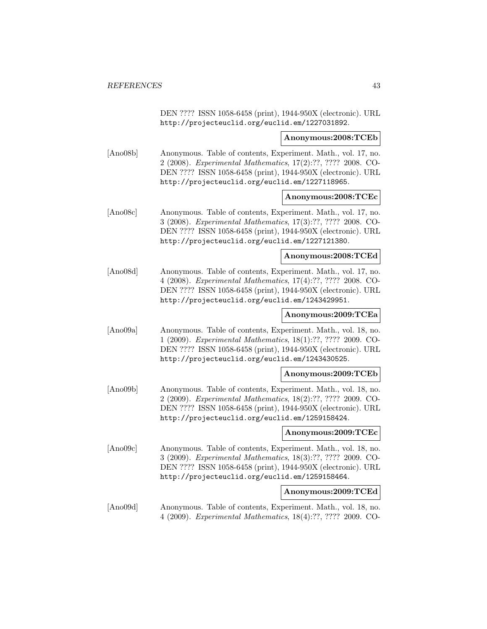DEN ???? ISSN 1058-6458 (print), 1944-950X (electronic). URL http://projecteuclid.org/euclid.em/1227031892.

#### **Anonymous:2008:TCEb**

[Ano08b] Anonymous. Table of contents, Experiment. Math., vol. 17, no. 2 (2008). Experimental Mathematics, 17(2):??, ???? 2008. CO-DEN ???? ISSN 1058-6458 (print), 1944-950X (electronic). URL http://projecteuclid.org/euclid.em/1227118965.

#### **Anonymous:2008:TCEc**

[Ano08c] Anonymous. Table of contents, Experiment. Math., vol. 17, no. 3 (2008). Experimental Mathematics, 17(3):??, ???? 2008. CO-DEN ???? ISSN 1058-6458 (print), 1944-950X (electronic). URL http://projecteuclid.org/euclid.em/1227121380.

#### **Anonymous:2008:TCEd**

[Ano08d] Anonymous. Table of contents, Experiment. Math., vol. 17, no. 4 (2008). Experimental Mathematics, 17(4):??, ???? 2008. CO-DEN ???? ISSN 1058-6458 (print), 1944-950X (electronic). URL http://projecteuclid.org/euclid.em/1243429951.

### **Anonymous:2009:TCEa**

[Ano09a] Anonymous. Table of contents, Experiment. Math., vol. 18, no. 1 (2009). Experimental Mathematics, 18(1):??, ???? 2009. CO-DEN ???? ISSN 1058-6458 (print), 1944-950X (electronic). URL http://projecteuclid.org/euclid.em/1243430525.

### **Anonymous:2009:TCEb**

[Ano09b] Anonymous. Table of contents, Experiment. Math., vol. 18, no. 2 (2009). Experimental Mathematics, 18(2):??, ???? 2009. CO-DEN ???? ISSN 1058-6458 (print), 1944-950X (electronic). URL http://projecteuclid.org/euclid.em/1259158424.

#### **Anonymous:2009:TCEc**

[Ano09c] Anonymous. Table of contents, Experiment. Math., vol. 18, no. 3 (2009). Experimental Mathematics, 18(3):??, ???? 2009. CO-DEN ???? ISSN 1058-6458 (print), 1944-950X (electronic). URL http://projecteuclid.org/euclid.em/1259158464.

#### **Anonymous:2009:TCEd**

[Ano09d] Anonymous. Table of contents, Experiment. Math., vol. 18, no. 4 (2009). Experimental Mathematics, 18(4):??, ???? 2009. CO-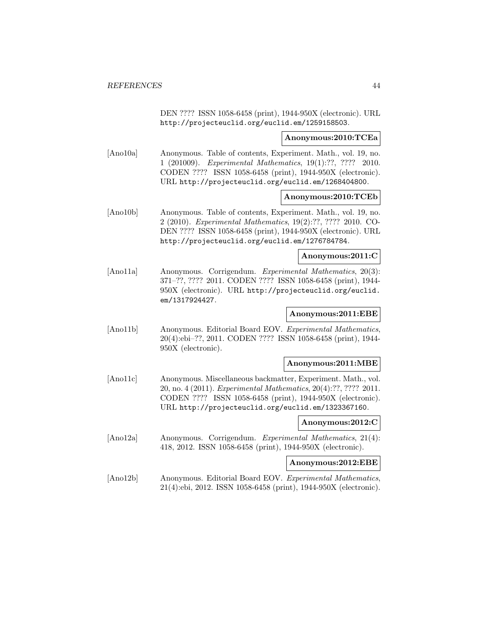DEN ???? ISSN 1058-6458 (print), 1944-950X (electronic). URL http://projecteuclid.org/euclid.em/1259158503.

### **Anonymous:2010:TCEa**

[Ano10a] Anonymous. Table of contents, Experiment. Math., vol. 19, no. 1 (201009). Experimental Mathematics, 19(1):??, ???? 2010. CODEN ???? ISSN 1058-6458 (print), 1944-950X (electronic). URL http://projecteuclid.org/euclid.em/1268404800.

### **Anonymous:2010:TCEb**

[Ano10b] Anonymous. Table of contents, Experiment. Math., vol. 19, no. 2 (2010). Experimental Mathematics, 19(2):??, ???? 2010. CO-DEN ???? ISSN 1058-6458 (print), 1944-950X (electronic). URL http://projecteuclid.org/euclid.em/1276784784.

## **Anonymous:2011:C**

[Ano11a] Anonymous. Corrigendum. Experimental Mathematics, 20(3): 371–??, ???? 2011. CODEN ???? ISSN 1058-6458 (print), 1944- 950X (electronic). URL http://projecteuclid.org/euclid. em/1317924427.

### **Anonymous:2011:EBE**

[Ano11b] Anonymous. Editorial Board EOV. Experimental Mathematics, 20(4):ebi–??, 2011. CODEN ???? ISSN 1058-6458 (print), 1944- 950X (electronic).

#### **Anonymous:2011:MBE**

[Ano11c] Anonymous. Miscellaneous backmatter, Experiment. Math., vol. 20, no. 4 (2011). Experimental Mathematics, 20(4):??, ???? 2011. CODEN ???? ISSN 1058-6458 (print), 1944-950X (electronic). URL http://projecteuclid.org/euclid.em/1323367160.

### **Anonymous:2012:C**

[Ano12a] Anonymous. Corrigendum. *Experimental Mathematics*, 21(4): 418, 2012. ISSN 1058-6458 (print), 1944-950X (electronic).

### **Anonymous:2012:EBE**

[Ano12b] Anonymous. Editorial Board EOV. Experimental Mathematics, 21(4):ebi, 2012. ISSN 1058-6458 (print), 1944-950X (electronic).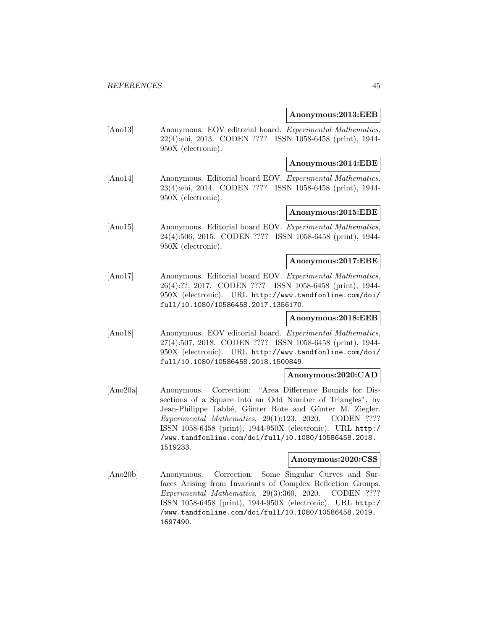### **Anonymous:2013:EEB**

[Ano13] Anonymous. EOV editorial board. Experimental Mathematics, 22(4):ebi, 2013. CODEN ???? ISSN 1058-6458 (print), 1944- 950X (electronic).

### **Anonymous:2014:EBE**

[Ano14] Anonymous. Editorial board EOV. Experimental Mathematics, 23(4):ebi, 2014. CODEN ???? ISSN 1058-6458 (print), 1944- 950X (electronic).

### **Anonymous:2015:EBE**

[Ano15] Anonymous. Editorial board EOV. Experimental Mathematics, 24(4):506, 2015. CODEN ???? ISSN 1058-6458 (print), 1944- 950X (electronic).

# **Anonymous:2017:EBE**

[Ano17] Anonymous. Editorial board EOV. Experimental Mathematics, 26(4):??, 2017. CODEN ???? ISSN 1058-6458 (print), 1944- 950X (electronic). URL http://www.tandfonline.com/doi/ full/10.1080/10586458.2017.1356170.

# **Anonymous:2018:EEB**

[Ano18] Anonymous. EOV editorial board. Experimental Mathematics, 27(4):507, 2018. CODEN ???? ISSN 1058-6458 (print), 1944- 950X (electronic). URL http://www.tandfonline.com/doi/ full/10.1080/10586458.2018.1500849.

### **Anonymous:2020:CAD**

[Ano20a] Anonymous. Correction: "Area Difference Bounds for Dissections of a Square into an Odd Number of Triangles", by Jean-Philippe Labbé, Günter Rote and Günter M. Ziegler. Experimental Mathematics, 29(1):123, 2020. CODEN ???? ISSN 1058-6458 (print), 1944-950X (electronic). URL http:/ /www.tandfonline.com/doi/full/10.1080/10586458.2018. 1519233.

# **Anonymous:2020:CSS**

[Ano20b] Anonymous. Correction: Some Singular Curves and Surfaces Arising from Invariants of Complex Reflection Groups. Experimental Mathematics, 29(3):360, 2020. CODEN ???? ISSN 1058-6458 (print), 1944-950X (electronic). URL http:/ /www.tandfonline.com/doi/full/10.1080/10586458.2019. 1697490.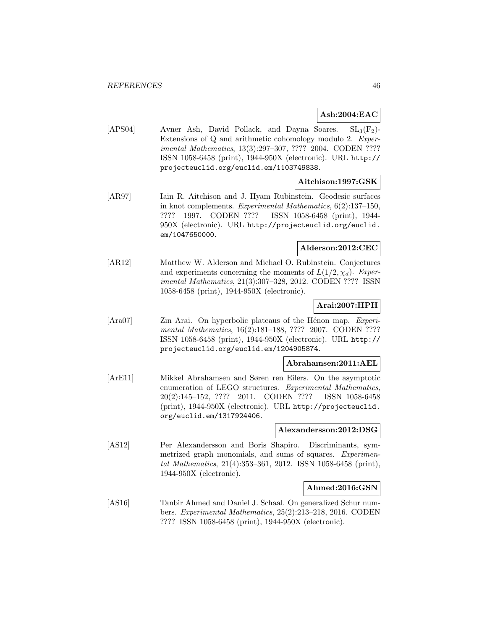# **Ash:2004:EAC**

[APS04] Avner Ash, David Pollack, and Dayna Soares.  $SL_3(F_2)$ -Extensions of Q and arithmetic cohomology modulo 2. Experimental Mathematics, 13(3):297–307, ???? 2004. CODEN ???? ISSN 1058-6458 (print), 1944-950X (electronic). URL http:// projecteuclid.org/euclid.em/1103749838.

## **Aitchison:1997:GSK**

[AR97] Iain R. Aitchison and J. Hyam Rubinstein. Geodesic surfaces in knot complements. Experimental Mathematics, 6(2):137–150, ???? 1997. CODEN ???? ISSN 1058-6458 (print), 1944- 950X (electronic). URL http://projecteuclid.org/euclid. em/1047650000.

## **Alderson:2012:CEC**

[AR12] Matthew W. Alderson and Michael O. Rubinstein. Conjectures and experiments concerning the moments of  $L(1/2, \chi_d)$ . Experimental Mathematics, 21(3):307–328, 2012. CODEN ???? ISSN 1058-6458 (print), 1944-950X (electronic).

### **Arai:2007:HPH**

[Ara07] Zin Arai. On hyperbolic plateaus of the Hénon map. *Experi*mental Mathematics, 16(2):181–188, ???? 2007. CODEN ???? ISSN 1058-6458 (print), 1944-950X (electronic). URL http:// projecteuclid.org/euclid.em/1204905874.

#### **Abrahamsen:2011:AEL**

[ArE11] Mikkel Abrahamsen and Søren ren Eilers. On the asymptotic enumeration of LEGO structures. Experimental Mathematics, 20(2):145–152, ???? 2011. CODEN ???? ISSN 1058-6458 (print), 1944-950X (electronic). URL http://projecteuclid. org/euclid.em/1317924406.

#### **Alexandersson:2012:DSG**

[AS12] Per Alexandersson and Boris Shapiro. Discriminants, symmetrized graph monomials, and sums of squares. *Experimen*tal Mathematics, 21(4):353–361, 2012. ISSN 1058-6458 (print), 1944-950X (electronic).

#### **Ahmed:2016:GSN**

[AS16] Tanbir Ahmed and Daniel J. Schaal. On generalized Schur numbers. Experimental Mathematics, 25(2):213–218, 2016. CODEN ???? ISSN 1058-6458 (print), 1944-950X (electronic).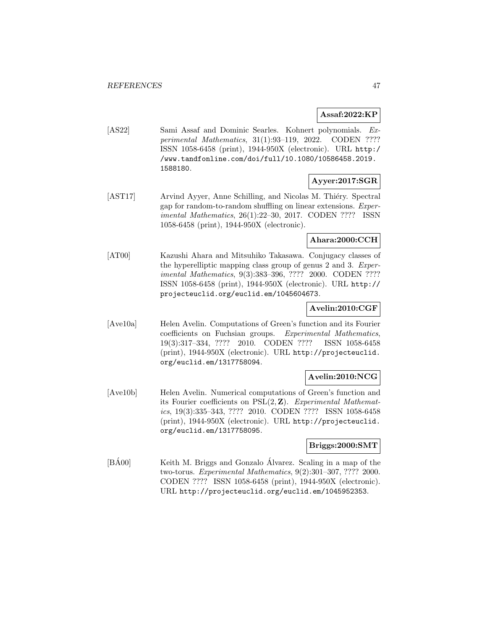### **Assaf:2022:KP**

[AS22] Sami Assaf and Dominic Searles. Kohnert polynomials. Experimental Mathematics, 31(1):93–119, 2022. CODEN ???? ISSN 1058-6458 (print), 1944-950X (electronic). URL http:/ /www.tandfonline.com/doi/full/10.1080/10586458.2019. 1588180.

# **Ayyer:2017:SGR**

[AST17] Arvind Ayyer, Anne Schilling, and Nicolas M. Thiéry. Spectral gap for random-to-random shuffling on linear extensions. Experimental Mathematics, 26(1):22–30, 2017. CODEN ???? ISSN 1058-6458 (print), 1944-950X (electronic).

# **Ahara:2000:CCH**

[AT00] Kazushi Ahara and Mitsuhiko Takasawa. Conjugacy classes of the hyperelliptic mapping class group of genus 2 and 3. Experimental Mathematics, 9(3):383–396, ???? 2000. CODEN ???? ISSN 1058-6458 (print), 1944-950X (electronic). URL http:// projecteuclid.org/euclid.em/1045604673.

## **Avelin:2010:CGF**

[Ave10a] Helen Avelin. Computations of Green's function and its Fourier coefficients on Fuchsian groups. Experimental Mathematics, 19(3):317–334, ???? 2010. CODEN ???? ISSN 1058-6458 (print), 1944-950X (electronic). URL http://projecteuclid. org/euclid.em/1317758094.

# **Avelin:2010:NCG**

[Ave10b] Helen Avelin. Numerical computations of Green's function and its Fourier coefficients on PSL(2, **Z**). Experimental Mathematics, 19(3):335–343, ???? 2010. CODEN ???? ISSN 1058-6458 (print), 1944-950X (electronic). URL http://projecteuclid. org/euclid.em/1317758095.

# **Briggs:2000:SMT**

[BA00] Keith M. Briggs and Gonzalo Álvarez. Scaling in a map of the two-torus. Experimental Mathematics, 9(2):301–307, ???? 2000. CODEN ???? ISSN 1058-6458 (print), 1944-950X (electronic). URL http://projecteuclid.org/euclid.em/1045952353.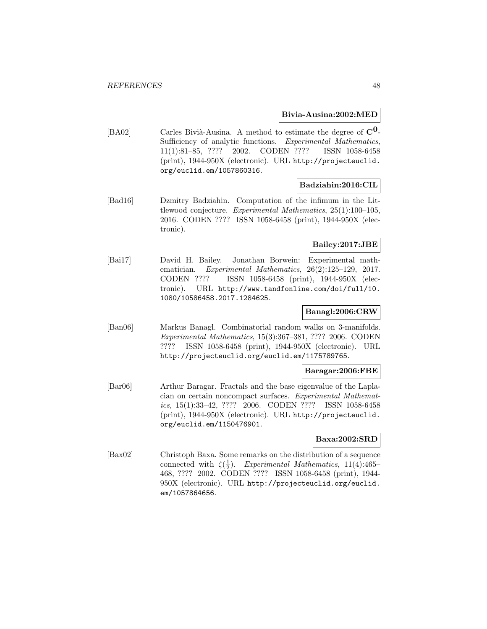### **Bivia-Ausina:2002:MED**

[BA02] Carles Bivià-Ausina. A method to estimate the degree of  $\mathbf{C}^{\mathbf{0}}$ -Sufficiency of analytic functions. Experimental Mathematics, 11(1):81–85, ???? 2002. CODEN ???? ISSN 1058-6458 (print), 1944-950X (electronic). URL http://projecteuclid. org/euclid.em/1057860316.

## **Badziahin:2016:CIL**

[Bad16] Dzmitry Badziahin. Computation of the infimum in the Littlewood conjecture. Experimental Mathematics, 25(1):100–105, 2016. CODEN ???? ISSN 1058-6458 (print), 1944-950X (electronic).

## **Bailey:2017:JBE**

[Bai17] David H. Bailey. Jonathan Borwein: Experimental mathematician. Experimental Mathematics, 26(2):125–129, 2017. CODEN ???? ISSN 1058-6458 (print), 1944-950X (electronic). URL http://www.tandfonline.com/doi/full/10. 1080/10586458.2017.1284625.

### **Banagl:2006:CRW**

[Ban06] Markus Banagl. Combinatorial random walks on 3-manifolds. Experimental Mathematics, 15(3):367–381, ???? 2006. CODEN ???? ISSN 1058-6458 (print), 1944-950X (electronic). URL http://projecteuclid.org/euclid.em/1175789765.

### **Baragar:2006:FBE**

[Bar06] Arthur Baragar. Fractals and the base eigenvalue of the Laplacian on certain noncompact surfaces. Experimental Mathematics, 15(1):33–42, ???? 2006. CODEN ???? ISSN 1058-6458 (print), 1944-950X (electronic). URL http://projecteuclid. org/euclid.em/1150476901.

### **Baxa:2002:SRD**

[Bax02] Christoph Baxa. Some remarks on the distribution of a sequence connected with  $\zeta(\frac{1}{2})$ . Experimental Mathematics, 11(4):465– 468, ???? 2002. CODEN ???? ISSN 1058-6458 (print), 1944- 950X (electronic). URL http://projecteuclid.org/euclid. em/1057864656.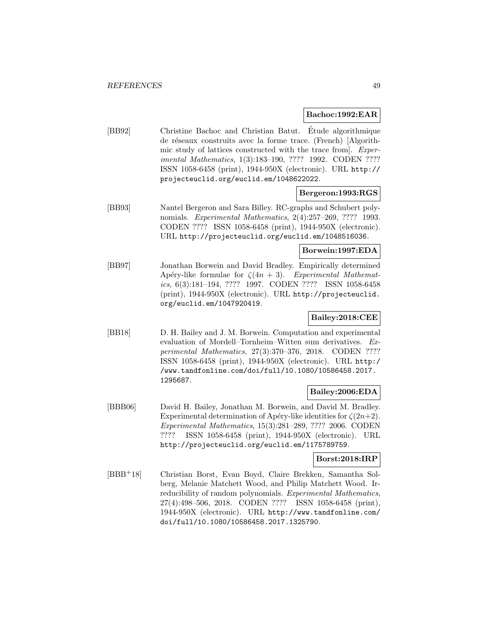### **Bachoc:1992:EAR**

[BB92] Christine Bachoc and Christian Batut. Etude algorithmique ´ de réseaux construits avec la forme trace. (French) [Algorithmic study of lattices constructed with the trace from]. Experimental Mathematics, 1(3):183–190, ???? 1992. CODEN ???? ISSN 1058-6458 (print), 1944-950X (electronic). URL http:// projecteuclid.org/euclid.em/1048622022.

### **Bergeron:1993:RGS**

[BB93] Nantel Bergeron and Sara Billey. RC-graphs and Schubert polynomials. Experimental Mathematics, 2(4):257–269, ???? 1993. CODEN ???? ISSN 1058-6458 (print), 1944-950X (electronic). URL http://projecteuclid.org/euclid.em/1048516036.

### **Borwein:1997:EDA**

[BB97] Jonathan Borwein and David Bradley. Empirically determined Apéry-like formulae for  $\zeta(4n+3)$ . Experimental Mathematics, 6(3):181–194, ???? 1997. CODEN ???? ISSN 1058-6458 (print), 1944-950X (electronic). URL http://projecteuclid. org/euclid.em/1047920419.

# **Bailey:2018:CEE**

[BB18] D. H. Bailey and J. M. Borwein. Computation and experimental evaluation of Mordell–Tornheim–Witten sum derivatives. Experimental Mathematics, 27(3):370–376, 2018. CODEN ???? ISSN 1058-6458 (print), 1944-950X (electronic). URL http:/ /www.tandfonline.com/doi/full/10.1080/10586458.2017. 1295687.

# **Bailey:2006:EDA**

[BBB06] David H. Bailey, Jonathan M. Borwein, and David M. Bradley. Experimental determination of Apéry-like identities for  $\zeta(2n+2)$ . Experimental Mathematics, 15(3):281–289, ???? 2006. CODEN ???? ISSN 1058-6458 (print), 1944-950X (electronic). URL http://projecteuclid.org/euclid.em/1175789759.

### **Borst:2018:IRP**

[BBB<sup>+</sup>18] Christian Borst, Evan Boyd, Claire Brekken, Samantha Solberg, Melanie Matchett Wood, and Philip Matchett Wood. Irreducibility of random polynomials. Experimental Mathematics, 27(4):498–506, 2018. CODEN ???? ISSN 1058-6458 (print), 1944-950X (electronic). URL http://www.tandfonline.com/ doi/full/10.1080/10586458.2017.1325790.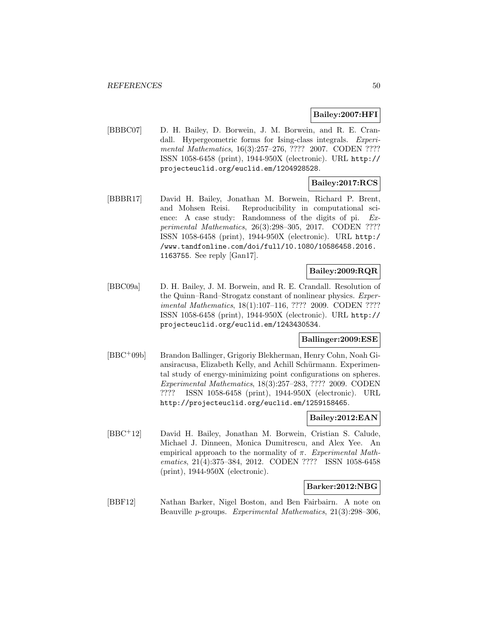## **Bailey:2007:HFI**

[BBBC07] D. H. Bailey, D. Borwein, J. M. Borwein, and R. E. Crandall. Hypergeometric forms for Ising-class integrals. Experimental Mathematics, 16(3):257–276, ???? 2007. CODEN ???? ISSN 1058-6458 (print), 1944-950X (electronic). URL http:// projecteuclid.org/euclid.em/1204928528.

# **Bailey:2017:RCS**

[BBBR17] David H. Bailey, Jonathan M. Borwein, Richard P. Brent, and Mohsen Reisi. Reproducibility in computational science: A case study: Randomness of the digits of pi. Experimental Mathematics, 26(3):298–305, 2017. CODEN ???? ISSN 1058-6458 (print), 1944-950X (electronic). URL http:/ /www.tandfonline.com/doi/full/10.1080/10586458.2016. 1163755. See reply [Gan17].

## **Bailey:2009:RQR**

[BBC09a] D. H. Bailey, J. M. Borwein, and R. E. Crandall. Resolution of the Quinn–Rand–Strogatz constant of nonlinear physics. Experimental Mathematics, 18(1):107–116, ???? 2009. CODEN ???? ISSN 1058-6458 (print), 1944-950X (electronic). URL http:// projecteuclid.org/euclid.em/1243430534.

## **Ballinger:2009:ESE**

[BBC<sup>+</sup>09b] Brandon Ballinger, Grigoriy Blekherman, Henry Cohn, Noah Giansiracusa, Elizabeth Kelly, and Achill Schürmann. Experimental study of energy-minimizing point configurations on spheres. Experimental Mathematics, 18(3):257–283, ???? 2009. CODEN ???? ISSN 1058-6458 (print), 1944-950X (electronic). URL http://projecteuclid.org/euclid.em/1259158465.

# **Bailey:2012:EAN**

[BBC<sup>+</sup>12] David H. Bailey, Jonathan M. Borwein, Cristian S. Calude, Michael J. Dinneen, Monica Dumitrescu, and Alex Yee. An empirical approach to the normality of  $\pi$ . Experimental Mathematics, 21(4):375–384, 2012. CODEN ???? ISSN 1058-6458 (print), 1944-950X (electronic).

#### **Barker:2012:NBG**

[BBF12] Nathan Barker, Nigel Boston, and Ben Fairbairn. A note on Beauville p-groups. Experimental Mathematics, 21(3):298–306,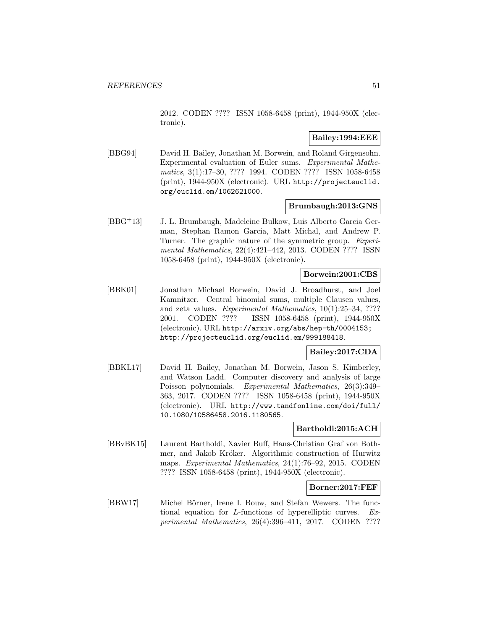2012. CODEN ???? ISSN 1058-6458 (print), 1944-950X (electronic).

## **Bailey:1994:EEE**

[BBG94] David H. Bailey, Jonathan M. Borwein, and Roland Girgensohn. Experimental evaluation of Euler sums. Experimental Mathematics, 3(1):17–30, ???? 1994. CODEN ???? ISSN 1058-6458 (print), 1944-950X (electronic). URL http://projecteuclid. org/euclid.em/1062621000.

### **Brumbaugh:2013:GNS**

[BBG<sup>+</sup>13] J. L. Brumbaugh, Madeleine Bulkow, Luis Alberto Garcia German, Stephan Ramon Garcia, Matt Michal, and Andrew P. Turner. The graphic nature of the symmetric group. Experimental Mathematics, 22(4):421–442, 2013. CODEN ???? ISSN 1058-6458 (print), 1944-950X (electronic).

### **Borwein:2001:CBS**

[BBK01] Jonathan Michael Borwein, David J. Broadhurst, and Joel Kamnitzer. Central binomial sums, multiple Clausen values, and zeta values. Experimental Mathematics, 10(1):25–34, ???? 2001. CODEN ???? ISSN 1058-6458 (print), 1944-950X (electronic). URL http://arxiv.org/abs/hep-th/0004153; http://projecteuclid.org/euclid.em/999188418.

## **Bailey:2017:CDA**

[BBKL17] David H. Bailey, Jonathan M. Borwein, Jason S. Kimberley, and Watson Ladd. Computer discovery and analysis of large Poisson polynomials. Experimental Mathematics, 26(3):349– 363, 2017. CODEN ???? ISSN 1058-6458 (print), 1944-950X (electronic). URL http://www.tandfonline.com/doi/full/ 10.1080/10586458.2016.1180565.

### **Bartholdi:2015:ACH**

[BBvBK15] Laurent Bartholdi, Xavier Buff, Hans-Christian Graf von Bothmer, and Jakob Kröker. Algorithmic construction of Hurwitz maps. Experimental Mathematics, 24(1):76–92, 2015. CODEN ???? ISSN 1058-6458 (print), 1944-950X (electronic).

#### **Borner:2017:FEF**

[BBW17] Michel Börner, Irene I. Bouw, and Stefan Wewers. The functional equation for L-functions of hyperelliptic curves. Experimental Mathematics, 26(4):396–411, 2017. CODEN ????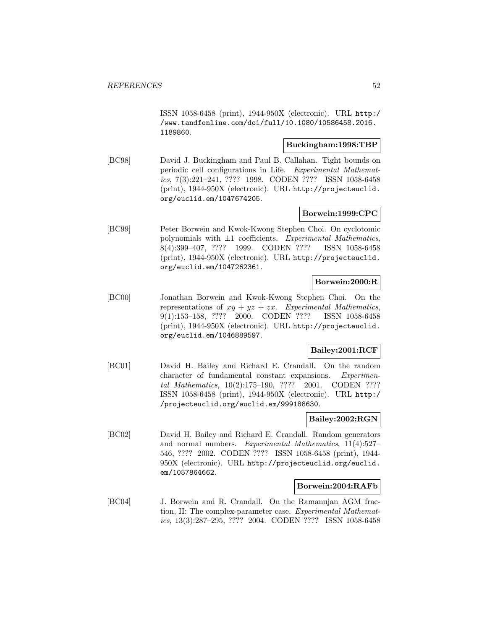ISSN 1058-6458 (print), 1944-950X (electronic). URL http:/ /www.tandfonline.com/doi/full/10.1080/10586458.2016. 1189860.

## **Buckingham:1998:TBP**

[BC98] David J. Buckingham and Paul B. Callahan. Tight bounds on periodic cell configurations in Life. Experimental Mathematics, 7(3):221–241, ???? 1998. CODEN ???? ISSN 1058-6458 (print), 1944-950X (electronic). URL http://projecteuclid. org/euclid.em/1047674205.

## **Borwein:1999:CPC**

[BC99] Peter Borwein and Kwok-Kwong Stephen Choi. On cyclotomic polynomials with  $\pm 1$  coefficients. Experimental Mathematics, 8(4):399–407, ???? 1999. CODEN ???? ISSN 1058-6458 (print), 1944-950X (electronic). URL http://projecteuclid. org/euclid.em/1047262361.

## **Borwein:2000:R**

[BC00] Jonathan Borwein and Kwok-Kwong Stephen Choi. On the representations of  $xy + yz + zx$ . Experimental Mathematics, 9(1):153–158, ???? 2000. CODEN ???? ISSN 1058-6458 (print), 1944-950X (electronic). URL http://projecteuclid. org/euclid.em/1046889597.

# **Bailey:2001:RCF**

[BC01] David H. Bailey and Richard E. Crandall. On the random character of fundamental constant expansions. Experimental Mathematics, 10(2):175–190, ???? 2001. CODEN ???? ISSN 1058-6458 (print), 1944-950X (electronic). URL http:/ /projecteuclid.org/euclid.em/999188630.

# **Bailey:2002:RGN**

[BC02] David H. Bailey and Richard E. Crandall. Random generators and normal numbers. Experimental Mathematics, 11(4):527– 546, ???? 2002. CODEN ???? ISSN 1058-6458 (print), 1944- 950X (electronic). URL http://projecteuclid.org/euclid. em/1057864662.

### **Borwein:2004:RAFb**

[BC04] J. Borwein and R. Crandall. On the Ramanujan AGM fraction, II: The complex-parameter case. Experimental Mathematics, 13(3):287–295, ???? 2004. CODEN ???? ISSN 1058-6458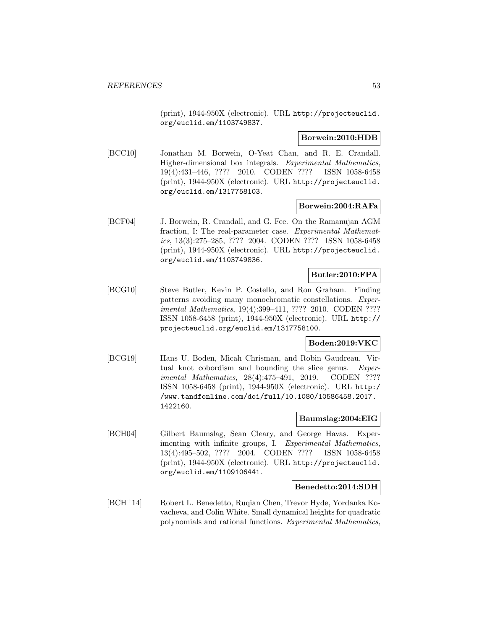(print), 1944-950X (electronic). URL http://projecteuclid. org/euclid.em/1103749837.

### **Borwein:2010:HDB**

[BCC10] Jonathan M. Borwein, O-Yeat Chan, and R. E. Crandall. Higher-dimensional box integrals. Experimental Mathematics, 19(4):431–446, ???? 2010. CODEN ???? ISSN 1058-6458 (print), 1944-950X (electronic). URL http://projecteuclid. org/euclid.em/1317758103.

### **Borwein:2004:RAFa**

[BCF04] J. Borwein, R. Crandall, and G. Fee. On the Ramanujan AGM fraction, I: The real-parameter case. Experimental Mathematics, 13(3):275–285, ???? 2004. CODEN ???? ISSN 1058-6458 (print), 1944-950X (electronic). URL http://projecteuclid. org/euclid.em/1103749836.

## **Butler:2010:FPA**

[BCG10] Steve Butler, Kevin P. Costello, and Ron Graham. Finding patterns avoiding many monochromatic constellations. Experimental Mathematics, 19(4):399–411, ???? 2010. CODEN ???? ISSN 1058-6458 (print), 1944-950X (electronic). URL http:// projecteuclid.org/euclid.em/1317758100.

### **Boden:2019:VKC**

[BCG19] Hans U. Boden, Micah Chrisman, and Robin Gaudreau. Virtual knot cobordism and bounding the slice genus. Experimental Mathematics, 28(4):475-491, 2019. CODEN ???? ISSN 1058-6458 (print), 1944-950X (electronic). URL http:/ /www.tandfonline.com/doi/full/10.1080/10586458.2017. 1422160.

### **Baumslag:2004:EIG**

[BCH04] Gilbert Baumslag, Sean Cleary, and George Havas. Experimenting with infinite groups, I. Experimental Mathematics, 13(4):495–502, ???? 2004. CODEN ???? ISSN 1058-6458 (print), 1944-950X (electronic). URL http://projecteuclid. org/euclid.em/1109106441.

### **Benedetto:2014:SDH**

[BCH<sup>+</sup>14] Robert L. Benedetto, Ruqian Chen, Trevor Hyde, Yordanka Kovacheva, and Colin White. Small dynamical heights for quadratic polynomials and rational functions. Experimental Mathematics,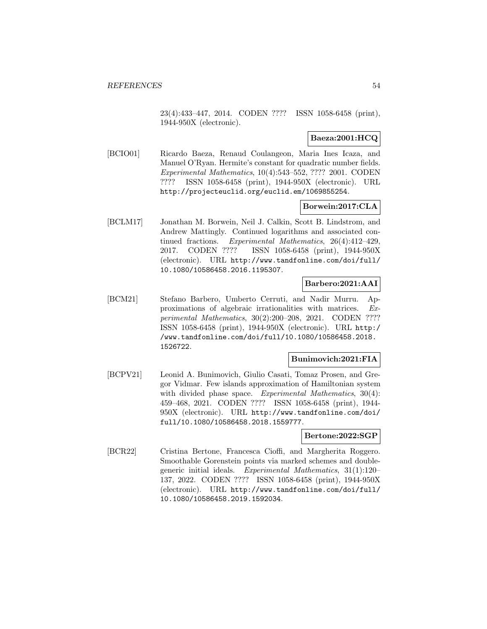23(4):433–447, 2014. CODEN ???? ISSN 1058-6458 (print), 1944-950X (electronic).

## **Baeza:2001:HCQ**

[BCIO01] Ricardo Baeza, Renaud Coulangeon, Maria Ines Icaza, and Manuel O'Ryan. Hermite's constant for quadratic number fields. Experimental Mathematics, 10(4):543–552, ???? 2001. CODEN ???? ISSN 1058-6458 (print), 1944-950X (electronic). URL http://projecteuclid.org/euclid.em/1069855254.

# **Borwein:2017:CLA**

[BCLM17] Jonathan M. Borwein, Neil J. Calkin, Scott B. Lindstrom, and Andrew Mattingly. Continued logarithms and associated continued fractions. Experimental Mathematics, 26(4):412–429, 2017. CODEN ???? ISSN 1058-6458 (print), 1944-950X (electronic). URL http://www.tandfonline.com/doi/full/ 10.1080/10586458.2016.1195307.

### **Barbero:2021:AAI**

[BCM21] Stefano Barbero, Umberto Cerruti, and Nadir Murru. Approximations of algebraic irrationalities with matrices. Experimental Mathematics, 30(2):200–208, 2021. CODEN ???? ISSN 1058-6458 (print), 1944-950X (electronic). URL http:/ /www.tandfonline.com/doi/full/10.1080/10586458.2018. 1526722.

### **Bunimovich:2021:FIA**

[BCPV21] Leonid A. Bunimovich, Giulio Casati, Tomaz Prosen, and Gregor Vidmar. Few islands approximation of Hamiltonian system with divided phase space. Experimental Mathematics, 30(4): 459–468, 2021. CODEN ???? ISSN 1058-6458 (print), 1944- 950X (electronic). URL http://www.tandfonline.com/doi/ full/10.1080/10586458.2018.1559777.

### **Bertone:2022:SGP**

[BCR22] Cristina Bertone, Francesca Cioffi, and Margherita Roggero. Smoothable Gorenstein points via marked schemes and doublegeneric initial ideals. Experimental Mathematics, 31(1):120– 137, 2022. CODEN ???? ISSN 1058-6458 (print), 1944-950X (electronic). URL http://www.tandfonline.com/doi/full/ 10.1080/10586458.2019.1592034.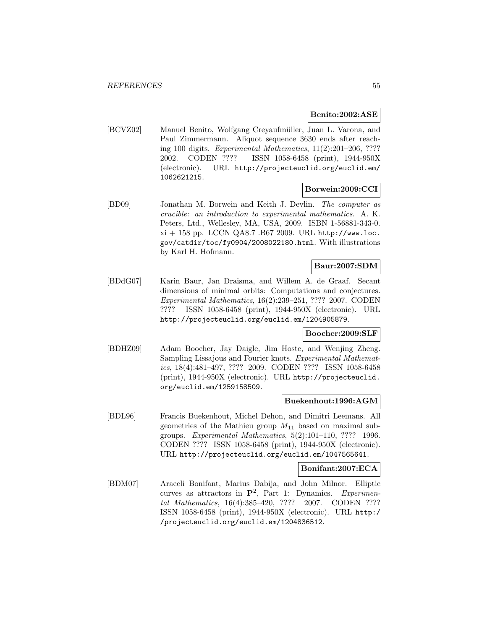### **Benito:2002:ASE**

[BCVZ02] Manuel Benito, Wolfgang Creyaufmüller, Juan L. Varona, and Paul Zimmermann. Aliquot sequence 3630 ends after reaching 100 digits. Experimental Mathematics, 11(2):201–206, ???? 2002. CODEN ???? ISSN 1058-6458 (print), 1944-950X (electronic). URL http://projecteuclid.org/euclid.em/ 1062621215.

## **Borwein:2009:CCI**

[BD09] Jonathan M. Borwein and Keith J. Devlin. The computer as crucible: an introduction to experimental mathematics. A. K. Peters, Ltd., Wellesley, MA, USA, 2009. ISBN 1-56881-343-0.  $xi + 158$  pp. LCCN QA8.7 .B67 2009. URL http://www.loc. gov/catdir/toc/fy0904/2008022180.html. With illustrations by Karl H. Hofmann.

### **Baur:2007:SDM**

[BDdG07] Karin Baur, Jan Draisma, and Willem A. de Graaf. Secant dimensions of minimal orbits: Computations and conjectures. Experimental Mathematics, 16(2):239–251, ???? 2007. CODEN ???? ISSN 1058-6458 (print), 1944-950X (electronic). URL http://projecteuclid.org/euclid.em/1204905879.

### **Boocher:2009:SLF**

[BDHZ09] Adam Boocher, Jay Daigle, Jim Hoste, and Wenjing Zheng. Sampling Lissajous and Fourier knots. Experimental Mathematics, 18(4):481–497, ???? 2009. CODEN ???? ISSN 1058-6458 (print), 1944-950X (electronic). URL http://projecteuclid. org/euclid.em/1259158509.

### **Buekenhout:1996:AGM**

[BDL96] Francis Buekenhout, Michel Dehon, and Dimitri Leemans. All geometries of the Mathieu group  $M_{11}$  based on maximal subgroups. Experimental Mathematics, 5(2):101–110, ???? 1996. CODEN ???? ISSN 1058-6458 (print), 1944-950X (electronic). URL http://projecteuclid.org/euclid.em/1047565641.

#### **Bonifant:2007:ECA**

[BDM07] Araceli Bonifant, Marius Dabija, and John Milnor. Elliptic curves as attractors in  $\mathbf{P}^2$ , Part 1: Dynamics. Experimental Mathematics, 16(4):385–420, ???? 2007. CODEN ???? ISSN 1058-6458 (print), 1944-950X (electronic). URL http:/ /projecteuclid.org/euclid.em/1204836512.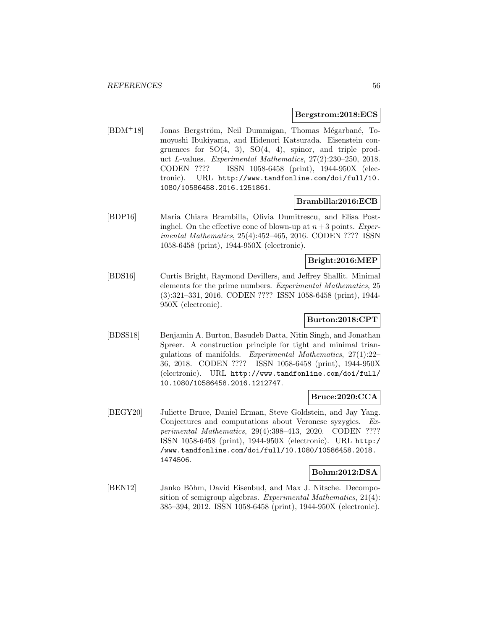#### **Bergstrom:2018:ECS**

[BDM<sup>+</sup>18] Jonas Bergström, Neil Dummigan, Thomas Mégarbané, Tomoyoshi Ibukiyama, and Hidenori Katsurada. Eisenstein congruences for  $SO(4, 3)$ ,  $SO(4, 4)$ , spinor, and triple product L-values. Experimental Mathematics, 27(2):230–250, 2018. CODEN ???? ISSN 1058-6458 (print), 1944-950X (electronic). URL http://www.tandfonline.com/doi/full/10. 1080/10586458.2016.1251861.

### **Brambilla:2016:ECB**

[BDP16] Maria Chiara Brambilla, Olivia Dumitrescu, and Elisa Postinghel. On the effective cone of blown-up at  $n+3$  points. Experimental Mathematics, 25(4):452–465, 2016. CODEN ???? ISSN 1058-6458 (print), 1944-950X (electronic).

### **Bright:2016:MEP**

[BDS16] Curtis Bright, Raymond Devillers, and Jeffrey Shallit. Minimal elements for the prime numbers. Experimental Mathematics, 25 (3):321–331, 2016. CODEN ???? ISSN 1058-6458 (print), 1944- 950X (electronic).

# **Burton:2018:CPT**

[BDSS18] Benjamin A. Burton, Basudeb Datta, Nitin Singh, and Jonathan Spreer. A construction principle for tight and minimal triangulations of manifolds. Experimental Mathematics, 27(1):22– 36, 2018. CODEN ???? ISSN 1058-6458 (print), 1944-950X (electronic). URL http://www.tandfonline.com/doi/full/ 10.1080/10586458.2016.1212747.

## **Bruce:2020:CCA**

[BEGY20] Juliette Bruce, Daniel Erman, Steve Goldstein, and Jay Yang. Conjectures and computations about Veronese syzygies. Experimental Mathematics, 29(4):398–413, 2020. CODEN ???? ISSN 1058-6458 (print), 1944-950X (electronic). URL http:/ /www.tandfonline.com/doi/full/10.1080/10586458.2018. 1474506.

# **Bohm:2012:DSA**

[BEN12] Janko Böhm, David Eisenbud, and Max J. Nitsche. Decomposition of semigroup algebras. Experimental Mathematics, 21(4): 385–394, 2012. ISSN 1058-6458 (print), 1944-950X (electronic).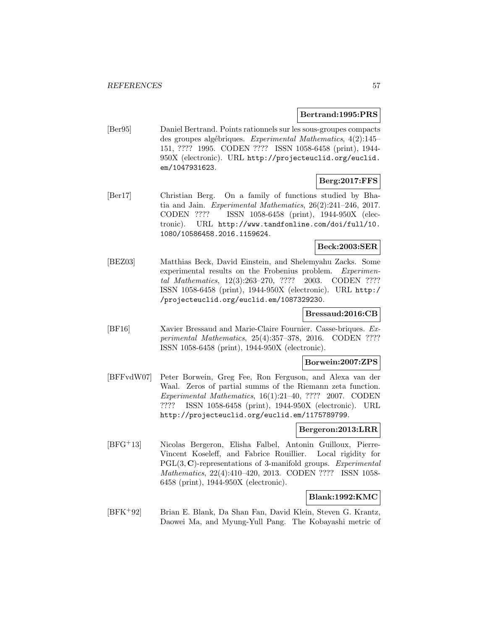### **Bertrand:1995:PRS**

[Ber95] Daniel Bertrand. Points rationnels sur les sous-groupes compacts des groupes algébriques. Experimental Mathematics, 4(2):145– 151, ???? 1995. CODEN ???? ISSN 1058-6458 (print), 1944- 950X (electronic). URL http://projecteuclid.org/euclid. em/1047931623.

# **Berg:2017:FFS**

[Ber17] Christian Berg. On a family of functions studied by Bhatia and Jain. Experimental Mathematics, 26(2):241–246, 2017. CODEN ???? ISSN 1058-6458 (print), 1944-950X (electronic). URL http://www.tandfonline.com/doi/full/10. 1080/10586458.2016.1159624.

### **Beck:2003:SER**

[BEZ03] Matthias Beck, David Einstein, and Shelemyahu Zacks. Some experimental results on the Frobenius problem. Experimental Mathematics, 12(3):263–270, ???? 2003. CODEN ???? ISSN 1058-6458 (print), 1944-950X (electronic). URL http:/ /projecteuclid.org/euclid.em/1087329230.

## **Bressaud:2016:CB**

[BF16] Xavier Bressaud and Marie-Claire Fournier. Casse-briques. Experimental Mathematics, 25(4):357–378, 2016. CODEN ???? ISSN 1058-6458 (print), 1944-950X (electronic).

### **Borwein:2007:ZPS**

[BFFvdW07] Peter Borwein, Greg Fee, Ron Ferguson, and Alexa van der Waal. Zeros of partial summs of the Riemann zeta function. Experimental Mathematics, 16(1):21–40, ???? 2007. CODEN ???? ISSN 1058-6458 (print), 1944-950X (electronic). URL http://projecteuclid.org/euclid.em/1175789799.

### **Bergeron:2013:LRR**

[BFG<sup>+</sup>13] Nicolas Bergeron, Elisha Falbel, Antonin Guilloux, Pierre-Vincent Koseleff, and Fabrice Rouillier. Local rigidity for PGL(3, **C**)-representations of 3-manifold groups. *Experimental* Mathematics, 22(4):410–420, 2013. CODEN ???? ISSN 1058- 6458 (print), 1944-950X (electronic).

## **Blank:1992:KMC**

[BFK<sup>+</sup>92] Brian E. Blank, Da Shan Fan, David Klein, Steven G. Krantz, Daowei Ma, and Myung-Yull Pang. The Kobayashi metric of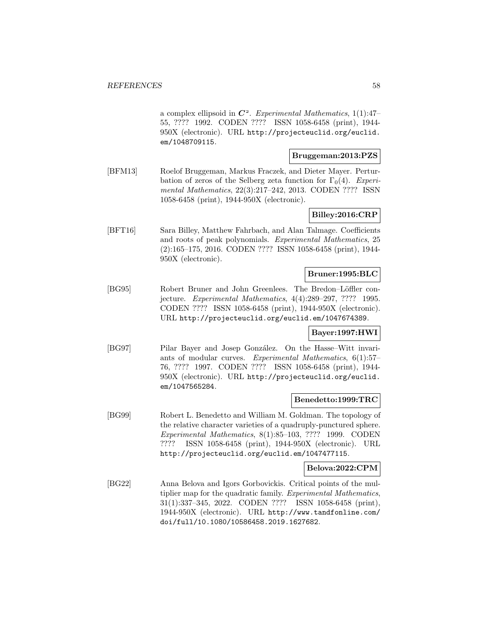a complex ellipsoid in  $\mathbb{C}^2$ . Experimental Mathematics, 1(1):47– 55, ???? 1992. CODEN ???? ISSN 1058-6458 (print), 1944- 950X (electronic). URL http://projecteuclid.org/euclid. em/1048709115.

### **Bruggeman:2013:PZS**

[BFM13] Roelof Bruggeman, Markus Fraczek, and Dieter Mayer. Perturbation of zeros of the Selberg zeta function for  $\Gamma_0(4)$ . Experimental Mathematics, 22(3):217–242, 2013. CODEN ???? ISSN 1058-6458 (print), 1944-950X (electronic).

## **Billey:2016:CRP**

[BFT16] Sara Billey, Matthew Fahrbach, and Alan Talmage. Coefficients and roots of peak polynomials. Experimental Mathematics, 25 (2):165–175, 2016. CODEN ???? ISSN 1058-6458 (print), 1944- 950X (electronic).

### **Bruner:1995:BLC**

[BG95] Robert Bruner and John Greenlees. The Bredon–Löffler conjecture. Experimental Mathematics, 4(4):289–297, ???? 1995. CODEN ???? ISSN 1058-6458 (print), 1944-950X (electronic). URL http://projecteuclid.org/euclid.em/1047674389.

### **Bayer:1997:HWI**

[BG97] Pilar Bayer and Josep González. On the Hasse–Witt invariants of modular curves. Experimental Mathematics, 6(1):57– 76, ???? 1997. CODEN ???? ISSN 1058-6458 (print), 1944- 950X (electronic). URL http://projecteuclid.org/euclid. em/1047565284.

### **Benedetto:1999:TRC**

[BG99] Robert L. Benedetto and William M. Goldman. The topology of the relative character varieties of a quadruply-punctured sphere. Experimental Mathematics, 8(1):85–103, ???? 1999. CODEN ???? ISSN 1058-6458 (print), 1944-950X (electronic). URL http://projecteuclid.org/euclid.em/1047477115.

#### **Belova:2022:CPM**

[BG22] Anna Belova and Igors Gorbovickis. Critical points of the multiplier map for the quadratic family. Experimental Mathematics, 31(1):337–345, 2022. CODEN ???? ISSN 1058-6458 (print), 1944-950X (electronic). URL http://www.tandfonline.com/ doi/full/10.1080/10586458.2019.1627682.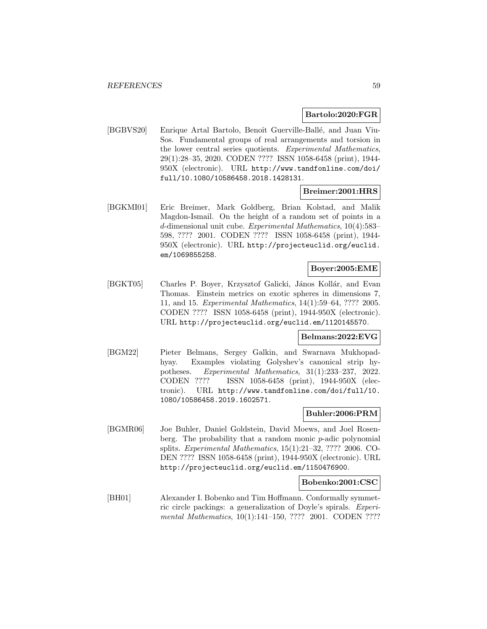### **Bartolo:2020:FGR**

[BGBVS20] Enrique Artal Bartolo, Benoît Guerville-Ballé, and Juan Viu-Sos. Fundamental groups of real arrangements and torsion in the lower central series quotients. Experimental Mathematics, 29(1):28–35, 2020. CODEN ???? ISSN 1058-6458 (print), 1944- 950X (electronic). URL http://www.tandfonline.com/doi/ full/10.1080/10586458.2018.1428131.

### **Breimer:2001:HRS**

[BGKMI01] Eric Breimer, Mark Goldberg, Brian Kolstad, and Malik Magdon-Ismail. On the height of a random set of points in a d-dimensional unit cube. Experimental Mathematics, 10(4):583– 598, ???? 2001. CODEN ???? ISSN 1058-6458 (print), 1944- 950X (electronic). URL http://projecteuclid.org/euclid. em/1069855258.

### **Boyer:2005:EME**

[BGKT05] Charles P. Boyer, Krzysztof Galicki, János Kollár, and Evan Thomas. Einstein metrics on exotic spheres in dimensions 7, 11, and 15. Experimental Mathematics, 14(1):59–64, ???? 2005. CODEN ???? ISSN 1058-6458 (print), 1944-950X (electronic). URL http://projecteuclid.org/euclid.em/1120145570.

### **Belmans:2022:EVG**

[BGM22] Pieter Belmans, Sergey Galkin, and Swarnava Mukhopadhyay. Examples violating Golyshev's canonical strip hypotheses. Experimental Mathematics, 31(1):233–237, 2022. CODEN ???? ISSN 1058-6458 (print), 1944-950X (electronic). URL http://www.tandfonline.com/doi/full/10. 1080/10586458.2019.1602571.

### **Buhler:2006:PRM**

[BGMR06] Joe Buhler, Daniel Goldstein, David Moews, and Joel Rosenberg. The probability that a random monic p-adic polynomial splits. Experimental Mathematics, 15(1):21–32, ???? 2006. CO-DEN ???? ISSN 1058-6458 (print), 1944-950X (electronic). URL http://projecteuclid.org/euclid.em/1150476900.

#### **Bobenko:2001:CSC**

[BH01] Alexander I. Bobenko and Tim Hoffmann. Conformally symmetric circle packings: a generalization of Doyle's spirals. Experimental Mathematics, 10(1):141-150, ???? 2001. CODEN ????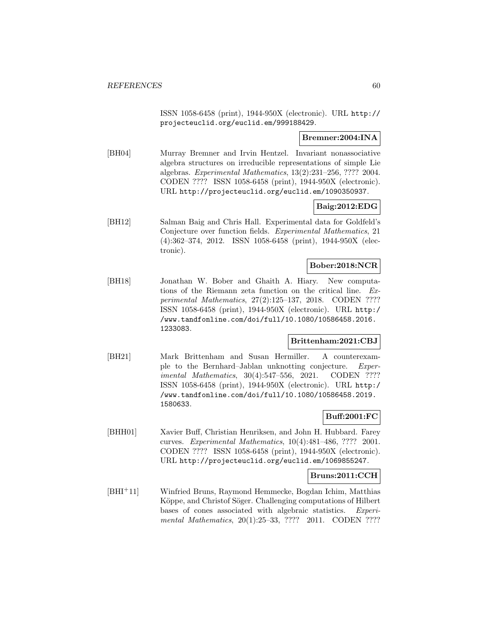ISSN 1058-6458 (print), 1944-950X (electronic). URL http:// projecteuclid.org/euclid.em/999188429.

## **Bremner:2004:INA**

[BH04] Murray Bremner and Irvin Hentzel. Invariant nonassociative algebra structures on irreducible representations of simple Lie algebras. Experimental Mathematics, 13(2):231–256, ???? 2004. CODEN ???? ISSN 1058-6458 (print), 1944-950X (electronic). URL http://projecteuclid.org/euclid.em/1090350937.

# **Baig:2012:EDG**

[BH12] Salman Baig and Chris Hall. Experimental data for Goldfeld's Conjecture over function fields. Experimental Mathematics, 21 (4):362–374, 2012. ISSN 1058-6458 (print), 1944-950X (electronic).

### **Bober:2018:NCR**

[BH18] Jonathan W. Bober and Ghaith A. Hiary. New computations of the Riemann zeta function on the critical line. Experimental Mathematics, 27(2):125–137, 2018. CODEN ???? ISSN 1058-6458 (print), 1944-950X (electronic). URL http:/ /www.tandfonline.com/doi/full/10.1080/10586458.2016. 1233083.

### **Brittenham:2021:CBJ**

[BH21] Mark Brittenham and Susan Hermiller. A counterexample to the Bernhard–Jablan unknotting conjecture. Experimental Mathematics, 30(4):547-556, 2021. CODEN ???? ISSN 1058-6458 (print), 1944-950X (electronic). URL http:/ /www.tandfonline.com/doi/full/10.1080/10586458.2019. 1580633.

### **Buff:2001:FC**

[BHH01] Xavier Buff, Christian Henriksen, and John H. Hubbard. Farey curves. Experimental Mathematics, 10(4):481–486, ???? 2001. CODEN ???? ISSN 1058-6458 (print), 1944-950X (electronic). URL http://projecteuclid.org/euclid.em/1069855247.

### **Bruns:2011:CCH**

[BHI<sup>+</sup>11] Winfried Bruns, Raymond Hemmecke, Bogdan Ichim, Matthias Köppe, and Christof Söger. Challenging computations of Hilbert bases of cones associated with algebraic statistics. Experimental Mathematics, 20(1):25-33, ???? 2011. CODEN ????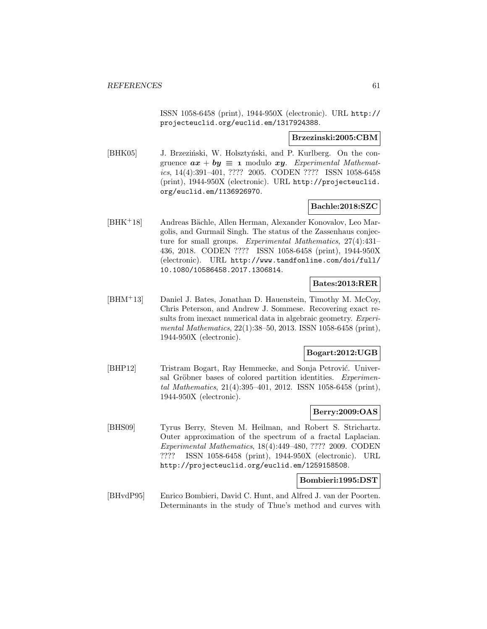ISSN 1058-6458 (print), 1944-950X (electronic). URL http:// projecteuclid.org/euclid.em/1317924388.

### **Brzezinski:2005:CBM**

[BHK05] J. Brzeziński, W. Holsztyński, and P. Kurlberg. On the congruence  $ax + by \equiv x$  modulo xy. Experimental Mathematics, 14(4):391–401, ???? 2005. CODEN ???? ISSN 1058-6458 (print), 1944-950X (electronic). URL http://projecteuclid. org/euclid.em/1136926970.

### **Bachle:2018:SZC**

[BHK<sup>+</sup>18] Andreas Bächle, Allen Herman, Alexander Konovalov, Leo Margolis, and Gurmail Singh. The status of the Zassenhaus conjecture for small groups. Experimental Mathematics, 27(4):431– 436, 2018. CODEN ???? ISSN 1058-6458 (print), 1944-950X (electronic). URL http://www.tandfonline.com/doi/full/ 10.1080/10586458.2017.1306814.

## **Bates:2013:RER**

[BHM<sup>+</sup>13] Daniel J. Bates, Jonathan D. Hauenstein, Timothy M. McCoy, Chris Peterson, and Andrew J. Sommese. Recovering exact results from inexact numerical data in algebraic geometry. Experimental Mathematics, 22(1):38–50, 2013. ISSN 1058-6458 (print), 1944-950X (electronic).

### **Bogart:2012:UGB**

[BHP12] Tristram Bogart, Ray Hemmecke, and Sonja Petrović. Universal Gröbner bases of colored partition identities. Experimental Mathematics, 21(4):395–401, 2012. ISSN 1058-6458 (print), 1944-950X (electronic).

### **Berry:2009:OAS**

[BHS09] Tyrus Berry, Steven M. Heilman, and Robert S. Strichartz. Outer approximation of the spectrum of a fractal Laplacian. Experimental Mathematics, 18(4):449–480, ???? 2009. CODEN ???? ISSN 1058-6458 (print), 1944-950X (electronic). URL http://projecteuclid.org/euclid.em/1259158508.

#### **Bombieri:1995:DST**

[BHvdP95] Enrico Bombieri, David C. Hunt, and Alfred J. van der Poorten. Determinants in the study of Thue's method and curves with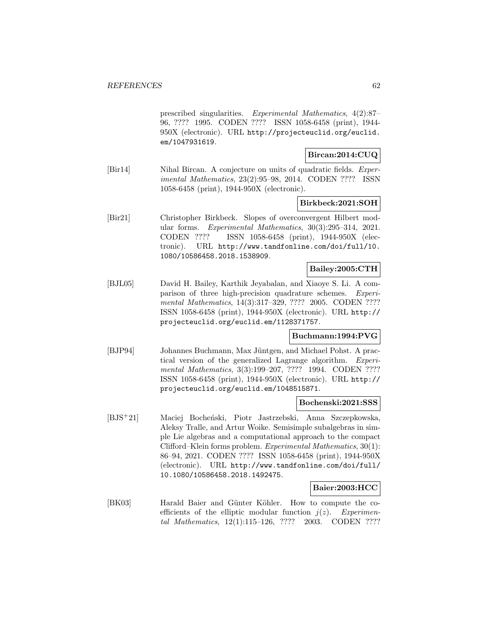prescribed singularities. Experimental Mathematics, 4(2):87– 96, ???? 1995. CODEN ???? ISSN 1058-6458 (print), 1944- 950X (electronic). URL http://projecteuclid.org/euclid. em/1047931619.

### **Bircan:2014:CUQ**

[Bir14] Nihal Bircan. A conjecture on units of quadratic fields. Experimental Mathematics, 23(2):95–98, 2014. CODEN ???? ISSN 1058-6458 (print), 1944-950X (electronic).

### **Birkbeck:2021:SOH**

[Bir21] Christopher Birkbeck. Slopes of overconvergent Hilbert modular forms. Experimental Mathematics, 30(3):295–314, 2021. CODEN ???? ISSN 1058-6458 (print), 1944-950X (electronic). URL http://www.tandfonline.com/doi/full/10. 1080/10586458.2018.1538909.

# **Bailey:2005:CTH**

[BJL05] David H. Bailey, Karthik Jeyabalan, and Xiaoye S. Li. A comparison of three high-precision quadrature schemes. Experimental Mathematics, 14(3):317–329, ???? 2005. CODEN ???? ISSN 1058-6458 (print), 1944-950X (electronic). URL http:// projecteuclid.org/euclid.em/1128371757.

### **Buchmann:1994:PVG**

[BJP94] Johannes Buchmann, Max Jüntgen, and Michael Pohst. A practical version of the generalized Lagrange algorithm. Experimental Mathematics, 3(3):199-207, ???? 1994. CODEN ???? ISSN 1058-6458 (print), 1944-950X (electronic). URL http:// projecteuclid.org/euclid.em/1048515871.

### **Bochenski:2021:SSS**

[BJS<sup>+</sup>21] Maciej Bocheński, Piotr Jastrzebski, Anna Szczepkowska, Aleksy Tralle, and Artur Woike. Semisimple subalgebras in simple Lie algebras and a computational approach to the compact Clifford–Klein forms problem. Experimental Mathematics, 30(1): 86–94, 2021. CODEN ???? ISSN 1058-6458 (print), 1944-950X (electronic). URL http://www.tandfonline.com/doi/full/ 10.1080/10586458.2018.1492475.

### **Baier:2003:HCC**

[BK03] Harald Baier and Günter Köhler. How to compute the coefficients of the elliptic modular function  $j(z)$ . Experimental Mathematics, 12(1):115–126, ???? 2003. CODEN ????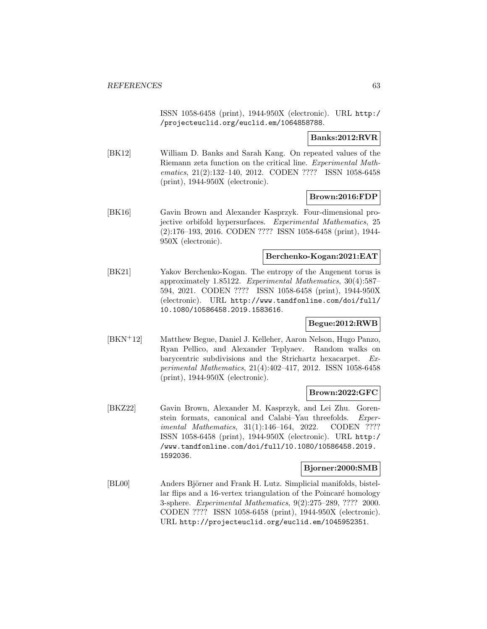ISSN 1058-6458 (print), 1944-950X (electronic). URL http:/ /projecteuclid.org/euclid.em/1064858788.

## **Banks:2012:RVR**

[BK12] William D. Banks and Sarah Kang. On repeated values of the Riemann zeta function on the critical line. Experimental Mathematics, 21(2):132–140, 2012. CODEN ???? ISSN 1058-6458 (print), 1944-950X (electronic).

## **Brown:2016:FDP**

[BK16] Gavin Brown and Alexander Kasprzyk. Four-dimensional projective orbifold hypersurfaces. Experimental Mathematics, 25 (2):176–193, 2016. CODEN ???? ISSN 1058-6458 (print), 1944- 950X (electronic).

### **Berchenko-Kogan:2021:EAT**

[BK21] Yakov Berchenko-Kogan. The entropy of the Angenent torus is approximately 1.85122. Experimental Mathematics, 30(4):587– 594, 2021. CODEN ???? ISSN 1058-6458 (print), 1944-950X (electronic). URL http://www.tandfonline.com/doi/full/ 10.1080/10586458.2019.1583616.

## **Begue:2012:RWB**

[BKN<sup>+</sup>12] Matthew Begue, Daniel J. Kelleher, Aaron Nelson, Hugo Panzo, Ryan Pellico, and Alexander Teplyaev. Random walks on barycentric subdivisions and the Strichartz hexacarpet. Experimental Mathematics, 21(4):402–417, 2012. ISSN 1058-6458 (print), 1944-950X (electronic).

# **Brown:2022:GFC**

[BKZ22] Gavin Brown, Alexander M. Kasprzyk, and Lei Zhu. Gorenstein formats, canonical and Calabi–Yau threefolds. Experimental Mathematics, 31(1):146-164, 2022. CODEN ???? ISSN 1058-6458 (print), 1944-950X (electronic). URL http:/ /www.tandfonline.com/doi/full/10.1080/10586458.2019. 1592036.

### **Bjorner:2000:SMB**

[BL00] Anders Björner and Frank H. Lutz. Simplicial manifolds, bistellar flips and a 16-vertex triangulation of the Poincaré homology 3-sphere. Experimental Mathematics, 9(2):275–289, ???? 2000. CODEN ???? ISSN 1058-6458 (print), 1944-950X (electronic). URL http://projecteuclid.org/euclid.em/1045952351.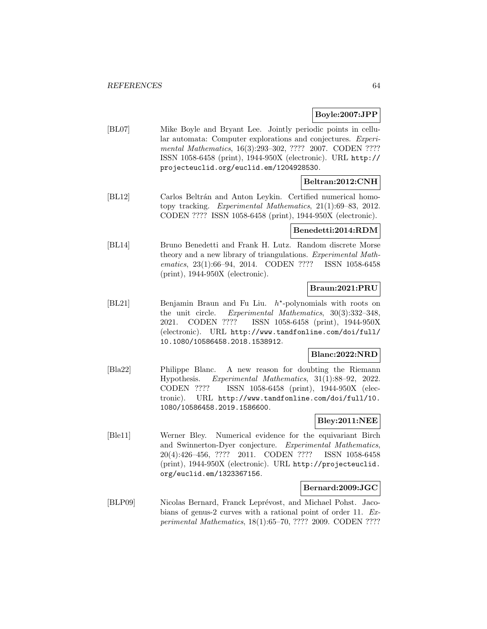### **Boyle:2007:JPP**

[BL07] Mike Boyle and Bryant Lee. Jointly periodic points in cellular automata: Computer explorations and conjectures. Experimental Mathematics, 16(3):293-302, ???? 2007. CODEN ???? ISSN 1058-6458 (print), 1944-950X (electronic). URL http:// projecteuclid.org/euclid.em/1204928530.

### **Beltran:2012:CNH**

[BL12] Carlos Beltrán and Anton Leykin. Certified numerical homotopy tracking. Experimental Mathematics, 21(1):69–83, 2012. CODEN ???? ISSN 1058-6458 (print), 1944-950X (electronic).

### **Benedetti:2014:RDM**

[BL14] Bruno Benedetti and Frank H. Lutz. Random discrete Morse theory and a new library of triangulations. Experimental Mathematics, 23(1):66–94, 2014. CODEN ???? ISSN 1058-6458 (print), 1944-950X (electronic).

## **Braun:2021:PRU**

[BL21] Benjamin Braun and Fu Liu.  $h^*$ -polynomials with roots on the unit circle. Experimental Mathematics, 30(3):332–348, 2021. CODEN ???? ISSN 1058-6458 (print), 1944-950X (electronic). URL http://www.tandfonline.com/doi/full/ 10.1080/10586458.2018.1538912.

### **Blanc:2022:NRD**

[Bla22] Philippe Blanc. A new reason for doubting the Riemann Hypothesis. Experimental Mathematics, 31(1):88–92, 2022. CODEN ???? ISSN 1058-6458 (print), 1944-950X (electronic). URL http://www.tandfonline.com/doi/full/10. 1080/10586458.2019.1586600.

# **Bley:2011:NEE**

[Ble11] Werner Bley. Numerical evidence for the equivariant Birch and Swinnerton-Dyer conjecture. Experimental Mathematics, 20(4):426–456, ???? 2011. CODEN ???? ISSN 1058-6458 (print), 1944-950X (electronic). URL http://projecteuclid. org/euclid.em/1323367156.

### **Bernard:2009:JGC**

[BLP09] Nicolas Bernard, Franck Leprévost, and Michael Pohst. Jacobians of genus-2 curves with a rational point of order 11. Experimental Mathematics, 18(1):65–70, ???? 2009. CODEN ????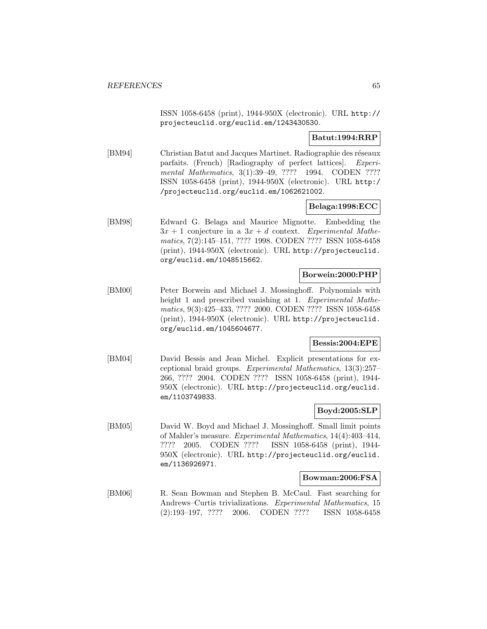ISSN 1058-6458 (print), 1944-950X (electronic). URL http:// projecteuclid.org/euclid.em/1243430530.

## **Batut:1994:RRP**

[BM94] Christian Batut and Jacques Martinet. Radiographie des réseaux parfaits. (French) [Radiography of perfect lattices]. Experimental Mathematics, 3(1):39-49, ???? 1994. CODEN ???? ISSN 1058-6458 (print), 1944-950X (electronic). URL http:/ /projecteuclid.org/euclid.em/1062621002.

### **Belaga:1998:ECC**

[BM98] Edward G. Belaga and Maurice Mignotte. Embedding the  $3x + 1$  conjecture in a  $3x + d$  context. Experimental Mathematics, 7(2):145–151, ???? 1998. CODEN ???? ISSN 1058-6458 (print), 1944-950X (electronic). URL http://projecteuclid. org/euclid.em/1048515662.

### **Borwein:2000:PHP**

[BM00] Peter Borwein and Michael J. Mossinghoff. Polynomials with height 1 and prescribed vanishing at 1. Experimental Mathematics, 9(3):425–433, ???? 2000. CODEN ???? ISSN 1058-6458 (print), 1944-950X (electronic). URL http://projecteuclid. org/euclid.em/1045604677.

### **Bessis:2004:EPE**

[BM04] David Bessis and Jean Michel. Explicit presentations for exceptional braid groups. Experimental Mathematics, 13(3):257– 266, ???? 2004. CODEN ???? ISSN 1058-6458 (print), 1944- 950X (electronic). URL http://projecteuclid.org/euclid. em/1103749833.

### **Boyd:2005:SLP**

[BM05] David W. Boyd and Michael J. Mossinghoff. Small limit points of Mahler's measure. Experimental Mathematics, 14(4):403–414, ???? 2005. CODEN ???? ISSN 1058-6458 (print), 1944- 950X (electronic). URL http://projecteuclid.org/euclid. em/1136926971.

#### **Bowman:2006:FSA**

[BM06] R. Sean Bowman and Stephen B. McCaul. Fast searching for Andrews–Curtis trivializations. Experimental Mathematics, 15 (2):193–197, ???? 2006. CODEN ???? ISSN 1058-6458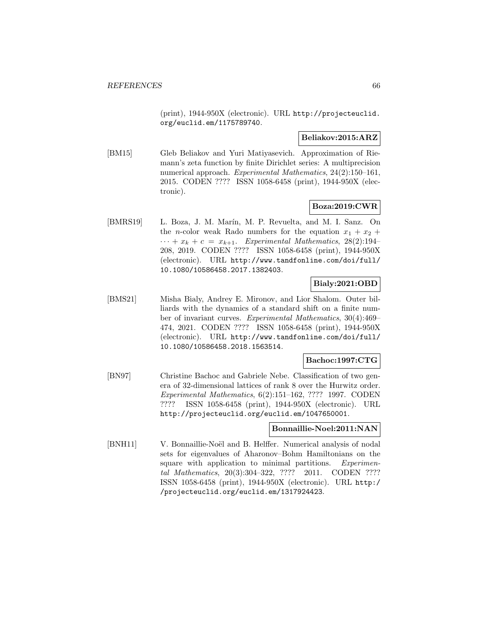(print), 1944-950X (electronic). URL http://projecteuclid. org/euclid.em/1175789740.

## **Beliakov:2015:ARZ**

[BM15] Gleb Beliakov and Yuri Matiyasevich. Approximation of Riemann's zeta function by finite Dirichlet series: A multiprecision numerical approach. Experimental Mathematics, 24(2):150–161, 2015. CODEN ???? ISSN 1058-6458 (print), 1944-950X (electronic).

# **Boza:2019:CWR**

[BMRS19] L. Boza, J. M. Marín, M. P. Revuelta, and M. I. Sanz. On the *n*-color weak Rado numbers for the equation  $x_1 + x_2 +$  $\cdots + x_k + c = x_{k+1}$ . Experimental Mathematics, 28(2):194– 208, 2019. CODEN ???? ISSN 1058-6458 (print), 1944-950X (electronic). URL http://www.tandfonline.com/doi/full/ 10.1080/10586458.2017.1382403.

# **Bialy:2021:OBD**

[BMS21] Misha Bialy, Andrey E. Mironov, and Lior Shalom. Outer billiards with the dynamics of a standard shift on a finite number of invariant curves. Experimental Mathematics, 30(4):469– 474, 2021. CODEN ???? ISSN 1058-6458 (print), 1944-950X (electronic). URL http://www.tandfonline.com/doi/full/ 10.1080/10586458.2018.1563514.

### **Bachoc:1997:CTG**

[BN97] Christine Bachoc and Gabriele Nebe. Classification of two genera of 32-dimensional lattices of rank 8 over the Hurwitz order. Experimental Mathematics, 6(2):151–162, ???? 1997. CODEN ???? ISSN 1058-6458 (print), 1944-950X (electronic). URL http://projecteuclid.org/euclid.em/1047650001.

### **Bonnaillie-Noel:2011:NAN**

[BNH11] V. Bonnaillie-Noël and B. Helffer. Numerical analysis of nodal sets for eigenvalues of Aharonov–Bohm Hamiltonians on the square with application to minimal partitions. Experimental Mathematics, 20(3):304–322, ???? 2011. CODEN ???? ISSN 1058-6458 (print), 1944-950X (electronic). URL http:/ /projecteuclid.org/euclid.em/1317924423.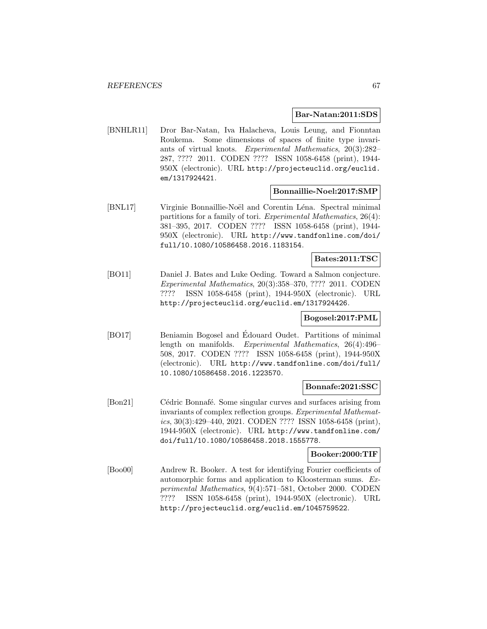### **Bar-Natan:2011:SDS**

[BNHLR11] Dror Bar-Natan, Iva Halacheva, Louis Leung, and Fionntan Roukema. Some dimensions of spaces of finite type invariants of virtual knots. Experimental Mathematics, 20(3):282– 287, ???? 2011. CODEN ???? ISSN 1058-6458 (print), 1944- 950X (electronic). URL http://projecteuclid.org/euclid. em/1317924421.

### **Bonnaillie-Noel:2017:SMP**

[BNL17] Virginie Bonnaillie-Noël and Corentin Léna. Spectral minimal partitions for a family of tori. Experimental Mathematics, 26(4): 381–395, 2017. CODEN ???? ISSN 1058-6458 (print), 1944- 950X (electronic). URL http://www.tandfonline.com/doi/ full/10.1080/10586458.2016.1183154.

### **Bates:2011:TSC**

[BO11] Daniel J. Bates and Luke Oeding. Toward a Salmon conjecture. Experimental Mathematics, 20(3):358–370, ???? 2011. CODEN ???? ISSN 1058-6458 (print), 1944-950X (electronic). URL http://projecteuclid.org/euclid.em/1317924426.

### **Bogosel:2017:PML**

[BO17] Beniamin Bogosel and Edouard Oudet. Partitions of minimal length on manifolds. Experimental Mathematics, 26(4):496– 508, 2017. CODEN ???? ISSN 1058-6458 (print), 1944-950X (electronic). URL http://www.tandfonline.com/doi/full/ 10.1080/10586458.2016.1223570.

#### **Bonnafe:2021:SSC**

[Bon21] Cédric Bonnafé. Some singular curves and surfaces arising from invariants of complex reflection groups. Experimental Mathematics, 30(3):429–440, 2021. CODEN ???? ISSN 1058-6458 (print), 1944-950X (electronic). URL http://www.tandfonline.com/ doi/full/10.1080/10586458.2018.1555778.

#### **Booker:2000:TIF**

[Boo00] Andrew R. Booker. A test for identifying Fourier coefficients of automorphic forms and application to Kloosterman sums. Experimental Mathematics, 9(4):571–581, October 2000. CODEN ???? ISSN 1058-6458 (print), 1944-950X (electronic). URL http://projecteuclid.org/euclid.em/1045759522.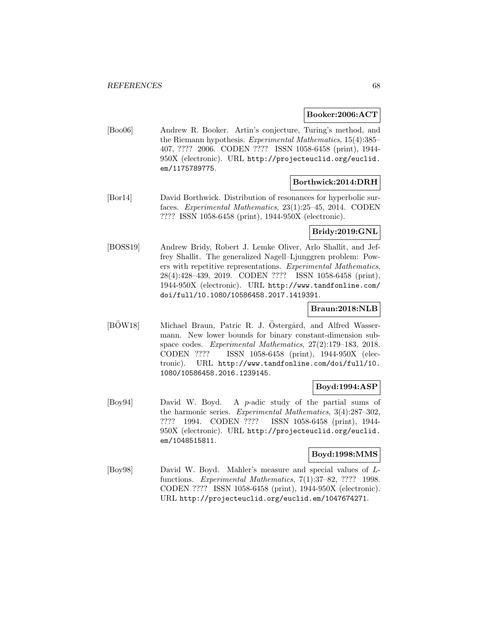### **Booker:2006:ACT**

[Boo06] Andrew R. Booker. Artin's conjecture, Turing's method, and the Riemann hypothesis. Experimental Mathematics, 15(4):385– 407, ???? 2006. CODEN ???? ISSN 1058-6458 (print), 1944- 950X (electronic). URL http://projecteuclid.org/euclid. em/1175789775.

### **Borthwick:2014:DRH**

[Bor14] David Borthwick. Distribution of resonances for hyperbolic surfaces. Experimental Mathematics, 23(1):25–45, 2014. CODEN ???? ISSN 1058-6458 (print), 1944-950X (electronic).

### **Bridy:2019:GNL**

[BOSS19] Andrew Bridy, Robert J. Lemke Oliver, Arlo Shallit, and Jeffrey Shallit. The generalized Nagell–Ljunggren problem: Powers with repetitive representations. Experimental Mathematics, 28(4):428–439, 2019. CODEN ???? ISSN 1058-6458 (print), 1944-950X (electronic). URL http://www.tandfonline.com/ doi/full/10.1080/10586458.2017.1419391.

## **Braun:2018:NLB**

[BOW18] Michael Braun, Patric R. J. Östergård, and Alfred Wassermann. New lower bounds for binary constant-dimension subspace codes. Experimental Mathematics, 27(2):179–183, 2018. CODEN ???? ISSN 1058-6458 (print), 1944-950X (electronic). URL http://www.tandfonline.com/doi/full/10. 1080/10586458.2016.1239145.

# **Boyd:1994:ASP**

[Boy94] David W. Boyd. A p-adic study of the partial sums of the harmonic series. Experimental Mathematics, 3(4):287–302, ???? 1994. CODEN ???? ISSN 1058-6458 (print), 1944- 950X (electronic). URL http://projecteuclid.org/euclid. em/1048515811.

### **Boyd:1998:MMS**

[Boy98] David W. Boyd. Mahler's measure and special values of Lfunctions. Experimental Mathematics, 7(1):37–82, ???? 1998. CODEN ???? ISSN 1058-6458 (print), 1944-950X (electronic). URL http://projecteuclid.org/euclid.em/1047674271.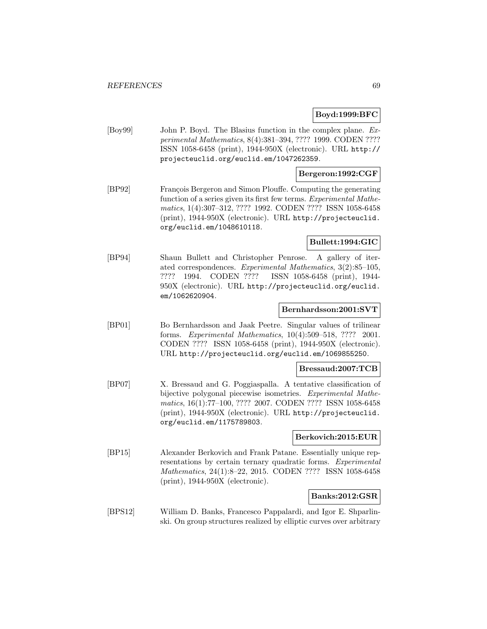### **Boyd:1999:BFC**

[Boy99] John P. Boyd. The Blasius function in the complex plane. Experimental Mathematics, 8(4):381–394, ???? 1999. CODEN ???? ISSN 1058-6458 (print), 1944-950X (electronic). URL http:// projecteuclid.org/euclid.em/1047262359.

### **Bergeron:1992:CGF**

[BP92] François Bergeron and Simon Plouffe. Computing the generating function of a series given its first few terms. Experimental Mathematics, 1(4):307–312, ???? 1992. CODEN ???? ISSN 1058-6458 (print), 1944-950X (electronic). URL http://projecteuclid. org/euclid.em/1048610118.

## **Bullett:1994:GIC**

[BP94] Shaun Bullett and Christopher Penrose. A gallery of iterated correspondences. Experimental Mathematics, 3(2):85–105, ???? 1994. CODEN ???? ISSN 1058-6458 (print), 1944- 950X (electronic). URL http://projecteuclid.org/euclid. em/1062620904.

### **Bernhardsson:2001:SVT**

[BP01] Bo Bernhardsson and Jaak Peetre. Singular values of trilinear forms. Experimental Mathematics, 10(4):509–518, ???? 2001. CODEN ???? ISSN 1058-6458 (print), 1944-950X (electronic). URL http://projecteuclid.org/euclid.em/1069855250.

#### **Bressaud:2007:TCB**

[BP07] X. Bressaud and G. Poggiaspalla. A tentative classification of bijective polygonal piecewise isometries. Experimental Mathematics, 16(1):77–100, ???? 2007. CODEN ???? ISSN 1058-6458 (print), 1944-950X (electronic). URL http://projecteuclid. org/euclid.em/1175789803.

## **Berkovich:2015:EUR**

[BP15] Alexander Berkovich and Frank Patane. Essentially unique representations by certain ternary quadratic forms. Experimental Mathematics, 24(1):8–22, 2015. CODEN ???? ISSN 1058-6458 (print), 1944-950X (electronic).

### **Banks:2012:GSR**

[BPS12] William D. Banks, Francesco Pappalardi, and Igor E. Shparlinski. On group structures realized by elliptic curves over arbitrary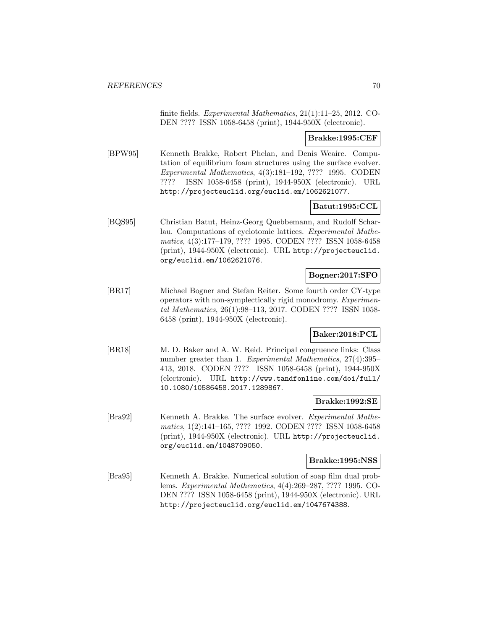finite fields. Experimental Mathematics, 21(1):11–25, 2012. CO-DEN ???? ISSN 1058-6458 (print), 1944-950X (electronic).

**Brakke:1995:CEF**

[BPW95] Kenneth Brakke, Robert Phelan, and Denis Weaire. Computation of equilibrium foam structures using the surface evolver. Experimental Mathematics, 4(3):181–192, ???? 1995. CODEN ???? ISSN 1058-6458 (print), 1944-950X (electronic). URL http://projecteuclid.org/euclid.em/1062621077.

# **Batut:1995:CCL**

[BQS95] Christian Batut, Heinz-Georg Quebbemann, and Rudolf Scharlau. Computations of cyclotomic lattices. Experimental Mathematics, 4(3):177–179, ???? 1995. CODEN ???? ISSN 1058-6458 (print), 1944-950X (electronic). URL http://projecteuclid. org/euclid.em/1062621076.

# **Bogner:2017:SFO**

[BR17] Michael Bogner and Stefan Reiter. Some fourth order CY-type operators with non-symplectically rigid monodromy. Experimental Mathematics, 26(1):98–113, 2017. CODEN ???? ISSN 1058- 6458 (print), 1944-950X (electronic).

# **Baker:2018:PCL**

[BR18] M. D. Baker and A. W. Reid. Principal congruence links: Class number greater than 1. Experimental Mathematics, 27(4):395– 413, 2018. CODEN ???? ISSN 1058-6458 (print), 1944-950X (electronic). URL http://www.tandfonline.com/doi/full/ 10.1080/10586458.2017.1289867.

### **Brakke:1992:SE**

[Bra92] Kenneth A. Brakke. The surface evolver. Experimental Mathematics, 1(2):141–165, ???? 1992. CODEN ???? ISSN 1058-6458 (print), 1944-950X (electronic). URL http://projecteuclid. org/euclid.em/1048709050.

### **Brakke:1995:NSS**

[Bra95] Kenneth A. Brakke. Numerical solution of soap film dual problems. Experimental Mathematics, 4(4):269–287, ???? 1995. CO-DEN ???? ISSN 1058-6458 (print), 1944-950X (electronic). URL http://projecteuclid.org/euclid.em/1047674388.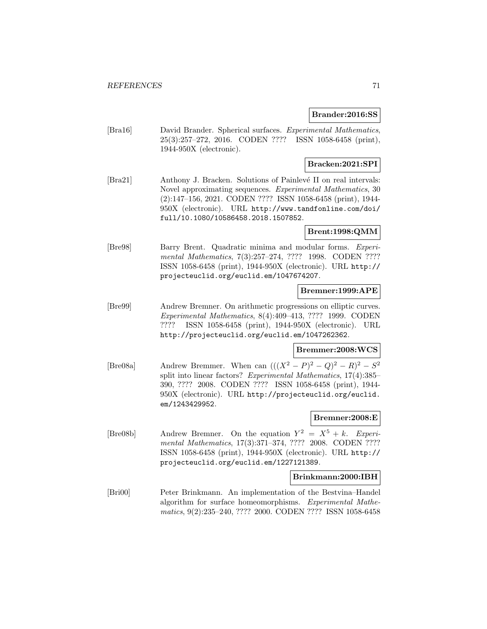### **Brander:2016:SS**

[Bra16] David Brander. Spherical surfaces. Experimental Mathematics, 25(3):257–272, 2016. CODEN ???? ISSN 1058-6458 (print), 1944-950X (electronic).

# **Bracken:2021:SPI**

[Bra21] Anthony J. Bracken. Solutions of Painlevé II on real intervals: Novel approximating sequences. Experimental Mathematics, 30 (2):147–156, 2021. CODEN ???? ISSN 1058-6458 (print), 1944- 950X (electronic). URL http://www.tandfonline.com/doi/ full/10.1080/10586458.2018.1507852.

### **Brent:1998:QMM**

[Bre98] Barry Brent. Quadratic minima and modular forms. Experimental Mathematics, 7(3):257-274, ???? 1998. CODEN ???? ISSN 1058-6458 (print), 1944-950X (electronic). URL http:// projecteuclid.org/euclid.em/1047674207.

# **Bremner:1999:APE**

[Bre99] Andrew Bremner. On arithmetic progressions on elliptic curves. Experimental Mathematics, 8(4):409–413, ???? 1999. CODEN ???? ISSN 1058-6458 (print), 1944-950X (electronic). URL http://projecteuclid.org/euclid.em/1047262362.

### **Bremmer:2008:WCS**

[Bre08a] Andrew Bremmer. When can  $(((X^2 - P)^2 - Q)^2 - R)^2 - S^2$ split into linear factors? Experimental Mathematics, 17(4):385– 390, ???? 2008. CODEN ???? ISSN 1058-6458 (print), 1944- 950X (electronic). URL http://projecteuclid.org/euclid. em/1243429952.

### **Bremner:2008:E**

[Bre08b] Andrew Bremner. On the equation  $Y^2 = X^5 + k$ . Experimental Mathematics, 17(3):371–374, ???? 2008. CODEN ???? ISSN 1058-6458 (print), 1944-950X (electronic). URL http:// projecteuclid.org/euclid.em/1227121389.

# **Brinkmann:2000:IBH**

[Bri00] Peter Brinkmann. An implementation of the Bestvina–Handel algorithm for surface homeomorphisms. Experimental Mathematics, 9(2):235–240, ???? 2000. CODEN ???? ISSN 1058-6458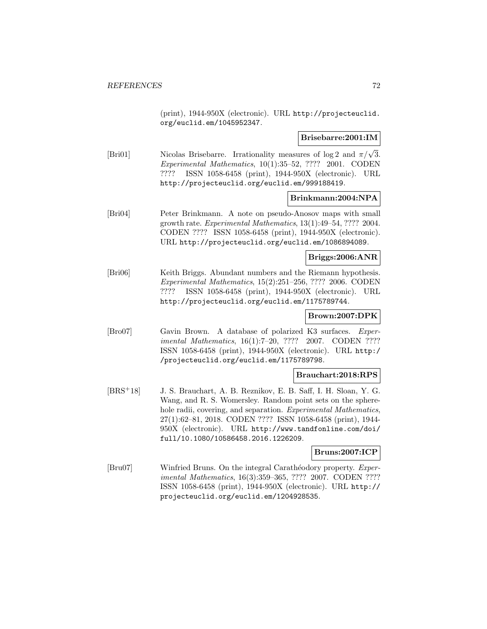(print), 1944-950X (electronic). URL http://projecteuclid. org/euclid.em/1045952347.

### **Brisebarre:2001:IM**

[Bri01] Nicolas Brisebarre. Irrationality measures of log 2 and  $\pi/\sqrt{3}$ . Experimental Mathematics, 10(1):35–52, ???? 2001. CODEN ???? ISSN 1058-6458 (print), 1944-950X (electronic). URL http://projecteuclid.org/euclid.em/999188419.

### **Brinkmann:2004:NPA**

[Bri04] Peter Brinkmann. A note on pseudo-Anosov maps with small growth rate. Experimental Mathematics, 13(1):49–54, ???? 2004. CODEN ???? ISSN 1058-6458 (print), 1944-950X (electronic). URL http://projecteuclid.org/euclid.em/1086894089.

### **Briggs:2006:ANR**

[Bri06] Keith Briggs. Abundant numbers and the Riemann hypothesis. Experimental Mathematics, 15(2):251–256, ???? 2006. CODEN ???? ISSN 1058-6458 (print), 1944-950X (electronic). URL http://projecteuclid.org/euclid.em/1175789744.

# **Brown:2007:DPK**

[Bro07] Gavin Brown. A database of polarized K3 surfaces. Experimental Mathematics, 16(1):7–20, ???? 2007. CODEN ???? ISSN 1058-6458 (print), 1944-950X (electronic). URL http:/ /projecteuclid.org/euclid.em/1175789798.

### **Brauchart:2018:RPS**

[BRS<sup>+</sup>18] J. S. Brauchart, A. B. Reznikov, E. B. Saff, I. H. Sloan, Y. G. Wang, and R. S. Womersley. Random point sets on the spherehole radii, covering, and separation. Experimental Mathematics, 27(1):62–81, 2018. CODEN ???? ISSN 1058-6458 (print), 1944- 950X (electronic). URL http://www.tandfonline.com/doi/ full/10.1080/10586458.2016.1226209.

### **Bruns:2007:ICP**

[Bru07] Winfried Bruns. On the integral Carathéodory property. Experimental Mathematics, 16(3):359–365, ???? 2007. CODEN ???? ISSN 1058-6458 (print), 1944-950X (electronic). URL http:// projecteuclid.org/euclid.em/1204928535.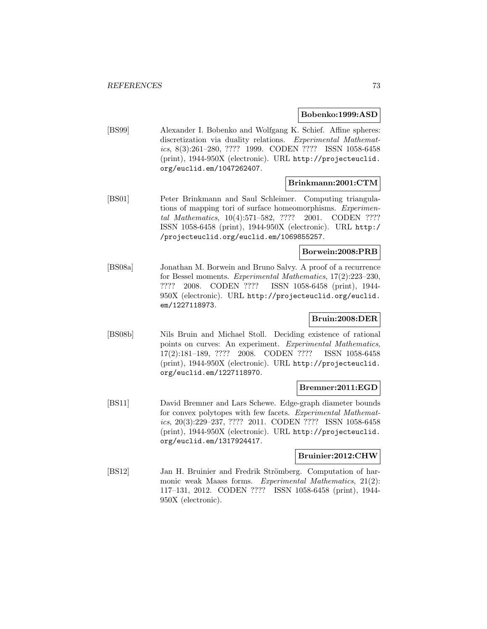#### **Bobenko:1999:ASD**

[BS99] Alexander I. Bobenko and Wolfgang K. Schief. Affine spheres: discretization via duality relations. Experimental Mathematics, 8(3):261–280, ???? 1999. CODEN ???? ISSN 1058-6458 (print), 1944-950X (electronic). URL http://projecteuclid. org/euclid.em/1047262407.

## **Brinkmann:2001:CTM**

[BS01] Peter Brinkmann and Saul Schleimer. Computing triangulations of mapping tori of surface homeomorphisms. Experimental Mathematics, 10(4):571–582, ???? 2001. CODEN ???? ISSN 1058-6458 (print), 1944-950X (electronic). URL http:/ /projecteuclid.org/euclid.em/1069855257.

#### **Borwein:2008:PRB**

[BS08a] Jonathan M. Borwein and Bruno Salvy. A proof of a recurrence for Bessel moments. Experimental Mathematics, 17(2):223–230, ???? 2008. CODEN ???? ISSN 1058-6458 (print), 1944- 950X (electronic). URL http://projecteuclid.org/euclid. em/1227118973.

# **Bruin:2008:DER**

[BS08b] Nils Bruin and Michael Stoll. Deciding existence of rational points on curves: An experiment. Experimental Mathematics, 17(2):181–189, ???? 2008. CODEN ???? ISSN 1058-6458 (print), 1944-950X (electronic). URL http://projecteuclid. org/euclid.em/1227118970.

#### **Bremner:2011:EGD**

[BS11] David Bremner and Lars Schewe. Edge-graph diameter bounds for convex polytopes with few facets. Experimental Mathematics, 20(3):229–237, ???? 2011. CODEN ???? ISSN 1058-6458 (print), 1944-950X (electronic). URL http://projecteuclid. org/euclid.em/1317924417.

#### **Bruinier:2012:CHW**

[BS12] Jan H. Bruinier and Fredrik Strömberg. Computation of harmonic weak Maass forms. Experimental Mathematics, 21(2): 117–131, 2012. CODEN ???? ISSN 1058-6458 (print), 1944- 950X (electronic).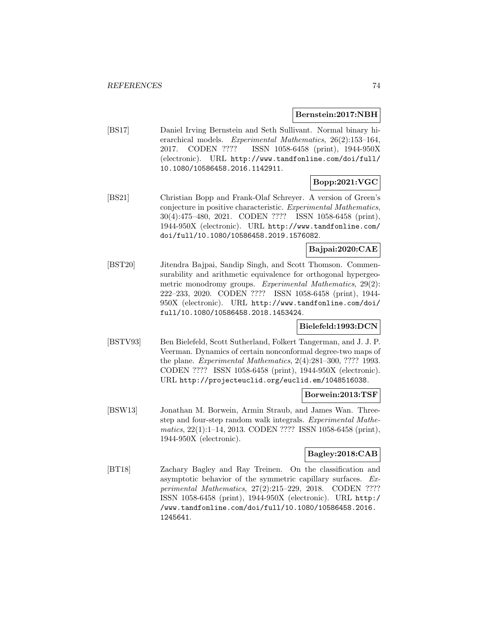#### **Bernstein:2017:NBH**

[BS17] Daniel Irving Bernstein and Seth Sullivant. Normal binary hierarchical models. Experimental Mathematics, 26(2):153–164, 2017. CODEN ???? ISSN 1058-6458 (print), 1944-950X (electronic). URL http://www.tandfonline.com/doi/full/ 10.1080/10586458.2016.1142911.

# **Bopp:2021:VGC**

[BS21] Christian Bopp and Frank-Olaf Schreyer. A version of Green's conjecture in positive characteristic. Experimental Mathematics, 30(4):475–480, 2021. CODEN ???? ISSN 1058-6458 (print), 1944-950X (electronic). URL http://www.tandfonline.com/ doi/full/10.1080/10586458.2019.1576082.

# **Bajpai:2020:CAE**

[BST20] Jitendra Bajpai, Sandip Singh, and Scott Thomson. Commensurability and arithmetic equivalence for orthogonal hypergeometric monodromy groups. Experimental Mathematics, 29(2): 222–233, 2020. CODEN ???? ISSN 1058-6458 (print), 1944- 950X (electronic). URL http://www.tandfonline.com/doi/ full/10.1080/10586458.2018.1453424.

# **Bielefeld:1993:DCN**

[BSTV93] Ben Bielefeld, Scott Sutherland, Folkert Tangerman, and J. J. P. Veerman. Dynamics of certain nonconformal degree-two maps of the plane. Experimental Mathematics, 2(4):281–300, ???? 1993. CODEN ???? ISSN 1058-6458 (print), 1944-950X (electronic). URL http://projecteuclid.org/euclid.em/1048516038.

#### **Borwein:2013:TSF**

[BSW13] Jonathan M. Borwein, Armin Straub, and James Wan. Threestep and four-step random walk integrals. Experimental Mathematics, 22(1):1–14, 2013. CODEN ???? ISSN 1058-6458 (print), 1944-950X (electronic).

# **Bagley:2018:CAB**

[BT18] Zachary Bagley and Ray Treinen. On the classification and asymptotic behavior of the symmetric capillary surfaces. Experimental Mathematics, 27(2):215–229, 2018. CODEN ???? ISSN 1058-6458 (print), 1944-950X (electronic). URL http:/ /www.tandfonline.com/doi/full/10.1080/10586458.2016. 1245641.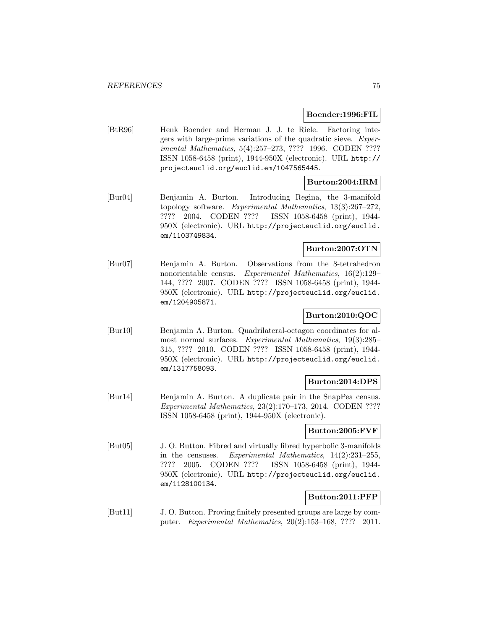#### **Boender:1996:FIL**

[BtR96] Henk Boender and Herman J. J. te Riele. Factoring integers with large-prime variations of the quadratic sieve. Experimental Mathematics, 5(4):257–273, ???? 1996. CODEN ???? ISSN 1058-6458 (print), 1944-950X (electronic). URL http:// projecteuclid.org/euclid.em/1047565445.

# **Burton:2004:IRM**

[Bur04] Benjamin A. Burton. Introducing Regina, the 3-manifold topology software. Experimental Mathematics, 13(3):267–272, ???? 2004. CODEN ???? ISSN 1058-6458 (print), 1944- 950X (electronic). URL http://projecteuclid.org/euclid. em/1103749834.

# **Burton:2007:OTN**

[Bur07] Benjamin A. Burton. Observations from the 8-tetrahedron nonorientable census. Experimental Mathematics, 16(2):129– 144, ???? 2007. CODEN ???? ISSN 1058-6458 (print), 1944- 950X (electronic). URL http://projecteuclid.org/euclid. em/1204905871.

# **Burton:2010:QOC**

[Bur10] Benjamin A. Burton. Quadrilateral-octagon coordinates for almost normal surfaces. Experimental Mathematics, 19(3):285– 315, ???? 2010. CODEN ???? ISSN 1058-6458 (print), 1944- 950X (electronic). URL http://projecteuclid.org/euclid. em/1317758093.

#### **Burton:2014:DPS**

[Bur14] Benjamin A. Burton. A duplicate pair in the SnapPea census. Experimental Mathematics, 23(2):170–173, 2014. CODEN ???? ISSN 1058-6458 (print), 1944-950X (electronic).

# **Button:2005:FVF**

[But05] J. O. Button. Fibred and virtually fibred hyperbolic 3-manifolds in the censuses. Experimental Mathematics, 14(2):231–255, ???? 2005. CODEN ???? ISSN 1058-6458 (print), 1944- 950X (electronic). URL http://projecteuclid.org/euclid. em/1128100134.

# **Button:2011:PFP**

[But11] J. O. Button. Proving finitely presented groups are large by computer. Experimental Mathematics, 20(2):153–168, ???? 2011.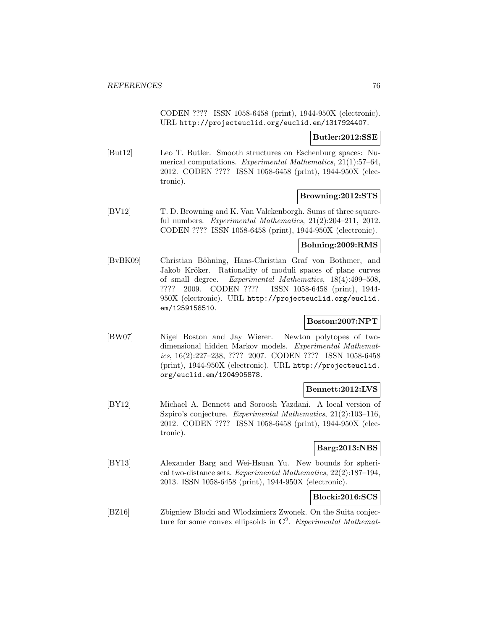CODEN ???? ISSN 1058-6458 (print), 1944-950X (electronic). URL http://projecteuclid.org/euclid.em/1317924407.

#### **Butler:2012:SSE**

[But12] Leo T. Butler. Smooth structures on Eschenburg spaces: Numerical computations. Experimental Mathematics, 21(1):57–64, 2012. CODEN ???? ISSN 1058-6458 (print), 1944-950X (electronic).

### **Browning:2012:STS**

[BV12] T. D. Browning and K. Van Valckenborgh. Sums of three squareful numbers. Experimental Mathematics, 21(2):204–211, 2012. CODEN ???? ISSN 1058-6458 (print), 1944-950X (electronic).

### **Bohning:2009:RMS**

[BvBK09] Christian Böhning, Hans-Christian Graf von Bothmer, and Jakob Kröker. Rationality of moduli spaces of plane curves of small degree. Experimental Mathematics, 18(4):499–508, ???? 2009. CODEN ???? ISSN 1058-6458 (print), 1944- 950X (electronic). URL http://projecteuclid.org/euclid. em/1259158510.

## **Boston:2007:NPT**

[BW07] Nigel Boston and Jay Wierer. Newton polytopes of twodimensional hidden Markov models. Experimental Mathematics, 16(2):227–238, ???? 2007. CODEN ???? ISSN 1058-6458 (print), 1944-950X (electronic). URL http://projecteuclid. org/euclid.em/1204905878.

#### **Bennett:2012:LVS**

[BY12] Michael A. Bennett and Soroosh Yazdani. A local version of Szpiro's conjecture. Experimental Mathematics, 21(2):103–116, 2012. CODEN ???? ISSN 1058-6458 (print), 1944-950X (electronic).

### **Barg:2013:NBS**

[BY13] Alexander Barg and Wei-Hsuan Yu. New bounds for spherical two-distance sets. Experimental Mathematics, 22(2):187–194, 2013. ISSN 1058-6458 (print), 1944-950X (electronic).

# **Blocki:2016:SCS**

[BZ16] Zbigniew Blocki and Wlodzimierz Zwonek. On the Suita conjecture for some convex ellipsoids in **C**<sup>2</sup>. Experimental Mathemat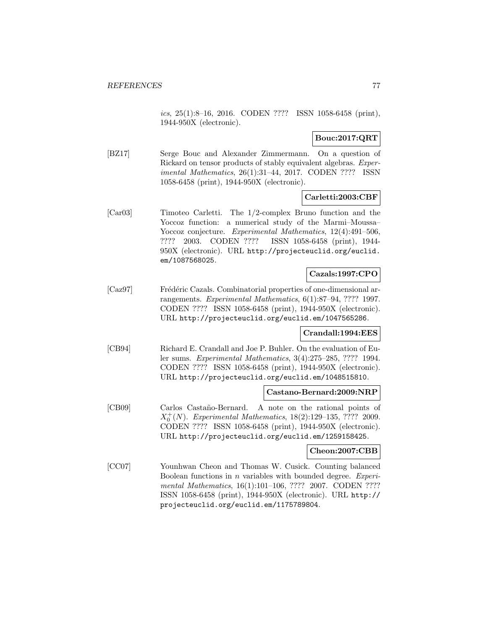ics, 25(1):8–16, 2016. CODEN ???? ISSN 1058-6458 (print), 1944-950X (electronic).

### **Bouc:2017:QRT**

[BZ17] Serge Bouc and Alexander Zimmermann. On a question of Rickard on tensor products of stably equivalent algebras. Experimental Mathematics, 26(1):31–44, 2017. CODEN ???? ISSN 1058-6458 (print), 1944-950X (electronic).

### **Carletti:2003:CBF**

[Car03] Timoteo Carletti. The 1/2-complex Bruno function and the Yoccoz function: a numerical study of the Marmi–Moussa– Yoccoz conjecture. Experimental Mathematics, 12(4):491–506, ???? 2003. CODEN ???? ISSN 1058-6458 (print), 1944- 950X (electronic). URL http://projecteuclid.org/euclid. em/1087568025.

## **Cazals:1997:CPO**

[Caz97] Frédéric Cazals. Combinatorial properties of one-dimensional arrangements. Experimental Mathematics, 6(1):87–94, ???? 1997. CODEN ???? ISSN 1058-6458 (print), 1944-950X (electronic). URL http://projecteuclid.org/euclid.em/1047565286.

#### **Crandall:1994:EES**

[CB94] Richard E. Crandall and Joe P. Buhler. On the evaluation of Euler sums. Experimental Mathematics, 3(4):275–285, ???? 1994. CODEN ???? ISSN 1058-6458 (print), 1944-950X (electronic). URL http://projecteuclid.org/euclid.em/1048515810.

#### **Castano-Bernard:2009:NRP**

[CB09] Carlos Casta˜no-Bernard. A note on the rational points of  $X_0^+(N)$ . Experimental Mathematics, 18(2):129-135, ???? 2009. CODEN ???? ISSN 1058-6458 (print), 1944-950X (electronic). URL http://projecteuclid.org/euclid.em/1259158425.

#### **Cheon:2007:CBB**

[CC07] Younhwan Cheon and Thomas W. Cusick. Counting balanced Boolean functions in n variables with bounded degree. Experimental Mathematics, 16(1):101-106, ???? 2007. CODEN ???? ISSN 1058-6458 (print), 1944-950X (electronic). URL http:// projecteuclid.org/euclid.em/1175789804.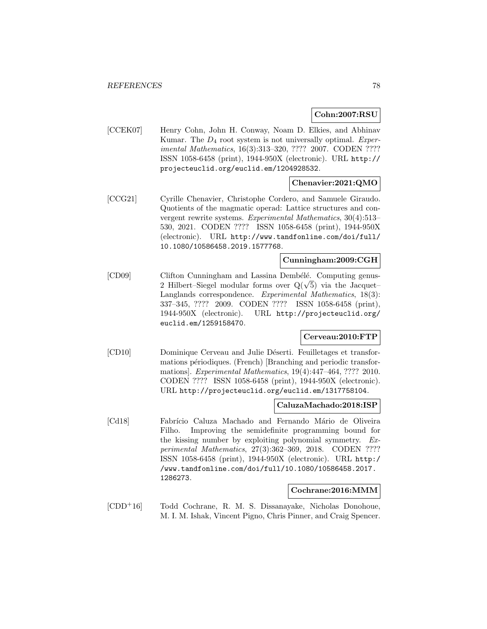**Cohn:2007:RSU**

[CCEK07] Henry Cohn, John H. Conway, Noam D. Elkies, and Abhinav Kumar. The  $D_4$  root system is not universally optimal. Experimental Mathematics, 16(3):313–320, ???? 2007. CODEN ???? ISSN 1058-6458 (print), 1944-950X (electronic). URL http:// projecteuclid.org/euclid.em/1204928532.

# **Chenavier:2021:QMO**

[CCG21] Cyrille Chenavier, Christophe Cordero, and Samuele Giraudo. Quotients of the magmatic operad: Lattice structures and convergent rewrite systems. Experimental Mathematics, 30(4):513– 530, 2021. CODEN ???? ISSN 1058-6458 (print), 1944-950X (electronic). URL http://www.tandfonline.com/doi/full/ 10.1080/10586458.2019.1577768.

#### **Cunningham:2009:CGH**

[CD09] Clifton Cunningham and Lassina Dembélé. Computing genus-2 Hilbert–Siegel modular forms over  $Q(\sqrt{5})$  via the Jacquet– Langlands correspondence. Experimental Mathematics, 18(3): 337–345, ???? 2009. CODEN ???? ISSN 1058-6458 (print), 1944-950X (electronic). URL http://projecteuclid.org/ euclid.em/1259158470.

#### **Cerveau:2010:FTP**

[CD10] Dominique Cerveau and Julie Déserti. Feuilletages et transformations périodiques. (French) [Branching and periodic transformations]. Experimental Mathematics, 19(4):447–464, ???? 2010. CODEN ???? ISSN 1058-6458 (print), 1944-950X (electronic). URL http://projecteuclid.org/euclid.em/1317758104.

#### **CaluzaMachado:2018:ISP**

[Cd18] Fabrício Caluza Machado and Fernando Mário de Oliveira Filho. Improving the semidefinite programming bound for the kissing number by exploiting polynomial symmetry. Experimental Mathematics, 27(3):362–369, 2018. CODEN ???? ISSN 1058-6458 (print), 1944-950X (electronic). URL http:/ /www.tandfonline.com/doi/full/10.1080/10586458.2017. 1286273.

#### **Cochrane:2016:MMM**

[CDD<sup>+</sup>16] Todd Cochrane, R. M. S. Dissanayake, Nicholas Donohoue, M. I. M. Ishak, Vincent Pigno, Chris Pinner, and Craig Spencer.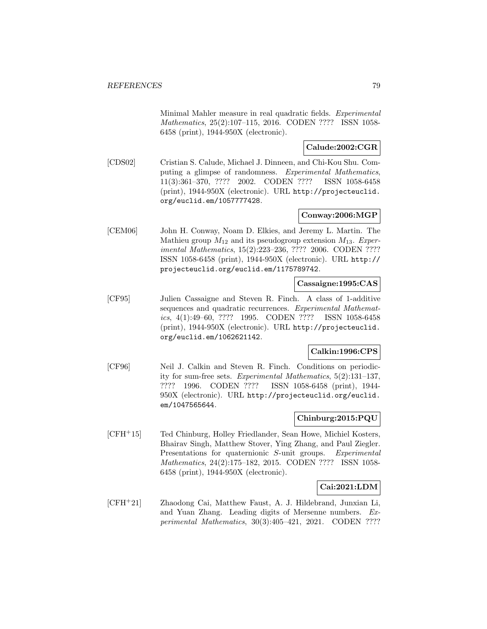Minimal Mahler measure in real quadratic fields. Experimental Mathematics, 25(2):107–115, 2016. CODEN ???? ISSN 1058- 6458 (print), 1944-950X (electronic).

# **Calude:2002:CGR**

[CDS02] Cristian S. Calude, Michael J. Dinneen, and Chi-Kou Shu. Computing a glimpse of randomness. Experimental Mathematics, 11(3):361–370, ???? 2002. CODEN ???? ISSN 1058-6458 (print), 1944-950X (electronic). URL http://projecteuclid. org/euclid.em/1057777428.

# **Conway:2006:MGP**

[CEM06] John H. Conway, Noam D. Elkies, and Jeremy L. Martin. The Mathieu group  $M_{12}$  and its pseudogroup extension  $M_{13}$ . Experimental Mathematics, 15(2):223–236, ???? 2006. CODEN ???? ISSN 1058-6458 (print), 1944-950X (electronic). URL http:// projecteuclid.org/euclid.em/1175789742.

### **Cassaigne:1995:CAS**

[CF95] Julien Cassaigne and Steven R. Finch. A class of 1-additive sequences and quadratic recurrences. Experimental Mathematics, 4(1):49–60, ???? 1995. CODEN ???? ISSN 1058-6458 (print), 1944-950X (electronic). URL http://projecteuclid. org/euclid.em/1062621142.

# **Calkin:1996:CPS**

[CF96] Neil J. Calkin and Steven R. Finch. Conditions on periodicity for sum-free sets. Experimental Mathematics, 5(2):131–137, ???? 1996. CODEN ???? ISSN 1058-6458 (print), 1944- 950X (electronic). URL http://projecteuclid.org/euclid. em/1047565644.

# **Chinburg:2015:PQU**

[CFH<sup>+</sup>15] Ted Chinburg, Holley Friedlander, Sean Howe, Michiel Kosters, Bhairav Singh, Matthew Stover, Ying Zhang, and Paul Ziegler. Presentations for quaternionic S-unit groups. Experimental Mathematics, 24(2):175–182, 2015. CODEN ???? ISSN 1058- 6458 (print), 1944-950X (electronic).

#### **Cai:2021:LDM**

[CFH<sup>+</sup>21] Zhaodong Cai, Matthew Faust, A. J. Hildebrand, Junxian Li, and Yuan Zhang. Leading digits of Mersenne numbers. Experimental Mathematics, 30(3):405–421, 2021. CODEN ????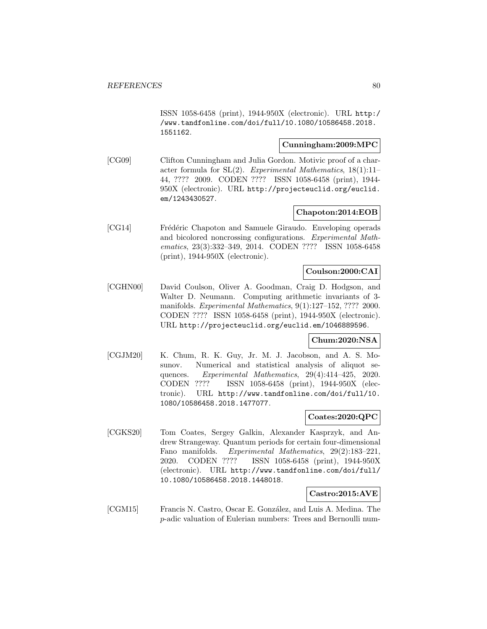ISSN 1058-6458 (print), 1944-950X (electronic). URL http:/ /www.tandfonline.com/doi/full/10.1080/10586458.2018. 1551162.

## **Cunningham:2009:MPC**

[CG09] Clifton Cunningham and Julia Gordon. Motivic proof of a character formula for  $SL(2)$ . Experimental Mathematics, 18(1):11– 44, ???? 2009. CODEN ???? ISSN 1058-6458 (print), 1944- 950X (electronic). URL http://projecteuclid.org/euclid. em/1243430527.

# **Chapoton:2014:EOB**

[CG14] Frédéric Chapoton and Samuele Giraudo. Enveloping operads and bicolored noncrossing configurations. Experimental Mathematics, 23(3):332–349, 2014. CODEN ???? ISSN 1058-6458 (print), 1944-950X (electronic).

#### **Coulson:2000:CAI**

[CGHN00] David Coulson, Oliver A. Goodman, Craig D. Hodgson, and Walter D. Neumann. Computing arithmetic invariants of 3 manifolds. Experimental Mathematics, 9(1):127–152, ???? 2000. CODEN ???? ISSN 1058-6458 (print), 1944-950X (electronic). URL http://projecteuclid.org/euclid.em/1046889596.

# **Chum:2020:NSA**

[CGJM20] K. Chum, R. K. Guy, Jr. M. J. Jacobson, and A. S. Mosunov. Numerical and statistical analysis of aliquot sequences. Experimental Mathematics, 29(4):414–425, 2020. CODEN ???? ISSN 1058-6458 (print), 1944-950X (electronic). URL http://www.tandfonline.com/doi/full/10. 1080/10586458.2018.1477077.

#### **Coates:2020:QPC**

[CGKS20] Tom Coates, Sergey Galkin, Alexander Kasprzyk, and Andrew Strangeway. Quantum periods for certain four-dimensional Fano manifolds. Experimental Mathematics, 29(2):183–221, 2020. CODEN ???? ISSN 1058-6458 (print), 1944-950X (electronic). URL http://www.tandfonline.com/doi/full/ 10.1080/10586458.2018.1448018.

## **Castro:2015:AVE**

[CGM15] Francis N. Castro, Oscar E. González, and Luis A. Medina. The p-adic valuation of Eulerian numbers: Trees and Bernoulli num-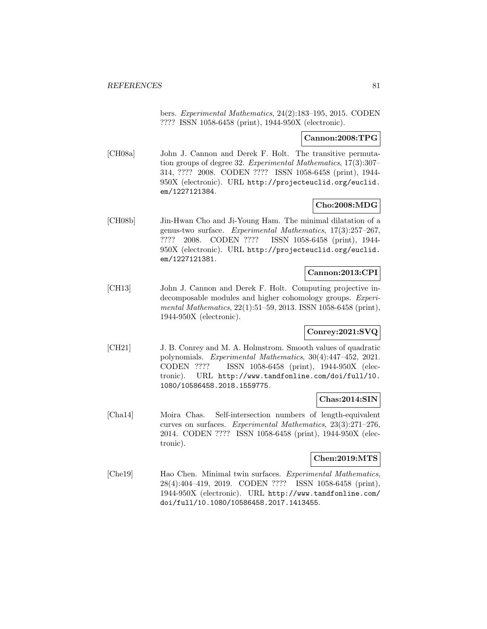bers. Experimental Mathematics, 24(2):183–195, 2015. CODEN ???? ISSN 1058-6458 (print), 1944-950X (electronic).

## **Cannon:2008:TPG**

[CH08a] John J. Cannon and Derek F. Holt. The transitive permutation groups of degree 32. Experimental Mathematics, 17(3):307– 314, ???? 2008. CODEN ???? ISSN 1058-6458 (print), 1944- 950X (electronic). URL http://projecteuclid.org/euclid. em/1227121384.

# **Cho:2008:MDG**

[CH08b] Jin-Hwan Cho and Ji-Young Ham. The minimal dilatation of a genus-two surface. Experimental Mathematics, 17(3):257–267, ???? 2008. CODEN ???? ISSN 1058-6458 (print), 1944- 950X (electronic). URL http://projecteuclid.org/euclid. em/1227121381.

#### **Cannon:2013:CPI**

[CH13] John J. Cannon and Derek F. Holt. Computing projective indecomposable modules and higher cohomology groups. Experimental Mathematics, 22(1):51–59, 2013. ISSN 1058-6458 (print), 1944-950X (electronic).

# **Conrey:2021:SVQ**

[CH21] J. B. Conrey and M. A. Holmstrom. Smooth values of quadratic polynomials. Experimental Mathematics, 30(4):447–452, 2021. CODEN ???? ISSN 1058-6458 (print), 1944-950X (electronic). URL http://www.tandfonline.com/doi/full/10. 1080/10586458.2018.1559775.

#### **Chas:2014:SIN**

[Cha14] Moira Chas. Self-intersection numbers of length-equivalent curves on surfaces. Experimental Mathematics, 23(3):271–276, 2014. CODEN ???? ISSN 1058-6458 (print), 1944-950X (electronic).

# **Chen:2019:MTS**

[Che19] Hao Chen. Minimal twin surfaces. Experimental Mathematics, 28(4):404–419, 2019. CODEN ???? ISSN 1058-6458 (print), 1944-950X (electronic). URL http://www.tandfonline.com/ doi/full/10.1080/10586458.2017.1413455.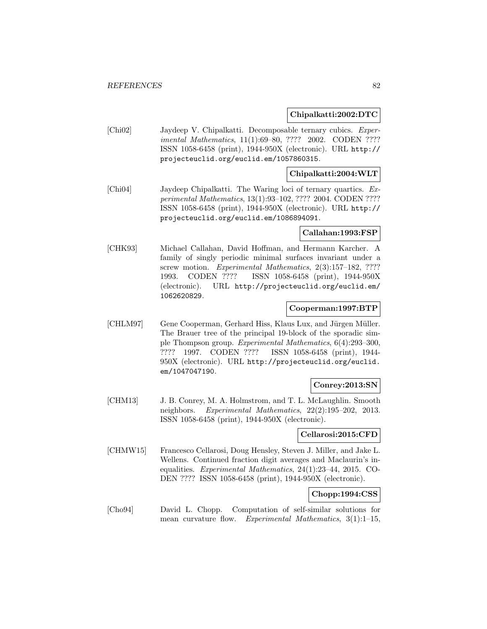**Chipalkatti:2002:DTC**

[Chi02] Jaydeep V. Chipalkatti. Decomposable ternary cubics. Experimental Mathematics, 11(1):69–80, ???? 2002. CODEN ???? ISSN 1058-6458 (print), 1944-950X (electronic). URL http:// projecteuclid.org/euclid.em/1057860315.

#### **Chipalkatti:2004:WLT**

[Chi04] Jaydeep Chipalkatti. The Waring loci of ternary quartics. Experimental Mathematics, 13(1):93–102, ???? 2004. CODEN ???? ISSN 1058-6458 (print), 1944-950X (electronic). URL http:// projecteuclid.org/euclid.em/1086894091.

### **Callahan:1993:FSP**

[CHK93] Michael Callahan, David Hoffman, and Hermann Karcher. A family of singly periodic minimal surfaces invariant under a screw motion. Experimental Mathematics, 2(3):157–182, ???? 1993. CODEN ???? ISSN 1058-6458 (print), 1944-950X (electronic). URL http://projecteuclid.org/euclid.em/ 1062620829.

#### **Cooperman:1997:BTP**

[CHLM97] Gene Cooperman, Gerhard Hiss, Klaus Lux, and Jürgen Müller. The Brauer tree of the principal 19-block of the sporadic simple Thompson group. Experimental Mathematics, 6(4):293–300, ???? 1997. CODEN ???? ISSN 1058-6458 (print), 1944- 950X (electronic). URL http://projecteuclid.org/euclid. em/1047047190.

#### **Conrey:2013:SN**

[CHM13] J. B. Conrey, M. A. Holmstrom, and T. L. McLaughlin. Smooth neighbors. Experimental Mathematics, 22(2):195–202, 2013. ISSN 1058-6458 (print), 1944-950X (electronic).

#### **Cellarosi:2015:CFD**

[CHMW15] Francesco Cellarosi, Doug Hensley, Steven J. Miller, and Jake L. Wellens. Continued fraction digit averages and Maclaurin's inequalities. Experimental Mathematics, 24(1):23–44, 2015. CO-DEN ???? ISSN 1058-6458 (print), 1944-950X (electronic).

## **Chopp:1994:CSS**

[Cho94] David L. Chopp. Computation of self-similar solutions for mean curvature flow. Experimental Mathematics, 3(1):1-15,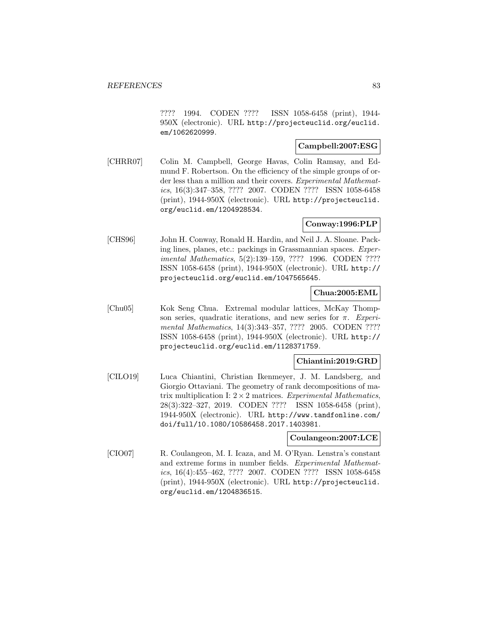???? 1994. CODEN ???? ISSN 1058-6458 (print), 1944- 950X (electronic). URL http://projecteuclid.org/euclid. em/1062620999.

### **Campbell:2007:ESG**

[CHRR07] Colin M. Campbell, George Havas, Colin Ramsay, and Edmund F. Robertson. On the efficiency of the simple groups of order less than a million and their covers. Experimental Mathematics, 16(3):347–358, ???? 2007. CODEN ???? ISSN 1058-6458 (print), 1944-950X (electronic). URL http://projecteuclid. org/euclid.em/1204928534.

## **Conway:1996:PLP**

[CHS96] John H. Conway, Ronald H. Hardin, and Neil J. A. Sloane. Packing lines, planes, etc.: packings in Grassmannian spaces. Experimental Mathematics, 5(2):139–159, ???? 1996. CODEN ???? ISSN 1058-6458 (print), 1944-950X (electronic). URL http:// projecteuclid.org/euclid.em/1047565645.

# **Chua:2005:EML**

[Chu05] Kok Seng Chua. Extremal modular lattices, McKay Thompson series, quadratic iterations, and new series for  $\pi$ . Experimental Mathematics, 14(3):343–357, ???? 2005. CODEN ???? ISSN 1058-6458 (print), 1944-950X (electronic). URL http:// projecteuclid.org/euclid.em/1128371759.

#### **Chiantini:2019:GRD**

[CILO19] Luca Chiantini, Christian Ikenmeyer, J. M. Landsberg, and Giorgio Ottaviani. The geometry of rank decompositions of matrix multiplication I:  $2 \times 2$  matrices. Experimental Mathematics, 28(3):322–327, 2019. CODEN ???? ISSN 1058-6458 (print), 1944-950X (electronic). URL http://www.tandfonline.com/ doi/full/10.1080/10586458.2017.1403981.

#### **Coulangeon:2007:LCE**

[CIO07] R. Coulangeon, M. I. Icaza, and M. O'Ryan. Lenstra's constant and extreme forms in number fields. Experimental Mathematics, 16(4):455–462, ???? 2007. CODEN ???? ISSN 1058-6458 (print), 1944-950X (electronic). URL http://projecteuclid. org/euclid.em/1204836515.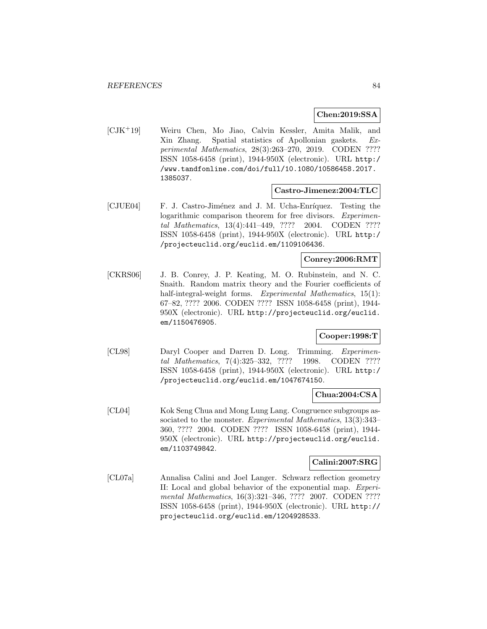#### **Chen:2019:SSA**

[CJK<sup>+</sup>19] Weiru Chen, Mo Jiao, Calvin Kessler, Amita Malik, and Xin Zhang. Spatial statistics of Apollonian gaskets. Experimental Mathematics, 28(3):263–270, 2019. CODEN ???? ISSN 1058-6458 (print), 1944-950X (electronic). URL http:/ /www.tandfonline.com/doi/full/10.1080/10586458.2017. 1385037.

#### **Castro-Jimenez:2004:TLC**

[CJUE04] F. J. Castro-Jiménez and J. M. Ucha-Enríquez. Testing the logarithmic comparison theorem for free divisors. *Experimen*tal Mathematics, 13(4):441–449, ???? 2004. CODEN ???? ISSN 1058-6458 (print), 1944-950X (electronic). URL http:/ /projecteuclid.org/euclid.em/1109106436.

#### **Conrey:2006:RMT**

[CKRS06] J. B. Conrey, J. P. Keating, M. O. Rubinstein, and N. C. Snaith. Random matrix theory and the Fourier coefficients of half-integral-weight forms. Experimental Mathematics, 15(1): 67–82, ???? 2006. CODEN ???? ISSN 1058-6458 (print), 1944- 950X (electronic). URL http://projecteuclid.org/euclid. em/1150476905.

## **Cooper:1998:T**

[CL98] Daryl Cooper and Darren D. Long. Trimming. Experimental Mathematics, 7(4):325–332, ???? 1998. CODEN ???? ISSN 1058-6458 (print), 1944-950X (electronic). URL http:/ /projecteuclid.org/euclid.em/1047674150.

#### **Chua:2004:CSA**

[CL04] Kok Seng Chua and Mong Lung Lang. Congruence subgroups associated to the monster. Experimental Mathematics, 13(3):343– 360, ???? 2004. CODEN ???? ISSN 1058-6458 (print), 1944- 950X (electronic). URL http://projecteuclid.org/euclid. em/1103749842.

### **Calini:2007:SRG**

[CL07a] Annalisa Calini and Joel Langer. Schwarz reflection geometry II: Local and global behavior of the exponential map. Experimental Mathematics, 16(3):321-346, ???? 2007. CODEN ???? ISSN 1058-6458 (print), 1944-950X (electronic). URL http:// projecteuclid.org/euclid.em/1204928533.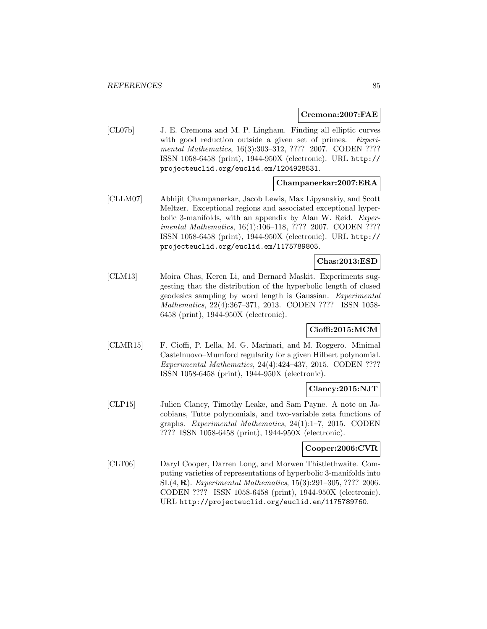#### **Cremona:2007:FAE**

[CL07b] J. E. Cremona and M. P. Lingham. Finding all elliptic curves with good reduction outside a given set of primes. Experimental Mathematics, 16(3):303-312, ???? 2007. CODEN ???? ISSN 1058-6458 (print), 1944-950X (electronic). URL http:// projecteuclid.org/euclid.em/1204928531.

#### **Champanerkar:2007:ERA**

[CLLM07] Abhijit Champanerkar, Jacob Lewis, Max Lipyanskiy, and Scott Meltzer. Exceptional regions and associated exceptional hyperbolic 3-manifolds, with an appendix by Alan W. Reid. Experimental Mathematics, 16(1):106–118, ???? 2007. CODEN ???? ISSN 1058-6458 (print), 1944-950X (electronic). URL http:// projecteuclid.org/euclid.em/1175789805.

## **Chas:2013:ESD**

[CLM13] Moira Chas, Keren Li, and Bernard Maskit. Experiments suggesting that the distribution of the hyperbolic length of closed geodesics sampling by word length is Gaussian. Experimental Mathematics, 22(4):367–371, 2013. CODEN ???? ISSN 1058- 6458 (print), 1944-950X (electronic).

## **Cioffi:2015:MCM**

[CLMR15] F. Cioffi, P. Lella, M. G. Marinari, and M. Roggero. Minimal Castelnuovo–Mumford regularity for a given Hilbert polynomial. Experimental Mathematics, 24(4):424–437, 2015. CODEN ???? ISSN 1058-6458 (print), 1944-950X (electronic).

#### **Clancy:2015:NJT**

[CLP15] Julien Clancy, Timothy Leake, and Sam Payne. A note on Jacobians, Tutte polynomials, and two-variable zeta functions of graphs. Experimental Mathematics, 24(1):1–7, 2015. CODEN ???? ISSN 1058-6458 (print), 1944-950X (electronic).

#### **Cooper:2006:CVR**

[CLT06] Daryl Cooper, Darren Long, and Morwen Thistlethwaite. Computing varieties of representations of hyperbolic 3-manifolds into SL(4, **R**). Experimental Mathematics, 15(3):291–305, ???? 2006. CODEN ???? ISSN 1058-6458 (print), 1944-950X (electronic). URL http://projecteuclid.org/euclid.em/1175789760.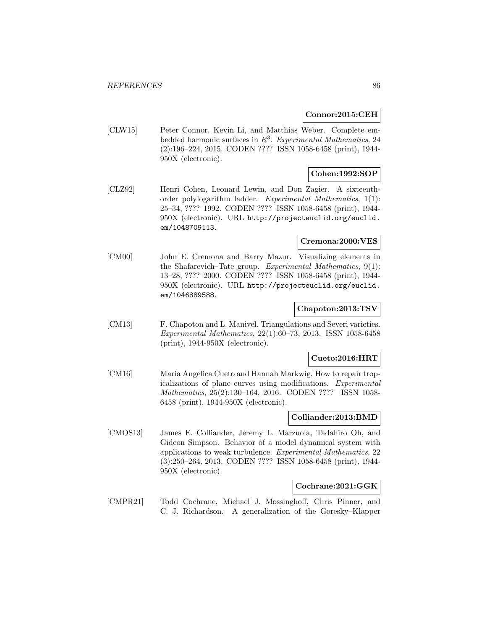#### **Connor:2015:CEH**

[CLW15] Peter Connor, Kevin Li, and Matthias Weber. Complete embedded harmonic surfaces in  $R^3$ . Experimental Mathematics, 24 (2):196–224, 2015. CODEN ???? ISSN 1058-6458 (print), 1944- 950X (electronic).

# **Cohen:1992:SOP**

[CLZ92] Henri Cohen, Leonard Lewin, and Don Zagier. A sixteenthorder polylogarithm ladder. Experimental Mathematics, 1(1): 25–34, ???? 1992. CODEN ???? ISSN 1058-6458 (print), 1944- 950X (electronic). URL http://projecteuclid.org/euclid. em/1048709113.

### **Cremona:2000:VES**

[CM00] John E. Cremona and Barry Mazur. Visualizing elements in the Shafarevich–Tate group. Experimental Mathematics, 9(1): 13–28, ???? 2000. CODEN ???? ISSN 1058-6458 (print), 1944- 950X (electronic). URL http://projecteuclid.org/euclid. em/1046889588.

### **Chapoton:2013:TSV**

[CM13] F. Chapoton and L. Manivel. Triangulations and Severi varieties. Experimental Mathematics, 22(1):60–73, 2013. ISSN 1058-6458 (print), 1944-950X (electronic).

### **Cueto:2016:HRT**

[CM16] Maria Angelica Cueto and Hannah Markwig. How to repair tropicalizations of plane curves using modifications. Experimental Mathematics, 25(2):130–164, 2016. CODEN ???? ISSN 1058- 6458 (print), 1944-950X (electronic).

#### **Colliander:2013:BMD**

[CMOS13] James E. Colliander, Jeremy L. Marzuola, Tadahiro Oh, and Gideon Simpson. Behavior of a model dynamical system with applications to weak turbulence. Experimental Mathematics, 22 (3):250–264, 2013. CODEN ???? ISSN 1058-6458 (print), 1944- 950X (electronic).

#### **Cochrane:2021:GGK**

[CMPR21] Todd Cochrane, Michael J. Mossinghoff, Chris Pinner, and C. J. Richardson. A generalization of the Goresky–Klapper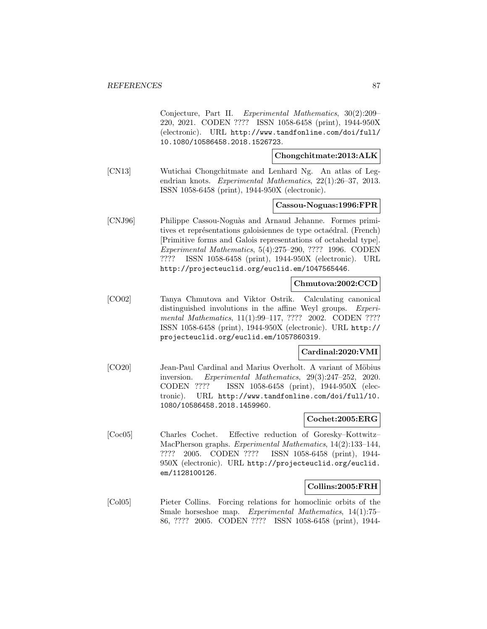Conjecture, Part II. Experimental Mathematics, 30(2):209– 220, 2021. CODEN ???? ISSN 1058-6458 (print), 1944-950X (electronic). URL http://www.tandfonline.com/doi/full/ 10.1080/10586458.2018.1526723.

#### **Chongchitmate:2013:ALK**

[CN13] Wutichai Chongchitmate and Lenhard Ng. An atlas of Legendrian knots. Experimental Mathematics, 22(1):26–37, 2013. ISSN 1058-6458 (print), 1944-950X (electronic).

#### **Cassou-Noguas:1996:FPR**

[CNJ96] Philippe Cassou-Noguàs and Arnaud Jehanne. Formes primitives et représentations galoisiennes de type octaédral. (French) [Primitive forms and Galois representations of octahedal type]. Experimental Mathematics, 5(4):275–290, ???? 1996. CODEN ???? ISSN 1058-6458 (print), 1944-950X (electronic). URL http://projecteuclid.org/euclid.em/1047565446.

#### **Chmutova:2002:CCD**

[CO02] Tanya Chmutova and Viktor Ostrik. Calculating canonical distinguished involutions in the affine Weyl groups. Experimental Mathematics, 11(1):99–117, ???? 2002. CODEN ???? ISSN 1058-6458 (print), 1944-950X (electronic). URL http:// projecteuclid.org/euclid.em/1057860319.

#### **Cardinal:2020:VMI**

[CO20] Jean-Paul Cardinal and Marius Overholt. A variant of Möbius inversion. Experimental Mathematics, 29(3):247–252, 2020. CODEN ???? ISSN 1058-6458 (print), 1944-950X (electronic). URL http://www.tandfonline.com/doi/full/10. 1080/10586458.2018.1459960.

# **Cochet:2005:ERG**

[Coc05] Charles Cochet. Effective reduction of Goresky–Kottwitz– MacPherson graphs. Experimental Mathematics, 14(2):133–144, ???? 2005. CODEN ???? ISSN 1058-6458 (print), 1944- 950X (electronic). URL http://projecteuclid.org/euclid. em/1128100126.

#### **Collins:2005:FRH**

[Col05] Pieter Collins. Forcing relations for homoclinic orbits of the Smale horseshoe map. Experimental Mathematics, 14(1):75– 86, ???? 2005. CODEN ???? ISSN 1058-6458 (print), 1944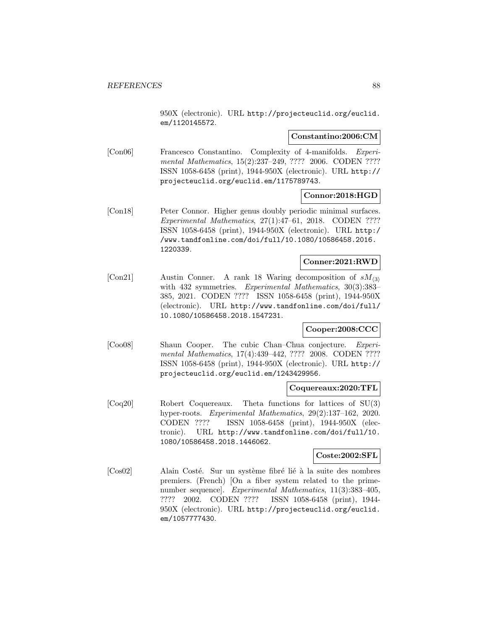950X (electronic). URL http://projecteuclid.org/euclid. em/1120145572.

#### **Constantino:2006:CM**

[Con06] Francesco Constantino. Complexity of 4-manifolds. Experimental Mathematics, 15(2):237–249, ???? 2006. CODEN ???? ISSN 1058-6458 (print), 1944-950X (electronic). URL http:// projecteuclid.org/euclid.em/1175789743.

#### **Connor:2018:HGD**

[Con18] Peter Connor. Higher genus doubly periodic minimal surfaces. Experimental Mathematics, 27(1):47–61, 2018. CODEN ???? ISSN 1058-6458 (print), 1944-950X (electronic). URL http:/ /www.tandfonline.com/doi/full/10.1080/10586458.2016. 1220339.

# **Conner:2021:RWD**

[Con21] Austin Conner. A rank 18 Waring decomposition of  $sM_{(3)}$ with 432 symmetries. Experimental Mathematics, 30(3):383– 385, 2021. CODEN ???? ISSN 1058-6458 (print), 1944-950X (electronic). URL http://www.tandfonline.com/doi/full/ 10.1080/10586458.2018.1547231.

## **Cooper:2008:CCC**

[Coo08] Shaun Cooper. The cubic Chan–Chua conjecture. Experimental Mathematics, 17(4):439–442, ???? 2008. CODEN ???? ISSN 1058-6458 (print), 1944-950X (electronic). URL http:// projecteuclid.org/euclid.em/1243429956.

#### **Coquereaux:2020:TFL**

[Coq20] Robert Coquereaux. Theta functions for lattices of SU(3) hyper-roots. Experimental Mathematics, 29(2):137–162, 2020. CODEN ???? ISSN 1058-6458 (print), 1944-950X (electronic). URL http://www.tandfonline.com/doi/full/10. 1080/10586458.2018.1446062.

#### **Coste:2002:SFL**

[Cos02] Alain Costé. Sur un système fibré lié à la suite des nombres premiers. (French) [On a fiber system related to the primenumber sequence]. Experimental Mathematics, 11(3):383–405, ???? 2002. CODEN ???? ISSN 1058-6458 (print), 1944- 950X (electronic). URL http://projecteuclid.org/euclid. em/1057777430.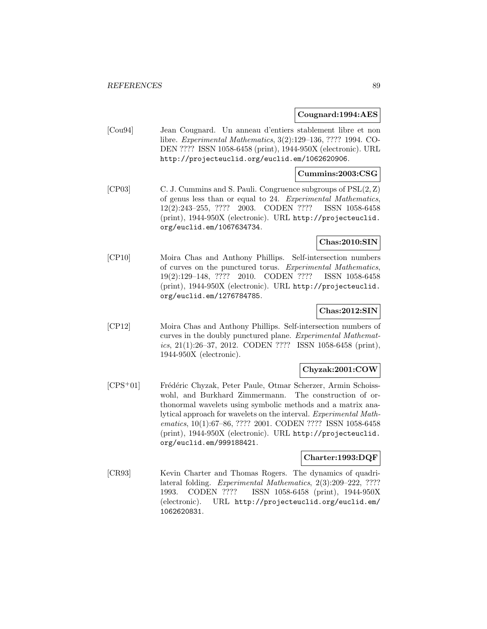#### **Cougnard:1994:AES**

[Cou94] Jean Cougnard. Un anneau d'entiers stablement libre et non libre. Experimental Mathematics, 3(2):129–136, ???? 1994. CO-DEN ???? ISSN 1058-6458 (print), 1944-950X (electronic). URL http://projecteuclid.org/euclid.em/1062620906.

#### **Cummins:2003:CSG**

[CP03] C. J. Cummins and S. Pauli. Congruence subgroups of PSL(2, Z) of genus less than or equal to 24. Experimental Mathematics, 12(2):243–255, ???? 2003. CODEN ???? ISSN 1058-6458 (print), 1944-950X (electronic). URL http://projecteuclid. org/euclid.em/1067634734.

#### **Chas:2010:SIN**

[CP10] Moira Chas and Anthony Phillips. Self-intersection numbers of curves on the punctured torus. Experimental Mathematics, 19(2):129–148, ???? 2010. CODEN ???? ISSN 1058-6458 (print), 1944-950X (electronic). URL http://projecteuclid. org/euclid.em/1276784785.

## **Chas:2012:SIN**

[CP12] Moira Chas and Anthony Phillips. Self-intersection numbers of curves in the doubly punctured plane. Experimental Mathematics, 21(1):26–37, 2012. CODEN ???? ISSN 1058-6458 (print), 1944-950X (electronic).

#### **Chyzak:2001:COW**

[CPS<sup>+</sup>01] Frédéric Chyzak, Peter Paule, Otmar Scherzer, Armin Schoisswohl, and Burkhard Zimmermann. The construction of orthonormal wavelets using symbolic methods and a matrix analytical approach for wavelets on the interval. Experimental Mathematics, 10(1):67–86, ???? 2001. CODEN ???? ISSN 1058-6458 (print), 1944-950X (electronic). URL http://projecteuclid. org/euclid.em/999188421.

### **Charter:1993:DQF**

[CR93] Kevin Charter and Thomas Rogers. The dynamics of quadrilateral folding. Experimental Mathematics, 2(3):209–222, ???? 1993. CODEN ???? ISSN 1058-6458 (print), 1944-950X (electronic). URL http://projecteuclid.org/euclid.em/ 1062620831.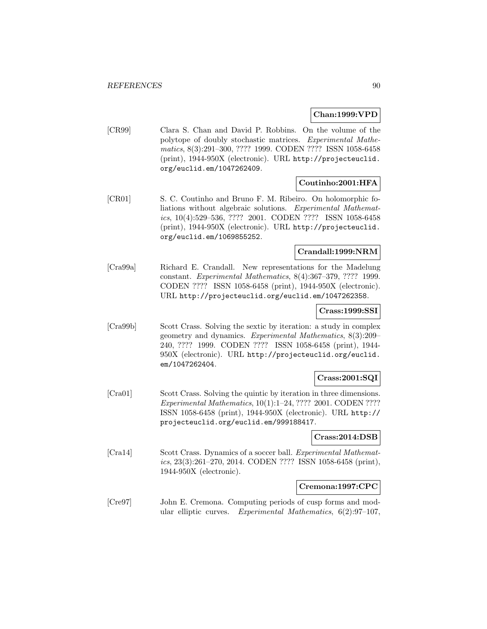## **Chan:1999:VPD**

[CR99] Clara S. Chan and David P. Robbins. On the volume of the polytope of doubly stochastic matrices. Experimental Mathematics, 8(3):291–300, ???? 1999. CODEN ???? ISSN 1058-6458 (print), 1944-950X (electronic). URL http://projecteuclid. org/euclid.em/1047262409.

# **Coutinho:2001:HFA**

[CR01] S. C. Coutinho and Bruno F. M. Ribeiro. On holomorphic foliations without algebraic solutions. Experimental Mathematics, 10(4):529–536, ???? 2001. CODEN ???? ISSN 1058-6458 (print), 1944-950X (electronic). URL http://projecteuclid. org/euclid.em/1069855252.

# **Crandall:1999:NRM**

[Cra99a] Richard E. Crandall. New representations for the Madelung constant. Experimental Mathematics, 8(4):367–379, ???? 1999. CODEN ???? ISSN 1058-6458 (print), 1944-950X (electronic). URL http://projecteuclid.org/euclid.em/1047262358.

#### **Crass:1999:SSI**

[Cra99b] Scott Crass. Solving the sextic by iteration: a study in complex geometry and dynamics. Experimental Mathematics, 8(3):209– 240, ???? 1999. CODEN ???? ISSN 1058-6458 (print), 1944- 950X (electronic). URL http://projecteuclid.org/euclid. em/1047262404.

#### **Crass:2001:SQI**

[Cra01] Scott Crass. Solving the quintic by iteration in three dimensions. Experimental Mathematics, 10(1):1–24, ???? 2001. CODEN ???? ISSN 1058-6458 (print), 1944-950X (electronic). URL http:// projecteuclid.org/euclid.em/999188417.

### **Crass:2014:DSB**

[Cra14] Scott Crass. Dynamics of a soccer ball. Experimental Mathematics, 23(3):261–270, 2014. CODEN ???? ISSN 1058-6458 (print), 1944-950X (electronic).

#### **Cremona:1997:CPC**

[Cre97] John E. Cremona. Computing periods of cusp forms and modular elliptic curves. Experimental Mathematics, 6(2):97–107,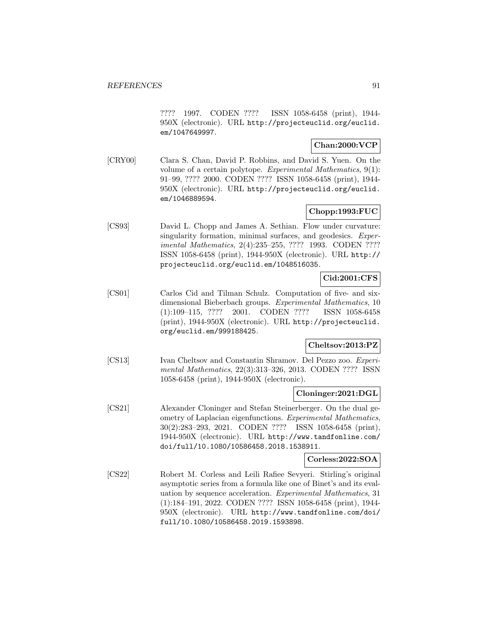???? 1997. CODEN ???? ISSN 1058-6458 (print), 1944- 950X (electronic). URL http://projecteuclid.org/euclid. em/1047649997.

# **Chan:2000:VCP**

[CRY00] Clara S. Chan, David P. Robbins, and David S. Yuen. On the volume of a certain polytope. Experimental Mathematics, 9(1): 91–99, ???? 2000. CODEN ???? ISSN 1058-6458 (print), 1944- 950X (electronic). URL http://projecteuclid.org/euclid. em/1046889594.

# **Chopp:1993:FUC**

[CS93] David L. Chopp and James A. Sethian. Flow under curvature: singularity formation, minimal surfaces, and geodesics. Experimental Mathematics, 2(4):235–255, ???? 1993. CODEN ???? ISSN 1058-6458 (print), 1944-950X (electronic). URL http:// projecteuclid.org/euclid.em/1048516035.

# **Cid:2001:CFS**

[CS01] Carlos Cid and Tilman Schulz. Computation of five- and sixdimensional Bieberbach groups. Experimental Mathematics, 10 (1):109–115, ???? 2001. CODEN ???? ISSN 1058-6458 (print), 1944-950X (electronic). URL http://projecteuclid. org/euclid.em/999188425.

# **Cheltsov:2013:PZ**

[CS13] Ivan Cheltsov and Constantin Shramov. Del Pezzo zoo. Experimental Mathematics, 22(3):313–326, 2013. CODEN ???? ISSN 1058-6458 (print), 1944-950X (electronic).

# **Cloninger:2021:DGL**

[CS21] Alexander Cloninger and Stefan Steinerberger. On the dual geometry of Laplacian eigenfunctions. Experimental Mathematics, 30(2):283–293, 2021. CODEN ???? ISSN 1058-6458 (print), 1944-950X (electronic). URL http://www.tandfonline.com/ doi/full/10.1080/10586458.2018.1538911.

### **Corless:2022:SOA**

[CS22] Robert M. Corless and Leili Rafiee Sevyeri. Stirling's original asymptotic series from a formula like one of Binet's and its evaluation by sequence acceleration. Experimental Mathematics, 31 (1):184–191, 2022. CODEN ???? ISSN 1058-6458 (print), 1944- 950X (electronic). URL http://www.tandfonline.com/doi/ full/10.1080/10586458.2019.1593898.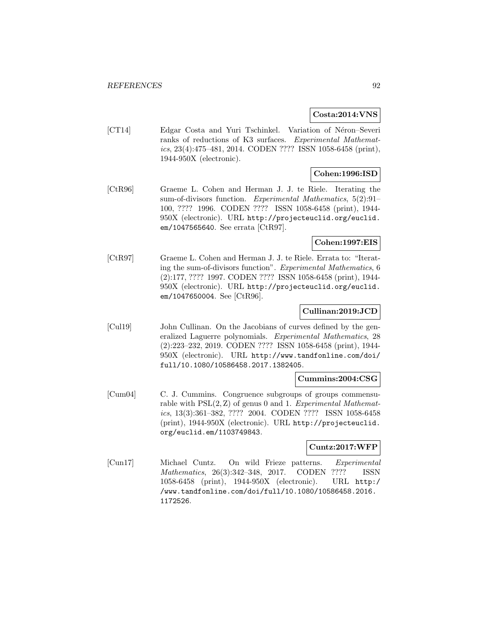### **Costa:2014:VNS**

[CT14] Edgar Costa and Yuri Tschinkel. Variation of Néron–Severi ranks of reductions of K3 surfaces. Experimental Mathematics, 23(4):475–481, 2014. CODEN ???? ISSN 1058-6458 (print), 1944-950X (electronic).

# **Cohen:1996:ISD**

[CtR96] Graeme L. Cohen and Herman J. J. te Riele. Iterating the sum-of-divisors function. Experimental Mathematics, 5(2):91– 100, ???? 1996. CODEN ???? ISSN 1058-6458 (print), 1944- 950X (electronic). URL http://projecteuclid.org/euclid. em/1047565640. See errata [CtR97].

#### **Cohen:1997:EIS**

[CtR97] Graeme L. Cohen and Herman J. J. te Riele. Errata to: "Iterating the sum-of-divisors function". Experimental Mathematics, 6 (2):177, ???? 1997. CODEN ???? ISSN 1058-6458 (print), 1944- 950X (electronic). URL http://projecteuclid.org/euclid. em/1047650004. See [CtR96].

### **Cullinan:2019:JCD**

[Cul19] John Cullinan. On the Jacobians of curves defined by the generalized Laguerre polynomials. Experimental Mathematics, 28 (2):223–232, 2019. CODEN ???? ISSN 1058-6458 (print), 1944- 950X (electronic). URL http://www.tandfonline.com/doi/ full/10.1080/10586458.2017.1382405.

# **Cummins:2004:CSG**

[Cum04] C. J. Cummins. Congruence subgroups of groups commensurable with  $PSL(2, Z)$  of genus 0 and 1. Experimental Mathematics, 13(3):361–382, ???? 2004. CODEN ???? ISSN 1058-6458 (print), 1944-950X (electronic). URL http://projecteuclid. org/euclid.em/1103749843.

#### **Cuntz:2017:WFP**

[Cun17] Michael Cuntz. On wild Frieze patterns. Experimental Mathematics, 26(3):342–348, 2017. CODEN ???? ISSN 1058-6458 (print), 1944-950X (electronic). URL http:/ /www.tandfonline.com/doi/full/10.1080/10586458.2016. 1172526.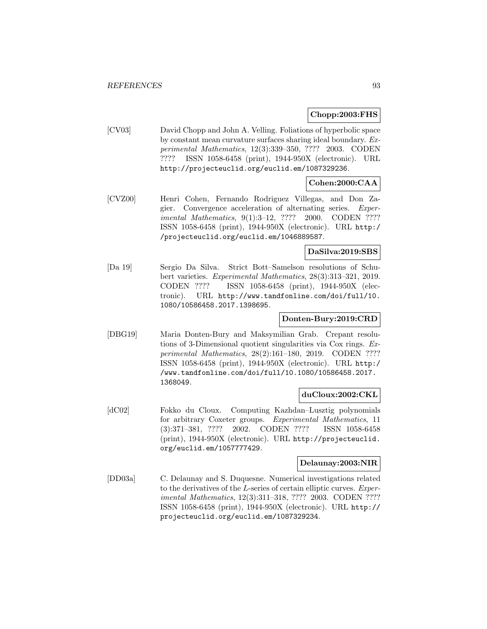## **Chopp:2003:FHS**

[CV03] David Chopp and John A. Velling. Foliations of hyperbolic space by constant mean curvature surfaces sharing ideal boundary. Experimental Mathematics, 12(3):339–350, ???? 2003. CODEN ???? ISSN 1058-6458 (print), 1944-950X (electronic). URL http://projecteuclid.org/euclid.em/1087329236.

# **Cohen:2000:CAA**

[CVZ00] Henri Cohen, Fernando Rodriguez Villegas, and Don Zagier. Convergence acceleration of alternating series. Experimental Mathematics, 9(1):3–12, ???? 2000. CODEN ???? ISSN 1058-6458 (print), 1944-950X (electronic). URL http:/ /projecteuclid.org/euclid.em/1046889587.

## **DaSilva:2019:SBS**

[Da 19] Sergio Da Silva. Strict Bott–Samelson resolutions of Schubert varieties. Experimental Mathematics, 28(3):313–321, 2019. CODEN ???? ISSN 1058-6458 (print), 1944-950X (electronic). URL http://www.tandfonline.com/doi/full/10. 1080/10586458.2017.1398695.

# **Donten-Bury:2019:CRD**

[DBG19] Maria Donten-Bury and Maksymilian Grab. Crepant resolutions of 3-Dimensional quotient singularities via Cox rings. Experimental Mathematics, 28(2):161–180, 2019. CODEN ???? ISSN 1058-6458 (print), 1944-950X (electronic). URL http:/ /www.tandfonline.com/doi/full/10.1080/10586458.2017. 1368049.

#### **duCloux:2002:CKL**

[dC02] Fokko du Cloux. Computing Kazhdan–Lusztig polynomials for arbitrary Coxeter groups. Experimental Mathematics, 11 (3):371–381, ???? 2002. CODEN ???? ISSN 1058-6458 (print), 1944-950X (electronic). URL http://projecteuclid. org/euclid.em/1057777429.

## **Delaunay:2003:NIR**

[DD03a] C. Delaunay and S. Duquesne. Numerical investigations related to the derivatives of the L-series of certain elliptic curves. Experimental Mathematics, 12(3):311–318, ???? 2003. CODEN ???? ISSN 1058-6458 (print), 1944-950X (electronic). URL http:// projecteuclid.org/euclid.em/1087329234.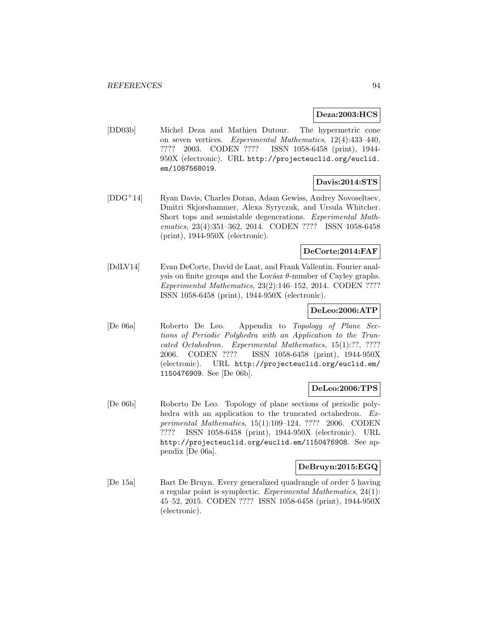#### **Deza:2003:HCS**

[DD03b] Michel Deza and Mathieu Dutour. The hypermetric cone on seven vertices. Experimental Mathematics, 12(4):433–440, ???? 2003. CODEN ???? ISSN 1058-6458 (print), 1944- 950X (electronic). URL http://projecteuclid.org/euclid. em/1087568019.

## **Davis:2014:STS**

[DDG<sup>+</sup>14] Ryan Davis, Charles Doran, Adam Gewiss, Andrey Novoseltsev, Dmitri Skjorshammer, Alexa Syryczuk, and Ursula Whitcher. Short tops and semistable degenerations. Experimental Mathematics, 23(4):351–362, 2014. CODEN ???? ISSN 1058-6458 (print), 1944-950X (electronic).

#### **DeCorte:2014:FAF**

[DdLV14] Evan DeCorte, David de Laat, and Frank Vallentin. Fourier analysis on finite groups and the Lovász  $\theta$ -number of Cayley graphs. Experimental Mathematics, 23(2):146–152, 2014. CODEN ???? ISSN 1058-6458 (print), 1944-950X (electronic).

## **DeLeo:2006:ATP**

[De 06a] Roberto De Leo. Appendix to Topology of Plane Sections of Periodic Polyhedra with an Application to the Truncated Octahedron. Experimental Mathematics, 15(1):??, ???? 2006. CODEN ???? ISSN 1058-6458 (print), 1944-950X (electronic). URL http://projecteuclid.org/euclid.em/ 1150476909. See [De 06b].

# **DeLeo:2006:TPS**

[De 06b] Roberto De Leo. Topology of plane sections of periodic polyhedra with an application to the truncated octahedron. Experimental Mathematics, 15(1):109–124, ???? 2006. CODEN ???? ISSN 1058-6458 (print), 1944-950X (electronic). URL http://projecteuclid.org/euclid.em/1150476908. See appendix [De 06a].

#### **DeBruyn:2015:EGQ**

[De 15a] Bart De Bruyn. Every generalized quadrangle of order 5 having a regular point is symplectic. Experimental Mathematics, 24(1): 45–52, 2015. CODEN ???? ISSN 1058-6458 (print), 1944-950X (electronic).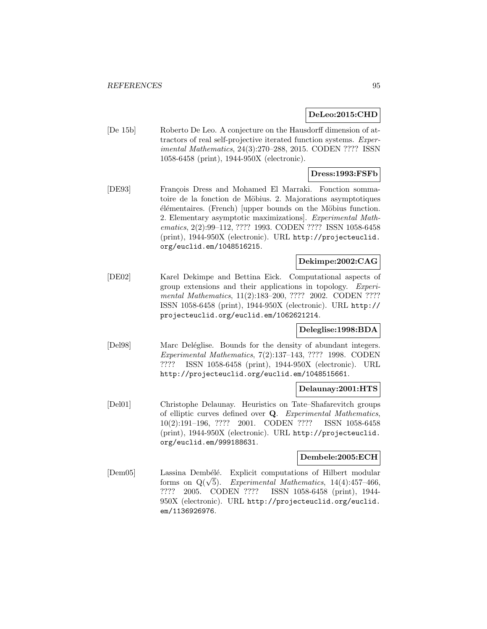#### **DeLeo:2015:CHD**

[De 15b] Roberto De Leo. A conjecture on the Hausdorff dimension of attractors of real self-projective iterated function systems. Experimental Mathematics, 24(3):270–288, 2015. CODEN ???? ISSN 1058-6458 (print), 1944-950X (electronic).

# **Dress:1993:FSFb**

[DE93] François Dress and Mohamed El Marraki. Fonction sommatoire de la fonction de Möbius. 2. Majorations asymptotiques  $e$ lémentaires. (French) [upper bounds on the Möbius function. 2. Elementary asymptotic maximizations]. Experimental Mathematics, 2(2):99–112, ???? 1993. CODEN ???? ISSN 1058-6458 (print), 1944-950X (electronic). URL http://projecteuclid. org/euclid.em/1048516215.

## **Dekimpe:2002:CAG**

[DE02] Karel Dekimpe and Bettina Eick. Computational aspects of group extensions and their applications in topology. Experimental Mathematics, 11(2):183-200, ???? 2002. CODEN ???? ISSN 1058-6458 (print), 1944-950X (electronic). URL http:// projecteuclid.org/euclid.em/1062621214.

#### **Deleglise:1998:BDA**

[Del98] Marc Deléglise. Bounds for the density of abundant integers. Experimental Mathematics, 7(2):137–143, ???? 1998. CODEN ???? ISSN 1058-6458 (print), 1944-950X (electronic). URL http://projecteuclid.org/euclid.em/1048515661.

#### **Delaunay:2001:HTS**

[Del01] Christophe Delaunay. Heuristics on Tate–Shafarevitch groups of elliptic curves defined over **Q**. Experimental Mathematics, 10(2):191–196, ???? 2001. CODEN ???? ISSN 1058-6458 (print), 1944-950X (electronic). URL http://projecteuclid. org/euclid.em/999188631.

## **Dembele:2005:ECH**

[Dem05] Lassina Dembélé. Explicit computations of Hilbert modular forms on  $Q(\sqrt{5})$ . Experimental Mathematics, 14(4):457–466, ???? 2005. CODEN ???? ISSN 1058-6458 (print), 1944- 950X (electronic). URL http://projecteuclid.org/euclid. em/1136926976.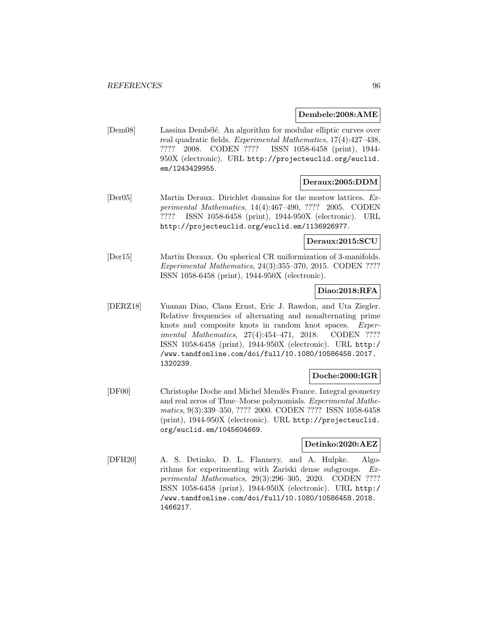**Dembele:2008:AME**

[Dem08] Lassina Dembélé. An algorithm for modular elliptic curves over real quadratic fields. Experimental Mathematics, 17(4):427–438, ???? 2008. CODEN ???? ISSN 1058-6458 (print), 1944- 950X (electronic). URL http://projecteuclid.org/euclid. em/1243429955.

## **Deraux:2005:DDM**

[Der05] Martin Deraux. Dirichlet domains for the mostow lattices. Experimental Mathematics, 14(4):467–490, ???? 2005. CODEN ???? ISSN 1058-6458 (print), 1944-950X (electronic). URL http://projecteuclid.org/euclid.em/1136926977.

### **Deraux:2015:SCU**

[Der15] Martin Deraux. On spherical CR uniformization of 3-manifolds. Experimental Mathematics, 24(3):355–370, 2015. CODEN ???? ISSN 1058-6458 (print), 1944-950X (electronic).

## **Diao:2018:RFA**

[DERZ18] Yuanan Diao, Claus Ernst, Eric J. Rawdon, and Uta Ziegler. Relative frequencies of alternating and nonalternating prime knots and composite knots in random knot spaces. Experimental Mathematics, 27(4):454-471, 2018. CODEN ???? ISSN 1058-6458 (print), 1944-950X (electronic). URL http:/ /www.tandfonline.com/doi/full/10.1080/10586458.2017. 1320239.

#### **Doche:2000:IGR**

[DF00] Christophe Doche and Michel Mend`es France. Integral geometry and real zeros of Thue–Morse polynomials. Experimental Mathematics, 9(3):339–350, ???? 2000. CODEN ???? ISSN 1058-6458 (print), 1944-950X (electronic). URL http://projecteuclid. org/euclid.em/1045604669.

# **Detinko:2020:AEZ**

[DFH20] A. S. Detinko, D. L. Flannery, and A. Hulpke. Algorithms for experimenting with Zariski dense subgroups. Experimental Mathematics, 29(3):296–305, 2020. CODEN ???? ISSN 1058-6458 (print), 1944-950X (electronic). URL http:/ /www.tandfonline.com/doi/full/10.1080/10586458.2018. 1466217.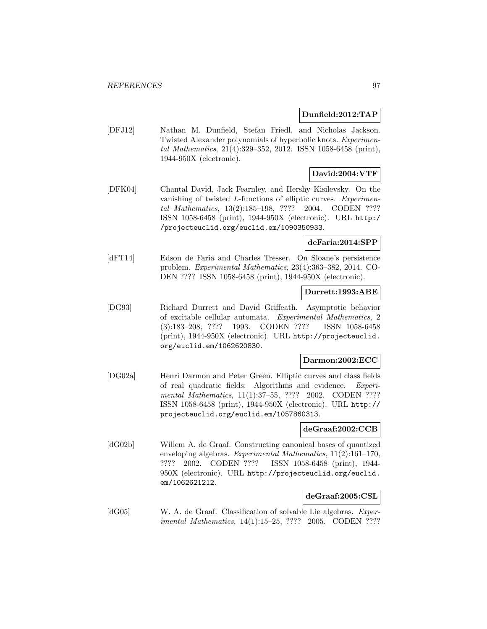#### **Dunfield:2012:TAP**

[DFJ12] Nathan M. Dunfield, Stefan Friedl, and Nicholas Jackson. Twisted Alexander polynomials of hyperbolic knots. Experimental Mathematics, 21(4):329–352, 2012. ISSN 1058-6458 (print), 1944-950X (electronic).

# **David:2004:VTF**

[DFK04] Chantal David, Jack Fearnley, and Hershy Kisilevsky. On the vanishing of twisted L-functions of elliptic curves. Experimental Mathematics, 13(2):185–198, ???? 2004. CODEN ???? ISSN 1058-6458 (print), 1944-950X (electronic). URL http:/ /projecteuclid.org/euclid.em/1090350933.

#### **deFaria:2014:SPP**

[dFT14] Edson de Faria and Charles Tresser. On Sloane's persistence problem. Experimental Mathematics, 23(4):363–382, 2014. CO-DEN ???? ISSN 1058-6458 (print), 1944-950X (electronic).

#### **Durrett:1993:ABE**

[DG93] Richard Durrett and David Griffeath. Asymptotic behavior of excitable cellular automata. Experimental Mathematics, 2 (3):183–208, ???? 1993. CODEN ???? ISSN 1058-6458 (print), 1944-950X (electronic). URL http://projecteuclid. org/euclid.em/1062620830.

### **Darmon:2002:ECC**

[DG02a] Henri Darmon and Peter Green. Elliptic curves and class fields of real quadratic fields: Algorithms and evidence. Experimental Mathematics, 11(1):37–55, ???? 2002. CODEN ???? ISSN 1058-6458 (print), 1944-950X (electronic). URL http:// projecteuclid.org/euclid.em/1057860313.

#### **deGraaf:2002:CCB**

[dG02b] Willem A. de Graaf. Constructing canonical bases of quantized enveloping algebras. Experimental Mathematics, 11(2):161–170, ???? 2002. CODEN ???? ISSN 1058-6458 (print), 1944- 950X (electronic). URL http://projecteuclid.org/euclid. em/1062621212.

#### **deGraaf:2005:CSL**

[dG05] W. A. de Graaf. Classification of solvable Lie algebras. Experimental Mathematics, 14(1):15–25, ???? 2005. CODEN ????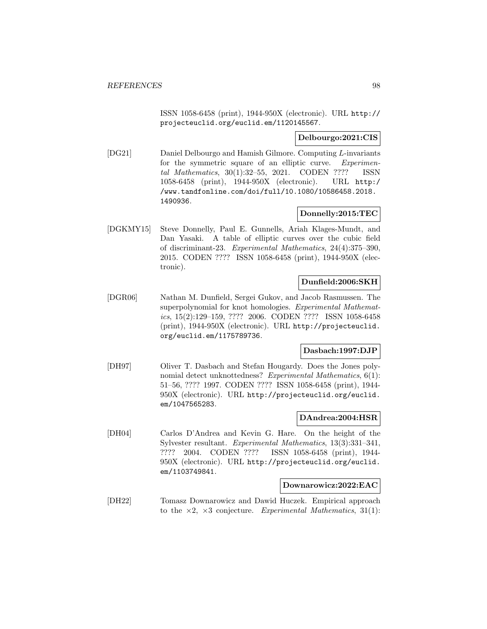ISSN 1058-6458 (print), 1944-950X (electronic). URL http:// projecteuclid.org/euclid.em/1120145567.

## **Delbourgo:2021:CIS**

[DG21] Daniel Delbourgo and Hamish Gilmore. Computing L-invariants for the symmetric square of an elliptic curve. Experimental Mathematics, 30(1):32–55, 2021. CODEN ???? ISSN 1058-6458 (print), 1944-950X (electronic). URL http:/ /www.tandfonline.com/doi/full/10.1080/10586458.2018. 1490936.

## **Donnelly:2015:TEC**

[DGKMY15] Steve Donnelly, Paul E. Gunnells, Ariah Klages-Mundt, and Dan Yasaki. A table of elliptic curves over the cubic field of discriminant-23. Experimental Mathematics, 24(4):375–390, 2015. CODEN ???? ISSN 1058-6458 (print), 1944-950X (electronic).

## **Dunfield:2006:SKH**

[DGR06] Nathan M. Dunfield, Sergei Gukov, and Jacob Rasmussen. The superpolynomial for knot homologies. Experimental Mathematics, 15(2):129–159, ???? 2006. CODEN ???? ISSN 1058-6458 (print), 1944-950X (electronic). URL http://projecteuclid. org/euclid.em/1175789736.

# **Dasbach:1997:DJP**

[DH97] Oliver T. Dasbach and Stefan Hougardy. Does the Jones polynomial detect unknottedness? Experimental Mathematics, 6(1): 51–56, ???? 1997. CODEN ???? ISSN 1058-6458 (print), 1944- 950X (electronic). URL http://projecteuclid.org/euclid. em/1047565283.

## **DAndrea:2004:HSR**

[DH04] Carlos D'Andrea and Kevin G. Hare. On the height of the Sylvester resultant. Experimental Mathematics, 13(3):331–341, ???? 2004. CODEN ???? ISSN 1058-6458 (print), 1944- 950X (electronic). URL http://projecteuclid.org/euclid. em/1103749841.

#### **Downarowicz:2022:EAC**

[DH22] Tomasz Downarowicz and Dawid Huczek. Empirical approach to the  $\times 2$ ,  $\times 3$  conjecture. Experimental Mathematics, 31(1):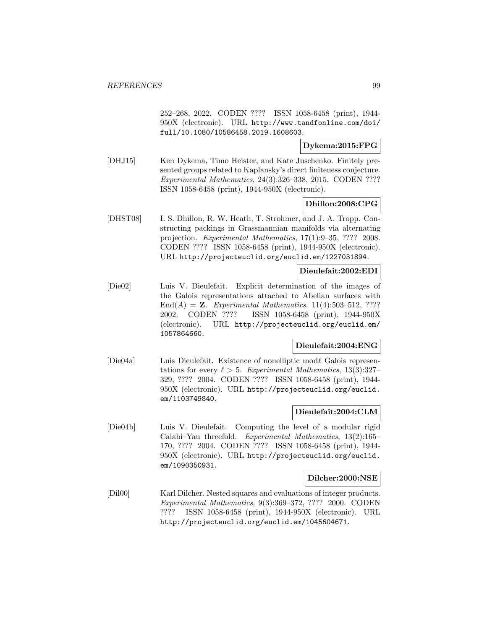252–268, 2022. CODEN ???? ISSN 1058-6458 (print), 1944- 950X (electronic). URL http://www.tandfonline.com/doi/ full/10.1080/10586458.2019.1608603.

**Dykema:2015:FPG**

[DHJ15] Ken Dykema, Timo Heister, and Kate Juschenko. Finitely presented groups related to Kaplansky's direct finiteness conjecture. Experimental Mathematics, 24(3):326–338, 2015. CODEN ???? ISSN 1058-6458 (print), 1944-950X (electronic).

**Dhillon:2008:CPG**

[DHST08] I. S. Dhillon, R. W. Heath, T. Strohmer, and J. A. Tropp. Constructing packings in Grassmannian manifolds via alternating projection. Experimental Mathematics, 17(1):9–35, ???? 2008. CODEN ???? ISSN 1058-6458 (print), 1944-950X (electronic). URL http://projecteuclid.org/euclid.em/1227031894.

#### **Dieulefait:2002:EDI**

[Die02] Luis V. Dieulefait. Explicit determination of the images of the Galois representations attached to Abelian surfaces with End $(A) = \mathbf{Z}$ . Experimental Mathematics, 11(4):503-512, ???? 2002. CODEN ???? ISSN 1058-6458 (print), 1944-950X (electronic). URL http://projecteuclid.org/euclid.em/ 1057864660.

#### **Dieulefait:2004:ENG**

[Die04a] Luis Dieulefait. Existence of nonelliptic mod $\ell$  Galois representations for every  $\ell > 5$ . Experimental Mathematics, 13(3):327– 329, ???? 2004. CODEN ???? ISSN 1058-6458 (print), 1944- 950X (electronic). URL http://projecteuclid.org/euclid. em/1103749840.

#### **Dieulefait:2004:CLM**

[Die04b] Luis V. Dieulefait. Computing the level of a modular rigid Calabi–Yau threefold. Experimental Mathematics, 13(2):165– 170, ???? 2004. CODEN ???? ISSN 1058-6458 (print), 1944- 950X (electronic). URL http://projecteuclid.org/euclid. em/1090350931.

#### **Dilcher:2000:NSE**

[Dil00] Karl Dilcher. Nested squares and evaluations of integer products. Experimental Mathematics, 9(3):369–372, ???? 2000. CODEN ???? ISSN 1058-6458 (print), 1944-950X (electronic). URL http://projecteuclid.org/euclid.em/1045604671.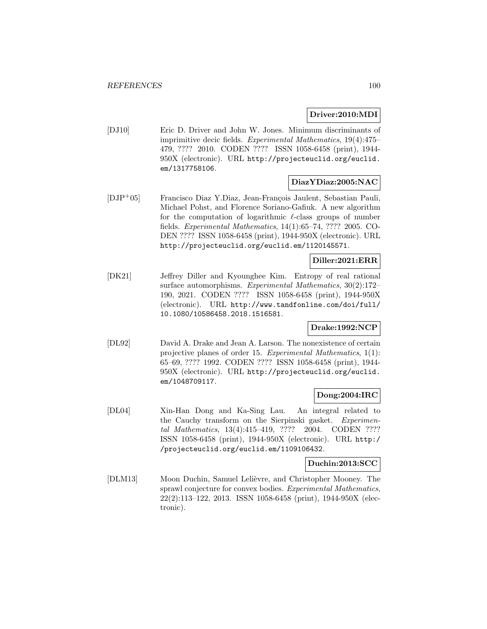## **Driver:2010:MDI**

[DJ10] Eric D. Driver and John W. Jones. Minimum discriminants of imprimitive decic fields. Experimental Mathematics, 19(4):475– 479, ???? 2010. CODEN ???? ISSN 1058-6458 (print), 1944- 950X (electronic). URL http://projecteuclid.org/euclid. em/1317758106.

## **DiazYDiaz:2005:NAC**

[DJP+05] Francisco Diaz Y.Diaz, Jean-François Jaulent, Sebastian Pauli, Michael Pohst, and Florence Soriano-Gafiuk. A new algorithm for the computation of logarithmic  $\ell$ -class groups of number fields. Experimental Mathematics, 14(1):65–74, ???? 2005. CO-DEN ???? ISSN 1058-6458 (print), 1944-950X (electronic). URL http://projecteuclid.org/euclid.em/1120145571.

## **Diller:2021:ERR**

[DK21] Jeffrey Diller and Kyounghee Kim. Entropy of real rational surface automorphisms. Experimental Mathematics, 30(2):172– 190, 2021. CODEN ???? ISSN 1058-6458 (print), 1944-950X (electronic). URL http://www.tandfonline.com/doi/full/ 10.1080/10586458.2018.1516581.

# **Drake:1992:NCP**

[DL92] David A. Drake and Jean A. Larson. The nonexistence of certain projective planes of order 15. Experimental Mathematics, 1(1): 65–69, ???? 1992. CODEN ???? ISSN 1058-6458 (print), 1944- 950X (electronic). URL http://projecteuclid.org/euclid. em/1048709117.

#### **Dong:2004:IRC**

[DL04] Xin-Han Dong and Ka-Sing Lau. An integral related to the Cauchy transform on the Sierpinski gasket. Experimental Mathematics, 13(4):415–419, ???? 2004. CODEN ???? ISSN 1058-6458 (print), 1944-950X (electronic). URL http:/ /projecteuclid.org/euclid.em/1109106432.

#### **Duchin:2013:SCC**

[DLM13] Moon Duchin, Samuel Lelièvre, and Christopher Mooney. The sprawl conjecture for convex bodies. Experimental Mathematics, 22(2):113–122, 2013. ISSN 1058-6458 (print), 1944-950X (electronic).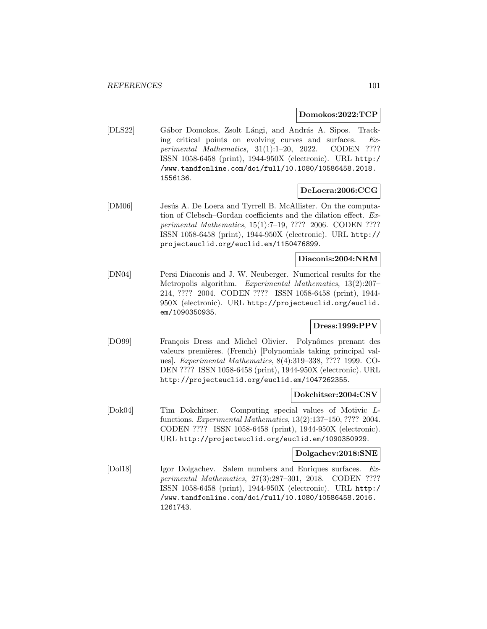#### **Domokos:2022:TCP**

[DLS22] Gábor Domokos, Zsolt Lángi, and András A. Sipos. Tracking critical points on evolving curves and surfaces. Experimental Mathematics, 31(1):1–20, 2022. CODEN ???? ISSN 1058-6458 (print), 1944-950X (electronic). URL http:/ /www.tandfonline.com/doi/full/10.1080/10586458.2018. 1556136.

#### **DeLoera:2006:CCG**

[DM06] Jesús A. De Loera and Tyrrell B. McAllister. On the computation of Clebsch–Gordan coefficients and the dilation effect. Experimental Mathematics, 15(1):7–19, ???? 2006. CODEN ???? ISSN 1058-6458 (print), 1944-950X (electronic). URL http:// projecteuclid.org/euclid.em/1150476899.

#### **Diaconis:2004:NRM**

[DN04] Persi Diaconis and J. W. Neuberger. Numerical results for the Metropolis algorithm. Experimental Mathematics, 13(2):207– 214, ???? 2004. CODEN ???? ISSN 1058-6458 (print), 1944- 950X (electronic). URL http://projecteuclid.org/euclid. em/1090350935.

## **Dress:1999:PPV**

[DO99] François Dress and Michel Olivier. Polynômes prenant des valeurs premières. (French) [Polynomials taking principal values]. Experimental Mathematics, 8(4):319–338, ???? 1999. CO-DEN ???? ISSN 1058-6458 (print), 1944-950X (electronic). URL http://projecteuclid.org/euclid.em/1047262355.

#### **Dokchitser:2004:CSV**

[Dok04] Tim Dokchitser. Computing special values of Motivic Lfunctions. Experimental Mathematics, 13(2):137–150, ???? 2004. CODEN ???? ISSN 1058-6458 (print), 1944-950X (electronic). URL http://projecteuclid.org/euclid.em/1090350929.

#### **Dolgachev:2018:SNE**

[Dol18] Igor Dolgachev. Salem numbers and Enriques surfaces. Experimental Mathematics, 27(3):287–301, 2018. CODEN ???? ISSN 1058-6458 (print), 1944-950X (electronic). URL http:/ /www.tandfonline.com/doi/full/10.1080/10586458.2016. 1261743.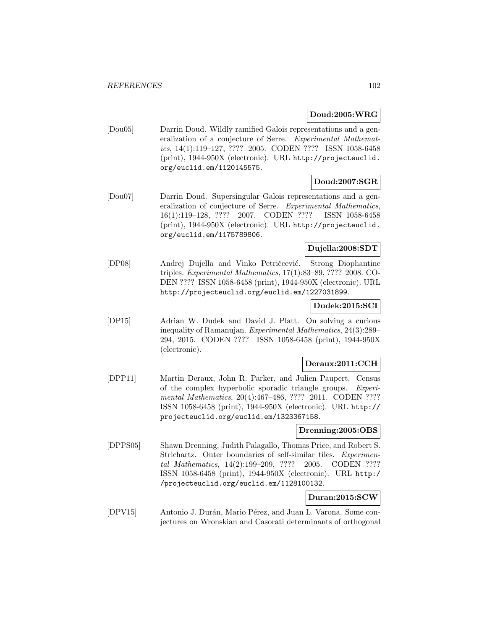## **Doud:2005:WRG**

[Dou05] Darrin Doud. Wildly ramified Galois representations and a generalization of a conjecture of Serre. Experimental Mathematics, 14(1):119–127, ???? 2005. CODEN ???? ISSN 1058-6458 (print), 1944-950X (electronic). URL http://projecteuclid. org/euclid.em/1120145575.

# **Doud:2007:SGR**

[Dou07] Darrin Doud. Supersingular Galois representations and a generalization of conjecture of Serre. Experimental Mathematics, 16(1):119–128, ???? 2007. CODEN ???? ISSN 1058-6458 (print), 1944-950X (electronic). URL http://projecteuclid. org/euclid.em/1175789806.

# **Dujella:2008:SDT**

[DP08] Andrej Dujella and Vinko Petričcević. Strong Diophantine triples. Experimental Mathematics, 17(1):83–89, ???? 2008. CO-DEN ???? ISSN 1058-6458 (print), 1944-950X (electronic). URL http://projecteuclid.org/euclid.em/1227031899.

### **Dudek:2015:SCI**

[DP15] Adrian W. Dudek and David J. Platt. On solving a curious inequality of Ramanujan. Experimental Mathematics, 24(3):289– 294, 2015. CODEN ???? ISSN 1058-6458 (print), 1944-950X (electronic).

#### **Deraux:2011:CCH**

[DPP11] Martin Deraux, John R. Parker, and Julien Paupert. Census of the complex hyperbolic sporadic triangle groups. Experimental Mathematics, 20(4):467–486, ???? 2011. CODEN ???? ISSN 1058-6458 (print), 1944-950X (electronic). URL http:// projecteuclid.org/euclid.em/1323367158.

#### **Drenning:2005:OBS**

[DPPS05] Shawn Drenning, Judith Palagallo, Thomas Price, and Robert S. Strichartz. Outer boundaries of self-similar tiles. Experimental Mathematics, 14(2):199–209, ???? 2005. CODEN ???? ISSN 1058-6458 (print), 1944-950X (electronic). URL http:/ /projecteuclid.org/euclid.em/1128100132.

# **Duran:2015:SCW**

[DPV15] Antonio J. Durán, Mario Pérez, and Juan L. Varona. Some conjectures on Wronskian and Casorati determinants of orthogonal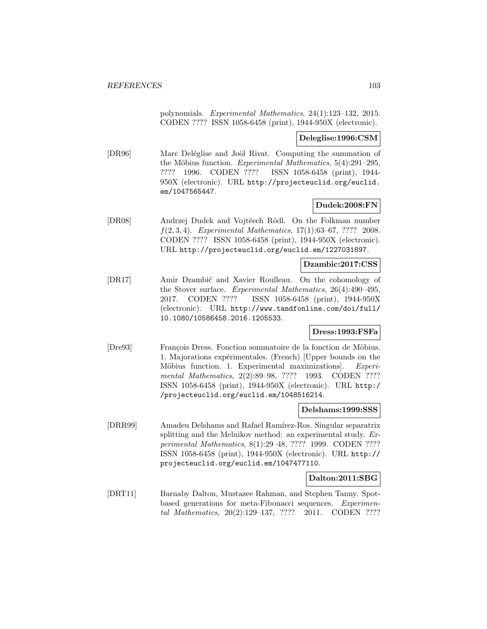polynomials. Experimental Mathematics, 24(1):123–132, 2015. CODEN ???? ISSN 1058-6458 (print), 1944-950X (electronic).

#### **Deleglise:1996:CSM**

[DR96] Marc Deléglise and Joöl Rivat. Computing the summation of the Möbius function. Experimental Mathematics,  $5(4):291-295$ , ???? 1996. CODEN ???? ISSN 1058-6458 (print), 1944- 950X (electronic). URL http://projecteuclid.org/euclid. em/1047565447.

## **Dudek:2008:FN**

[DR08] Andrzej Dudek and Vojtĕech Rödl. On the Folkman number  $f(2, 3, 4)$ . Experimental Mathematics, 17(1):63-67, ???? 2008. CODEN ???? ISSN 1058-6458 (print), 1944-950X (electronic). URL http://projecteuclid.org/euclid.em/1227031897.

### **Dzambic:2017:CSS**

[DR17] Amir Dzambić and Xavier Roulleau. On the cohomology of the Stover surface. Experimental Mathematics, 26(4):490–495, 2017. CODEN ???? ISSN 1058-6458 (print), 1944-950X (electronic). URL http://www.tandfonline.com/doi/full/ 10.1080/10586458.2016.1205533.

### **Dress:1993:FSFa**

[Dre93] François Dress. Fonction sommatoire de la fonction de Möbius. 1. Majorations expérimentales. (French) [Upper bounds on the Möbius function. 1. Experimental maximizations. Experimental Mathematics, 2(2):89-98, ???? 1993. CODEN ???? ISSN 1058-6458 (print), 1944-950X (electronic). URL http:/ /projecteuclid.org/euclid.em/1048516214.

#### **Delshams:1999:SSS**

[DRR99] Amadeu Delshams and Rafael Ramírez-Ros. Singular separatrix splitting and the Melnikov method: an experimental study. Experimental Mathematics, 8(1):29–48, ???? 1999. CODEN ???? ISSN 1058-6458 (print), 1944-950X (electronic). URL http:// projecteuclid.org/euclid.em/1047477110.

# **Dalton:2011:SBG**

[DRT11] Barnaby Dalton, Mustazee Rahman, and Stephen Tanny. Spotbased generations for meta-Fibonacci sequences. Experimental Mathematics, 20(2):129–137, ???? 2011. CODEN ????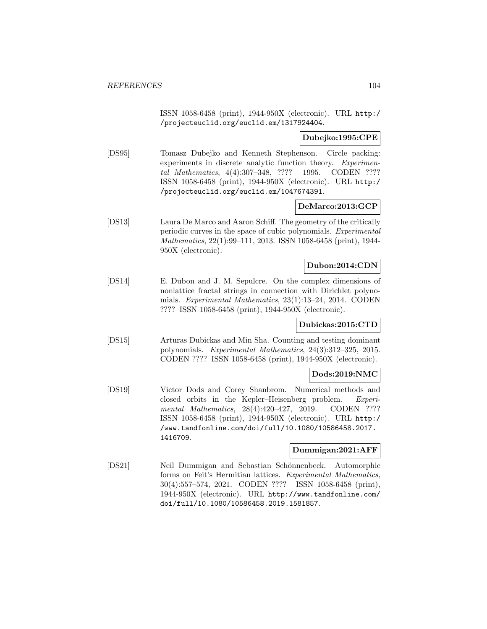ISSN 1058-6458 (print), 1944-950X (electronic). URL http:/ /projecteuclid.org/euclid.em/1317924404.

## **Dubejko:1995:CPE**

[DS95] Tomasz Dubejko and Kenneth Stephenson. Circle packing: experiments in discrete analytic function theory. Experimental Mathematics, 4(4):307–348, ???? 1995. CODEN ???? ISSN 1058-6458 (print), 1944-950X (electronic). URL http:/ /projecteuclid.org/euclid.em/1047674391.

## **DeMarco:2013:GCP**

[DS13] Laura De Marco and Aaron Schiff. The geometry of the critically periodic curves in the space of cubic polynomials. Experimental Mathematics, 22(1):99–111, 2013. ISSN 1058-6458 (print), 1944- 950X (electronic).

## **Dubon:2014:CDN**

[DS14] E. Dubon and J. M. Sepulcre. On the complex dimensions of nonlattice fractal strings in connection with Dirichlet polynomials. Experimental Mathematics, 23(1):13–24, 2014. CODEN ???? ISSN 1058-6458 (print), 1944-950X (electronic).

#### **Dubickas:2015:CTD**

[DS15] Arturas Dubickas and Min Sha. Counting and testing dominant polynomials. Experimental Mathematics, 24(3):312–325, 2015. CODEN ???? ISSN 1058-6458 (print), 1944-950X (electronic).

# **Dods:2019:NMC**

[DS19] Victor Dods and Corey Shanbrom. Numerical methods and closed orbits in the Kepler–Heisenberg problem. Experimental Mathematics, 28(4):420–427, 2019. CODEN ???? ISSN 1058-6458 (print), 1944-950X (electronic). URL http:/ /www.tandfonline.com/doi/full/10.1080/10586458.2017. 1416709.

#### **Dummigan:2021:AFF**

[DS21] Neil Dummigan and Sebastian Schönnenbeck. Automorphic forms on Feit's Hermitian lattices. Experimental Mathematics, 30(4):557–574, 2021. CODEN ???? ISSN 1058-6458 (print), 1944-950X (electronic). URL http://www.tandfonline.com/ doi/full/10.1080/10586458.2019.1581857.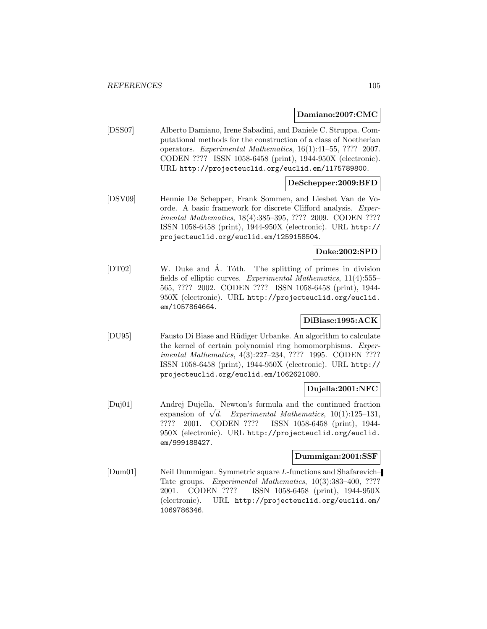#### **Damiano:2007:CMC**

[DSS07] Alberto Damiano, Irene Sabadini, and Daniele C. Struppa. Computational methods for the construction of a class of Noetherian operators. Experimental Mathematics, 16(1):41–55, ???? 2007. CODEN ???? ISSN 1058-6458 (print), 1944-950X (electronic). URL http://projecteuclid.org/euclid.em/1175789800.

## **DeSchepper:2009:BFD**

[DSV09] Hennie De Schepper, Frank Sommen, and Liesbet Van de Voorde. A basic framework for discrete Clifford analysis. Experimental Mathematics, 18(4):385–395, ???? 2009. CODEN ???? ISSN 1058-6458 (print), 1944-950X (electronic). URL http:// projecteuclid.org/euclid.em/1259158504.

# **Duke:2002:SPD**

[DT02] W. Duke and A. Tóth. The splitting of primes in division fields of elliptic curves. Experimental Mathematics, 11(4):555– 565, ???? 2002. CODEN ???? ISSN 1058-6458 (print), 1944- 950X (electronic). URL http://projecteuclid.org/euclid. em/1057864664.

# **DiBiase:1995:ACK**

[DU95] Fausto Di Biase and R¨udiger Urbanke. An algorithm to calculate the kernel of certain polynomial ring homomorphisms. Experimental Mathematics, 4(3):227–234, ???? 1995. CODEN ???? ISSN 1058-6458 (print), 1944-950X (electronic). URL http:// projecteuclid.org/euclid.em/1062621080.

# **Dujella:2001:NFC**

[Duj01] Andrej Dujella. Newton's formula and the continued fraction Andrej Dujena. Newton's formula and the continued fraction<br>expansion of  $\sqrt{d}$ . Experimental Mathematics, 10(1):125–131, ???? 2001. CODEN ???? ISSN 1058-6458 (print), 1944- 950X (electronic). URL http://projecteuclid.org/euclid. em/999188427.

#### **Dummigan:2001:SSF**

[Dum01] Neil Dummigan. Symmetric square L-functions and Shafarevich– Tate groups. Experimental Mathematics, 10(3):383–400, ???? 2001. CODEN ???? ISSN 1058-6458 (print), 1944-950X (electronic). URL http://projecteuclid.org/euclid.em/ 1069786346.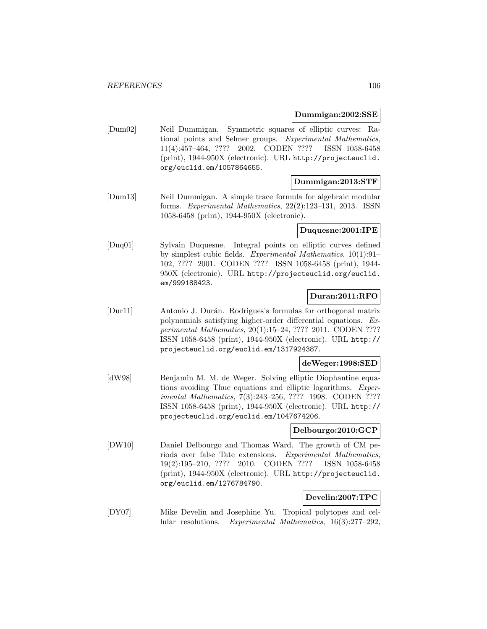#### **Dummigan:2002:SSE**

[Dum02] Neil Dummigan. Symmetric squares of elliptic curves: Rational points and Selmer groups. Experimental Mathematics, 11(4):457–464, ???? 2002. CODEN ???? ISSN 1058-6458 (print), 1944-950X (electronic). URL http://projecteuclid. org/euclid.em/1057864655.

#### **Dummigan:2013:STF**

[Dum13] Neil Dummigan. A simple trace formula for algebraic modular forms. Experimental Mathematics, 22(2):123–131, 2013. ISSN 1058-6458 (print), 1944-950X (electronic).

#### **Duquesne:2001:IPE**

[Duq01] Sylvain Duquesne. Integral points on elliptic curves defined by simplest cubic fields. Experimental Mathematics, 10(1):91– 102, ???? 2001. CODEN ???? ISSN 1058-6458 (print), 1944- 950X (electronic). URL http://projecteuclid.org/euclid. em/999188423.

## **Duran:2011:RFO**

[Dur11] Antonio J. Durán. Rodrigues's formulas for orthogonal matrix polynomials satisfying higher-order differential equations. Experimental Mathematics, 20(1):15–24, ???? 2011. CODEN ???? ISSN 1058-6458 (print), 1944-950X (electronic). URL http:// projecteuclid.org/euclid.em/1317924387.

# **deWeger:1998:SED**

[dW98] Benjamin M. M. de Weger. Solving elliptic Diophantine equations avoiding Thue equations and elliptic logarithms. Experimental Mathematics, 7(3):243–256, ???? 1998. CODEN ???? ISSN 1058-6458 (print), 1944-950X (electronic). URL http:// projecteuclid.org/euclid.em/1047674206.

### **Delbourgo:2010:GCP**

[DW10] Daniel Delbourgo and Thomas Ward. The growth of CM periods over false Tate extensions. Experimental Mathematics, 19(2):195–210, ???? 2010. CODEN ???? ISSN 1058-6458 (print), 1944-950X (electronic). URL http://projecteuclid. org/euclid.em/1276784790.

# **Develin:2007:TPC**

[DY07] Mike Develin and Josephine Yu. Tropical polytopes and cellular resolutions. Experimental Mathematics, 16(3):277–292,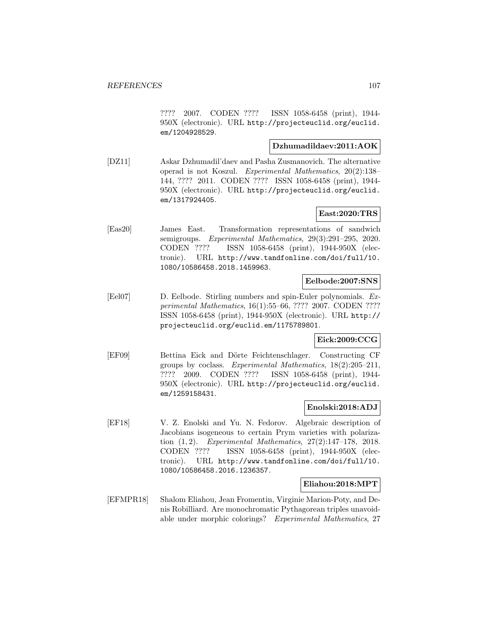???? 2007. CODEN ???? ISSN 1058-6458 (print), 1944- 950X (electronic). URL http://projecteuclid.org/euclid. em/1204928529.

## **Dzhumadildaev:2011:AOK**

[DZ11] Askar Dzhumadil'daev and Pasha Zusmanovich. The alternative operad is not Koszul. Experimental Mathematics, 20(2):138– 144, ???? 2011. CODEN ???? ISSN 1058-6458 (print), 1944- 950X (electronic). URL http://projecteuclid.org/euclid. em/1317924405.

## **East:2020:TRS**

[Eas20] James East. Transformation representations of sandwich semigroups. Experimental Mathematics, 29(3):291–295, 2020. CODEN ???? ISSN 1058-6458 (print), 1944-950X (electronic). URL http://www.tandfonline.com/doi/full/10. 1080/10586458.2018.1459963.

### **Eelbode:2007:SNS**

[Eel07] D. Eelbode. Stirling numbers and spin-Euler polynomials. Experimental Mathematics, 16(1):55–66, ???? 2007. CODEN ???? ISSN 1058-6458 (print), 1944-950X (electronic). URL http:// projecteuclid.org/euclid.em/1175789801.

# **Eick:2009:CCG**

[EF09] Bettina Eick and Dörte Feichtenschlager. Constructing CF groups by coclass. Experimental Mathematics, 18(2):205–211, ???? 2009. CODEN ???? ISSN 1058-6458 (print), 1944- 950X (electronic). URL http://projecteuclid.org/euclid. em/1259158431.

## **Enolski:2018:ADJ**

[EF18] V. Z. Enolski and Yu. N. Fedorov. Algebraic description of Jacobians isogeneous to certain Prym varieties with polarization  $(1, 2)$ . Experimental Mathematics,  $27(2):147-178$ ,  $2018$ . CODEN ???? ISSN 1058-6458 (print), 1944-950X (electronic). URL http://www.tandfonline.com/doi/full/10. 1080/10586458.2016.1236357.

#### **Eliahou:2018:MPT**

[EFMPR18] Shalom Eliahou, Jean Fromentin, Virginie Marion-Poty, and Denis Robilliard. Are monochromatic Pythagorean triples unavoidable under morphic colorings? Experimental Mathematics, 27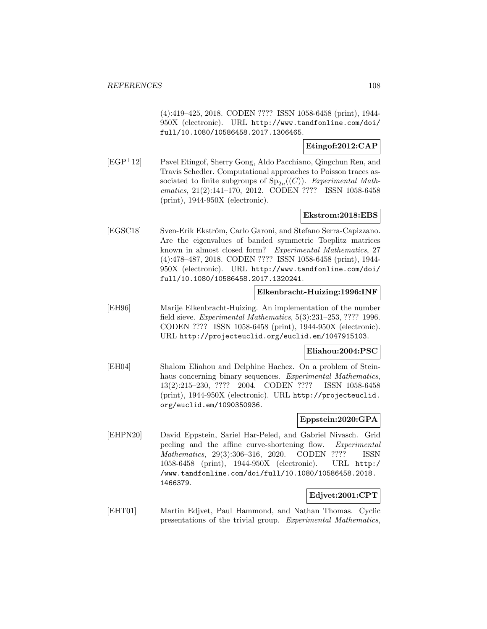(4):419–425, 2018. CODEN ???? ISSN 1058-6458 (print), 1944- 950X (electronic). URL http://www.tandfonline.com/doi/ full/10.1080/10586458.2017.1306465.

# **Etingof:2012:CAP**

[EGP<sup>+</sup>12] Pavel Etingof, Sherry Gong, Aldo Pacchiano, Qingchun Ren, and Travis Schedler. Computational approaches to Poisson traces associated to finite subgroups of  $Sp_{2n}((C))$ . Experimental Mathematics, 21(2):141–170, 2012. CODEN ???? ISSN 1058-6458 (print), 1944-950X (electronic).

# **Ekstrom:2018:EBS**

[EGSC18] Sven-Erik Ekström, Carlo Garoni, and Stefano Serra-Capizzano. Are the eigenvalues of banded symmetric Toeplitz matrices known in almost closed form? Experimental Mathematics, 27 (4):478–487, 2018. CODEN ???? ISSN 1058-6458 (print), 1944- 950X (electronic). URL http://www.tandfonline.com/doi/ full/10.1080/10586458.2017.1320241.

## **Elkenbracht-Huizing:1996:INF**

[EH96] Marije Elkenbracht-Huizing. An implementation of the number field sieve. Experimental Mathematics, 5(3):231–253, ???? 1996. CODEN ???? ISSN 1058-6458 (print), 1944-950X (electronic). URL http://projecteuclid.org/euclid.em/1047915103.

#### **Eliahou:2004:PSC**

[EH04] Shalom Eliahou and Delphine Hachez. On a problem of Steinhaus concerning binary sequences. Experimental Mathematics, 13(2):215–230, ???? 2004. CODEN ???? ISSN 1058-6458 (print), 1944-950X (electronic). URL http://projecteuclid. org/euclid.em/1090350936.

# **Eppstein:2020:GPA**

[EHPN20] David Eppstein, Sariel Har-Peled, and Gabriel Nivasch. Grid peeling and the affine curve-shortening flow. Experimental Mathematics, 29(3):306–316, 2020. CODEN ???? ISSN 1058-6458 (print), 1944-950X (electronic). URL http:/ /www.tandfonline.com/doi/full/10.1080/10586458.2018. 1466379.

# **Edjvet:2001:CPT**

[EHT01] Martin Edjvet, Paul Hammond, and Nathan Thomas. Cyclic presentations of the trivial group. Experimental Mathematics,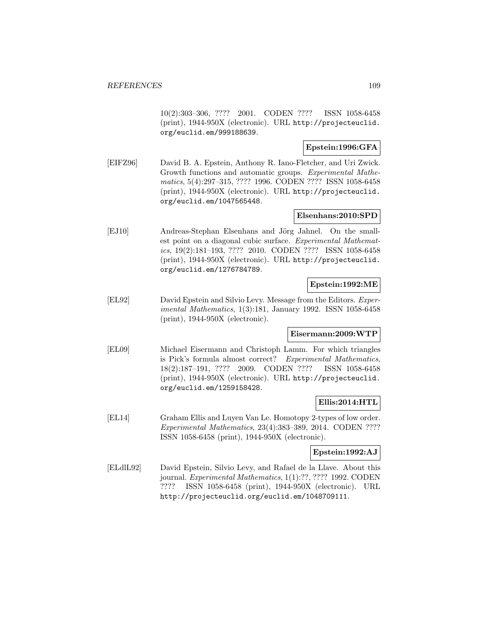10(2):303–306, ???? 2001. CODEN ???? ISSN 1058-6458 (print), 1944-950X (electronic). URL http://projecteuclid. org/euclid.em/999188639.

# **Epstein:1996:GFA**

[EIFZ96] David B. A. Epstein, Anthony R. Iano-Fletcher, and Uri Zwick. Growth functions and automatic groups. Experimental Mathematics, 5(4):297–315, ???? 1996. CODEN ???? ISSN 1058-6458 (print), 1944-950X (electronic). URL http://projecteuclid. org/euclid.em/1047565448.

# **Elsenhans:2010:SPD**

[EJ10] Andreas-Stephan Elsenhans and Jörg Jahnel. On the smallest point on a diagonal cubic surface. Experimental Mathematics, 19(2):181–193, ???? 2010. CODEN ???? ISSN 1058-6458 (print), 1944-950X (electronic). URL http://projecteuclid. org/euclid.em/1276784789.

### **Epstein:1992:ME**

[EL92] David Epstein and Silvio Levy. Message from the Editors. Experimental Mathematics, 1(3):181, January 1992. ISSN 1058-6458 (print), 1944-950X (electronic).

# **Eisermann:2009:WTP**

[EL09] Michael Eisermann and Christoph Lamm. For which triangles is Pick's formula almost correct? Experimental Mathematics, 18(2):187–191, ???? 2009. CODEN ???? ISSN 1058-6458 (print), 1944-950X (electronic). URL http://projecteuclid. org/euclid.em/1259158428.

# **Ellis:2014:HTL**

[EL14] Graham Ellis and Luyen Van Le. Homotopy 2-types of low order. Experimental Mathematics, 23(4):383–389, 2014. CODEN ???? ISSN 1058-6458 (print), 1944-950X (electronic).

# **Epstein:1992:AJ**

[ELdlL92] David Epstein, Silvio Levy, and Rafael de la Llave. About this journal. Experimental Mathematics, 1(1):??, ???? 1992. CODEN ???? ISSN 1058-6458 (print), 1944-950X (electronic). URL http://projecteuclid.org/euclid.em/1048709111.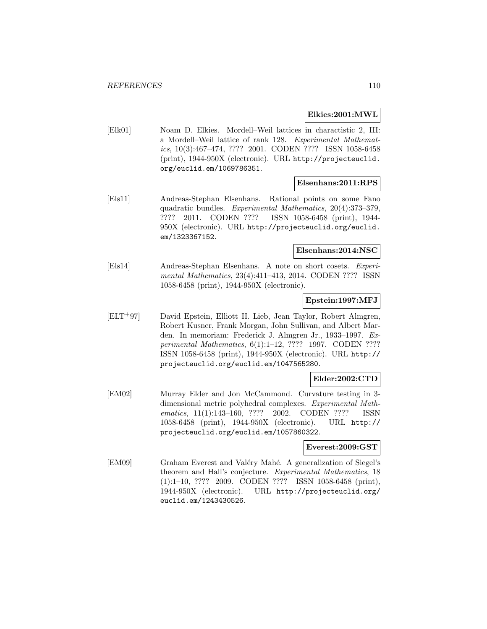#### **Elkies:2001:MWL**

[Elk01] Noam D. Elkies. Mordell–Weil lattices in charactistic 2, III: a Mordell–Weil lattice of rank 128. Experimental Mathematics, 10(3):467–474, ???? 2001. CODEN ???? ISSN 1058-6458 (print), 1944-950X (electronic). URL http://projecteuclid. org/euclid.em/1069786351.

#### **Elsenhans:2011:RPS**

[Els11] Andreas-Stephan Elsenhans. Rational points on some Fano quadratic bundles. Experimental Mathematics, 20(4):373–379, ???? 2011. CODEN ???? ISSN 1058-6458 (print), 1944- 950X (electronic). URL http://projecteuclid.org/euclid. em/1323367152.

#### **Elsenhans:2014:NSC**

[Els14] Andreas-Stephan Elsenhans. A note on short cosets. Experimental Mathematics, 23(4):411–413, 2014. CODEN ???? ISSN 1058-6458 (print), 1944-950X (electronic).

## **Epstein:1997:MFJ**

[ELT<sup>+</sup>97] David Epstein, Elliott H. Lieb, Jean Taylor, Robert Almgren, Robert Kusner, Frank Morgan, John Sullivan, and Albert Marden. In memoriam: Frederick J. Almgren Jr., 1933–1997. Experimental Mathematics, 6(1):1–12, ???? 1997. CODEN ???? ISSN 1058-6458 (print), 1944-950X (electronic). URL http:// projecteuclid.org/euclid.em/1047565280.

# **Elder:2002:CTD**

[EM02] Murray Elder and Jon McCammond. Curvature testing in 3 dimensional metric polyhedral complexes. Experimental Mathematics, 11(1):143-160, ???? 2002. CODEN ???? ISSN 1058-6458 (print), 1944-950X (electronic). URL http:// projecteuclid.org/euclid.em/1057860322.

#### **Everest:2009:GST**

[EM09] Graham Everest and Valéry Mahé. A generalization of Siegel's theorem and Hall's conjecture. Experimental Mathematics, 18 (1):1–10, ???? 2009. CODEN ???? ISSN 1058-6458 (print), 1944-950X (electronic). URL http://projecteuclid.org/ euclid.em/1243430526.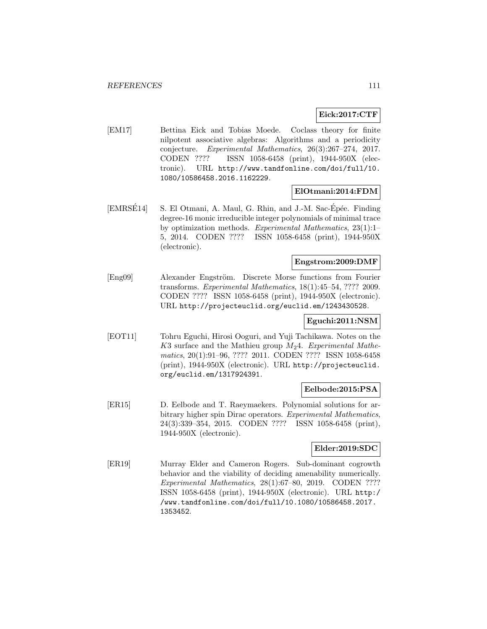# **Eick:2017:CTF**

[EM17] Bettina Eick and Tobias Moede. Coclass theory for finite nilpotent associative algebras: Algorithms and a periodicity conjecture. Experimental Mathematics, 26(3):267–274, 2017. CODEN ???? ISSN 1058-6458 (print), 1944-950X (electronic). URL http://www.tandfonline.com/doi/full/10. 1080/10586458.2016.1162229.

### **ElOtmani:2014:FDM**

[EMRSÉ14] S. El Otmani, A. Maul, G. Rhin, and J.-M. Sac-Épée. Finding degree-16 monic irreducible integer polynomials of minimal trace by optimization methods. Experimental Mathematics, 23(1):1– 5, 2014. CODEN ???? ISSN 1058-6458 (print), 1944-950X (electronic).

## **Engstrom:2009:DMF**

[Eng09] Alexander Engström. Discrete Morse functions from Fourier transforms. Experimental Mathematics, 18(1):45–54, ???? 2009. CODEN ???? ISSN 1058-6458 (print), 1944-950X (electronic). URL http://projecteuclid.org/euclid.em/1243430528.

# **Eguchi:2011:NSM**

[EOT11] Tohru Eguchi, Hirosi Ooguri, and Yuji Tachikawa. Notes on the K3 surface and the Mathieu group  $M_2$ 4. Experimental Mathematics, 20(1):91–96, ???? 2011. CODEN ???? ISSN 1058-6458 (print), 1944-950X (electronic). URL http://projecteuclid. org/euclid.em/1317924391.

## **Eelbode:2015:PSA**

[ER15] D. Eelbode and T. Raeymaekers. Polynomial solutions for arbitrary higher spin Dirac operators. Experimental Mathematics, 24(3):339–354, 2015. CODEN ???? ISSN 1058-6458 (print), 1944-950X (electronic).

# **Elder:2019:SDC**

[ER19] Murray Elder and Cameron Rogers. Sub-dominant cogrowth behavior and the viability of deciding amenability numerically. Experimental Mathematics, 28(1):67–80, 2019. CODEN ???? ISSN 1058-6458 (print), 1944-950X (electronic). URL http:/ /www.tandfonline.com/doi/full/10.1080/10586458.2017. 1353452.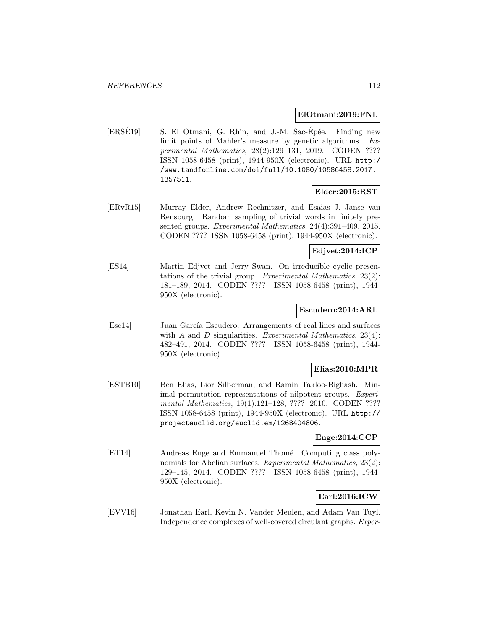#### **ElOtmani:2019:FNL**

 $[ERSE19]$  S. El Otmani, G. Rhin, and J.-M. Sac-Épée. Finding new limit points of Mahler's measure by genetic algorithms. Experimental Mathematics, 28(2):129–131, 2019. CODEN ???? ISSN 1058-6458 (print), 1944-950X (electronic). URL http:/ /www.tandfonline.com/doi/full/10.1080/10586458.2017. 1357511.

## **Elder:2015:RST**

[ERvR15] Murray Elder, Andrew Rechnitzer, and Esaias J. Janse van Rensburg. Random sampling of trivial words in finitely presented groups. Experimental Mathematics, 24(4):391–409, 2015. CODEN ???? ISSN 1058-6458 (print), 1944-950X (electronic).

## **Edjvet:2014:ICP**

[ES14] Martin Edjvet and Jerry Swan. On irreducible cyclic presentations of the trivial group. Experimental Mathematics, 23(2): 181–189, 2014. CODEN ???? ISSN 1058-6458 (print), 1944- 950X (electronic).

### **Escudero:2014:ARL**

[Esc14] Juan García Escudero. Arrangements of real lines and surfaces with  $A$  and  $D$  singularities. Experimental Mathematics, 23(4): 482–491, 2014. CODEN ???? ISSN 1058-6458 (print), 1944- 950X (electronic).

# **Elias:2010:MPR**

[ESTB10] Ben Elias, Lior Silberman, and Ramin Takloo-Bighash. Minimal permutation representations of nilpotent groups. Experimental Mathematics, 19(1):121–128, ???? 2010. CODEN ???? ISSN 1058-6458 (print), 1944-950X (electronic). URL http:// projecteuclid.org/euclid.em/1268404806.

### **Enge:2014:CCP**

[ET14] Andreas Enge and Emmanuel Thomé. Computing class polynomials for Abelian surfaces. Experimental Mathematics, 23(2): 129–145, 2014. CODEN ???? ISSN 1058-6458 (print), 1944- 950X (electronic).

# **Earl:2016:ICW**

[EVV16] Jonathan Earl, Kevin N. Vander Meulen, and Adam Van Tuyl. Independence complexes of well-covered circulant graphs. Exper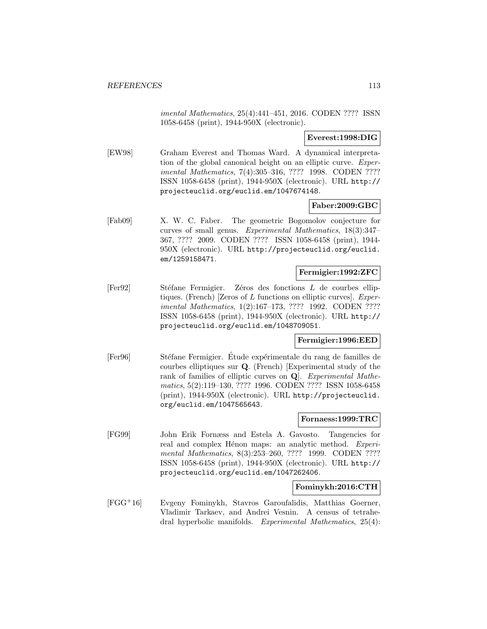imental Mathematics, 25(4):441–451, 2016. CODEN ???? ISSN 1058-6458 (print), 1944-950X (electronic).

### **Everest:1998:DIG**

[EW98] Graham Everest and Thomas Ward. A dynamical interpretation of the global canonical height on an elliptic curve. Experimental Mathematics, 7(4):305–316, ???? 1998. CODEN ???? ISSN 1058-6458 (print), 1944-950X (electronic). URL http:// projecteuclid.org/euclid.em/1047674148.

# **Faber:2009:GBC**

[Fab09] X. W. C. Faber. The geometric Bogomolov conjecture for curves of small genus. Experimental Mathematics, 18(3):347– 367, ???? 2009. CODEN ???? ISSN 1058-6458 (print), 1944- 950X (electronic). URL http://projecteuclid.org/euclid. em/1259158471.

### **Fermigier:1992:ZFC**

[Fer92] Stéfane Fermigier. Zéros des fonctions L de courbes elliptiques. (French) [Zeros of  $L$  functions on elliptic curves]. Experimental Mathematics, 1(2):167–173, ???? 1992. CODEN ???? ISSN 1058-6458 (print), 1944-950X (electronic). URL http:// projecteuclid.org/euclid.em/1048709051.

### **Fermigier:1996:EED**

[Fer96] Stéfane Fermigier. Etude expérimentale du rang de familles de courbes elliptiques sur **Q**. (French) [Experimental study of the rank of families of elliptic curves on **Q**]. Experimental Mathematics, 5(2):119–130, ???? 1996. CODEN ???? ISSN 1058-6458 (print), 1944-950X (electronic). URL http://projecteuclid. org/euclid.em/1047565643.

### **Fornaess:1999:TRC**

[FG99] John Erik Fornæss and Estela A. Gavosto. Tangencies for real and complex Hénon maps: an analytic method. Experimental Mathematics, 8(3):253–260, ???? 1999. CODEN ???? ISSN 1058-6458 (print), 1944-950X (electronic). URL http:// projecteuclid.org/euclid.em/1047262406.

### **Fominykh:2016:CTH**

[FGG<sup>+</sup>16] Evgeny Fominykh, Stavros Garoufalidis, Matthias Goerner, Vladimir Tarkaev, and Andrei Vesnin. A census of tetrahedral hyperbolic manifolds. Experimental Mathematics, 25(4):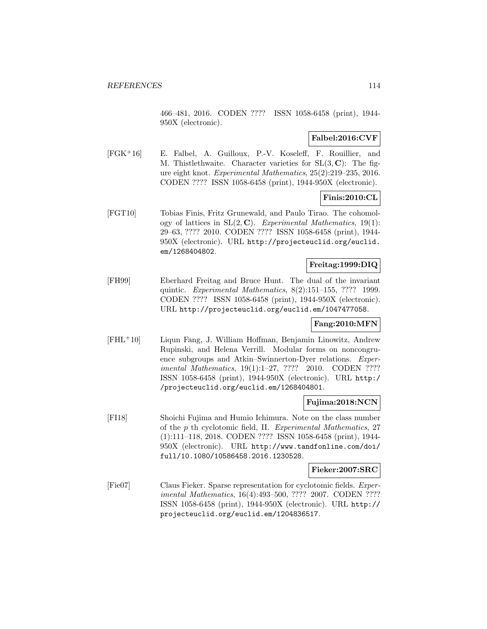466–481, 2016. CODEN ???? ISSN 1058-6458 (print), 1944- 950X (electronic).

## **Falbel:2016:CVF**

[FGK<sup>+</sup>16] E. Falbel, A. Guilloux, P.-V. Koseleff, F. Rouillier, and M. Thistlethwaite. Character varieties for SL(3, **C**): The figure eight knot. Experimental Mathematics, 25(2):219–235, 2016. CODEN ???? ISSN 1058-6458 (print), 1944-950X (electronic).

## **Finis:2010:CL**

[FGT10] Tobias Finis, Fritz Grunewald, and Paulo Tirao. The cohomology of lattices in  $SL(2, \mathbb{C})$ . Experimental Mathematics, 19(1): 29–63, ???? 2010. CODEN ???? ISSN 1058-6458 (print), 1944- 950X (electronic). URL http://projecteuclid.org/euclid. em/1268404802.

### **Freitag:1999:DIQ**

[FH99] Eberhard Freitag and Bruce Hunt. The dual of the invariant quintic. Experimental Mathematics, 8(2):151–155, ???? 1999. CODEN ???? ISSN 1058-6458 (print), 1944-950X (electronic). URL http://projecteuclid.org/euclid.em/1047477058.

### **Fang:2010:MFN**

[FHL<sup>+</sup>10] Liqun Fang, J. William Hoffman, Benjamin Linowitz, Andrew Rupinski, and Helena Verrill. Modular forms on noncongruence subgroups and Atkin–Swinnerton-Dyer relations. Experimental Mathematics, 19(1):1-27, ???? 2010. CODEN ???? ISSN 1058-6458 (print), 1944-950X (electronic). URL http:/ /projecteuclid.org/euclid.em/1268404801.

#### **Fujima:2018:NCN**

[FI18] Shoichi Fujima and Humio Ichimura. Note on the class number of the p th cyclotomic field, II. Experimental Mathematics, 27 (1):111–118, 2018. CODEN ???? ISSN 1058-6458 (print), 1944- 950X (electronic). URL http://www.tandfonline.com/doi/ full/10.1080/10586458.2016.1230528.

#### **Fieker:2007:SRC**

[Fie07] Claus Fieker. Sparse representation for cyclotomic fields. Experimental Mathematics, 16(4):493–500, ???? 2007. CODEN ???? ISSN 1058-6458 (print), 1944-950X (electronic). URL http:// projecteuclid.org/euclid.em/1204836517.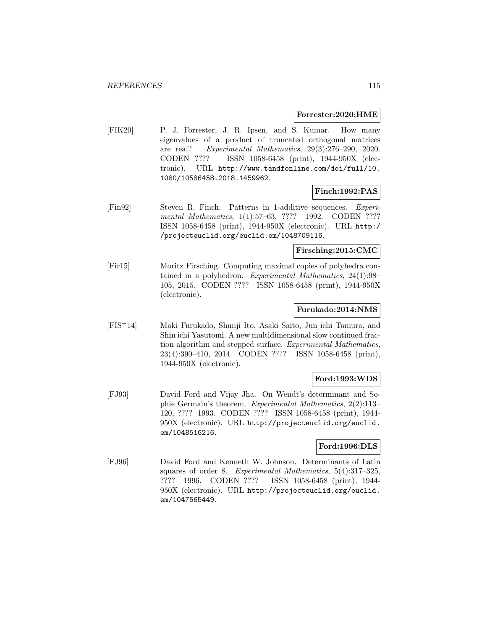#### **Forrester:2020:HME**

[FIK20] P. J. Forrester, J. R. Ipsen, and S. Kumar. How many eigenvalues of a product of truncated orthogonal matrices are real? Experimental Mathematics, 29(3):276–290, 2020. CODEN ???? ISSN 1058-6458 (print), 1944-950X (electronic). URL http://www.tandfonline.com/doi/full/10. 1080/10586458.2018.1459962.

## **Finch:1992:PAS**

[Fin92] Steven R. Finch. Patterns in 1-additive sequences. Experimental Mathematics, 1(1):57–63, ???? 1992. CODEN ???? ISSN 1058-6458 (print), 1944-950X (electronic). URL http:/ /projecteuclid.org/euclid.em/1048709116.

#### **Firsching:2015:CMC**

[Fir15] Moritz Firsching. Computing maximal copies of polyhedra contained in a polyhedron. Experimental Mathematics, 24(1):98– 105, 2015. CODEN ???? ISSN 1058-6458 (print), 1944-950X (electronic).

#### **Furukado:2014:NMS**

[FIS<sup>+</sup>14] Maki Furukado, Shunji Ito, Asaki Saito, Jun ichi Tamura, and Shin ichi Yasutomi. A new multidimensional slow continued fraction algorithm and stepped surface. Experimental Mathematics, 23(4):390–410, 2014. CODEN ???? ISSN 1058-6458 (print), 1944-950X (electronic).

## **Ford:1993:WDS**

[FJ93] David Ford and Vijay Jha. On Wendt's determinant and Sophie Germain's theorem. Experimental Mathematics, 2(2):113– 120, ???? 1993. CODEN ???? ISSN 1058-6458 (print), 1944- 950X (electronic). URL http://projecteuclid.org/euclid. em/1048516216.

### **Ford:1996:DLS**

[FJ96] David Ford and Kenneth W. Johnson. Determinants of Latin squares of order 8. Experimental Mathematics, 5(4):317–325, ???? 1996. CODEN ???? ISSN 1058-6458 (print), 1944- 950X (electronic). URL http://projecteuclid.org/euclid. em/1047565449.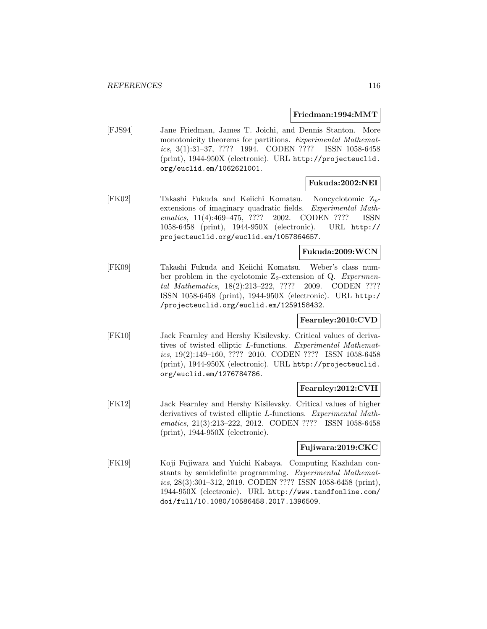#### **Friedman:1994:MMT**

[FJS94] Jane Friedman, James T. Joichi, and Dennis Stanton. More monotonicity theorems for partitions. Experimental Mathematics, 3(1):31–37, ???? 1994. CODEN ???? ISSN 1058-6458 (print), 1944-950X (electronic). URL http://projecteuclid. org/euclid.em/1062621001.

# **Fukuda:2002:NEI**

[FK02] Takashi Fukuda and Keiichi Komatsu. Noncyclotomic Zpextensions of imaginary quadratic fields. Experimental Mathematics, 11(4):469-475, ???? 2002. CODEN ???? ISSN 1058-6458 (print), 1944-950X (electronic). URL http:// projecteuclid.org/euclid.em/1057864657.

# **Fukuda:2009:WCN**

[FK09] Takashi Fukuda and Keiichi Komatsu. Weber's class number problem in the cyclotomic  $Z_2$ -extension of Q. Experimental Mathematics, 18(2):213–222, ???? 2009. CODEN ???? ISSN 1058-6458 (print), 1944-950X (electronic). URL http:/ /projecteuclid.org/euclid.em/1259158432.

### **Fearnley:2010:CVD**

[FK10] Jack Fearnley and Hershy Kisilevsky. Critical values of derivatives of twisted elliptic L-functions. Experimental Mathematics, 19(2):149–160, ???? 2010. CODEN ???? ISSN 1058-6458 (print), 1944-950X (electronic). URL http://projecteuclid. org/euclid.em/1276784786.

### **Fearnley:2012:CVH**

[FK12] Jack Fearnley and Hershy Kisilevsky. Critical values of higher derivatives of twisted elliptic L-functions. Experimental Mathematics, 21(3):213–222, 2012. CODEN ???? ISSN 1058-6458 (print), 1944-950X (electronic).

### **Fujiwara:2019:CKC**

[FK19] Koji Fujiwara and Yuichi Kabaya. Computing Kazhdan constants by semidefinite programming. Experimental Mathematics, 28(3):301–312, 2019. CODEN ???? ISSN 1058-6458 (print), 1944-950X (electronic). URL http://www.tandfonline.com/ doi/full/10.1080/10586458.2017.1396509.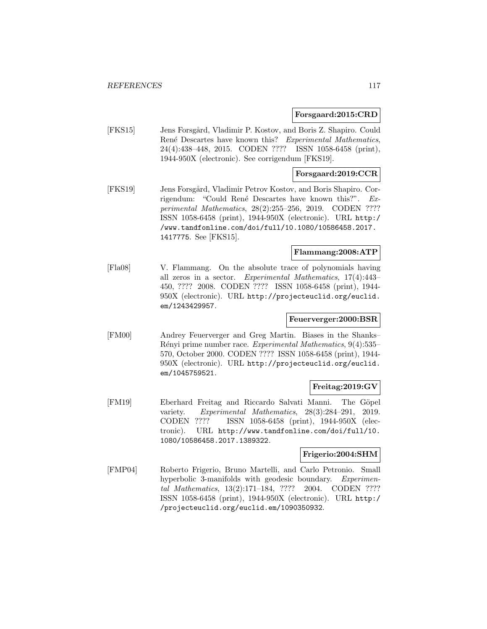### **Forsgaard:2015:CRD**

[FKS15] Jens Forsgård, Vladimir P. Kostov, and Boris Z. Shapiro. Could René Descartes have known this? Experimental Mathematics, 24(4):438–448, 2015. CODEN ???? ISSN 1058-6458 (print), 1944-950X (electronic). See corrigendum [FKS19].

### **Forsgaard:2019:CCR**

[FKS19] Jens Forsgård, Vladimir Petrov Kostov, and Boris Shapiro. Corrigendum: "Could René Descartes have known this?". Experimental Mathematics, 28(2):255–256, 2019. CODEN ???? ISSN 1058-6458 (print), 1944-950X (electronic). URL http:/ /www.tandfonline.com/doi/full/10.1080/10586458.2017. 1417775. See [FKS15].

## **Flammang:2008:ATP**

[Fla08] V. Flammang. On the absolute trace of polynomials having all zeros in a sector. Experimental Mathematics, 17(4):443– 450, ???? 2008. CODEN ???? ISSN 1058-6458 (print), 1944- 950X (electronic). URL http://projecteuclid.org/euclid. em/1243429957.

### **Feuerverger:2000:BSR**

[FM00] Andrey Feuerverger and Greg Martin. Biases in the Shanks– Rényi prime number race. Experimental Mathematics, 9(4):535– 570, October 2000. CODEN ???? ISSN 1058-6458 (print), 1944- 950X (electronic). URL http://projecteuclid.org/euclid. em/1045759521.

# **Freitag:2019:GV**

[FM19] Eberhard Freitag and Riccardo Salvati Manni. The Göpel variety. Experimental Mathematics, 28(3):284–291, 2019. CODEN ???? ISSN 1058-6458 (print), 1944-950X (electronic). URL http://www.tandfonline.com/doi/full/10. 1080/10586458.2017.1389322.

### **Frigerio:2004:SHM**

[FMP04] Roberto Frigerio, Bruno Martelli, and Carlo Petronio. Small hyperbolic 3-manifolds with geodesic boundary. Experimental Mathematics, 13(2):171–184, ???? 2004. CODEN ???? ISSN 1058-6458 (print), 1944-950X (electronic). URL http:/ /projecteuclid.org/euclid.em/1090350932.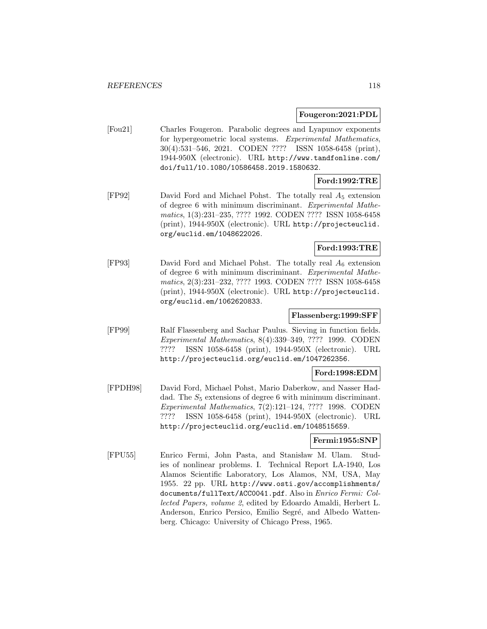#### **Fougeron:2021:PDL**

[Fou21] Charles Fougeron. Parabolic degrees and Lyapunov exponents for hypergeometric local systems. Experimental Mathematics, 30(4):531–546, 2021. CODEN ???? ISSN 1058-6458 (print), 1944-950X (electronic). URL http://www.tandfonline.com/ doi/full/10.1080/10586458.2019.1580632.

# **Ford:1992:TRE**

[FP92] David Ford and Michael Pohst. The totally real A<sup>5</sup> extension of degree 6 with minimum discriminant. Experimental Mathematics, 1(3):231–235, ???? 1992. CODEN ???? ISSN 1058-6458 (print), 1944-950X (electronic). URL http://projecteuclid. org/euclid.em/1048622026.

# **Ford:1993:TRE**

[FP93] David Ford and Michael Pohst. The totally real  $A_6$  extension of degree 6 with minimum discriminant. Experimental Mathematics, 2(3):231–232, ???? 1993. CODEN ???? ISSN 1058-6458 (print), 1944-950X (electronic). URL http://projecteuclid. org/euclid.em/1062620833.

# **Flassenberg:1999:SFF**

[FP99] Ralf Flassenberg and Sachar Paulus. Sieving in function fields. Experimental Mathematics, 8(4):339–349, ???? 1999. CODEN ???? ISSN 1058-6458 (print), 1944-950X (electronic). URL http://projecteuclid.org/euclid.em/1047262356.

# **Ford:1998:EDM**

[FPDH98] David Ford, Michael Pohst, Mario Daberkow, and Nasser Haddad. The  $S_5$  extensions of degree 6 with minimum discriminant. Experimental Mathematics, 7(2):121–124, ???? 1998. CODEN ???? ISSN 1058-6458 (print), 1944-950X (electronic). URL http://projecteuclid.org/euclid.em/1048515659.

# **Fermi:1955:SNP**

[FPU55] Enrico Fermi, John Pasta, and Stanisław M. Ulam. Studies of nonlinear problems. I. Technical Report LA-1940, Los Alamos Scientific Laboratory, Los Alamos, NM, USA, May 1955. 22 pp. URL http://www.osti.gov/accomplishments/ documents/fullText/ACC0041.pdf. Also in Enrico Fermi: Collected Papers, volume 2, edited by Edoardo Amaldi, Herbert L. Anderson, Enrico Persico, Emilio Segré, and Albedo Wattenberg. Chicago: University of Chicago Press, 1965.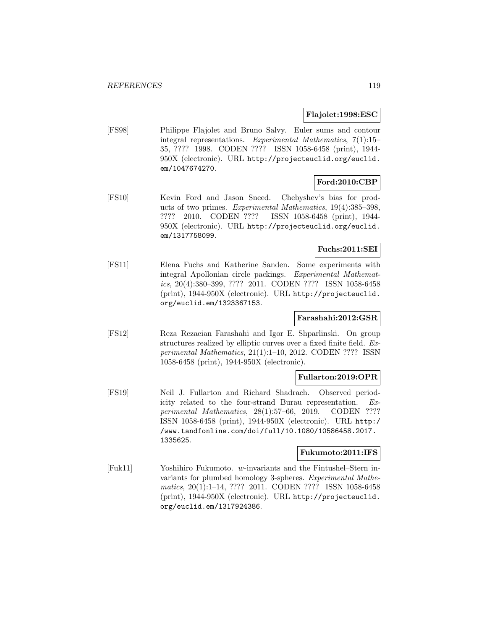## **Flajolet:1998:ESC**

[FS98] Philippe Flajolet and Bruno Salvy. Euler sums and contour integral representations. Experimental Mathematics, 7(1):15– 35, ???? 1998. CODEN ???? ISSN 1058-6458 (print), 1944- 950X (electronic). URL http://projecteuclid.org/euclid. em/1047674270.

#### **Ford:2010:CBP**

[FS10] Kevin Ford and Jason Sneed. Chebyshev's bias for products of two primes. Experimental Mathematics, 19(4):385–398, ???? 2010. CODEN ???? ISSN 1058-6458 (print), 1944- 950X (electronic). URL http://projecteuclid.org/euclid. em/1317758099.

## **Fuchs:2011:SEI**

[FS11] Elena Fuchs and Katherine Sanden. Some experiments with integral Apollonian circle packings. Experimental Mathematics, 20(4):380–399, ???? 2011. CODEN ???? ISSN 1058-6458 (print), 1944-950X (electronic). URL http://projecteuclid. org/euclid.em/1323367153.

# **Farashahi:2012:GSR**

[FS12] Reza Rezaeian Farashahi and Igor E. Shparlinski. On group structures realized by elliptic curves over a fixed finite field. Experimental Mathematics, 21(1):1–10, 2012. CODEN ???? ISSN 1058-6458 (print), 1944-950X (electronic).

### **Fullarton:2019:OPR**

[FS19] Neil J. Fullarton and Richard Shadrach. Observed periodicity related to the four-strand Burau representation. Experimental Mathematics, 28(1):57–66, 2019. CODEN ???? ISSN 1058-6458 (print), 1944-950X (electronic). URL http:/ /www.tandfonline.com/doi/full/10.1080/10586458.2017. 1335625.

#### **Fukumoto:2011:IFS**

[Fuk11] Yoshihiro Fukumoto. w-invariants and the Fintushel–Stern invariants for plumbed homology 3-spheres. Experimental Mathematics, 20(1):1–14, ???? 2011. CODEN ???? ISSN 1058-6458 (print), 1944-950X (electronic). URL http://projecteuclid. org/euclid.em/1317924386.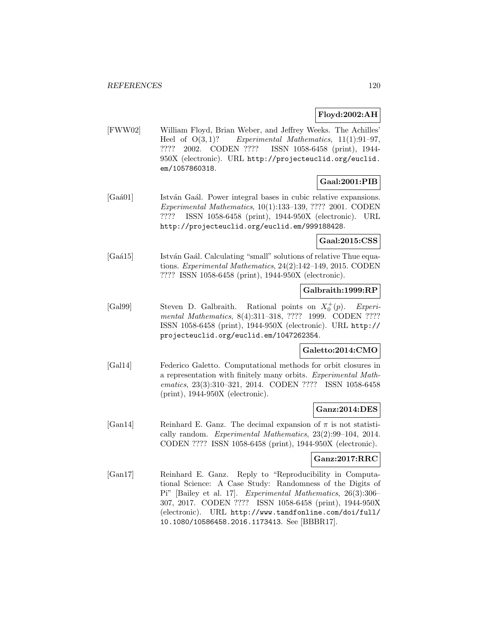# **Floyd:2002:AH**

[FWW02] William Floyd, Brian Weber, and Jeffrey Weeks. The Achilles' Heel of  $O(3, 1)$ ? Experimental Mathematics,  $11(1):91-97$ , ???? 2002. CODEN ???? ISSN 1058-6458 (print), 1944- 950X (electronic). URL http://projecteuclid.org/euclid. em/1057860318.

# **Gaal:2001:PIB**

[Gaá01] István Gaál. Power integral bases in cubic relative expansions. Experimental Mathematics, 10(1):133–139, ???? 2001. CODEN ???? ISSN 1058-6458 (print), 1944-950X (electronic). URL http://projecteuclid.org/euclid.em/999188428.

## **Gaal:2015:CSS**

[Gaá15] István Gaál. Calculating "small" solutions of relative Thue equations. Experimental Mathematics, 24(2):142–149, 2015. CODEN ???? ISSN 1058-6458 (print), 1944-950X (electronic).

## **Galbraith:1999:RP**

[Gal99] Steven D. Galbraith. Rational points on  $X_0^+(p)$ . Experimental Mathematics, 8(4):311–318, ???? 1999. CODEN ???? ISSN 1058-6458 (print), 1944-950X (electronic). URL http:// projecteuclid.org/euclid.em/1047262354.

# **Galetto:2014:CMO**

[Gal14] Federico Galetto. Computational methods for orbit closures in a representation with finitely many orbits. Experimental Mathematics, 23(3):310–321, 2014. CODEN ???? ISSN 1058-6458 (print), 1944-950X (electronic).

### **Ganz:2014:DES**

[Gan14] Reinhard E. Ganz. The decimal expansion of  $\pi$  is not statistically random. Experimental Mathematics, 23(2):99–104, 2014. CODEN ???? ISSN 1058-6458 (print), 1944-950X (electronic).

## **Ganz:2017:RRC**

[Gan17] Reinhard E. Ganz. Reply to "Reproducibility in Computational Science: A Case Study: Randomness of the Digits of Pi" [Bailey et al. 17]. Experimental Mathematics, 26(3):306– 307, 2017. CODEN ???? ISSN 1058-6458 (print), 1944-950X (electronic). URL http://www.tandfonline.com/doi/full/ 10.1080/10586458.2016.1173413. See [BBBR17].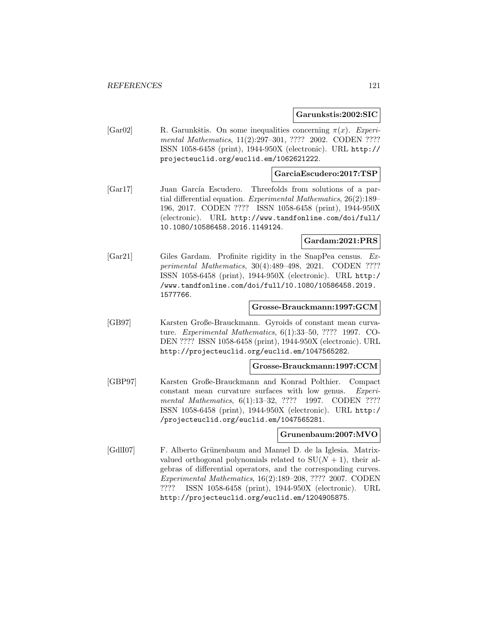**Garunkstis:2002:SIC**

[Gar02] R. Garunkštis. On some inequalities concerning  $\pi(x)$ . Experimental Mathematics, 11(2):297-301, ???? 2002. CODEN ???? ISSN 1058-6458 (print), 1944-950X (electronic). URL http:// projecteuclid.org/euclid.em/1062621222.

#### **GarciaEscudero:2017:TSP**

[Gar17] Juan García Escudero. Threefolds from solutions of a partial differential equation. Experimental Mathematics, 26(2):189– 196, 2017. CODEN ???? ISSN 1058-6458 (print), 1944-950X (electronic). URL http://www.tandfonline.com/doi/full/ 10.1080/10586458.2016.1149124.

**Gardam:2021:PRS**

[Gar21] Giles Gardam. Profinite rigidity in the SnapPea census. Experimental Mathematics, 30(4):489–498, 2021. CODEN ???? ISSN 1058-6458 (print), 1944-950X (electronic). URL http:/ /www.tandfonline.com/doi/full/10.1080/10586458.2019. 1577766.

#### **Grosse-Brauckmann:1997:GCM**

[GB97] Karsten Große-Brauckmann. Gyroids of constant mean curvature. Experimental Mathematics, 6(1):33–50, ???? 1997. CO-DEN ???? ISSN 1058-6458 (print), 1944-950X (electronic). URL http://projecteuclid.org/euclid.em/1047565282.

### **Grosse-Brauckmann:1997:CCM**

[GBP97] Karsten Große-Brauckmann and Konrad Polthier. Compact constant mean curvature surfaces with low genus. Experimental Mathematics, 6(1):13-32, ???? 1997. CODEN ???? ISSN 1058-6458 (print), 1944-950X (electronic). URL http:/ /projecteuclid.org/euclid.em/1047565281.

### **Grunenbaum:2007:MVO**

[GdlI07] F. Alberto Grünenbaum and Manuel D. de la Iglesia. Matrixvalued orthogonal polynomials related to  $SU(N + 1)$ , their algebras of differential operators, and the corresponding curves. Experimental Mathematics, 16(2):189–208, ???? 2007. CODEN ???? ISSN 1058-6458 (print), 1944-950X (electronic). URL http://projecteuclid.org/euclid.em/1204905875.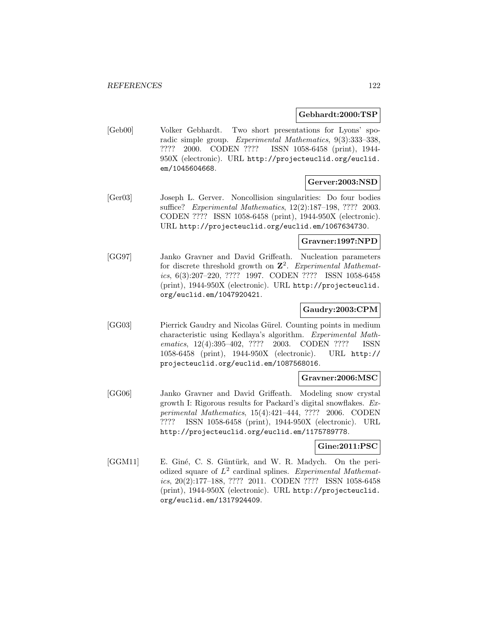#### **Gebhardt:2000:TSP**

[Geb00] Volker Gebhardt. Two short presentations for Lyons' sporadic simple group. Experimental Mathematics, 9(3):333–338, ???? 2000. CODEN ???? ISSN 1058-6458 (print), 1944- 950X (electronic). URL http://projecteuclid.org/euclid. em/1045604668.

### **Gerver:2003:NSD**

[Ger03] Joseph L. Gerver. Noncollision singularities: Do four bodies suffice? Experimental Mathematics, 12(2):187–198, ???? 2003. CODEN ???? ISSN 1058-6458 (print), 1944-950X (electronic). URL http://projecteuclid.org/euclid.em/1067634730.

### **Gravner:1997:NPD**

[GG97] Janko Gravner and David Griffeath. Nucleation parameters for discrete threshold growth on **Z**<sup>2</sup>. Experimental Mathematics, 6(3):207–220, ???? 1997. CODEN ???? ISSN 1058-6458 (print), 1944-950X (electronic). URL http://projecteuclid. org/euclid.em/1047920421.

### **Gaudry:2003:CPM**

[GG03] Pierrick Gaudry and Nicolas Gürel. Counting points in medium characteristic using Kedlaya's algorithm. Experimental Mathematics, 12(4):395-402, ???? 2003. CODEN ???? ISSN 1058-6458 (print), 1944-950X (electronic). URL http:// projecteuclid.org/euclid.em/1087568016.

## **Gravner:2006:MSC**

[GG06] Janko Gravner and David Griffeath. Modeling snow crystal growth I: Rigorous results for Packard's digital snowflakes. Experimental Mathematics, 15(4):421–444, ???? 2006. CODEN ???? ISSN 1058-6458 (print), 1944-950X (electronic). URL http://projecteuclid.org/euclid.em/1175789778.

#### **Gine:2011:PSC**

[GGM11] E. Giné, C. S. Güntürk, and W. R. Madych. On the periodized square of  $L^2$  cardinal splines. Experimental Mathematics, 20(2):177–188, ???? 2011. CODEN ???? ISSN 1058-6458 (print), 1944-950X (electronic). URL http://projecteuclid. org/euclid.em/1317924409.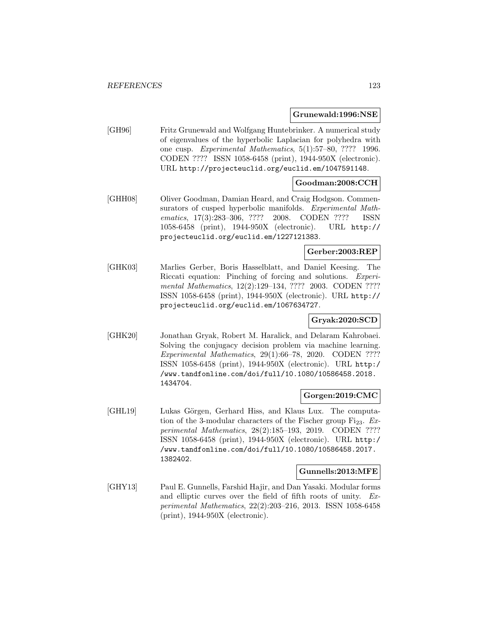#### **Grunewald:1996:NSE**

[GH96] Fritz Grunewald and Wolfgang Huntebrinker. A numerical study of eigenvalues of the hyperbolic Laplacian for polyhedra with one cusp. Experimental Mathematics, 5(1):57–80, ???? 1996. CODEN ???? ISSN 1058-6458 (print), 1944-950X (electronic). URL http://projecteuclid.org/euclid.em/1047591148.

## **Goodman:2008:CCH**

[GHH08] Oliver Goodman, Damian Heard, and Craig Hodgson. Commensurators of cusped hyperbolic manifolds. Experimental Mathematics, 17(3):283–306, ???? 2008. CODEN ???? ISSN 1058-6458 (print), 1944-950X (electronic). URL http:// projecteuclid.org/euclid.em/1227121383.

### **Gerber:2003:REP**

[GHK03] Marlies Gerber, Boris Hasselblatt, and Daniel Keesing. The Riccati equation: Pinching of forcing and solutions. Experimental Mathematics, 12(2):129–134, ???? 2003. CODEN ???? ISSN 1058-6458 (print), 1944-950X (electronic). URL http:// projecteuclid.org/euclid.em/1067634727.

# **Gryak:2020:SCD**

[GHK20] Jonathan Gryak, Robert M. Haralick, and Delaram Kahrobaei. Solving the conjugacy decision problem via machine learning. Experimental Mathematics, 29(1):66–78, 2020. CODEN ???? ISSN 1058-6458 (print), 1944-950X (electronic). URL http:/ /www.tandfonline.com/doi/full/10.1080/10586458.2018. 1434704.

### **Gorgen:2019:CMC**

[GHL19] Lukas Görgen, Gerhard Hiss, and Klaus Lux. The computation of the 3-modular characters of the Fischer group  $Fi_{23}$ . Experimental Mathematics, 28(2):185–193, 2019. CODEN ???? ISSN 1058-6458 (print), 1944-950X (electronic). URL http:/ /www.tandfonline.com/doi/full/10.1080/10586458.2017. 1382402.

### **Gunnells:2013:MFE**

[GHY13] Paul E. Gunnells, Farshid Hajir, and Dan Yasaki. Modular forms and elliptic curves over the field of fifth roots of unity. Experimental Mathematics, 22(2):203–216, 2013. ISSN 1058-6458 (print), 1944-950X (electronic).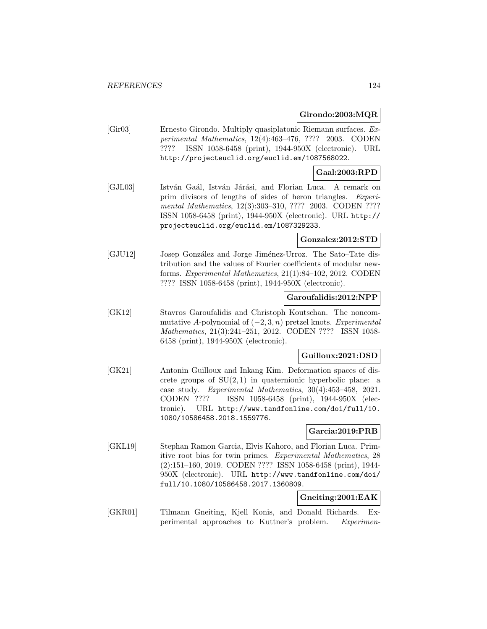## **Girondo:2003:MQR**

[Gir03] Ernesto Girondo. Multiply quasiplatonic Riemann surfaces. Experimental Mathematics, 12(4):463–476, ???? 2003. CODEN ???? ISSN 1058-6458 (print), 1944-950X (electronic). URL http://projecteuclid.org/euclid.em/1087568022.

# **Gaal:2003:RPD**

[GJL03] István Gaál, István Járási, and Florian Luca. A remark on prim divisors of lengths of sides of heron triangles. Experimental Mathematics, 12(3):303-310, ???? 2003. CODEN ???? ISSN 1058-6458 (print), 1944-950X (electronic). URL http:// projecteuclid.org/euclid.em/1087329233.

## **Gonzalez:2012:STD**

[GJU12] Josep González and Jorge Jiménez-Urroz. The Sato–Tate distribution and the values of Fourier coefficients of modular newforms. Experimental Mathematics, 21(1):84–102, 2012. CODEN ???? ISSN 1058-6458 (print), 1944-950X (electronic).

## **Garoufalidis:2012:NPP**

[GK12] Stavros Garoufalidis and Christoph Koutschan. The noncommutative A-polynomial of  $(-2, 3, n)$  pretzel knots. Experimental Mathematics, 21(3):241–251, 2012. CODEN ???? ISSN 1058- 6458 (print), 1944-950X (electronic).

### **Guilloux:2021:DSD**

[GK21] Antonin Guilloux and Inkang Kim. Deformation spaces of discrete groups of  $SU(2,1)$  in quaternionic hyperbolic plane: a case study. Experimental Mathematics, 30(4):453–458, 2021. CODEN ???? ISSN 1058-6458 (print), 1944-950X (electronic). URL http://www.tandfonline.com/doi/full/10. 1080/10586458.2018.1559776.

### **Garcia:2019:PRB**

[GKL19] Stephan Ramon Garcia, Elvis Kahoro, and Florian Luca. Primitive root bias for twin primes. Experimental Mathematics, 28 (2):151–160, 2019. CODEN ???? ISSN 1058-6458 (print), 1944- 950X (electronic). URL http://www.tandfonline.com/doi/ full/10.1080/10586458.2017.1360809.

# **Gneiting:2001:EAK**

[GKR01] Tilmann Gneiting, Kjell Konis, and Donald Richards. Experimental approaches to Kuttner's problem. Experimen-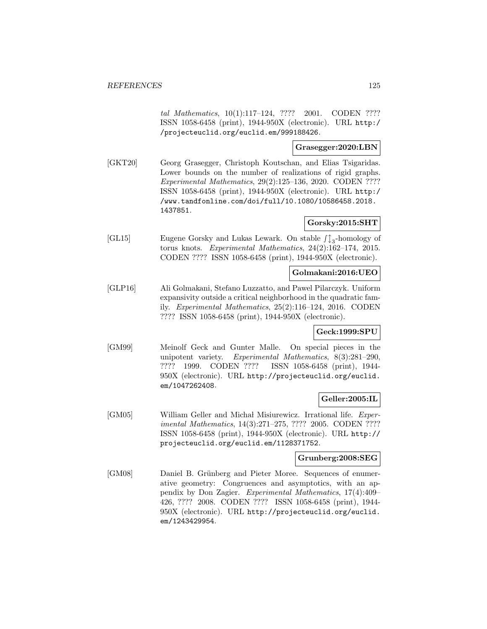tal Mathematics, 10(1):117–124, ???? 2001. CODEN ???? ISSN 1058-6458 (print), 1944-950X (electronic). URL http:/ /projecteuclid.org/euclid.em/999188426.

# **Grasegger:2020:LBN**

[GKT20] Georg Grasegger, Christoph Koutschan, and Elias Tsigaridas. Lower bounds on the number of realizations of rigid graphs. Experimental Mathematics, 29(2):125–136, 2020. CODEN ???? ISSN 1058-6458 (print), 1944-950X (electronic). URL http:/ /www.tandfonline.com/doi/full/10.1080/10586458.2018. 1437851.

# **Gorsky:2015:SHT**

[GL15] Eugene Gorsky and Lukas Lewark. On stable  $\int_{3}^{1}$ -homology of torus knots. Experimental Mathematics, 24(2):162–174, 2015. CODEN ???? ISSN 1058-6458 (print), 1944-950X (electronic).

### **Golmakani:2016:UEO**

[GLP16] Ali Golmakani, Stefano Luzzatto, and Pawel Pilarczyk. Uniform expansivity outside a critical neighborhood in the quadratic family. Experimental Mathematics, 25(2):116–124, 2016. CODEN ???? ISSN 1058-6458 (print), 1944-950X (electronic).

#### **Geck:1999:SPU**

[GM99] Meinolf Geck and Gunter Malle. On special pieces in the unipotent variety. Experimental Mathematics, 8(3):281–290, ???? 1999. CODEN ???? ISSN 1058-6458 (print), 1944- 950X (electronic). URL http://projecteuclid.org/euclid. em/1047262408.

# **Geller:2005:IL**

[GM05] William Geller and Michał Misiurewicz. Irrational life. *Exper*imental Mathematics, 14(3):271–275, ???? 2005. CODEN ???? ISSN 1058-6458 (print), 1944-950X (electronic). URL http:// projecteuclid.org/euclid.em/1128371752.

## **Grunberg:2008:SEG**

[GM08] Daniel B. Grünberg and Pieter Moree. Sequences of enumerative geometry: Congruences and asymptotics, with an appendix by Don Zagier. Experimental Mathematics, 17(4):409– 426, ???? 2008. CODEN ???? ISSN 1058-6458 (print), 1944- 950X (electronic). URL http://projecteuclid.org/euclid. em/1243429954.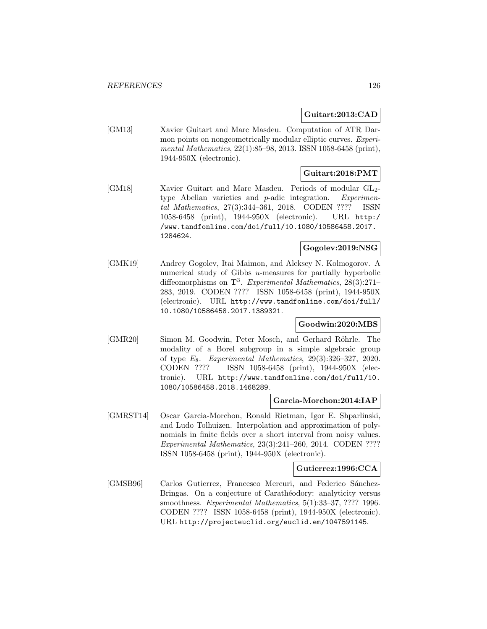### **Guitart:2013:CAD**

[GM13] Xavier Guitart and Marc Masdeu. Computation of ATR Darmon points on nongeometrically modular elliptic curves. Experimental Mathematics, 22(1):85–98, 2013. ISSN 1058-6458 (print), 1944-950X (electronic).

# **Guitart:2018:PMT**

[GM18] Xavier Guitart and Marc Masdeu. Periods of modular GL<sub>2</sub>type Abelian varieties and p-adic integration. Experimental Mathematics, 27(3):344–361, 2018. CODEN ???? ISSN 1058-6458 (print), 1944-950X (electronic). URL http:/ /www.tandfonline.com/doi/full/10.1080/10586458.2017. 1284624.

# **Gogolev:2019:NSG**

[GMK19] Andrey Gogolev, Itai Maimon, and Aleksey N. Kolmogorov. A numerical study of Gibbs u-measures for partially hyperbolic diffeomorphisms on **T**<sup>3</sup>. Experimental Mathematics, 28(3):271– 283, 2019. CODEN ???? ISSN 1058-6458 (print), 1944-950X (electronic). URL http://www.tandfonline.com/doi/full/ 10.1080/10586458.2017.1389321.

### **Goodwin:2020:MBS**

[GMR20] Simon M. Goodwin, Peter Mosch, and Gerhard Röhrle. The modality of a Borel subgroup in a simple algebraic group of type  $E_8$ . Experimental Mathematics, 29(3):326-327, 2020. CODEN ???? ISSN 1058-6458 (print), 1944-950X (electronic). URL http://www.tandfonline.com/doi/full/10. 1080/10586458.2018.1468289.

### **Garcia-Morchon:2014:IAP**

[GMRST14] Oscar Garcia-Morchon, Ronald Rietman, Igor E. Shparlinski, and Ludo Tolhuizen. Interpolation and approximation of polynomials in finite fields over a short interval from noisy values. Experimental Mathematics, 23(3):241–260, 2014. CODEN ???? ISSN 1058-6458 (print), 1944-950X (electronic).

### **Gutierrez:1996:CCA**

[GMSB96] Carlos Gutierrez, Francesco Mercuri, and Federico Sánchez-Bringas. On a conjecture of Carathéodory: analyticity versus smoothness. Experimental Mathematics, 5(1):33–37, ???? 1996. CODEN ???? ISSN 1058-6458 (print), 1944-950X (electronic). URL http://projecteuclid.org/euclid.em/1047591145.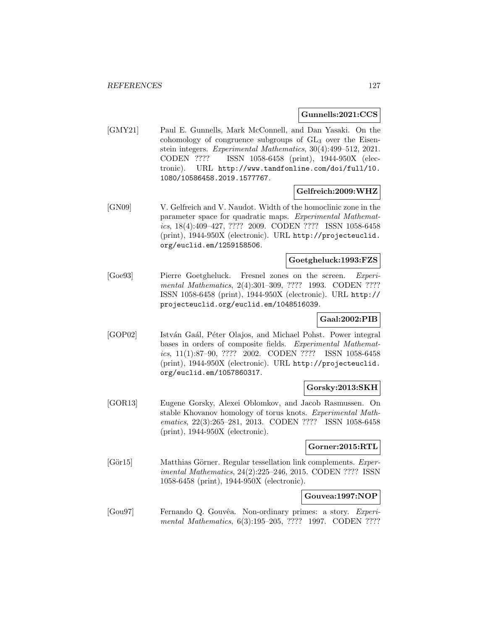#### **Gunnells:2021:CCS**

[GMY21] Paul E. Gunnells, Mark McConnell, and Dan Yasaki. On the cohomology of congruence subgroups of  $GL_3$  over the Eisenstein integers. Experimental Mathematics, 30(4):499–512, 2021. CODEN ???? ISSN 1058-6458 (print), 1944-950X (electronic). URL http://www.tandfonline.com/doi/full/10. 1080/10586458.2019.1577767.

#### **Gelfreich:2009:WHZ**

[GN09] V. Gelfreich and V. Naudot. Width of the homoclinic zone in the parameter space for quadratic maps. Experimental Mathematics, 18(4):409–427, ???? 2009. CODEN ???? ISSN 1058-6458 (print), 1944-950X (electronic). URL http://projecteuclid. org/euclid.em/1259158506.

### **Goetgheluck:1993:FZS**

[Goe93] Pierre Goetgheluck. Fresnel zones on the screen. Experimental Mathematics, 2(4):301–309, ???? 1993. CODEN ???? ISSN 1058-6458 (print), 1944-950X (electronic). URL http:// projecteuclid.org/euclid.em/1048516039.

## **Gaal:2002:PIB**

[GOP02] István Gaál, Péter Olajos, and Michael Pohst. Power integral bases in orders of composite fields. Experimental Mathematics, 11(1):87–90, ???? 2002. CODEN ???? ISSN 1058-6458 (print), 1944-950X (electronic). URL http://projecteuclid. org/euclid.em/1057860317.

#### **Gorsky:2013:SKH**

[GOR13] Eugene Gorsky, Alexei Oblomkov, and Jacob Rasmussen. On stable Khovanov homology of torus knots. Experimental Mathematics, 22(3):265–281, 2013. CODEN ???? ISSN 1058-6458 (print), 1944-950X (electronic).

# **Gorner:2015:RTL**

[Gör15] Matthias Görner. Regular tessellation link complements. Experimental Mathematics, 24(2):225–246, 2015. CODEN ???? ISSN 1058-6458 (print), 1944-950X (electronic).

#### **Gouvea:1997:NOP**

[Gou97] Fernando Q. Gouvêa. Non-ordinary primes: a story. Experimental Mathematics, 6(3):195–205, ???? 1997. CODEN ????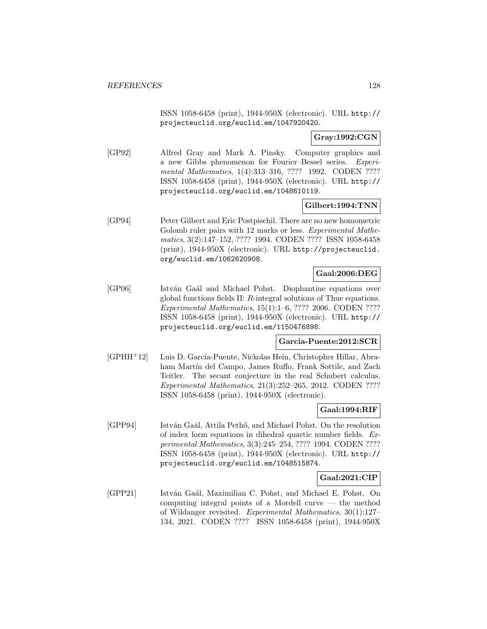ISSN 1058-6458 (print), 1944-950X (electronic). URL http:// projecteuclid.org/euclid.em/1047920420.

**Gray:1992:CGN**

[GP92] Alfred Gray and Mark A. Pinsky. Computer graphics and a new Gibbs phenomenon for Fourier–Bessel series. Experimental Mathematics, 1(4):313-316, ???? 1992. CODEN ???? ISSN 1058-6458 (print), 1944-950X (electronic). URL http:// projecteuclid.org/euclid.em/1048610119.

## **Gilbert:1994:TNN**

[GP94] Peter Gilbert and Eric Postpischil. There are no new homometric Golomb ruler pairs with 12 marks or less. Experimental Mathematics, 3(2):147–152, ???? 1994. CODEN ???? ISSN 1058-6458 (print), 1944-950X (electronic). URL http://projecteuclid. org/euclid.em/1062620908.

# **Gaal:2006:DEG**

[GP06] István Gaál and Michael Pohst. Diophantine equations over global functions fields II: R-integral solutions of Thue equations. Experimental Mathematics, 15(1):1–6, ???? 2006. CODEN ???? ISSN 1058-6458 (print), 1944-950X (electronic). URL http:// projecteuclid.org/euclid.em/1150476898.

# **Garcia-Puente:2012:SCR**

[GPHH<sup>+</sup>12] Luis D. García-Puente, Nickolas Hein, Christopher Hillar, Abraham Martín del Campo, James Ruffo, Frank Sottile, and Zach Teitler. The secant conjecture in the real Schubert calculus. Experimental Mathematics, 21(3):252–265, 2012. CODEN ???? ISSN 1058-6458 (print), 1944-950X (electronic).

### **Gaal:1994:RIF**

[GPP94] István Gaál, Attila Pethő, and Michael Pohst. On the resolution of index form equations in dihedral quartic number fields. Experimental Mathematics, 3(3):245–254, ???? 1994. CODEN ???? ISSN 1058-6458 (print), 1944-950X (electronic). URL http:// projecteuclid.org/euclid.em/1048515874.

### **Gaal:2021:CIP**

[GPP21] István Gaál, Maximilian C. Pohst, and Michael E. Pohst. On computing integral points of a Mordell curve — the method of Wildanger revisited. Experimental Mathematics, 30(1):127– 134, 2021. CODEN ???? ISSN 1058-6458 (print), 1944-950X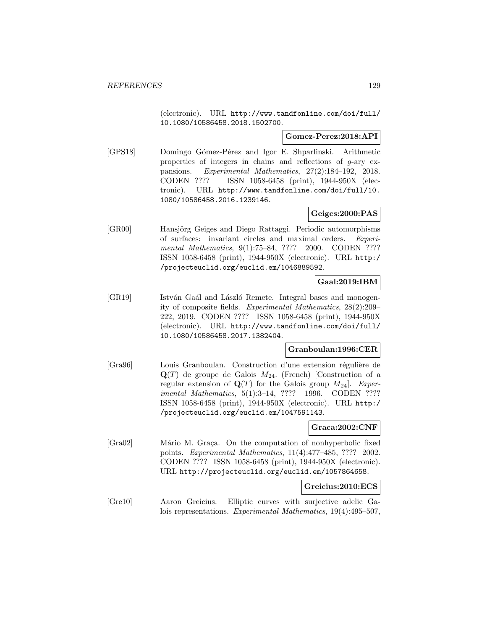(electronic). URL http://www.tandfonline.com/doi/full/ 10.1080/10586458.2018.1502700.

### **Gomez-Perez:2018:API**

[GPS18] Domingo Gómez-Pérez and Igor E. Shparlinski. Arithmetic properties of integers in chains and reflections of g-ary expansions. Experimental Mathematics, 27(2):184–192, 2018. CODEN ???? ISSN 1058-6458 (print), 1944-950X (electronic). URL http://www.tandfonline.com/doi/full/10. 1080/10586458.2016.1239146.

# **Geiges:2000:PAS**

[GR00] Hansjörg Geiges and Diego Rattaggi. Periodic automorphisms of surfaces: invariant circles and maximal orders. Experimental Mathematics, 9(1):75–84, ???? 2000. CODEN ???? ISSN 1058-6458 (print), 1944-950X (electronic). URL http:/ /projecteuclid.org/euclid.em/1046889592.

# **Gaal:2019:IBM**

[GR19] István Gaál and László Remete. Integral bases and monogenity of composite fields. Experimental Mathematics, 28(2):209– 222, 2019. CODEN ???? ISSN 1058-6458 (print), 1944-950X (electronic). URL http://www.tandfonline.com/doi/full/ 10.1080/10586458.2017.1382404.

### **Granboulan:1996:CER**

[Gra96] Louis Granboulan. Construction d'une extension régulière de  $\mathbf{Q}(T)$  de groupe de Galois  $M_{24}$ . (French) [Construction of a regular extension of  $\mathbf{Q}(T)$  for the Galois group  $M_{24}$ . Experimental Mathematics, 5(1):3–14, ???? 1996. CODEN ???? ISSN 1058-6458 (print), 1944-950X (electronic). URL http:/ /projecteuclid.org/euclid.em/1047591143.

### **Graca:2002:CNF**

[Gra02] Mário M. Graça. On the computation of nonhyperbolic fixed points. Experimental Mathematics, 11(4):477–485, ???? 2002. CODEN ???? ISSN 1058-6458 (print), 1944-950X (electronic). URL http://projecteuclid.org/euclid.em/1057864658.

### **Greicius:2010:ECS**

[Gre10] Aaron Greicius. Elliptic curves with surjective adelic Galois representations. Experimental Mathematics, 19(4):495–507,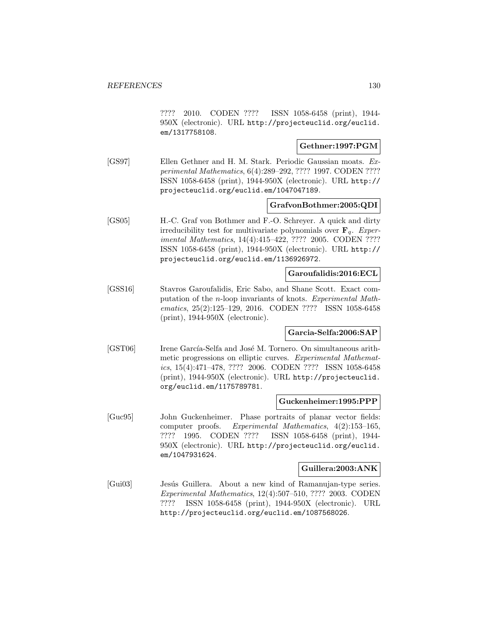???? 2010. CODEN ???? ISSN 1058-6458 (print), 1944- 950X (electronic). URL http://projecteuclid.org/euclid. em/1317758108.

#### **Gethner:1997:PGM**

[GS97] Ellen Gethner and H. M. Stark. Periodic Gaussian moats. Experimental Mathematics, 6(4):289–292, ???? 1997. CODEN ???? ISSN 1058-6458 (print), 1944-950X (electronic). URL http:// projecteuclid.org/euclid.em/1047047189.

#### **GrafvonBothmer:2005:QDI**

[GS05] H.-C. Graf von Bothmer and F.-O. Schreyer. A quick and dirty irreducibility test for multivariate polynomials over  $\mathbf{F}_q$ . Experimental Mathematics, 14(4):415–422, ???? 2005. CODEN ???? ISSN 1058-6458 (print), 1944-950X (electronic). URL http:// projecteuclid.org/euclid.em/1136926972.

## **Garoufalidis:2016:ECL**

[GSS16] Stavros Garoufalidis, Eric Sabo, and Shane Scott. Exact computation of the n-loop invariants of knots. Experimental Mathematics, 25(2):125–129, 2016. CODEN ???? ISSN 1058-6458 (print), 1944-950X (electronic).

### **Garcia-Selfa:2006:SAP**

[GST06] Irene García-Selfa and José M. Tornero. On simultaneous arithmetic progressions on elliptic curves. Experimental Mathematics, 15(4):471–478, ???? 2006. CODEN ???? ISSN 1058-6458 (print), 1944-950X (electronic). URL http://projecteuclid. org/euclid.em/1175789781.

#### **Guckenheimer:1995:PPP**

[Guc95] John Guckenheimer. Phase portraits of planar vector fields: computer proofs. Experimental Mathematics, 4(2):153–165, ???? 1995. CODEN ???? ISSN 1058-6458 (print), 1944- 950X (electronic). URL http://projecteuclid.org/euclid. em/1047931624.

#### **Guillera:2003:ANK**

[Gui03] Jesús Guillera. About a new kind of Ramanujan-type series. Experimental Mathematics, 12(4):507–510, ???? 2003. CODEN ???? ISSN 1058-6458 (print), 1944-950X (electronic). URL http://projecteuclid.org/euclid.em/1087568026.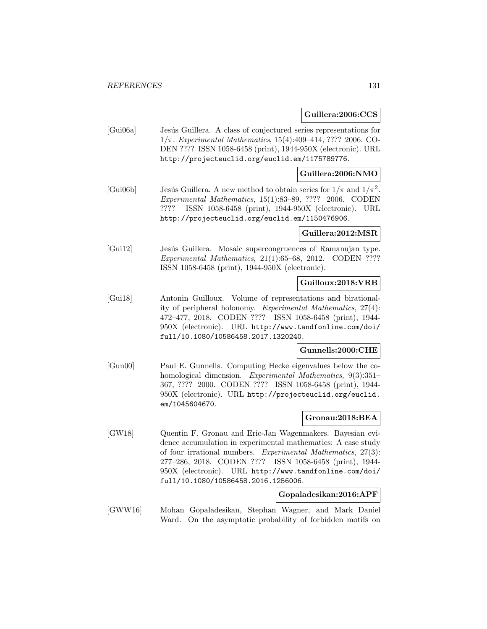#### **Guillera:2006:CCS**

[Gui06a] Jesús Guillera. A class of conjectured series representations for  $1/\pi$ . Experimental Mathematics, 15(4):409–414, ???? 2006. CO-DEN ???? ISSN 1058-6458 (print), 1944-950X (electronic). URL http://projecteuclid.org/euclid.em/1175789776.

# **Guillera:2006:NMO**

[Gui06b] Jesús Guillera. A new method to obtain series for  $1/\pi$  and  $1/\pi^2$ . Experimental Mathematics, 15(1):83–89, ???? 2006. CODEN ???? ISSN 1058-6458 (print), 1944-950X (electronic). URL http://projecteuclid.org/euclid.em/1150476906.

### **Guillera:2012:MSR**

[Gui12] Jesús Guillera. Mosaic supercongruences of Ramanujan type. Experimental Mathematics, 21(1):65–68, 2012. CODEN ???? ISSN 1058-6458 (print), 1944-950X (electronic).

### **Guilloux:2018:VRB**

[Gui18] Antonin Guilloux. Volume of representations and birationality of peripheral holonomy. Experimental Mathematics, 27(4): 472–477, 2018. CODEN ???? ISSN 1058-6458 (print), 1944- 950X (electronic). URL http://www.tandfonline.com/doi/ full/10.1080/10586458.2017.1320240.

### **Gunnells:2000:CHE**

[Gun00] Paul E. Gunnells. Computing Hecke eigenvalues below the cohomological dimension. Experimental Mathematics, 9(3):351– 367, ???? 2000. CODEN ???? ISSN 1058-6458 (print), 1944- 950X (electronic). URL http://projecteuclid.org/euclid. em/1045604670.

### **Gronau:2018:BEA**

[GW18] Quentin F. Gronau and Eric-Jan Wagenmakers. Bayesian evidence accumulation in experimental mathematics: A case study of four irrational numbers. Experimental Mathematics, 27(3): 277–286, 2018. CODEN ???? ISSN 1058-6458 (print), 1944- 950X (electronic). URL http://www.tandfonline.com/doi/ full/10.1080/10586458.2016.1256006.

#### **Gopaladesikan:2016:APF**

[GWW16] Mohan Gopaladesikan, Stephan Wagner, and Mark Daniel Ward. On the asymptotic probability of forbidden motifs on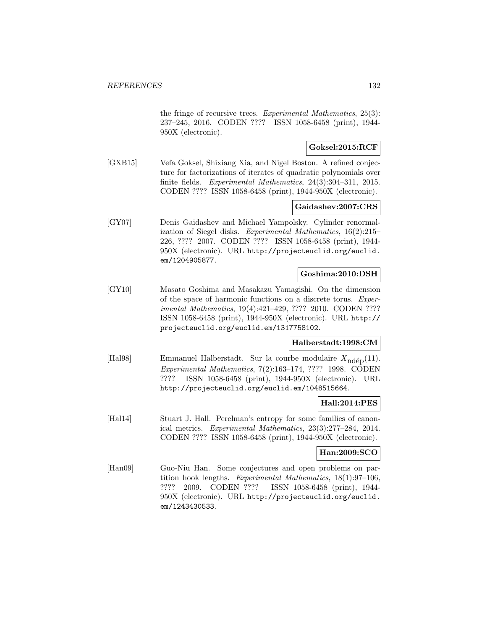the fringe of recursive trees. Experimental Mathematics, 25(3): 237–245, 2016. CODEN ???? ISSN 1058-6458 (print), 1944- 950X (electronic).

## **Goksel:2015:RCF**

[GXB15] Vefa Goksel, Shixiang Xia, and Nigel Boston. A refined conjecture for factorizations of iterates of quadratic polynomials over finite fields. Experimental Mathematics, 24(3):304–311, 2015. CODEN ???? ISSN 1058-6458 (print), 1944-950X (electronic).

### **Gaidashev:2007:CRS**

[GY07] Denis Gaidashev and Michael Yampolsky. Cylinder renormalization of Siegel disks. Experimental Mathematics, 16(2):215– 226, ???? 2007. CODEN ???? ISSN 1058-6458 (print), 1944- 950X (electronic). URL http://projecteuclid.org/euclid. em/1204905877.

# **Goshima:2010:DSH**

[GY10] Masato Goshima and Masakazu Yamagishi. On the dimension of the space of harmonic functions on a discrete torus. Experimental Mathematics, 19(4):421–429, ???? 2010. CODEN ???? ISSN 1058-6458 (print), 1944-950X (electronic). URL http:// projecteuclid.org/euclid.em/1317758102.

# **Halberstadt:1998:CM**

[Hal98] Emmanuel Halberstadt. Sur la courbe modulaire  $X_{\text{nd\'{e}p}}(11)$ . Experimental Mathematics, 7(2):163–174, ???? 1998. CODEN ???? ISSN 1058-6458 (print), 1944-950X (electronic). URL http://projecteuclid.org/euclid.em/1048515664.

# **Hall:2014:PES**

[Hal14] Stuart J. Hall. Perelman's entropy for some families of canonical metrics. Experimental Mathematics, 23(3):277–284, 2014. CODEN ???? ISSN 1058-6458 (print), 1944-950X (electronic).

### **Han:2009:SCO**

[Han09] Guo-Niu Han. Some conjectures and open problems on partition hook lengths. Experimental Mathematics, 18(1):97–106, ???? 2009. CODEN ???? ISSN 1058-6458 (print), 1944- 950X (electronic). URL http://projecteuclid.org/euclid. em/1243430533.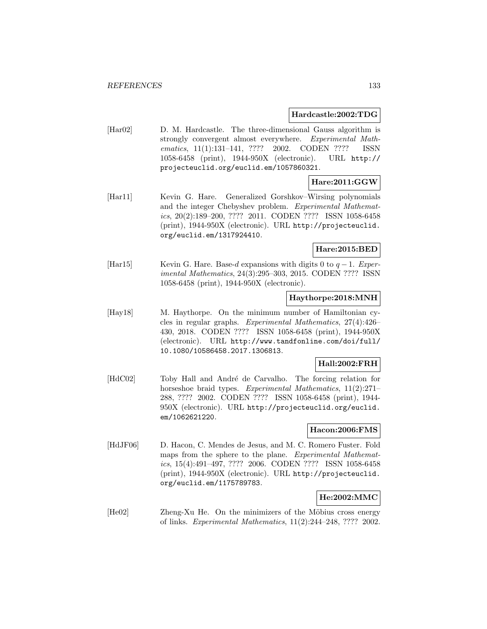#### **Hardcastle:2002:TDG**

[Har02] D. M. Hardcastle. The three-dimensional Gauss algorithm is strongly convergent almost everywhere. Experimental Mathematics, 11(1):131-141, ???? 2002. CODEN ???? ISSN 1058-6458 (print), 1944-950X (electronic). URL http:// projecteuclid.org/euclid.em/1057860321.

## **Hare:2011:GGW**

[Har11] Kevin G. Hare. Generalized Gorshkov–Wirsing polynomials and the integer Chebyshev problem. Experimental Mathematics, 20(2):189–200, ???? 2011. CODEN ???? ISSN 1058-6458 (print), 1944-950X (electronic). URL http://projecteuclid. org/euclid.em/1317924410.

### **Hare:2015:BED**

[Har15] Kevin G. Hare. Base-d expansions with digits 0 to  $q-1$ . Experimental Mathematics, 24(3):295–303, 2015. CODEN ???? ISSN 1058-6458 (print), 1944-950X (electronic).

### **Haythorpe:2018:MNH**

[Hay18] M. Haythorpe. On the minimum number of Hamiltonian cycles in regular graphs. Experimental Mathematics, 27(4):426– 430, 2018. CODEN ???? ISSN 1058-6458 (print), 1944-950X (electronic). URL http://www.tandfonline.com/doi/full/ 10.1080/10586458.2017.1306813.

#### **Hall:2002:FRH**

[HdC02] Toby Hall and André de Carvalho. The forcing relation for horseshoe braid types. Experimental Mathematics, 11(2):271– 288, ???? 2002. CODEN ???? ISSN 1058-6458 (print), 1944- 950X (electronic). URL http://projecteuclid.org/euclid. em/1062621220.

#### **Hacon:2006:FMS**

[HdJF06] D. Hacon, C. Mendes de Jesus, and M. C. Romero Fuster. Fold maps from the sphere to the plane. Experimental Mathematics, 15(4):491–497, ???? 2006. CODEN ???? ISSN 1058-6458 (print), 1944-950X (electronic). URL http://projecteuclid. org/euclid.em/1175789783.

# **He:2002:MMC**

[He02] Zheng-Xu He. On the minimizers of the Möbius cross energy of links. Experimental Mathematics, 11(2):244–248, ???? 2002.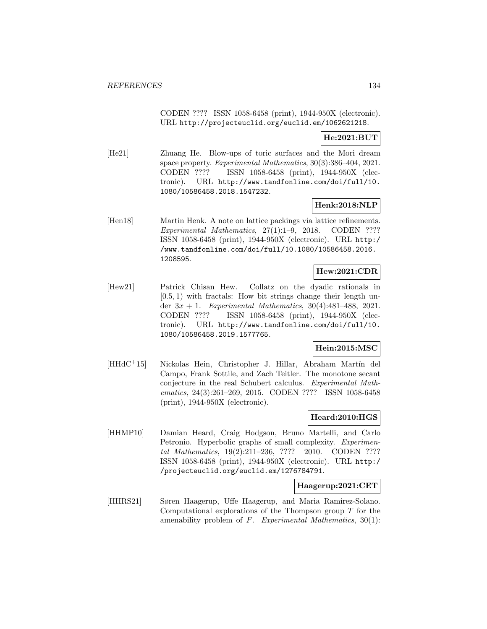CODEN ???? ISSN 1058-6458 (print), 1944-950X (electronic). URL http://projecteuclid.org/euclid.em/1062621218.

# **He:2021:BUT**

[He21] Zhuang He. Blow-ups of toric surfaces and the Mori dream space property. Experimental Mathematics, 30(3):386–404, 2021. CODEN ???? ISSN 1058-6458 (print), 1944-950X (electronic). URL http://www.tandfonline.com/doi/full/10. 1080/10586458.2018.1547232.

## **Henk:2018:NLP**

[Hen18] Martin Henk. A note on lattice packings via lattice refinements. Experimental Mathematics, 27(1):1–9, 2018. CODEN ???? ISSN 1058-6458 (print), 1944-950X (electronic). URL http:/ /www.tandfonline.com/doi/full/10.1080/10586458.2016. 1208595.

# **Hew:2021:CDR**

[Hew21] Patrick Chisan Hew. Collatz on the dyadic rationals in  $[0.5, 1)$  with fractals: How bit strings change their length under  $3x + 1$ . Experimental Mathematics, 30(4):481-488, 2021. CODEN ???? ISSN 1058-6458 (print), 1944-950X (electronic). URL http://www.tandfonline.com/doi/full/10. 1080/10586458.2019.1577765.

## **Hein:2015:MSC**

[HHdC<sup>+</sup>15] Nickolas Hein, Christopher J. Hillar, Abraham Martín del Campo, Frank Sottile, and Zach Teitler. The monotone secant conjecture in the real Schubert calculus. Experimental Mathematics, 24(3):261–269, 2015. CODEN ???? ISSN 1058-6458 (print), 1944-950X (electronic).

### **Heard:2010:HGS**

[HHMP10] Damian Heard, Craig Hodgson, Bruno Martelli, and Carlo Petronio. Hyperbolic graphs of small complexity. *Experimen*tal Mathematics, 19(2):211–236, ???? 2010. CODEN ???? ISSN 1058-6458 (print), 1944-950X (electronic). URL http:/ /projecteuclid.org/euclid.em/1276784791.

#### **Haagerup:2021:CET**

[HHRS21] Søren Haagerup, Uffe Haagerup, and Maria Ramirez-Solano. Computational explorations of the Thompson group  $T$  for the amenability problem of  $F$ . Experimental Mathematics,  $30(1)$ :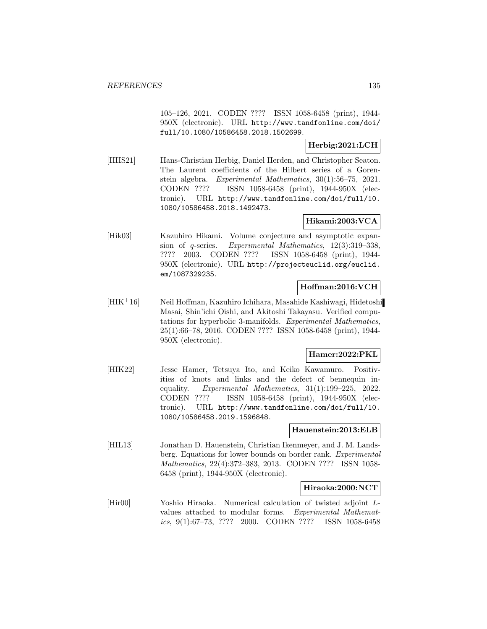105–126, 2021. CODEN ???? ISSN 1058-6458 (print), 1944- 950X (electronic). URL http://www.tandfonline.com/doi/ full/10.1080/10586458.2018.1502699.

# **Herbig:2021:LCH**

[HHS21] Hans-Christian Herbig, Daniel Herden, and Christopher Seaton. The Laurent coefficients of the Hilbert series of a Gorenstein algebra. Experimental Mathematics, 30(1):56–75, 2021. CODEN ???? ISSN 1058-6458 (print), 1944-950X (electronic). URL http://www.tandfonline.com/doi/full/10. 1080/10586458.2018.1492473.

## **Hikami:2003:VCA**

[Hik03] Kazuhiro Hikami. Volume conjecture and asymptotic expansion of q-series. Experimental Mathematics, 12(3):319–338, ???? 2003. CODEN ???? ISSN 1058-6458 (print), 1944- 950X (electronic). URL http://projecteuclid.org/euclid. em/1087329235.

## **Hoffman:2016:VCH**

[HIK<sup>+</sup>16] Neil Hoffman, Kazuhiro Ichihara, Masahide Kashiwagi, Hidetoshi Masai, Shin'ichi Oishi, and Akitoshi Takayasu. Verified computations for hyperbolic 3-manifolds. Experimental Mathematics, 25(1):66–78, 2016. CODEN ???? ISSN 1058-6458 (print), 1944- 950X (electronic).

### **Hamer:2022:PKL**

[HIK22] Jesse Hamer, Tetsuya Ito, and Keiko Kawamuro. Positivities of knots and links and the defect of bennequin inequality. Experimental Mathematics, 31(1):199–225, 2022. CODEN ???? ISSN 1058-6458 (print), 1944-950X (electronic). URL http://www.tandfonline.com/doi/full/10. 1080/10586458.2019.1596848.

### **Hauenstein:2013:ELB**

[HIL13] Jonathan D. Hauenstein, Christian Ikenmeyer, and J. M. Landsberg. Equations for lower bounds on border rank. Experimental Mathematics, 22(4):372–383, 2013. CODEN ???? ISSN 1058- 6458 (print), 1944-950X (electronic).

### **Hiraoka:2000:NCT**

[Hir00] Yoshio Hiraoka. Numerical calculation of twisted adjoint Lvalues attached to modular forms. Experimental Mathematics, 9(1):67–73, ???? 2000. CODEN ???? ISSN 1058-6458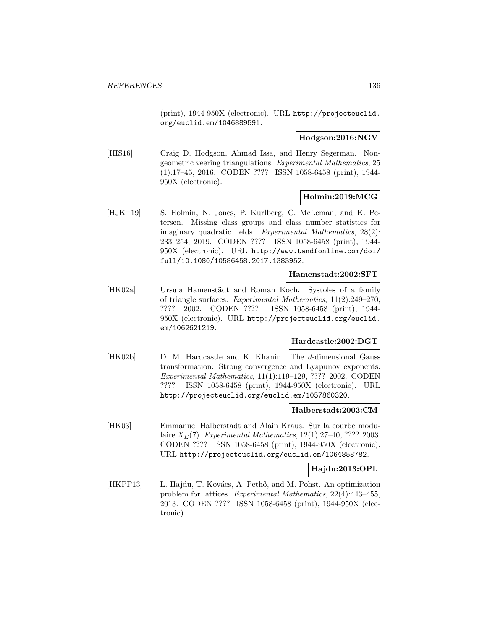(print), 1944-950X (electronic). URL http://projecteuclid. org/euclid.em/1046889591.

**Hodgson:2016:NGV**

[HIS16] Craig D. Hodgson, Ahmad Issa, and Henry Segerman. Nongeometric veering triangulations. Experimental Mathematics, 25 (1):17–45, 2016. CODEN ???? ISSN 1058-6458 (print), 1944- 950X (electronic).

## **Holmin:2019:MCG**

[HJK<sup>+</sup>19] S. Holmin, N. Jones, P. Kurlberg, C. McLeman, and K. Petersen. Missing class groups and class number statistics for imaginary quadratic fields. Experimental Mathematics, 28(2): 233–254, 2019. CODEN ???? ISSN 1058-6458 (print), 1944- 950X (electronic). URL http://www.tandfonline.com/doi/ full/10.1080/10586458.2017.1383952.

### **Hamenstadt:2002:SFT**

[HK02a] Ursula Hamenstädt and Roman Koch. Systoles of a family of triangle surfaces. Experimental Mathematics, 11(2):249–270, ???? 2002. CODEN ???? ISSN 1058-6458 (print), 1944- 950X (electronic). URL http://projecteuclid.org/euclid. em/1062621219.

# **Hardcastle:2002:DGT**

[HK02b] D. M. Hardcastle and K. Khanin. The d-dimensional Gauss transformation: Strong convergence and Lyapunov exponents. Experimental Mathematics, 11(1):119–129, ???? 2002. CODEN ???? ISSN 1058-6458 (print), 1944-950X (electronic). URL http://projecteuclid.org/euclid.em/1057860320.

#### **Halberstadt:2003:CM**

[HK03] Emmanuel Halberstadt and Alain Kraus. Sur la courbe modulaire  $X_E(7)$ . Experimental Mathematics, 12(1):27-40, ???? 2003. CODEN ???? ISSN 1058-6458 (print), 1944-950X (electronic). URL http://projecteuclid.org/euclid.em/1064858782.

### **Hajdu:2013:OPL**

[HKPP13] L. Hajdu, T. Kovács, A. Pethő, and M. Pohst. An optimization problem for lattices. Experimental Mathematics, 22(4):443–455, 2013. CODEN ???? ISSN 1058-6458 (print), 1944-950X (electronic).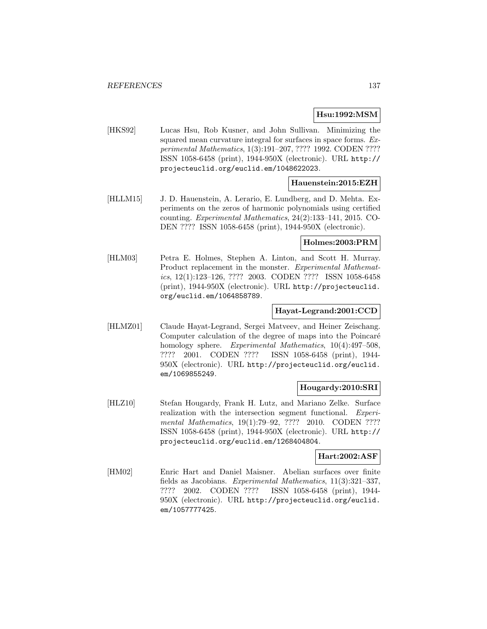### **Hsu:1992:MSM**

[HKS92] Lucas Hsu, Rob Kusner, and John Sullivan. Minimizing the squared mean curvature integral for surfaces in space forms. Experimental Mathematics, 1(3):191–207, ???? 1992. CODEN ???? ISSN 1058-6458 (print), 1944-950X (electronic). URL http:// projecteuclid.org/euclid.em/1048622023.

### **Hauenstein:2015:EZH**

[HLLM15] J. D. Hauenstein, A. Lerario, E. Lundberg, and D. Mehta. Experiments on the zeros of harmonic polynomials using certified counting. Experimental Mathematics, 24(2):133–141, 2015. CO-DEN ???? ISSN 1058-6458 (print), 1944-950X (electronic).

### **Holmes:2003:PRM**

[HLM03] Petra E. Holmes, Stephen A. Linton, and Scott H. Murray. Product replacement in the monster. Experimental Mathematics, 12(1):123–126, ???? 2003. CODEN ???? ISSN 1058-6458 (print), 1944-950X (electronic). URL http://projecteuclid. org/euclid.em/1064858789.

### **Hayat-Legrand:2001:CCD**

[HLMZ01] Claude Hayat-Legrand, Sergei Matveev, and Heiner Zeischang. Computer calculation of the degree of maps into the Poincaré homology sphere. Experimental Mathematics, 10(4):497–508, ???? 2001. CODEN ???? ISSN 1058-6458 (print), 1944- 950X (electronic). URL http://projecteuclid.org/euclid. em/1069855249.

### **Hougardy:2010:SRI**

[HLZ10] Stefan Hougardy, Frank H. Lutz, and Mariano Zelke. Surface realization with the intersection segment functional. Experimental Mathematics, 19(1):79-92, ???? 2010. CODEN ???? ISSN 1058-6458 (print), 1944-950X (electronic). URL http:// projecteuclid.org/euclid.em/1268404804.

#### **Hart:2002:ASF**

[HM02] Enric Hart and Daniel Maisner. Abelian surfaces over finite fields as Jacobians. Experimental Mathematics, 11(3):321–337, ???? 2002. CODEN ???? ISSN 1058-6458 (print), 1944- 950X (electronic). URL http://projecteuclid.org/euclid. em/1057777425.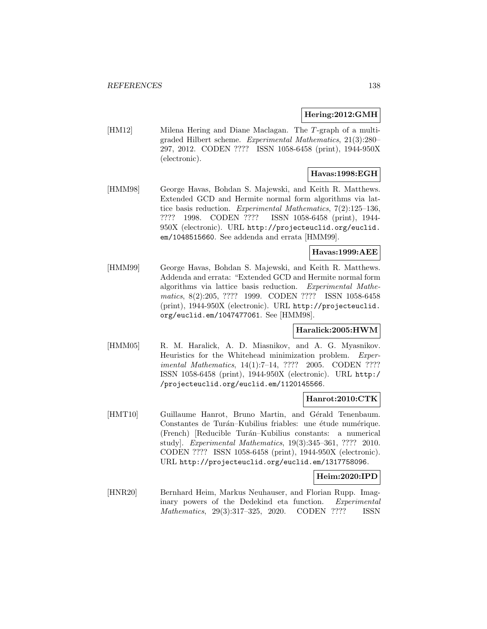#### **Hering:2012:GMH**

[HM12] Milena Hering and Diane Maclagan. The T-graph of a multigraded Hilbert scheme. Experimental Mathematics, 21(3):280– 297, 2012. CODEN ???? ISSN 1058-6458 (print), 1944-950X (electronic).

# **Havas:1998:EGH**

[HMM98] George Havas, Bohdan S. Majewski, and Keith R. Matthews. Extended GCD and Hermite normal form algorithms via lattice basis reduction. Experimental Mathematics, 7(2):125–136, ???? 1998. CODEN ???? ISSN 1058-6458 (print), 1944- 950X (electronic). URL http://projecteuclid.org/euclid. em/1048515660. See addenda and errata [HMM99].

## **Havas:1999:AEE**

[HMM99] George Havas, Bohdan S. Majewski, and Keith R. Matthews. Addenda and errata: "Extended GCD and Hermite normal form algorithms via lattice basis reduction. Experimental Mathematics, 8(2):205, ???? 1999. CODEN ???? ISSN 1058-6458 (print), 1944-950X (electronic). URL http://projecteuclid. org/euclid.em/1047477061. See [HMM98].

### **Haralick:2005:HWM**

[HMM05] R. M. Haralick, A. D. Miasnikov, and A. G. Myasnikov. Heuristics for the Whitehead minimization problem. Experimental Mathematics, 14(1):7–14, ???? 2005. CODEN ???? ISSN 1058-6458 (print), 1944-950X (electronic). URL http:/ /projecteuclid.org/euclid.em/1120145566.

### **Hanrot:2010:CTK**

[HMT10] Guillaume Hanrot, Bruno Martin, and Gérald Tenenbaum. Constantes de Turán–Kubilius friables: une étude numérique. (French) [Reducible Tur´an–Kubilius constants: a numerical study]. Experimental Mathematics, 19(3):345–361, ???? 2010. CODEN ???? ISSN 1058-6458 (print), 1944-950X (electronic). URL http://projecteuclid.org/euclid.em/1317758096.

#### **Heim:2020:IPD**

[HNR20] Bernhard Heim, Markus Neuhauser, and Florian Rupp. Imaginary powers of the Dedekind eta function. Experimental Mathematics, 29(3):317–325, 2020. CODEN ???? ISSN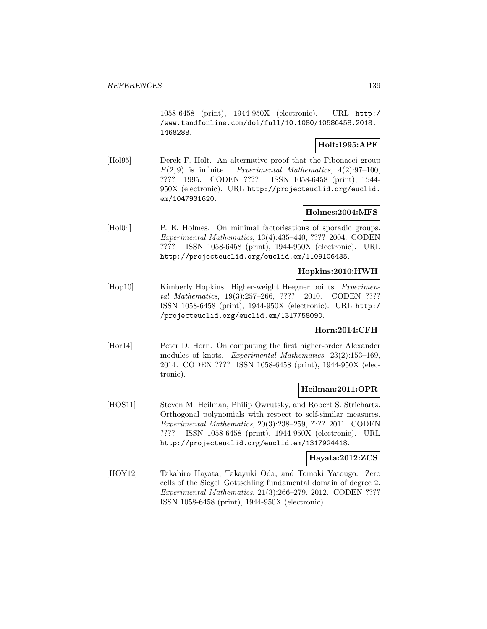1058-6458 (print), 1944-950X (electronic). URL http:/ /www.tandfonline.com/doi/full/10.1080/10586458.2018. 1468288.

### **Holt:1995:APF**

[Hol95] Derek F. Holt. An alternative proof that the Fibonacci group  $F(2,9)$  is infinite. Experimental Mathematics,  $4(2):97-100$ , ???? 1995. CODEN ???? ISSN 1058-6458 (print), 1944- 950X (electronic). URL http://projecteuclid.org/euclid. em/1047931620.

# **Holmes:2004:MFS**

[Hol04] P. E. Holmes. On minimal factorisations of sporadic groups. Experimental Mathematics, 13(4):435–440, ???? 2004. CODEN ???? ISSN 1058-6458 (print), 1944-950X (electronic). URL http://projecteuclid.org/euclid.em/1109106435.

# **Hopkins:2010:HWH**

[Hop10] Kimberly Hopkins. Higher-weight Heegner points. *Experimen*tal Mathematics, 19(3):257–266, ???? 2010. CODEN ???? ISSN 1058-6458 (print), 1944-950X (electronic). URL http:/ /projecteuclid.org/euclid.em/1317758090.

# **Horn:2014:CFH**

[Hor14] Peter D. Horn. On computing the first higher-order Alexander modules of knots. Experimental Mathematics, 23(2):153–169, 2014. CODEN ???? ISSN 1058-6458 (print), 1944-950X (electronic).

### **Heilman:2011:OPR**

[HOS11] Steven M. Heilman, Philip Owrutsky, and Robert S. Strichartz. Orthogonal polynomials with respect to self-similar measures. Experimental Mathematics, 20(3):238–259, ???? 2011. CODEN ???? ISSN 1058-6458 (print), 1944-950X (electronic). URL http://projecteuclid.org/euclid.em/1317924418.

# **Hayata:2012:ZCS**

[HOY12] Takahiro Hayata, Takayuki Oda, and Tomoki Yatougo. Zero cells of the Siegel–Gottschling fundamental domain of degree 2. Experimental Mathematics, 21(3):266–279, 2012. CODEN ???? ISSN 1058-6458 (print), 1944-950X (electronic).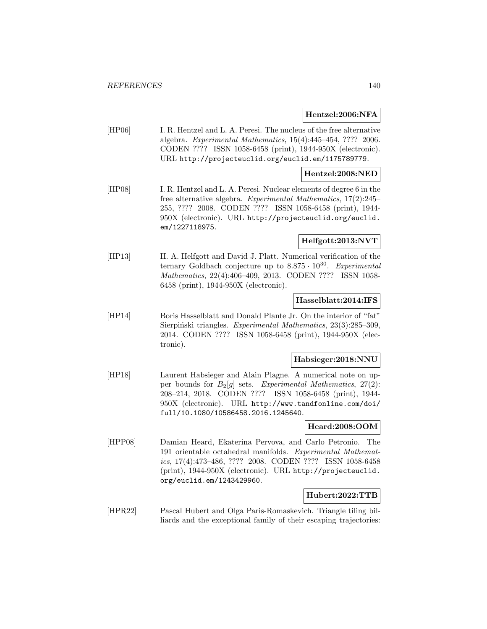#### **Hentzel:2006:NFA**

[HP06] I. R. Hentzel and L. A. Peresi. The nucleus of the free alternative algebra. Experimental Mathematics, 15(4):445–454, ???? 2006. CODEN ???? ISSN 1058-6458 (print), 1944-950X (electronic). URL http://projecteuclid.org/euclid.em/1175789779.

#### **Hentzel:2008:NED**

[HP08] I. R. Hentzel and L. A. Peresi. Nuclear elements of degree 6 in the free alternative algebra. Experimental Mathematics, 17(2):245– 255, ???? 2008. CODEN ???? ISSN 1058-6458 (print), 1944- 950X (electronic). URL http://projecteuclid.org/euclid. em/1227118975.

## **Helfgott:2013:NVT**

[HP13] H. A. Helfgott and David J. Platt. Numerical verification of the ternary Goldbach conjecture up to  $8.875 \cdot 10^{30}$ . Experimental Mathematics, 22(4):406–409, 2013. CODEN ???? ISSN 1058- 6458 (print), 1944-950X (electronic).

### **Hasselblatt:2014:IFS**

[HP14] Boris Hasselblatt and Donald Plante Jr. On the interior of "fat" Sierpiński triangles. Experimental Mathematics, 23(3):285–309, 2014. CODEN ???? ISSN 1058-6458 (print), 1944-950X (electronic).

#### **Habsieger:2018:NNU**

[HP18] Laurent Habsieger and Alain Plagne. A numerical note on upper bounds for  $B_2[g]$  sets. Experimental Mathematics,  $27(2)$ : 208–214, 2018. CODEN ???? ISSN 1058-6458 (print), 1944- 950X (electronic). URL http://www.tandfonline.com/doi/ full/10.1080/10586458.2016.1245640.

#### **Heard:2008:OOM**

[HPP08] Damian Heard, Ekaterina Pervova, and Carlo Petronio. The 191 orientable octahedral manifolds. Experimental Mathematics, 17(4):473–486, ???? 2008. CODEN ???? ISSN 1058-6458 (print), 1944-950X (electronic). URL http://projecteuclid. org/euclid.em/1243429960.

#### **Hubert:2022:TTB**

[HPR22] Pascal Hubert and Olga Paris-Romaskevich. Triangle tiling billiards and the exceptional family of their escaping trajectories: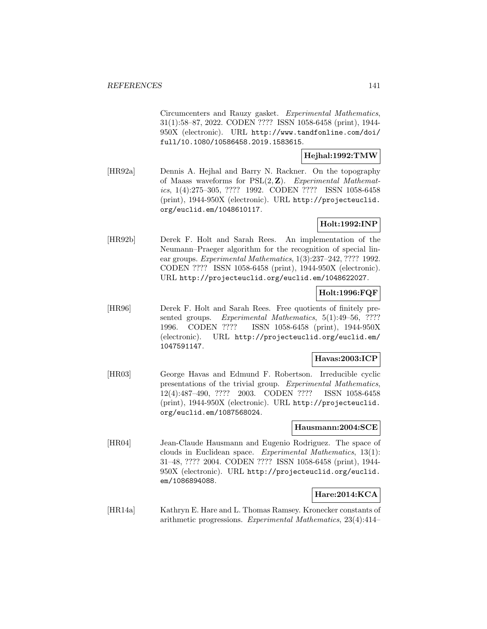Circumcenters and Rauzy gasket. Experimental Mathematics, 31(1):58–87, 2022. CODEN ???? ISSN 1058-6458 (print), 1944- 950X (electronic). URL http://www.tandfonline.com/doi/ full/10.1080/10586458.2019.1583615.

### **Hejhal:1992:TMW**

[HR92a] Dennis A. Hejhal and Barry N. Rackner. On the topography of Maass waveforms for PSL(2, **Z**). Experimental Mathematics, 1(4):275–305, ???? 1992. CODEN ???? ISSN 1058-6458 (print), 1944-950X (electronic). URL http://projecteuclid. org/euclid.em/1048610117.

## **Holt:1992:INP**

[HR92b] Derek F. Holt and Sarah Rees. An implementation of the Neumann–Praeger algorithm for the recognition of special linear groups. Experimental Mathematics, 1(3):237–242, ???? 1992. CODEN ???? ISSN 1058-6458 (print), 1944-950X (electronic). URL http://projecteuclid.org/euclid.em/1048622027.

## **Holt:1996:FQF**

[HR96] Derek F. Holt and Sarah Rees. Free quotients of finitely presented groups. Experimental Mathematics, 5(1):49-56, ???? 1996. CODEN ???? ISSN 1058-6458 (print), 1944-950X (electronic). URL http://projecteuclid.org/euclid.em/ 1047591147.

### **Havas:2003:ICP**

[HR03] George Havas and Edmund F. Robertson. Irreducible cyclic presentations of the trivial group. Experimental Mathematics, 12(4):487–490, ???? 2003. CODEN ???? ISSN 1058-6458 (print), 1944-950X (electronic). URL http://projecteuclid. org/euclid.em/1087568024.

#### **Hausmann:2004:SCE**

[HR04] Jean-Claude Hausmann and Eugenio Rodriguez. The space of clouds in Euclidean space. Experimental Mathematics, 13(1): 31–48, ???? 2004. CODEN ???? ISSN 1058-6458 (print), 1944- 950X (electronic). URL http://projecteuclid.org/euclid. em/1086894088.

### **Hare:2014:KCA**

[HR14a] Kathryn E. Hare and L. Thomas Ramsey. Kronecker constants of arithmetic progressions. Experimental Mathematics, 23(4):414–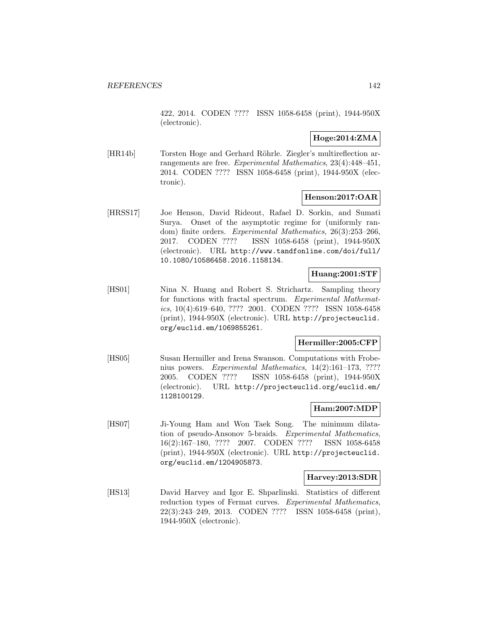422, 2014. CODEN ???? ISSN 1058-6458 (print), 1944-950X (electronic).

# **Hoge:2014:ZMA**

[HR14b] Torsten Hoge and Gerhard Röhrle. Ziegler's multireflection arrangements are free. Experimental Mathematics, 23(4):448–451, 2014. CODEN ???? ISSN 1058-6458 (print), 1944-950X (electronic).

## **Henson:2017:OAR**

[HRSS17] Joe Henson, David Rideout, Rafael D. Sorkin, and Sumati Surya. Onset of the asymptotic regime for (uniformly random) finite orders. Experimental Mathematics, 26(3):253–266, 2017. CODEN ???? ISSN 1058-6458 (print), 1944-950X (electronic). URL http://www.tandfonline.com/doi/full/ 10.1080/10586458.2016.1158134.

# **Huang:2001:STF**

[HS01] Nina N. Huang and Robert S. Strichartz. Sampling theory for functions with fractal spectrum. Experimental Mathematics, 10(4):619–640, ???? 2001. CODEN ???? ISSN 1058-6458 (print), 1944-950X (electronic). URL http://projecteuclid. org/euclid.em/1069855261.

# **Hermiller:2005:CFP**

[HS05] Susan Hermiller and Irena Swanson. Computations with Frobenius powers. Experimental Mathematics, 14(2):161–173, ???? 2005. CODEN ???? ISSN 1058-6458 (print), 1944-950X (electronic). URL http://projecteuclid.org/euclid.em/ 1128100129.

### **Ham:2007:MDP**

[HS07] Ji-Young Ham and Won Taek Song. The minimum dilatation of pseudo-Ansonov 5-braids. Experimental Mathematics, 16(2):167–180, ???? 2007. CODEN ???? ISSN 1058-6458 (print), 1944-950X (electronic). URL http://projecteuclid. org/euclid.em/1204905873.

### **Harvey:2013:SDR**

[HS13] David Harvey and Igor E. Shparlinski. Statistics of different reduction types of Fermat curves. Experimental Mathematics, 22(3):243–249, 2013. CODEN ???? ISSN 1058-6458 (print), 1944-950X (electronic).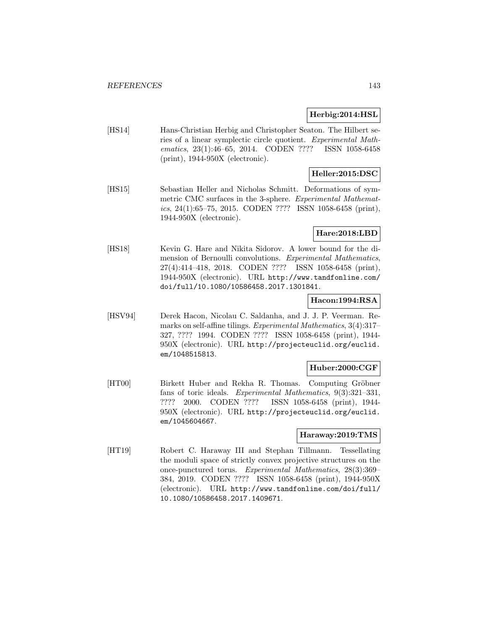### **Herbig:2014:HSL**

[HS14] Hans-Christian Herbig and Christopher Seaton. The Hilbert series of a linear symplectic circle quotient. Experimental Mathematics, 23(1):46–65, 2014. CODEN ???? ISSN 1058-6458 (print), 1944-950X (electronic).

# **Heller:2015:DSC**

[HS15] Sebastian Heller and Nicholas Schmitt. Deformations of symmetric CMC surfaces in the 3-sphere. Experimental Mathematics, 24(1):65–75, 2015. CODEN ???? ISSN 1058-6458 (print), 1944-950X (electronic).

### **Hare:2018:LBD**

[HS18] Kevin G. Hare and Nikita Sidorov. A lower bound for the dimension of Bernoulli convolutions. Experimental Mathematics, 27(4):414–418, 2018. CODEN ???? ISSN 1058-6458 (print), 1944-950X (electronic). URL http://www.tandfonline.com/ doi/full/10.1080/10586458.2017.1301841.

### **Hacon:1994:RSA**

[HSV94] Derek Hacon, Nicolau C. Saldanha, and J. J. P. Veerman. Remarks on self-affine tilings. Experimental Mathematics, 3(4):317– 327, ???? 1994. CODEN ???? ISSN 1058-6458 (print), 1944- 950X (electronic). URL http://projecteuclid.org/euclid. em/1048515813.

### **Huber:2000:CGF**

[HT00] Birkett Huber and Rekha R. Thomas. Computing Gröbner fans of toric ideals. Experimental Mathematics, 9(3):321–331, ???? 2000. CODEN ???? ISSN 1058-6458 (print), 1944- 950X (electronic). URL http://projecteuclid.org/euclid. em/1045604667.

### **Haraway:2019:TMS**

[HT19] Robert C. Haraway III and Stephan Tillmann. Tessellating the moduli space of strictly convex projective structures on the once-punctured torus. Experimental Mathematics, 28(3):369– 384, 2019. CODEN ???? ISSN 1058-6458 (print), 1944-950X (electronic). URL http://www.tandfonline.com/doi/full/ 10.1080/10586458.2017.1409671.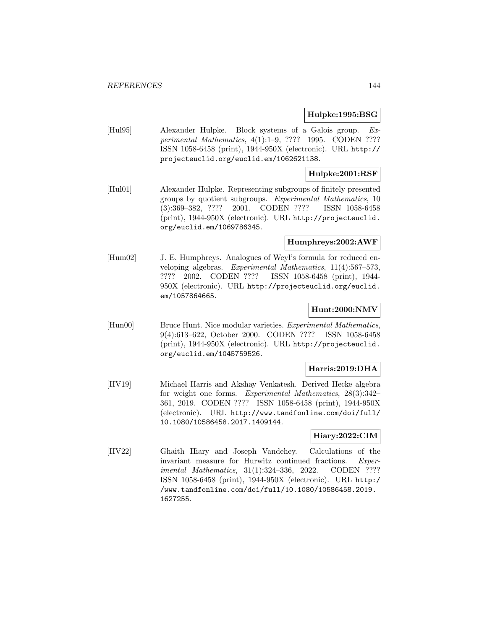#### **Hulpke:1995:BSG**

[Hul95] Alexander Hulpke. Block systems of a Galois group. Experimental Mathematics, 4(1):1–9, ???? 1995. CODEN ???? ISSN 1058-6458 (print), 1944-950X (electronic). URL http:// projecteuclid.org/euclid.em/1062621138.

# **Hulpke:2001:RSF**

[Hul01] Alexander Hulpke. Representing subgroups of finitely presented groups by quotient subgroups. Experimental Mathematics, 10 (3):369–382, ???? 2001. CODEN ???? ISSN 1058-6458 (print), 1944-950X (electronic). URL http://projecteuclid. org/euclid.em/1069786345.

#### **Humphreys:2002:AWF**

[Hum02] J. E. Humphreys. Analogues of Weyl's formula for reduced enveloping algebras. Experimental Mathematics, 11(4):567–573, ???? 2002. CODEN ???? ISSN 1058-6458 (print), 1944- 950X (electronic). URL http://projecteuclid.org/euclid. em/1057864665.

### **Hunt:2000:NMV**

[Hun00] Bruce Hunt. Nice modular varieties. Experimental Mathematics, 9(4):613–622, October 2000. CODEN ???? ISSN 1058-6458 (print), 1944-950X (electronic). URL http://projecteuclid. org/euclid.em/1045759526.

### **Harris:2019:DHA**

[HV19] Michael Harris and Akshay Venkatesh. Derived Hecke algebra for weight one forms. Experimental Mathematics, 28(3):342– 361, 2019. CODEN ???? ISSN 1058-6458 (print), 1944-950X (electronic). URL http://www.tandfonline.com/doi/full/ 10.1080/10586458.2017.1409144.

# **Hiary:2022:CIM**

[HV22] Ghaith Hiary and Joseph Vandehey. Calculations of the invariant measure for Hurwitz continued fractions. Experimental Mathematics, 31(1):324-336, 2022. CODEN ???? ISSN 1058-6458 (print), 1944-950X (electronic). URL http:/ /www.tandfonline.com/doi/full/10.1080/10586458.2019. 1627255.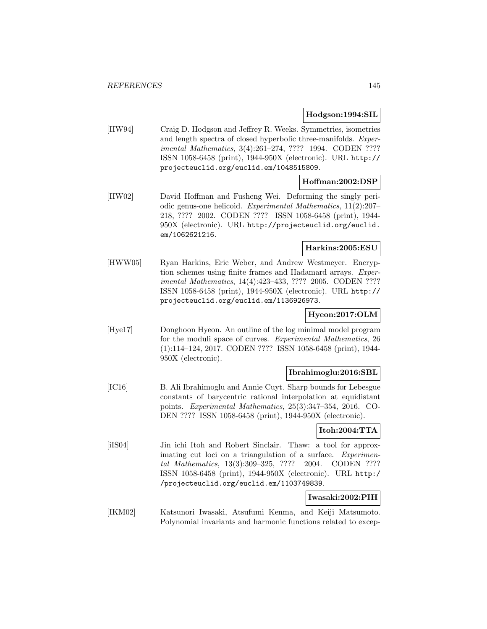## **Hodgson:1994:SIL**

[HW94] Craig D. Hodgson and Jeffrey R. Weeks. Symmetries, isometries and length spectra of closed hyperbolic three-manifolds. Experimental Mathematics, 3(4):261-274, ???? 1994. CODEN ???? ISSN 1058-6458 (print), 1944-950X (electronic). URL http:// projecteuclid.org/euclid.em/1048515809.

# **Hoffman:2002:DSP**

[HW02] David Hoffman and Fusheng Wei. Deforming the singly periodic genus-one helicoid. Experimental Mathematics, 11(2):207– 218, ???? 2002. CODEN ???? ISSN 1058-6458 (print), 1944- 950X (electronic). URL http://projecteuclid.org/euclid. em/1062621216.

### **Harkins:2005:ESU**

[HWW05] Ryan Harkins, Eric Weber, and Andrew Westmeyer. Encryption schemes using finite frames and Hadamard arrays. Experimental Mathematics, 14(4):423–433, ???? 2005. CODEN ???? ISSN 1058-6458 (print), 1944-950X (electronic). URL http:// projecteuclid.org/euclid.em/1136926973.

# **Hyeon:2017:OLM**

[Hye17] Donghoon Hyeon. An outline of the log minimal model program for the moduli space of curves. Experimental Mathematics, 26 (1):114–124, 2017. CODEN ???? ISSN 1058-6458 (print), 1944- 950X (electronic).

## **Ibrahimoglu:2016:SBL**

[IC16] B. Ali Ibrahimoglu and Annie Cuyt. Sharp bounds for Lebesgue constants of barycentric rational interpolation at equidistant points. Experimental Mathematics, 25(3):347–354, 2016. CO-DEN ???? ISSN 1058-6458 (print), 1944-950X (electronic).

# **Itoh:2004:TTA**

[iIS04] Jin ichi Itoh and Robert Sinclair. Thaw: a tool for approximating cut loci on a triangulation of a surface. Experimental Mathematics, 13(3):309–325, ???? 2004. CODEN ???? ISSN 1058-6458 (print), 1944-950X (electronic). URL http:/ /projecteuclid.org/euclid.em/1103749839.

# **Iwasaki:2002:PIH**

[IKM02] Katsunori Iwasaki, Atsufumi Kenma, and Keiji Matsumoto. Polynomial invariants and harmonic functions related to excep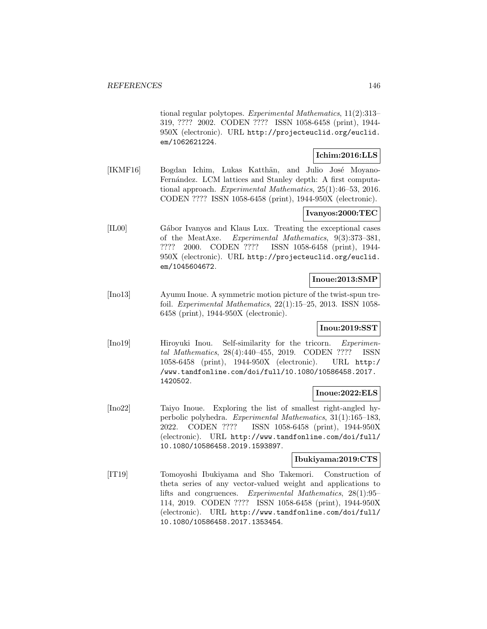tional regular polytopes. Experimental Mathematics, 11(2):313– 319, ???? 2002. CODEN ???? ISSN 1058-6458 (print), 1944- 950X (electronic). URL http://projecteuclid.org/euclid. em/1062621224.

## **Ichim:2016:LLS**

[IKMF16] Bogdan Ichim, Lukas Katthän, and Julio José Moyano-Fernández. LCM lattices and Stanley depth: A first computational approach. Experimental Mathematics, 25(1):46–53, 2016. CODEN ???? ISSN 1058-6458 (print), 1944-950X (electronic).

# **Ivanyos:2000:TEC**

[IL00] Gábor Ivanyos and Klaus Lux. Treating the exceptional cases of the MeatAxe. Experimental Mathematics, 9(3):373–381, ???? 2000. CODEN ???? ISSN 1058-6458 (print), 1944- 950X (electronic). URL http://projecteuclid.org/euclid. em/1045604672.

## **Inoue:2013:SMP**

[Ino13] Ayumu Inoue. A symmetric motion picture of the twist-spun trefoil. Experimental Mathematics, 22(1):15–25, 2013. ISSN 1058- 6458 (print), 1944-950X (electronic).

# **Inou:2019:SST**

[Ino19] Hiroyuki Inou. Self-similarity for the tricorn. *Experimen*tal Mathematics, 28(4):440–455, 2019. CODEN ???? ISSN 1058-6458 (print), 1944-950X (electronic). URL http:/ /www.tandfonline.com/doi/full/10.1080/10586458.2017. 1420502.

# **Inoue:2022:ELS**

[Ino22] Taiyo Inoue. Exploring the list of smallest right-angled hyperbolic polyhedra. Experimental Mathematics, 31(1):165–183, 2022. CODEN ???? ISSN 1058-6458 (print), 1944-950X (electronic). URL http://www.tandfonline.com/doi/full/ 10.1080/10586458.2019.1593897.

# **Ibukiyama:2019:CTS**

[IT19] Tomoyoshi Ibukiyama and Sho Takemori. Construction of theta series of any vector-valued weight and applications to lifts and congruences. Experimental Mathematics, 28(1):95– 114, 2019. CODEN ???? ISSN 1058-6458 (print), 1944-950X (electronic). URL http://www.tandfonline.com/doi/full/ 10.1080/10586458.2017.1353454.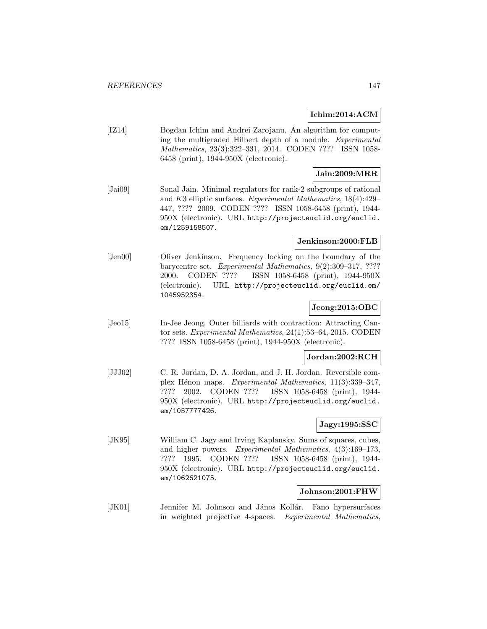## **Ichim:2014:ACM**

[IZ14] Bogdan Ichim and Andrei Zarojanu. An algorithm for computing the multigraded Hilbert depth of a module. Experimental Mathematics, 23(3):322–331, 2014. CODEN ???? ISSN 1058- 6458 (print), 1944-950X (electronic).

# **Jain:2009:MRR**

[Jai09] Sonal Jain. Minimal regulators for rank-2 subgroups of rational and K3 elliptic surfaces. Experimental Mathematics, 18(4):429– 447, ???? 2009. CODEN ???? ISSN 1058-6458 (print), 1944- 950X (electronic). URL http://projecteuclid.org/euclid. em/1259158507.

## **Jenkinson:2000:FLB**

[Jen00] Oliver Jenkinson. Frequency locking on the boundary of the barycentre set. Experimental Mathematics, 9(2):309–317, ???? 2000. CODEN ???? ISSN 1058-6458 (print), 1944-950X (electronic). URL http://projecteuclid.org/euclid.em/ 1045952354.

# **Jeong:2015:OBC**

[Jeo15] In-Jee Jeong. Outer billiards with contraction: Attracting Cantor sets. Experimental Mathematics, 24(1):53–64, 2015. CODEN ???? ISSN 1058-6458 (print), 1944-950X (electronic).

#### **Jordan:2002:RCH**

[JJJ02] C. R. Jordan, D. A. Jordan, and J. H. Jordan. Reversible complex Hénon maps. Experimental Mathematics, 11(3):339-347, ???? 2002. CODEN ???? ISSN 1058-6458 (print), 1944- 950X (electronic). URL http://projecteuclid.org/euclid. em/1057777426.

# **Jagy:1995:SSC**

[JK95] William C. Jagy and Irving Kaplansky. Sums of squares, cubes, and higher powers. Experimental Mathematics, 4(3):169–173, ???? 1995. CODEN ???? ISSN 1058-6458 (print), 1944- 950X (electronic). URL http://projecteuclid.org/euclid. em/1062621075.

# **Johnson:2001:FHW**

[JK01] Jennifer M. Johnson and János Kollár. Fano hypersurfaces in weighted projective 4-spaces. Experimental Mathematics,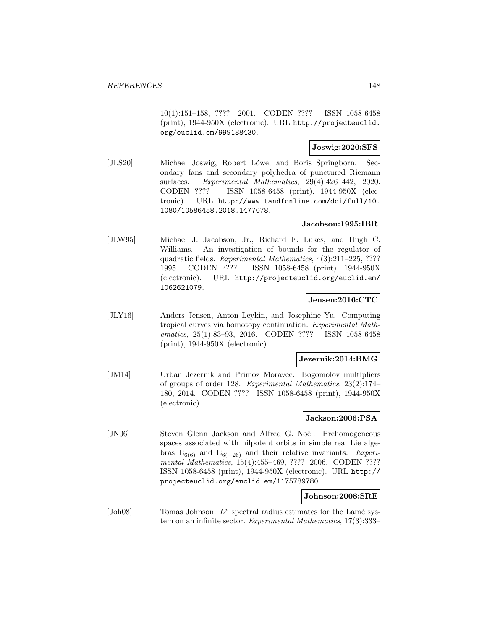10(1):151–158, ???? 2001. CODEN ???? ISSN 1058-6458 (print), 1944-950X (electronic). URL http://projecteuclid. org/euclid.em/999188430.

## **Joswig:2020:SFS**

[JLS20] Michael Joswig, Robert Löwe, and Boris Springborn. Secondary fans and secondary polyhedra of punctured Riemann surfaces. Experimental Mathematics, 29(4):426–442, 2020. CODEN ???? ISSN 1058-6458 (print), 1944-950X (electronic). URL http://www.tandfonline.com/doi/full/10. 1080/10586458.2018.1477078.

# **Jacobson:1995:IBR**

[JLW95] Michael J. Jacobson, Jr., Richard F. Lukes, and Hugh C. Williams. An investigation of bounds for the regulator of quadratic fields. Experimental Mathematics, 4(3):211–225, ???? 1995. CODEN ???? ISSN 1058-6458 (print), 1944-950X (electronic). URL http://projecteuclid.org/euclid.em/ 1062621079.

## **Jensen:2016:CTC**

[JLY16] Anders Jensen, Anton Leykin, and Josephine Yu. Computing tropical curves via homotopy continuation. Experimental Mathematics, 25(1):83–93, 2016. CODEN ???? ISSN 1058-6458 (print), 1944-950X (electronic).

#### **Jezernik:2014:BMG**

[JM14] Urban Jezernik and Primoz Moravec. Bogomolov multipliers of groups of order 128. Experimental Mathematics, 23(2):174– 180, 2014. CODEN ???? ISSN 1058-6458 (print), 1944-950X (electronic).

# **Jackson:2006:PSA**

[JN06] Steven Glenn Jackson and Alfred G. Noël. Prehomogeneous spaces associated with nilpotent orbits in simple real Lie algebras  $E_{6(6)}$  and  $E_{6(-26)}$  and their relative invariants. Experimental Mathematics, 15(4):455–469, ???? 2006. CODEN ???? ISSN 1058-6458 (print), 1944-950X (electronic). URL http:// projecteuclid.org/euclid.em/1175789780.

#### **Johnson:2008:SRE**

[Joh08] Tomas Johnson.  $L^p$  spectral radius estimates for the Lamé system on an infinite sector. Experimental Mathematics, 17(3):333–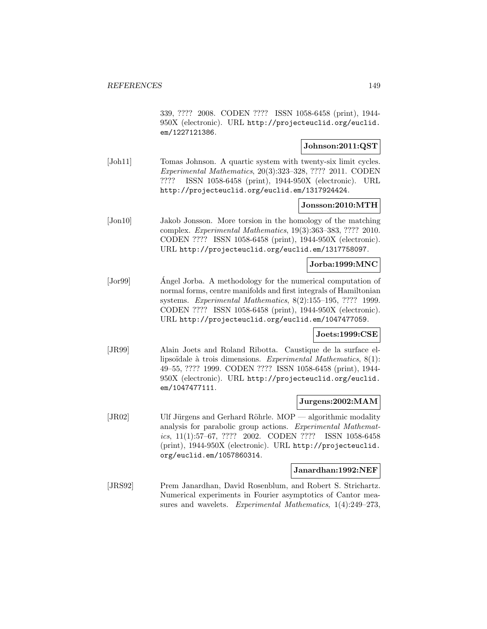339, ???? 2008. CODEN ???? ISSN 1058-6458 (print), 1944- 950X (electronic). URL http://projecteuclid.org/euclid. em/1227121386.

# **Johnson:2011:QST**

[Joh11] Tomas Johnson. A quartic system with twenty-six limit cycles. Experimental Mathematics, 20(3):323–328, ???? 2011. CODEN ???? ISSN 1058-6458 (print), 1944-950X (electronic). URL http://projecteuclid.org/euclid.em/1317924424.

#### **Jonsson:2010:MTH**

[Jon10] Jakob Jonsson. More torsion in the homology of the matching complex. Experimental Mathematics, 19(3):363–383, ???? 2010. CODEN ???? ISSN 1058-6458 (print), 1944-950X (electronic). URL http://projecteuclid.org/euclid.em/1317758097.

## **Jorba:1999:MNC**

[Jorg9] Angel Jorba. A methodology for the numerical computation of normal forms, centre manifolds and first integrals of Hamiltonian systems. Experimental Mathematics, 8(2):155–195, ???? 1999. CODEN ???? ISSN 1058-6458 (print), 1944-950X (electronic). URL http://projecteuclid.org/euclid.em/1047477059.

## **Joets:1999:CSE**

[JR99] Alain Joets and Roland Ribotta. Caustique de la surface ellipsoïdale à trois dimensions. Experimental Mathematics,  $8(1)$ : 49–55, ???? 1999. CODEN ???? ISSN 1058-6458 (print), 1944- 950X (electronic). URL http://projecteuclid.org/euclid. em/1047477111.

#### **Jurgens:2002:MAM**

[JR02] Ulf Jürgens and Gerhard Röhrle. MOP — algorithmic modality analysis for parabolic group actions. Experimental Mathematics, 11(1):57–67, ???? 2002. CODEN ???? ISSN 1058-6458 (print), 1944-950X (electronic). URL http://projecteuclid. org/euclid.em/1057860314.

#### **Janardhan:1992:NEF**

[JRS92] Prem Janardhan, David Rosenblum, and Robert S. Strichartz. Numerical experiments in Fourier asymptotics of Cantor measures and wavelets. Experimental Mathematics, 1(4):249–273,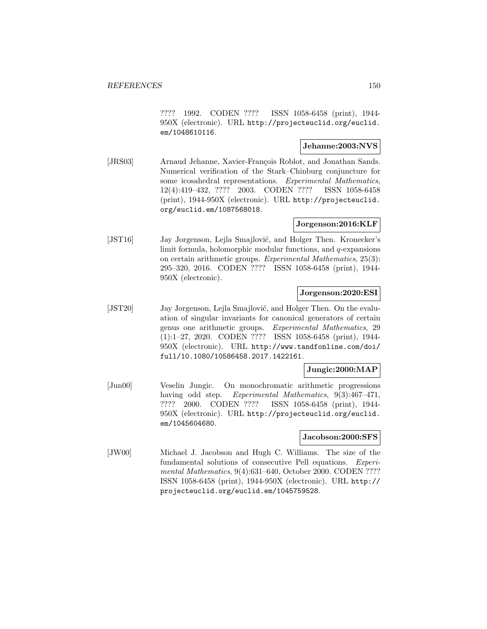???? 1992. CODEN ???? ISSN 1058-6458 (print), 1944- 950X (electronic). URL http://projecteuclid.org/euclid. em/1048610116.

## **Jehanne:2003:NVS**

[JRS03] Arnaud Jehanne, Xavier-François Roblot, and Jonathan Sands. Numerical verification of the Stark–Chinburg conjuncture for some icosahedral representations. Experimental Mathematics, 12(4):419–432, ???? 2003. CODEN ???? ISSN 1058-6458 (print), 1944-950X (electronic). URL http://projecteuclid. org/euclid.em/1087568018.

# **Jorgenson:2016:KLF**

[JST16] Jay Jorgenson, Lejla Smajlović, and Holger Then. Kronecker's limit formula, holomorphic modular functions, and q-expansions on certain arithmetic groups. Experimental Mathematics, 25(3): 295–320, 2016. CODEN ???? ISSN 1058-6458 (print), 1944- 950X (electronic).

### **Jorgenson:2020:ESI**

[JST20] Jay Jorgenson, Lejla Smajlović, and Holger Then. On the evaluation of singular invariants for canonical generators of certain genus one arithmetic groups. Experimental Mathematics, 29 (1):1–27, 2020. CODEN ???? ISSN 1058-6458 (print), 1944- 950X (electronic). URL http://www.tandfonline.com/doi/ full/10.1080/10586458.2017.1422161.

## **Jungic:2000:MAP**

[Jun00] Veselin Jungic. On monochromatic arithmetic progressions having odd step. Experimental Mathematics, 9(3):467-471, ???? 2000. CODEN ???? ISSN 1058-6458 (print), 1944- 950X (electronic). URL http://projecteuclid.org/euclid. em/1045604680.

## **Jacobson:2000:SFS**

[JW00] Michael J. Jacobson and Hugh C. Williams. The size of the fundamental solutions of consecutive Pell equations. Experimental Mathematics, 9(4):631–640, October 2000. CODEN ???? ISSN 1058-6458 (print), 1944-950X (electronic). URL http:// projecteuclid.org/euclid.em/1045759528.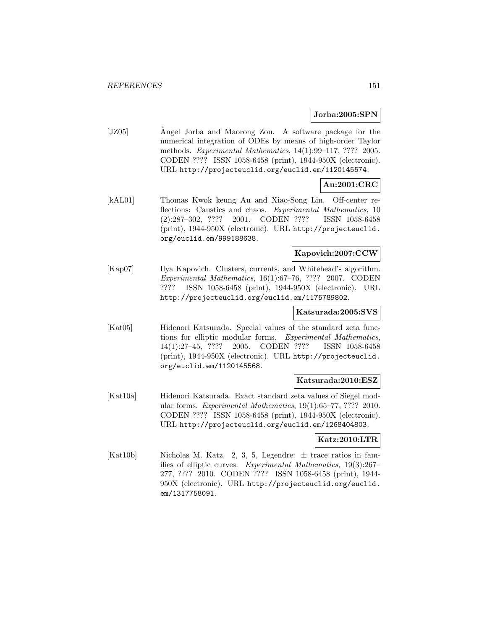#### **Jorba:2005:SPN**

[JZ05] Angel Jorba and Maorong Zou. A software package for the numerical integration of ODEs by means of high-order Taylor methods. Experimental Mathematics, 14(1):99–117, ???? 2005. CODEN ???? ISSN 1058-6458 (print), 1944-950X (electronic). URL http://projecteuclid.org/euclid.em/1120145574.

# **Au:2001:CRC**

[kAL01] Thomas Kwok keung Au and Xiao-Song Lin. Off-center reflections: Caustics and chaos. Experimental Mathematics, 10 (2):287–302, ???? 2001. CODEN ???? ISSN 1058-6458 (print), 1944-950X (electronic). URL http://projecteuclid. org/euclid.em/999188638.

# **Kapovich:2007:CCW**

[Kap07] Ilya Kapovich. Clusters, currents, and Whitehead's algorithm. Experimental Mathematics, 16(1):67–76, ???? 2007. CODEN ???? ISSN 1058-6458 (print), 1944-950X (electronic). URL http://projecteuclid.org/euclid.em/1175789802.

#### **Katsurada:2005:SVS**

[Kat05] Hidenori Katsurada. Special values of the standard zeta functions for elliptic modular forms. Experimental Mathematics, 14(1):27–45, ???? 2005. CODEN ???? ISSN 1058-6458 (print), 1944-950X (electronic). URL http://projecteuclid. org/euclid.em/1120145568.

## **Katsurada:2010:ESZ**

[Kat10a] Hidenori Katsurada. Exact standard zeta values of Siegel modular forms. Experimental Mathematics, 19(1):65–77, ???? 2010. CODEN ???? ISSN 1058-6458 (print), 1944-950X (electronic). URL http://projecteuclid.org/euclid.em/1268404803.

## **Katz:2010:LTR**

[Kat10b] Nicholas M. Katz. 2, 3, 5, Legendre:  $\pm$  trace ratios in families of elliptic curves. Experimental Mathematics, 19(3):267– 277, ???? 2010. CODEN ???? ISSN 1058-6458 (print), 1944- 950X (electronic). URL http://projecteuclid.org/euclid. em/1317758091.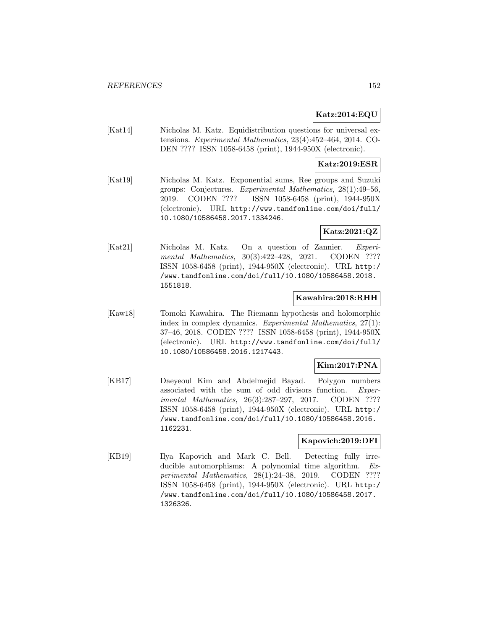# **Katz:2014:EQU**

[Kat14] Nicholas M. Katz. Equidistribution questions for universal extensions. Experimental Mathematics, 23(4):452–464, 2014. CO-DEN ???? ISSN 1058-6458 (print), 1944-950X (electronic).

# **Katz:2019:ESR**

[Kat19] Nicholas M. Katz. Exponential sums, Ree groups and Suzuki groups: Conjectures. Experimental Mathematics, 28(1):49–56, 2019. CODEN ???? ISSN 1058-6458 (print), 1944-950X (electronic). URL http://www.tandfonline.com/doi/full/ 10.1080/10586458.2017.1334246.

# **Katz:2021:QZ**

[Kat21] Nicholas M. Katz. On a question of Zannier. Experimental Mathematics, 30(3):422-428, 2021. CODEN ???? ISSN 1058-6458 (print), 1944-950X (electronic). URL http:/ /www.tandfonline.com/doi/full/10.1080/10586458.2018. 1551818.

## **Kawahira:2018:RHH**

[Kaw18] Tomoki Kawahira. The Riemann hypothesis and holomorphic index in complex dynamics. Experimental Mathematics, 27(1): 37–46, 2018. CODEN ???? ISSN 1058-6458 (print), 1944-950X (electronic). URL http://www.tandfonline.com/doi/full/ 10.1080/10586458.2016.1217443.

## **Kim:2017:PNA**

[KB17] Daeyeoul Kim and Abdelmejid Bayad. Polygon numbers associated with the sum of odd divisors function. Experimental Mathematics, 26(3):287–297, 2017. CODEN ???? ISSN 1058-6458 (print), 1944-950X (electronic). URL http:/ /www.tandfonline.com/doi/full/10.1080/10586458.2016. 1162231.

# **Kapovich:2019:DFI**

[KB19] Ilya Kapovich and Mark C. Bell. Detecting fully irreducible automorphisms: A polynomial time algorithm. Experimental Mathematics, 28(1):24–38, 2019. CODEN ???? ISSN 1058-6458 (print), 1944-950X (electronic). URL http:/ /www.tandfonline.com/doi/full/10.1080/10586458.2017. 1326326.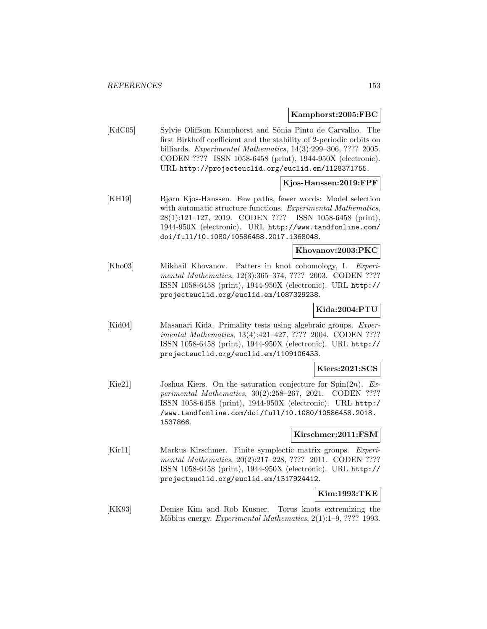#### **Kamphorst:2005:FBC**

[KdC05] Sylvie Oliffson Kamphorst and Sônia Pinto de Carvalho. The first Birkhoff coefficient and the stability of 2-periodic orbits on billiards. Experimental Mathematics, 14(3):299–306, ???? 2005. CODEN ???? ISSN 1058-6458 (print), 1944-950X (electronic). URL http://projecteuclid.org/euclid.em/1128371755.

# **Kjos-Hanssen:2019:FPF**

[KH19] Bjørn Kjos-Hanssen. Few paths, fewer words: Model selection with automatic structure functions. Experimental Mathematics, 28(1):121–127, 2019. CODEN ???? ISSN 1058-6458 (print), 1944-950X (electronic). URL http://www.tandfonline.com/ doi/full/10.1080/10586458.2017.1368048.

#### **Khovanov:2003:PKC**

[Kho03] Mikhail Khovanov. Patters in knot cohomology, I. Experimental Mathematics, 12(3):365–374, ???? 2003. CODEN ???? ISSN 1058-6458 (print), 1944-950X (electronic). URL http:// projecteuclid.org/euclid.em/1087329238.

## **Kida:2004:PTU**

[Kid04] Masanari Kida. Primality tests using algebraic groups. Experimental Mathematics, 13(4):421–427, ???? 2004. CODEN ???? ISSN 1058-6458 (print), 1944-950X (electronic). URL http:// projecteuclid.org/euclid.em/1109106433.

#### **Kiers:2021:SCS**

[Kie21] Joshua Kiers. On the saturation conjecture for  $Spin(2n)$ . Experimental Mathematics, 30(2):258–267, 2021. CODEN ???? ISSN 1058-6458 (print), 1944-950X (electronic). URL http:/ /www.tandfonline.com/doi/full/10.1080/10586458.2018. 1537866.

## **Kirschmer:2011:FSM**

[Kir11] Markus Kirschmer. Finite symplectic matrix groups. Experimental Mathematics, 20(2):217–228, ???? 2011. CODEN ???? ISSN 1058-6458 (print), 1944-950X (electronic). URL http:// projecteuclid.org/euclid.em/1317924412.

# **Kim:1993:TKE**

[KK93] Denise Kim and Rob Kusner. Torus knots extremizing the Möbius energy. Experimental Mathematics, 2(1):1–9, ???? 1993.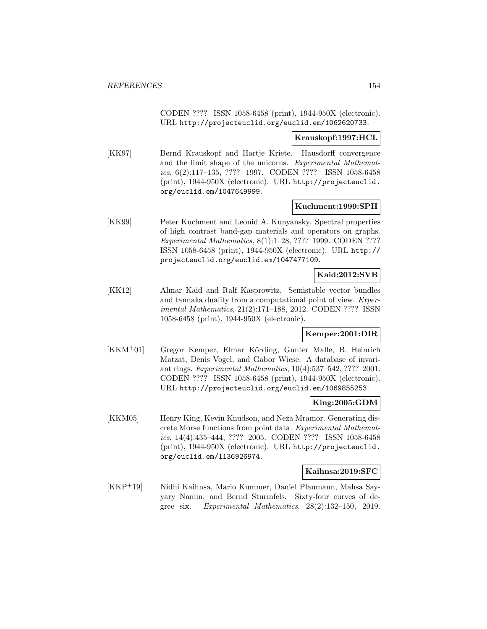CODEN ???? ISSN 1058-6458 (print), 1944-950X (electronic). URL http://projecteuclid.org/euclid.em/1062620733.

#### **Krauskopf:1997:HCL**

[KK97] Bernd Krauskopf and Hartje Kriete. Hausdorff convergence and the limit shape of the unicorns. Experimental Mathematics, 6(2):117–135, ???? 1997. CODEN ???? ISSN 1058-6458 (print), 1944-950X (electronic). URL http://projecteuclid. org/euclid.em/1047649999.

#### **Kuchment:1999:SPH**

[KK99] Peter Kuchment and Leonid A. Kunyansky. Spectral properties of high contrast band-gap materials and operators on graphs. Experimental Mathematics, 8(1):1–28, ???? 1999. CODEN ???? ISSN 1058-6458 (print), 1944-950X (electronic). URL http:// projecteuclid.org/euclid.em/1047477109.

# **Kaid:2012:SVB**

[KK12] Almar Kaid and Ralf Kasprowitz. Semistable vector bundles and tannaka duality from a computational point of view. Experimental Mathematics, 21(2):171–188, 2012. CODEN ???? ISSN 1058-6458 (print), 1944-950X (electronic).

## **Kemper:2001:DIR**

[KKM+01] Gregor Kemper, Elmar Körding, Gunter Malle, B. Heinrich Matzat, Denis Vogel, and Gabor Wiese. A database of invariant rings. Experimental Mathematics, 10(4):537–542, ???? 2001. CODEN ???? ISSN 1058-6458 (print), 1944-950X (electronic). URL http://projecteuclid.org/euclid.em/1069855253.

# **King:2005:GDM**

[KKM05] Henry King, Kevin Knudson, and Neža Mramor. Generating discrete Morse functions from point data. Experimental Mathematics, 14(4):435–444, ???? 2005. CODEN ???? ISSN 1058-6458 (print), 1944-950X (electronic). URL http://projecteuclid. org/euclid.em/1136926974.

## **Kaihnsa:2019:SFC**

[KKP<sup>+</sup>19] Nidhi Kaihnsa, Mario Kummer, Daniel Plaumann, Mahsa Sayyary Namin, and Bernd Sturmfels. Sixty-four curves of degree six. Experimental Mathematics, 28(2):132–150, 2019.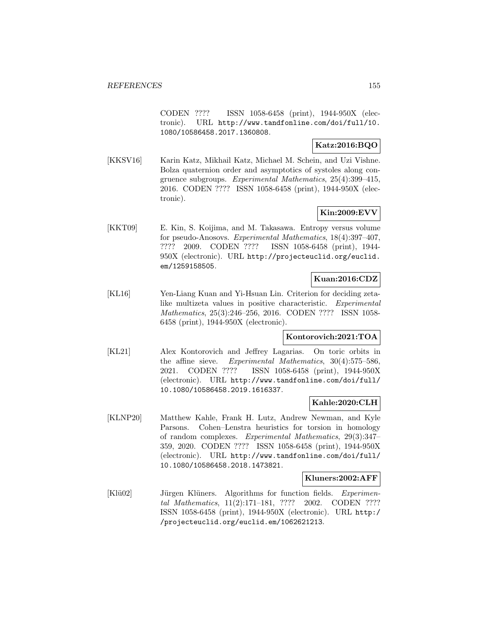CODEN ???? ISSN 1058-6458 (print), 1944-950X (electronic). URL http://www.tandfonline.com/doi/full/10. 1080/10586458.2017.1360808.

# **Katz:2016:BQO**

[KKSV16] Karin Katz, Mikhail Katz, Michael M. Schein, and Uzi Vishne. Bolza quaternion order and asymptotics of systoles along congruence subgroups. Experimental Mathematics, 25(4):399–415, 2016. CODEN ???? ISSN 1058-6458 (print), 1944-950X (electronic).

# **Kin:2009:EVV**

[KKT09] E. Kin, S. Koijima, and M. Takasawa. Entropy versus volume for pseudo-Anosovs. Experimental Mathematics, 18(4):397–407, ???? 2009. CODEN ???? ISSN 1058-6458 (print), 1944- 950X (electronic). URL http://projecteuclid.org/euclid. em/1259158505.

# **Kuan:2016:CDZ**

[KL16] Yen-Liang Kuan and Yi-Hsuan Lin. Criterion for deciding zetalike multizeta values in positive characteristic. Experimental Mathematics, 25(3):246–256, 2016. CODEN ???? ISSN 1058- 6458 (print), 1944-950X (electronic).

## **Kontorovich:2021:TOA**

[KL21] Alex Kontorovich and Jeffrey Lagarias. On toric orbits in the affine sieve. Experimental Mathematics, 30(4):575–586, 2021. CODEN ???? ISSN 1058-6458 (print), 1944-950X (electronic). URL http://www.tandfonline.com/doi/full/ 10.1080/10586458.2019.1616337.

# **Kahle:2020:CLH**

[KLNP20] Matthew Kahle, Frank H. Lutz, Andrew Newman, and Kyle Parsons. Cohen–Lenstra heuristics for torsion in homology of random complexes. Experimental Mathematics, 29(3):347– 359, 2020. CODEN ???? ISSN 1058-6458 (print), 1944-950X (electronic). URL http://www.tandfonline.com/doi/full/ 10.1080/10586458.2018.1473821.

## **Kluners:2002:AFF**

[Klü02] Jürgen Klüners. Algorithms for function fields. Experimental Mathematics, 11(2):171–181, ???? 2002. CODEN ???? ISSN 1058-6458 (print), 1944-950X (electronic). URL http:/ /projecteuclid.org/euclid.em/1062621213.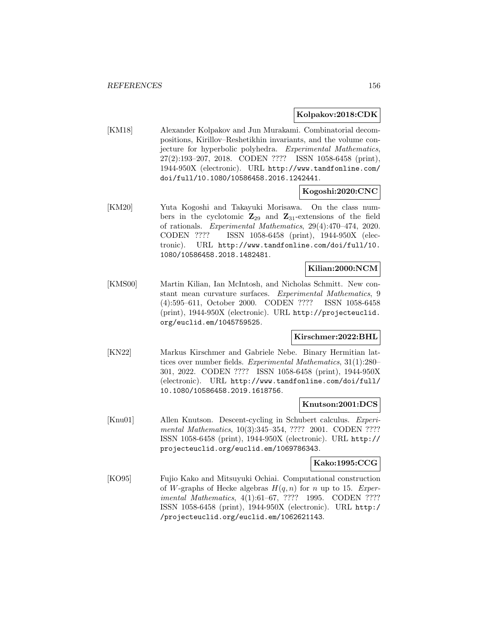#### **Kolpakov:2018:CDK**

[KM18] Alexander Kolpakov and Jun Murakami. Combinatorial decompositions, Kirillov–Reshetikhin invariants, and the volume conjecture for hyperbolic polyhedra. Experimental Mathematics, 27(2):193–207, 2018. CODEN ???? ISSN 1058-6458 (print), 1944-950X (electronic). URL http://www.tandfonline.com/ doi/full/10.1080/10586458.2016.1242441.

## **Kogoshi:2020:CNC**

[KM20] Yuta Kogoshi and Takayuki Morisawa. On the class numbers in the cyclotomic  $\mathbb{Z}_{29}$  and  $\mathbb{Z}_{31}$ -extensions of the field of rationals. Experimental Mathematics, 29(4):470–474, 2020. CODEN ???? ISSN 1058-6458 (print), 1944-950X (electronic). URL http://www.tandfonline.com/doi/full/10. 1080/10586458.2018.1482481.

# **Kilian:2000:NCM**

[KMS00] Martin Kilian, Ian McIntosh, and Nicholas Schmitt. New constant mean curvature surfaces. Experimental Mathematics, 9 (4):595–611, October 2000. CODEN ???? ISSN 1058-6458 (print), 1944-950X (electronic). URL http://projecteuclid. org/euclid.em/1045759525.

## **Kirschmer:2022:BHL**

[KN22] Markus Kirschmer and Gabriele Nebe. Binary Hermitian lattices over number fields. Experimental Mathematics, 31(1):280– 301, 2022. CODEN ???? ISSN 1058-6458 (print), 1944-950X (electronic). URL http://www.tandfonline.com/doi/full/ 10.1080/10586458.2019.1618756.

## **Knutson:2001:DCS**

[Knu01] Allen Knutson. Descent-cycling in Schubert calculus. Experimental Mathematics, 10(3):345–354, ???? 2001. CODEN ???? ISSN 1058-6458 (print), 1944-950X (electronic). URL http:// projecteuclid.org/euclid.em/1069786343.

#### **Kako:1995:CCG**

[KO95] Fujio Kako and Mitsuyuki Ochiai. Computational construction of W-graphs of Hecke algebras  $H(q, n)$  for n up to 15. Experimental Mathematics, 4(1):61–67, ???? 1995. CODEN ???? ISSN 1058-6458 (print), 1944-950X (electronic). URL http:/ /projecteuclid.org/euclid.em/1062621143.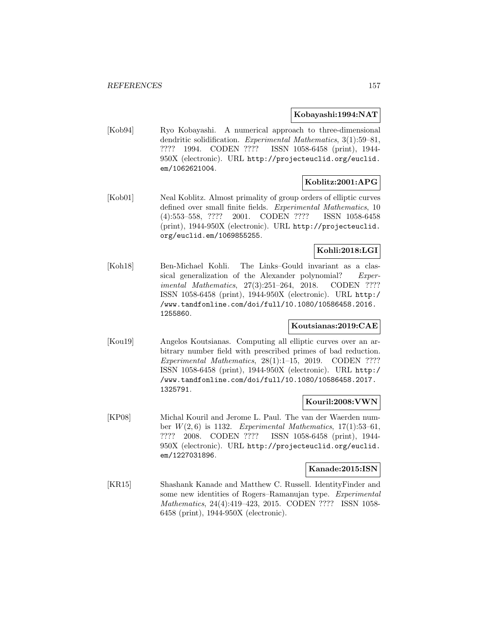## **Kobayashi:1994:NAT**

[Kob94] Ryo Kobayashi. A numerical approach to three-dimensional dendritic solidification. Experimental Mathematics, 3(1):59–81, ???? 1994. CODEN ???? ISSN 1058-6458 (print), 1944- 950X (electronic). URL http://projecteuclid.org/euclid. em/1062621004.

## **Koblitz:2001:APG**

[Kob01] Neal Koblitz. Almost primality of group orders of elliptic curves defined over small finite fields. Experimental Mathematics, 10 (4):553–558, ???? 2001. CODEN ???? ISSN 1058-6458 (print), 1944-950X (electronic). URL http://projecteuclid. org/euclid.em/1069855255.

## **Kohli:2018:LGI**

[Koh18] Ben-Michael Kohli. The Links–Gould invariant as a classical generalization of the Alexander polynomial? Experimental Mathematics, 27(3):251-264, 2018. CODEN ???? ISSN 1058-6458 (print), 1944-950X (electronic). URL http:/ /www.tandfonline.com/doi/full/10.1080/10586458.2016. 1255860.

# **Koutsianas:2019:CAE**

[Kou19] Angelos Koutsianas. Computing all elliptic curves over an arbitrary number field with prescribed primes of bad reduction. Experimental Mathematics, 28(1):1–15, 2019. CODEN ???? ISSN 1058-6458 (print), 1944-950X (electronic). URL http:/ /www.tandfonline.com/doi/full/10.1080/10586458.2017. 1325791.

## **Kouril:2008:VWN**

[KP08] Michal Kouril and Jerome L. Paul. The van der Waerden number  $W(2, 6)$  is 1132. Experimental Mathematics, 17(1):53-61, ???? 2008. CODEN ???? ISSN 1058-6458 (print), 1944- 950X (electronic). URL http://projecteuclid.org/euclid. em/1227031896.

#### **Kanade:2015:ISN**

[KR15] Shashank Kanade and Matthew C. Russell. IdentityFinder and some new identities of Rogers–Ramanujan type. Experimental Mathematics, 24(4):419–423, 2015. CODEN ???? ISSN 1058- 6458 (print), 1944-950X (electronic).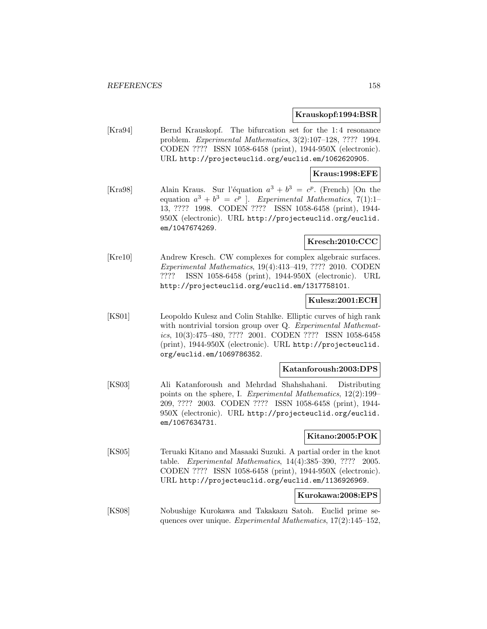#### **Krauskopf:1994:BSR**

[Kra94] Bernd Krauskopf. The bifurcation set for the 1: 4 resonance problem. Experimental Mathematics, 3(2):107–128, ???? 1994. CODEN ???? ISSN 1058-6458 (print), 1944-950X (electronic). URL http://projecteuclid.org/euclid.em/1062620905.

#### **Kraus:1998:EFE**

[Kra98] Alain Kraus. Sur l'équation  $a^3 + b^3 = c^p$ . (French) [On the equation  $a^3 + b^3 = c^p$ . Experimental Mathematics, 7(1):1-13, ???? 1998. CODEN ???? ISSN 1058-6458 (print), 1944- 950X (electronic). URL http://projecteuclid.org/euclid. em/1047674269.

# **Kresch:2010:CCC**

[Kre10] Andrew Kresch. CW complexes for complex algebraic surfaces. Experimental Mathematics, 19(4):413–419, ???? 2010. CODEN ???? ISSN 1058-6458 (print), 1944-950X (electronic). URL http://projecteuclid.org/euclid.em/1317758101.

## **Kulesz:2001:ECH**

[KS01] Leopoldo Kulesz and Colin Stahlke. Elliptic curves of high rank with nontrivial torsion group over Q. Experimental Mathematics, 10(3):475–480, ???? 2001. CODEN ???? ISSN 1058-6458 (print), 1944-950X (electronic). URL http://projecteuclid. org/euclid.em/1069786352.

## **Katanforoush:2003:DPS**

[KS03] Ali Katanforoush and Mehrdad Shahshahani. Distributing points on the sphere, I. Experimental Mathematics, 12(2):199– 209, ???? 2003. CODEN ???? ISSN 1058-6458 (print), 1944- 950X (electronic). URL http://projecteuclid.org/euclid. em/1067634731.

# **Kitano:2005:POK**

[KS05] Teruaki Kitano and Masaaki Suzuki. A partial order in the knot table. Experimental Mathematics, 14(4):385–390, ???? 2005. CODEN ???? ISSN 1058-6458 (print), 1944-950X (electronic). URL http://projecteuclid.org/euclid.em/1136926969.

#### **Kurokawa:2008:EPS**

[KS08] Nobushige Kurokawa and Takakazu Satoh. Euclid prime sequences over unique. Experimental Mathematics, 17(2):145–152,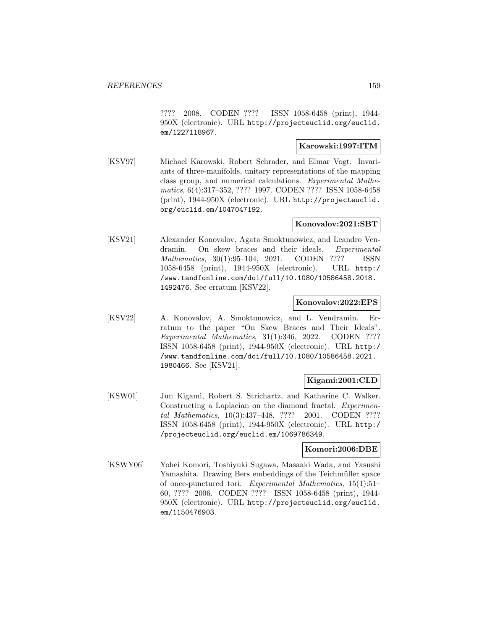???? 2008. CODEN ???? ISSN 1058-6458 (print), 1944- 950X (electronic). URL http://projecteuclid.org/euclid. em/1227118967.

#### **Karowski:1997:ITM**

[KSV97] Michael Karowski, Robert Schrader, and Elmar Vogt. Invariants of three-manifolds, unitary representations of the mapping class group, and numerical calculations. Experimental Mathematics, 6(4):317–352, ???? 1997. CODEN ???? ISSN 1058-6458 (print), 1944-950X (electronic). URL http://projecteuclid. org/euclid.em/1047047192.

## **Konovalov:2021:SBT**

[KSV21] Alexander Konovalov, Agata Smoktunowicz, and Leandro Vendramin. On skew braces and their ideals. Experimental Mathematics, 30(1):95–104, 2021. CODEN ???? ISSN 1058-6458 (print), 1944-950X (electronic). URL http:/ /www.tandfonline.com/doi/full/10.1080/10586458.2018. 1492476. See erratum [KSV22].

#### **Konovalov:2022:EPS**

[KSV22] A. Konovalov, A. Smoktunowicz, and L. Vendramin. Erratum to the paper "On Skew Braces and Their Ideals". Experimental Mathematics, 31(1):346, 2022. CODEN ???? ISSN 1058-6458 (print), 1944-950X (electronic). URL http:/ /www.tandfonline.com/doi/full/10.1080/10586458.2021. 1980466. See [KSV21].

## **Kigami:2001:CLD**

[KSW01] Jun Kigami, Robert S. Strichartz, and Katharine C. Walker. Constructing a Laplacian on the diamond fractal. Experimental Mathematics, 10(3):437–448, ???? 2001. CODEN ???? ISSN 1058-6458 (print), 1944-950X (electronic). URL http:/ /projecteuclid.org/euclid.em/1069786349.

## **Komori:2006:DBE**

[KSWY06] Yohei Komori, Toshiyuki Sugawa, Masaaki Wada, and Yasushi Yamashita. Drawing Bers embeddings of the Teichmüller space of once-punctured tori. Experimental Mathematics, 15(1):51– 60, ???? 2006. CODEN ???? ISSN 1058-6458 (print), 1944- 950X (electronic). URL http://projecteuclid.org/euclid. em/1150476903.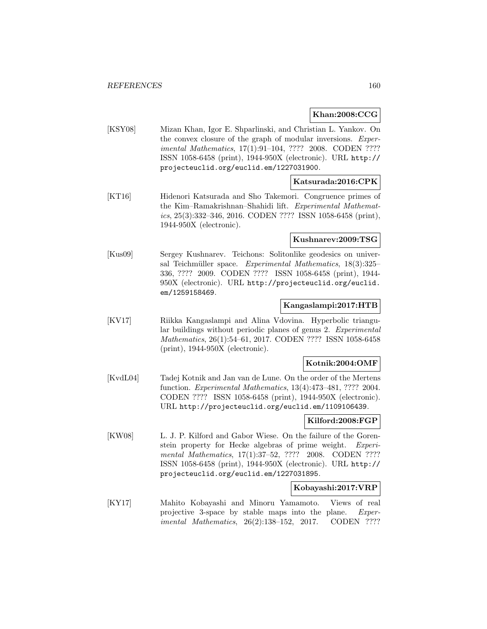# **Khan:2008:CCG**

[KSY08] Mizan Khan, Igor E. Shparlinski, and Christian L. Yankov. On the convex closure of the graph of modular inversions. Experimental Mathematics, 17(1):91–104, ???? 2008. CODEN ???? ISSN 1058-6458 (print), 1944-950X (electronic). URL http:// projecteuclid.org/euclid.em/1227031900.

## **Katsurada:2016:CPK**

[KT16] Hidenori Katsurada and Sho Takemori. Congruence primes of the Kim–Ramakrishnan–Shahidi lift. Experimental Mathemat $ics, 25(3):332-346, 2016. \text{CODEN}$ ???? ISSN 1058-6458 (print), 1944-950X (electronic).

# **Kushnarev:2009:TSG**

[Kus09] Sergey Kushnarev. Teichons: Solitonlike geodesics on universal Teichmüller space. Experimental Mathematics,  $18(3):325-$ 336, ???? 2009. CODEN ???? ISSN 1058-6458 (print), 1944- 950X (electronic). URL http://projecteuclid.org/euclid. em/1259158469.

## **Kangaslampi:2017:HTB**

[KV17] Riikka Kangaslampi and Alina Vdovina. Hyperbolic triangular buildings without periodic planes of genus 2. Experimental Mathematics, 26(1):54–61, 2017. CODEN ???? ISSN 1058-6458 (print), 1944-950X (electronic).

# **Kotnik:2004:OMF**

[KvdL04] Tadej Kotnik and Jan van de Lune. On the order of the Mertens function. Experimental Mathematics, 13(4):473–481, ???? 2004. CODEN ???? ISSN 1058-6458 (print), 1944-950X (electronic). URL http://projecteuclid.org/euclid.em/1109106439.

## **Kilford:2008:FGP**

[KW08] L. J. P. Kilford and Gabor Wiese. On the failure of the Gorenstein property for Hecke algebras of prime weight. Experimental Mathematics, 17(1):37–52, ???? 2008. CODEN ???? ISSN 1058-6458 (print), 1944-950X (electronic). URL http:// projecteuclid.org/euclid.em/1227031895.

#### **Kobayashi:2017:VRP**

[KY17] Mahito Kobayashi and Minoru Yamamoto. Views of real projective 3-space by stable maps into the plane. Experimental Mathematics, 26(2):138–152, 2017. CODEN ????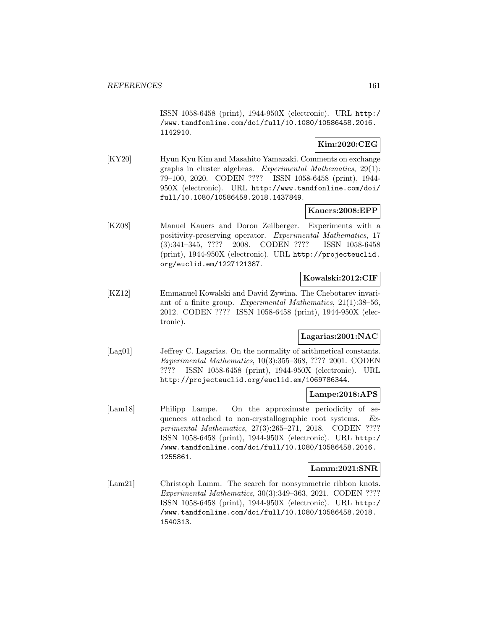ISSN 1058-6458 (print), 1944-950X (electronic). URL http:/ /www.tandfonline.com/doi/full/10.1080/10586458.2016. 1142910.

# **Kim:2020:CEG**

[KY20] Hyun Kyu Kim and Masahito Yamazaki. Comments on exchange graphs in cluster algebras. Experimental Mathematics, 29(1): 79–100, 2020. CODEN ???? ISSN 1058-6458 (print), 1944- 950X (electronic). URL http://www.tandfonline.com/doi/ full/10.1080/10586458.2018.1437849.

# **Kauers:2008:EPP**

[KZ08] Manuel Kauers and Doron Zeilberger. Experiments with a positivity-preserving operator. Experimental Mathematics, 17 (3):341–345, ???? 2008. CODEN ???? ISSN 1058-6458 (print), 1944-950X (electronic). URL http://projecteuclid. org/euclid.em/1227121387.

# **Kowalski:2012:CIF**

[KZ12] Emmanuel Kowalski and David Zywina. The Chebotarev invariant of a finite group. Experimental Mathematics, 21(1):38–56, 2012. CODEN ???? ISSN 1058-6458 (print), 1944-950X (electronic).

# **Lagarias:2001:NAC**

[Lag01] Jeffrey C. Lagarias. On the normality of arithmetical constants. Experimental Mathematics, 10(3):355–368, ???? 2001. CODEN ???? ISSN 1058-6458 (print), 1944-950X (electronic). URL http://projecteuclid.org/euclid.em/1069786344.

# **Lampe:2018:APS**

[Lam18] Philipp Lampe. On the approximate periodicity of sequences attached to non-crystallographic root systems. Experimental Mathematics, 27(3):265–271, 2018. CODEN ???? ISSN 1058-6458 (print), 1944-950X (electronic). URL http:/ /www.tandfonline.com/doi/full/10.1080/10586458.2016. 1255861.

## **Lamm:2021:SNR**

[Lam21] Christoph Lamm. The search for nonsymmetric ribbon knots. Experimental Mathematics, 30(3):349–363, 2021. CODEN ???? ISSN 1058-6458 (print), 1944-950X (electronic). URL http:/ /www.tandfonline.com/doi/full/10.1080/10586458.2018. 1540313.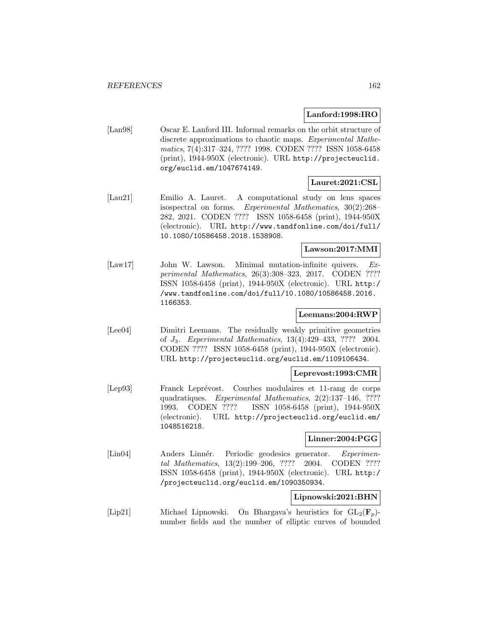#### **Lanford:1998:IRO**

[Lan98] Oscar E. Lanford III. Informal remarks on the orbit structure of discrete approximations to chaotic maps. Experimental Mathematics, 7(4):317–324, ???? 1998. CODEN ???? ISSN 1058-6458 (print), 1944-950X (electronic). URL http://projecteuclid. org/euclid.em/1047674149.

# **Lauret:2021:CSL**

[Lau21] Emilio A. Lauret. A computational study on lens spaces isospectral on forms. Experimental Mathematics, 30(2):268– 282, 2021. CODEN ???? ISSN 1058-6458 (print), 1944-950X (electronic). URL http://www.tandfonline.com/doi/full/ 10.1080/10586458.2018.1538908.

# **Lawson:2017:MMI**

[Law17] John W. Lawson. Minimal mutation-infinite quivers. Experimental Mathematics, 26(3):308–323, 2017. CODEN ???? ISSN 1058-6458 (print), 1944-950X (electronic). URL http:/ /www.tandfonline.com/doi/full/10.1080/10586458.2016. 1166353.

# **Leemans:2004:RWP**

[Lee04] Dimitri Leemans. The residually weakly primitive geometries of J3. Experimental Mathematics, 13(4):429–433, ???? 2004. CODEN ???? ISSN 1058-6458 (print), 1944-950X (electronic). URL http://projecteuclid.org/euclid.em/1109106434.

# **Leprevost:1993:CMR**

[Lep93] Franck Leprévost. Courbes modulaires et 11-rang de corps quadratiques. Experimental Mathematics, 2(2):137–146, ???? 1993. CODEN ???? ISSN 1058-6458 (print), 1944-950X (electronic). URL http://projecteuclid.org/euclid.em/ 1048516218.

# **Linner:2004:PGG**

[Lin04] Anders Linnér. Periodic geodesics generator. Experimental Mathematics, 13(2):199–206, ???? 2004. CODEN ???? ISSN 1058-6458 (print), 1944-950X (electronic). URL http:/ /projecteuclid.org/euclid.em/1090350934.

## **Lipnowski:2021:BHN**

[Lip21] Michael Lipnowski. On Bhargava's heuristics for GL2(**F**p) number fields and the number of elliptic curves of bounded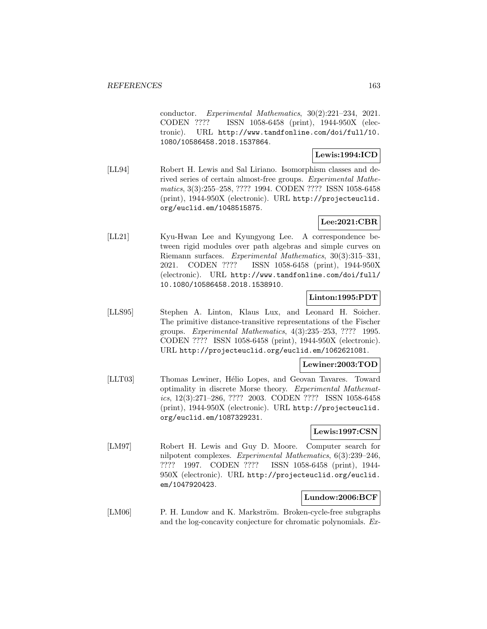conductor. Experimental Mathematics, 30(2):221–234, 2021. CODEN ???? ISSN 1058-6458 (print), 1944-950X (electronic). URL http://www.tandfonline.com/doi/full/10. 1080/10586458.2018.1537864.

### **Lewis:1994:ICD**

[LL94] Robert H. Lewis and Sal Liriano. Isomorphism classes and derived series of certain almost-free groups. Experimental Mathematics, 3(3):255–258, ???? 1994. CODEN ???? ISSN 1058-6458 (print), 1944-950X (electronic). URL http://projecteuclid. org/euclid.em/1048515875.

# **Lee:2021:CBR**

[LL21] Kyu-Hwan Lee and Kyungyong Lee. A correspondence between rigid modules over path algebras and simple curves on Riemann surfaces. Experimental Mathematics, 30(3):315–331, 2021. CODEN ???? ISSN 1058-6458 (print), 1944-950X (electronic). URL http://www.tandfonline.com/doi/full/ 10.1080/10586458.2018.1538910.

## **Linton:1995:PDT**

[LLS95] Stephen A. Linton, Klaus Lux, and Leonard H. Soicher. The primitive distance-transitive representations of the Fischer groups. Experimental Mathematics, 4(3):235–253, ???? 1995. CODEN ???? ISSN 1058-6458 (print), 1944-950X (electronic). URL http://projecteuclid.org/euclid.em/1062621081.

# **Lewiner:2003:TOD**

[LLT03] Thomas Lewiner, Hélio Lopes, and Geovan Tavares. Toward optimality in discrete Morse theory. Experimental Mathematics, 12(3):271–286, ???? 2003. CODEN ???? ISSN 1058-6458 (print), 1944-950X (electronic). URL http://projecteuclid. org/euclid.em/1087329231.

## **Lewis:1997:CSN**

[LM97] Robert H. Lewis and Guy D. Moore. Computer search for nilpotent complexes. Experimental Mathematics, 6(3):239–246, ???? 1997. CODEN ???? ISSN 1058-6458 (print), 1944- 950X (electronic). URL http://projecteuclid.org/euclid. em/1047920423.

## **Lundow:2006:BCF**

[LM06] P. H. Lundow and K. Markström. Broken-cycle-free subgraphs and the log-concavity conjecture for chromatic polynomials. Ex-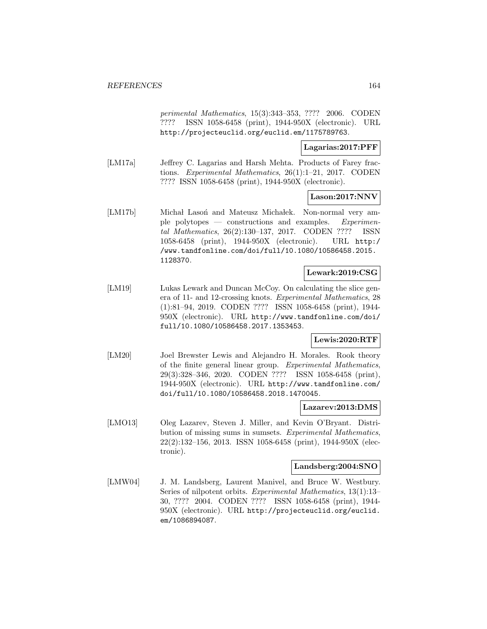perimental Mathematics, 15(3):343–353, ???? 2006. CODEN ???? ISSN 1058-6458 (print), 1944-950X (electronic). URL http://projecteuclid.org/euclid.em/1175789763.

# **Lagarias:2017:PFF**

[LM17a] Jeffrey C. Lagarias and Harsh Mehta. Products of Farey fractions. Experimental Mathematics, 26(1):1–21, 2017. CODEN ???? ISSN 1058-6458 (print), 1944-950X (electronic).

## **Lason:2017:NNV**

[LM17b] Michał Lason and Mateusz Michałek. Non-normal very ample polytopes — constructions and examples. Experimental Mathematics, 26(2):130–137, 2017. CODEN ???? ISSN 1058-6458 (print), 1944-950X (electronic). URL http:/ /www.tandfonline.com/doi/full/10.1080/10586458.2015. 1128370.

#### **Lewark:2019:CSG**

[LM19] Lukas Lewark and Duncan McCoy. On calculating the slice genera of 11- and 12-crossing knots. Experimental Mathematics, 28 (1):81–94, 2019. CODEN ???? ISSN 1058-6458 (print), 1944- 950X (electronic). URL http://www.tandfonline.com/doi/ full/10.1080/10586458.2017.1353453.

## **Lewis:2020:RTF**

[LM20] Joel Brewster Lewis and Alejandro H. Morales. Rook theory of the finite general linear group. Experimental Mathematics, 29(3):328–346, 2020. CODEN ???? ISSN 1058-6458 (print), 1944-950X (electronic). URL http://www.tandfonline.com/ doi/full/10.1080/10586458.2018.1470045.

## **Lazarev:2013:DMS**

[LMO13] Oleg Lazarev, Steven J. Miller, and Kevin O'Bryant. Distribution of missing sums in sumsets. Experimental Mathematics, 22(2):132–156, 2013. ISSN 1058-6458 (print), 1944-950X (electronic).

#### **Landsberg:2004:SNO**

[LMW04] J. M. Landsberg, Laurent Manivel, and Bruce W. Westbury. Series of nilpotent orbits. Experimental Mathematics, 13(1):13– 30, ???? 2004. CODEN ???? ISSN 1058-6458 (print), 1944- 950X (electronic). URL http://projecteuclid.org/euclid. em/1086894087.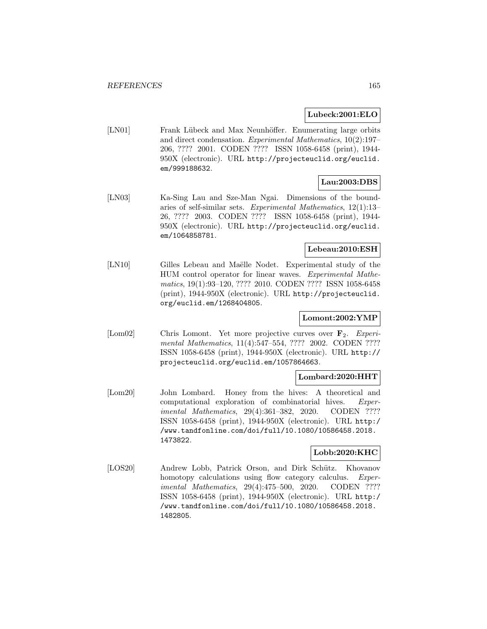# **Lubeck:2001:ELO**

[LN01] Frank Lübeck and Max Neunhöffer. Enumerating large orbits and direct condensation. Experimental Mathematics, 10(2):197– 206, ???? 2001. CODEN ???? ISSN 1058-6458 (print), 1944- 950X (electronic). URL http://projecteuclid.org/euclid. em/999188632.

# **Lau:2003:DBS**

[LN03] Ka-Sing Lau and Sze-Man Ngai. Dimensions of the boundaries of self-similar sets. Experimental Mathematics, 12(1):13– 26, ???? 2003. CODEN ???? ISSN 1058-6458 (print), 1944- 950X (electronic). URL http://projecteuclid.org/euclid. em/1064858781.

# **Lebeau:2010:ESH**

[LN10] Gilles Lebeau and Maëlle Nodet. Experimental study of the HUM control operator for linear waves. Experimental Mathematics, 19(1):93–120, ???? 2010. CODEN ???? ISSN 1058-6458 (print), 1944-950X (electronic). URL http://projecteuclid. org/euclid.em/1268404805.

# **Lomont:2002:YMP**

[Lom02] Chris Lomont. Yet more projective curves over **F**2. Experimental Mathematics, 11(4):547–554, ???? 2002. CODEN ???? ISSN 1058-6458 (print), 1944-950X (electronic). URL http:// projecteuclid.org/euclid.em/1057864663.

# **Lombard:2020:HHT**

[Lom20] John Lombard. Honey from the hives: A theoretical and computational exploration of combinatorial hives. Experimental Mathematics, 29(4):361-382, 2020. CODEN ???? ISSN 1058-6458 (print), 1944-950X (electronic). URL http:/ /www.tandfonline.com/doi/full/10.1080/10586458.2018. 1473822.

# **Lobb:2020:KHC**

[LOS20] Andrew Lobb, Patrick Orson, and Dirk Schütz. Khovanov homotopy calculations using flow category calculus. Experimental Mathematics, 29(4):475–500, 2020. CODEN ???? ISSN 1058-6458 (print), 1944-950X (electronic). URL http:/ /www.tandfonline.com/doi/full/10.1080/10586458.2018. 1482805.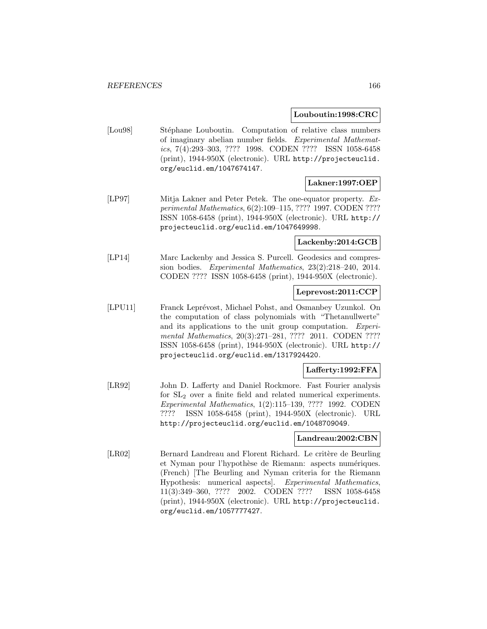#### **Louboutin:1998:CRC**

[Lou98] Stéphane Louboutin. Computation of relative class numbers of imaginary abelian number fields. Experimental Mathematics, 7(4):293–303, ???? 1998. CODEN ???? ISSN 1058-6458 (print), 1944-950X (electronic). URL http://projecteuclid. org/euclid.em/1047674147.

# **Lakner:1997:OEP**

[LP97] Mitja Lakner and Peter Petek. The one-equator property. Experimental Mathematics, 6(2):109–115, ???? 1997. CODEN ???? ISSN 1058-6458 (print), 1944-950X (electronic). URL http:// projecteuclid.org/euclid.em/1047649998.

## **Lackenby:2014:GCB**

[LP14] Marc Lackenby and Jessica S. Purcell. Geodesics and compression bodies. Experimental Mathematics, 23(2):218–240, 2014. CODEN ???? ISSN 1058-6458 (print), 1944-950X (electronic).

## **Leprevost:2011:CCP**

[LPU11] Franck Leprévost, Michael Pohst, and Osmanbey Uzunkol. On the computation of class polynomials with "Thetanullwerte" and its applications to the unit group computation. Experimental Mathematics, 20(3):271–281, ???? 2011. CODEN ???? ISSN 1058-6458 (print), 1944-950X (electronic). URL http:// projecteuclid.org/euclid.em/1317924420.

# **Lafferty:1992:FFA**

[LR92] John D. Lafferty and Daniel Rockmore. Fast Fourier analysis for SL<sup>2</sup> over a finite field and related numerical experiments. Experimental Mathematics, 1(2):115–139, ???? 1992. CODEN ???? ISSN 1058-6458 (print), 1944-950X (electronic). URL http://projecteuclid.org/euclid.em/1048709049.

## **Landreau:2002:CBN**

[LR02] Bernard Landreau and Florent Richard. Le critère de Beurling et Nyman pour l'hypothèse de Riemann: aspects numériques. (French) [The Beurling and Nyman criteria for the Riemann Hypothesis: numerical aspects]. Experimental Mathematics, 11(3):349–360, ???? 2002. CODEN ???? ISSN 1058-6458 (print), 1944-950X (electronic). URL http://projecteuclid. org/euclid.em/1057777427.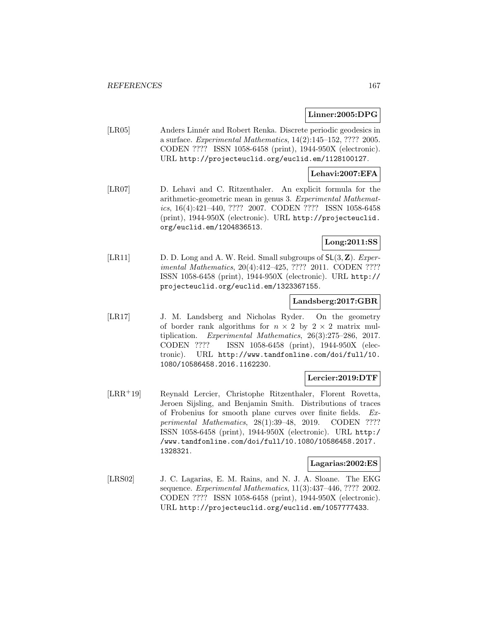## **Linner:2005:DPG**

[LR05] Anders Linnér and Robert Renka. Discrete periodic geodesics in a surface. Experimental Mathematics, 14(2):145–152, ???? 2005. CODEN ???? ISSN 1058-6458 (print), 1944-950X (electronic). URL http://projecteuclid.org/euclid.em/1128100127.

# **Lehavi:2007:EFA**

[LR07] D. Lehavi and C. Ritzenthaler. An explicit formula for the arithmetic-geometric mean in genus 3. Experimental Mathematics, 16(4):421–440, ???? 2007. CODEN ???? ISSN 1058-6458 (print), 1944-950X (electronic). URL http://projecteuclid. org/euclid.em/1204836513.

# **Long:2011:SS**

[LR11] D. D. Long and A. W. Reid. Small subgroups of SL(3, **Z**). Experimental Mathematics, 20(4):412–425, ???? 2011. CODEN ???? ISSN 1058-6458 (print), 1944-950X (electronic). URL http:// projecteuclid.org/euclid.em/1323367155.

#### **Landsberg:2017:GBR**

[LR17] J. M. Landsberg and Nicholas Ryder. On the geometry of border rank algorithms for  $n \times 2$  by  $2 \times 2$  matrix multiplication. Experimental Mathematics, 26(3):275–286, 2017. CODEN ???? ISSN 1058-6458 (print), 1944-950X (electronic). URL http://www.tandfonline.com/doi/full/10. 1080/10586458.2016.1162230.

## **Lercier:2019:DTF**

[LRR<sup>+</sup>19] Reynald Lercier, Christophe Ritzenthaler, Florent Rovetta, Jeroen Sijsling, and Benjamin Smith. Distributions of traces of Frobenius for smooth plane curves over finite fields. Experimental Mathematics, 28(1):39–48, 2019. CODEN ???? ISSN 1058-6458 (print), 1944-950X (electronic). URL http:/ /www.tandfonline.com/doi/full/10.1080/10586458.2017. 1328321.

### **Lagarias:2002:ES**

[LRS02] J. C. Lagarias, E. M. Rains, and N. J. A. Sloane. The EKG sequence. Experimental Mathematics, 11(3):437–446, ???? 2002. CODEN ???? ISSN 1058-6458 (print), 1944-950X (electronic). URL http://projecteuclid.org/euclid.em/1057777433.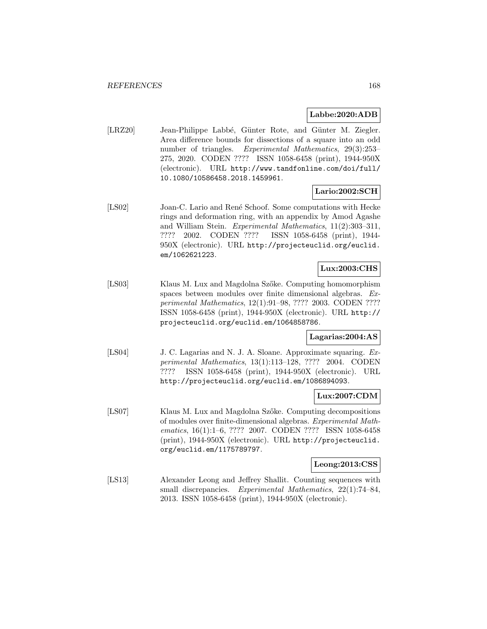#### **Labbe:2020:ADB**

[LRZ20] Jean-Philippe Labbé, Günter Rote, and Günter M. Ziegler. Area difference bounds for dissections of a square into an odd number of triangles. Experimental Mathematics, 29(3):253– 275, 2020. CODEN ???? ISSN 1058-6458 (print), 1944-950X (electronic). URL http://www.tandfonline.com/doi/full/ 10.1080/10586458.2018.1459961.

# **Lario:2002:SCH**

[LS02] Joan-C. Lario and René Schoof. Some computations with Hecke rings and deformation ring, with an appendix by Amod Agashe and William Stein. Experimental Mathematics, 11(2):303–311, ???? 2002. CODEN ???? ISSN 1058-6458 (print), 1944- 950X (electronic). URL http://projecteuclid.org/euclid. em/1062621223.

# **Lux:2003:CHS**

[LS03] Klaus M. Lux and Magdolna Szőke. Computing homomorphism spaces between modules over finite dimensional algebras. Experimental Mathematics, 12(1):91–98, ???? 2003. CODEN ???? ISSN 1058-6458 (print), 1944-950X (electronic). URL http:// projecteuclid.org/euclid.em/1064858786.

## **Lagarias:2004:AS**

[LS04] J. C. Lagarias and N. J. A. Sloane. Approximate squaring. Experimental Mathematics, 13(1):113–128, ???? 2004. CODEN ???? ISSN 1058-6458 (print), 1944-950X (electronic). URL http://projecteuclid.org/euclid.em/1086894093.

## **Lux:2007:CDM**

[LS07] Klaus M. Lux and Magdolna Szőke. Computing decompositions of modules over finite-dimensional algebras. Experimental Mathematics, 16(1):1–6, ???? 2007. CODEN ???? ISSN 1058-6458 (print), 1944-950X (electronic). URL http://projecteuclid. org/euclid.em/1175789797.

# **Leong:2013:CSS**

[LS13] Alexander Leong and Jeffrey Shallit. Counting sequences with small discrepancies. Experimental Mathematics, 22(1):74–84, 2013. ISSN 1058-6458 (print), 1944-950X (electronic).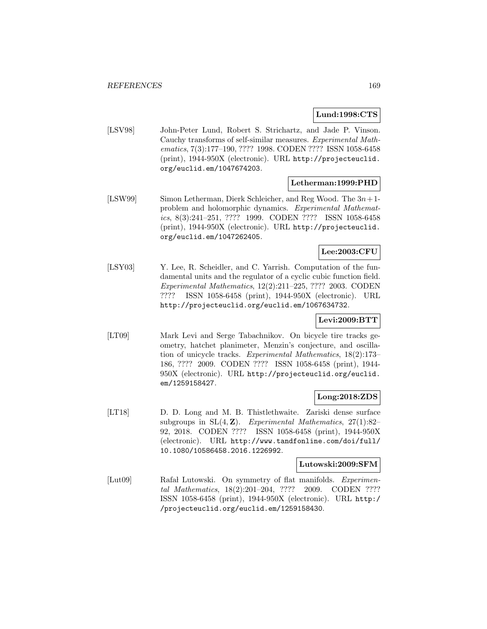## **Lund:1998:CTS**

[LSV98] John-Peter Lund, Robert S. Strichartz, and Jade P. Vinson. Cauchy transforms of self-similar measures. Experimental Mathematics, 7(3):177–190, ???? 1998. CODEN ???? ISSN 1058-6458 (print), 1944-950X (electronic). URL http://projecteuclid. org/euclid.em/1047674203.

#### **Letherman:1999:PHD**

[LSW99] Simon Letherman, Dierk Schleicher, and Reg Wood. The  $3n+1$ problem and holomorphic dynamics. Experimental Mathematics, 8(3):241–251, ???? 1999. CODEN ???? ISSN 1058-6458 (print), 1944-950X (electronic). URL http://projecteuclid. org/euclid.em/1047262405.

# **Lee:2003:CFU**

[LSY03] Y. Lee, R. Scheidler, and C. Yarrish. Computation of the fundamental units and the regulator of a cyclic cubic function field. Experimental Mathematics, 12(2):211–225, ???? 2003. CODEN ???? ISSN 1058-6458 (print), 1944-950X (electronic). URL http://projecteuclid.org/euclid.em/1067634732.

## **Levi:2009:BTT**

[LT09] Mark Levi and Serge Tabachnikov. On bicycle tire tracks geometry, hatchet planimeter, Menzin's conjecture, and oscillation of unicycle tracks. Experimental Mathematics, 18(2):173– 186, ???? 2009. CODEN ???? ISSN 1058-6458 (print), 1944- 950X (electronic). URL http://projecteuclid.org/euclid. em/1259158427.

## **Long:2018:ZDS**

[LT18] D. D. Long and M. B. Thistlethwaite. Zariski dense surface subgroups in  $SL(4, \mathbb{Z})$ . Experimental Mathematics,  $27(1):82-$ 92, 2018. CODEN ???? ISSN 1058-6458 (print), 1944-950X (electronic). URL http://www.tandfonline.com/doi/full/ 10.1080/10586458.2016.1226992.

#### **Lutowski:2009:SFM**

[Lut09] Rafał Lutowski. On symmetry of flat manifolds. *Experimen*tal Mathematics, 18(2):201–204, ???? 2009. CODEN ???? ISSN 1058-6458 (print), 1944-950X (electronic). URL http:/ /projecteuclid.org/euclid.em/1259158430.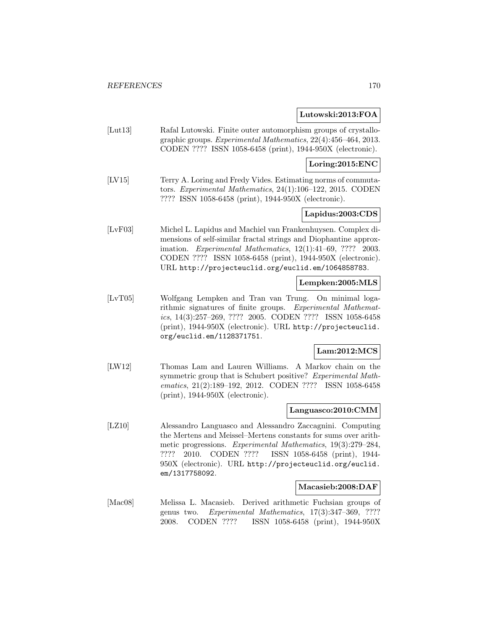## **Lutowski:2013:FOA**

[Lut13] Rafal Lutowski. Finite outer automorphism groups of crystallographic groups. Experimental Mathematics, 22(4):456–464, 2013. CODEN ???? ISSN 1058-6458 (print), 1944-950X (electronic).

# **Loring:2015:ENC**

[LV15] Terry A. Loring and Fredy Vides. Estimating norms of commutators. Experimental Mathematics, 24(1):106–122, 2015. CODEN ???? ISSN 1058-6458 (print), 1944-950X (electronic).

# **Lapidus:2003:CDS**

[LvF03] Michel L. Lapidus and Machiel van Frankenhuysen. Complex dimensions of self-similar fractal strings and Diophantine approximation. Experimental Mathematics, 12(1):41–69, ???? 2003. CODEN ???? ISSN 1058-6458 (print), 1944-950X (electronic). URL http://projecteuclid.org/euclid.em/1064858783.

#### **Lempken:2005:MLS**

[LvT05] Wolfgang Lempken and Tran van Trung. On minimal logarithmic signatures of finite groups. Experimental Mathematics, 14(3):257–269, ???? 2005. CODEN ???? ISSN 1058-6458 (print), 1944-950X (electronic). URL http://projecteuclid. org/euclid.em/1128371751.

## **Lam:2012:MCS**

[LW12] Thomas Lam and Lauren Williams. A Markov chain on the symmetric group that is Schubert positive? Experimental Mathematics, 21(2):189-192, 2012. CODEN ???? ISSN 1058-6458 (print), 1944-950X (electronic).

#### **Languasco:2010:CMM**

[LZ10] Alessandro Languasco and Alessandro Zaccagnini. Computing the Mertens and Meissel–Mertens constants for sums over arithmetic progressions. Experimental Mathematics, 19(3):279–284, ???? 2010. CODEN ???? ISSN 1058-6458 (print), 1944- 950X (electronic). URL http://projecteuclid.org/euclid. em/1317758092.

## **Macasieb:2008:DAF**

[Mac08] Melissa L. Macasieb. Derived arithmetic Fuchsian groups of genus two. Experimental Mathematics, 17(3):347–369, ???? 2008. CODEN ???? ISSN 1058-6458 (print), 1944-950X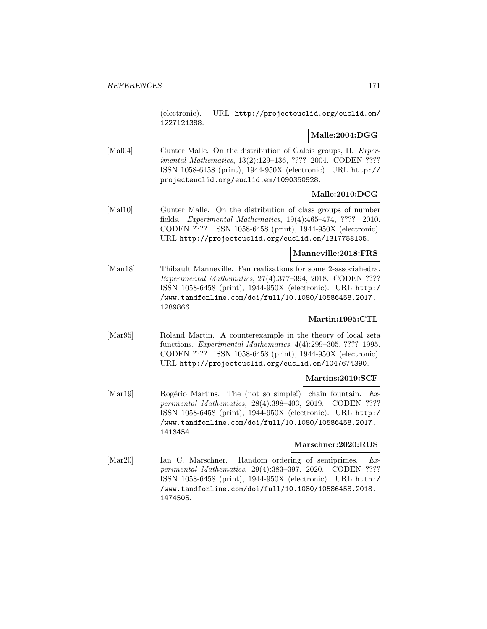(electronic). URL http://projecteuclid.org/euclid.em/ 1227121388.

# **Malle:2004:DGG**

[Mal04] Gunter Malle. On the distribution of Galois groups, II. Experimental Mathematics, 13(2):129–136, ???? 2004. CODEN ???? ISSN 1058-6458 (print), 1944-950X (electronic). URL http:// projecteuclid.org/euclid.em/1090350928.

# **Malle:2010:DCG**

[Mal10] Gunter Malle. On the distribution of class groups of number fields. Experimental Mathematics, 19(4):465–474, ???? 2010. CODEN ???? ISSN 1058-6458 (print), 1944-950X (electronic). URL http://projecteuclid.org/euclid.em/1317758105.

## **Manneville:2018:FRS**

[Man18] Thibault Manneville. Fan realizations for some 2-associahedra. Experimental Mathematics, 27(4):377–394, 2018. CODEN ???? ISSN 1058-6458 (print), 1944-950X (electronic). URL http:/ /www.tandfonline.com/doi/full/10.1080/10586458.2017. 1289866.

# **Martin:1995:CTL**

[Mar95] Roland Martin. A counterexample in the theory of local zeta functions. Experimental Mathematics, 4(4):299–305, ???? 1995. CODEN ???? ISSN 1058-6458 (print), 1944-950X (electronic). URL http://projecteuclid.org/euclid.em/1047674390.

## **Martins:2019:SCF**

[Mar19] Rogério Martins. The (not so simple!) chain fountain. Experimental Mathematics, 28(4):398–403, 2019. CODEN ???? ISSN 1058-6458 (print), 1944-950X (electronic). URL http:/ /www.tandfonline.com/doi/full/10.1080/10586458.2017. 1413454.

# **Marschner:2020:ROS**

[Mar20] Ian C. Marschner. Random ordering of semiprimes. Experimental Mathematics, 29(4):383–397, 2020. CODEN ???? ISSN 1058-6458 (print), 1944-950X (electronic). URL http:/ /www.tandfonline.com/doi/full/10.1080/10586458.2018. 1474505.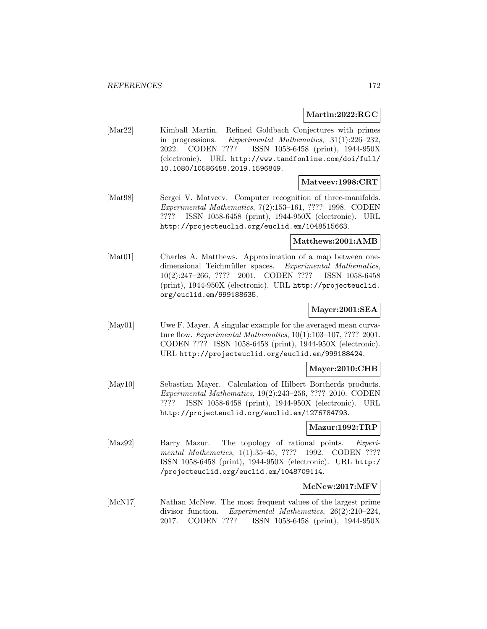#### **Martin:2022:RGC**

[Mar22] Kimball Martin. Refined Goldbach Conjectures with primes in progressions. Experimental Mathematics, 31(1):226–232, 2022. CODEN ???? ISSN 1058-6458 (print), 1944-950X (electronic). URL http://www.tandfonline.com/doi/full/ 10.1080/10586458.2019.1596849.

#### **Matveev:1998:CRT**

[Mat98] Sergei V. Matveev. Computer recognition of three-manifolds. Experimental Mathematics, 7(2):153–161, ???? 1998. CODEN ???? ISSN 1058-6458 (print), 1944-950X (electronic). URL http://projecteuclid.org/euclid.em/1048515663.

#### **Matthews:2001:AMB**

[Mat01] Charles A. Matthews. Approximation of a map between onedimensional Teichmüller spaces. Experimental Mathematics, 10(2):247–266, ???? 2001. CODEN ???? ISSN 1058-6458 (print), 1944-950X (electronic). URL http://projecteuclid. org/euclid.em/999188635.

## **Mayer:2001:SEA**

[May01] Uwe F. Mayer. A singular example for the averaged mean curvature flow. Experimental Mathematics, 10(1):103–107, ???? 2001. CODEN ???? ISSN 1058-6458 (print), 1944-950X (electronic). URL http://projecteuclid.org/euclid.em/999188424.

#### **Mayer:2010:CHB**

[May10] Sebastian Mayer. Calculation of Hilbert Borcherds products. Experimental Mathematics, 19(2):243–256, ???? 2010. CODEN ???? ISSN 1058-6458 (print), 1944-950X (electronic). URL http://projecteuclid.org/euclid.em/1276784793.

#### **Mazur:1992:TRP**

[Maz92] Barry Mazur. The topology of rational points. Experimental Mathematics, 1(1):35–45, ???? 1992. CODEN ???? ISSN 1058-6458 (print), 1944-950X (electronic). URL http:/ /projecteuclid.org/euclid.em/1048709114.

#### **McNew:2017:MFV**

[McN17] Nathan McNew. The most frequent values of the largest prime divisor function. Experimental Mathematics, 26(2):210–224, 2017. CODEN ???? ISSN 1058-6458 (print), 1944-950X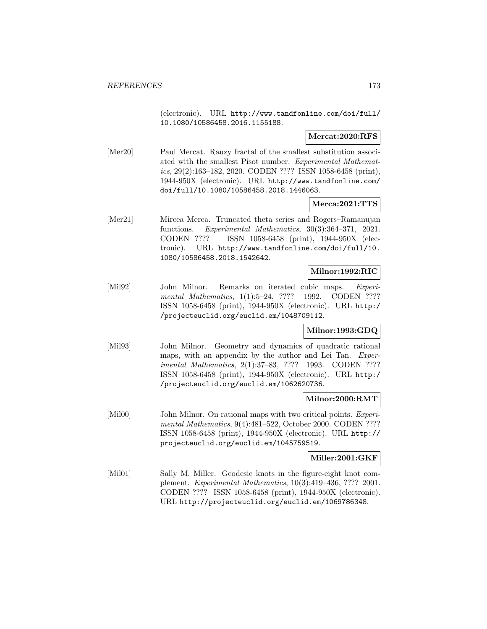(electronic). URL http://www.tandfonline.com/doi/full/ 10.1080/10586458.2016.1155188.

## **Mercat:2020:RFS**

[Mer20] Paul Mercat. Rauzy fractal of the smallest substitution associated with the smallest Pisot number. Experimental Mathematics, 29(2):163–182, 2020. CODEN ???? ISSN 1058-6458 (print), 1944-950X (electronic). URL http://www.tandfonline.com/ doi/full/10.1080/10586458.2018.1446063.

# **Merca:2021:TTS**

[Mer21] Mircea Merca. Truncated theta series and Rogers–Ramanujan functions. Experimental Mathematics, 30(3):364–371, 2021. CODEN ???? ISSN 1058-6458 (print), 1944-950X (electronic). URL http://www.tandfonline.com/doi/full/10. 1080/10586458.2018.1542642.

# **Milnor:1992:RIC**

[Mil92] John Milnor. Remarks on iterated cubic maps. Experimental Mathematics, 1(1):5-24, ???? 1992. CODEN ???? ISSN 1058-6458 (print), 1944-950X (electronic). URL http:/ /projecteuclid.org/euclid.em/1048709112.

## **Milnor:1993:GDQ**

[Mil93] John Milnor. Geometry and dynamics of quadratic rational maps, with an appendix by the author and Lei Tan. Experimental Mathematics, 2(1):37–83, ???? 1993. CODEN ???? ISSN 1058-6458 (print), 1944-950X (electronic). URL http:/ /projecteuclid.org/euclid.em/1062620736.

## **Milnor:2000:RMT**

[Mil00] John Milnor. On rational maps with two critical points. *Experi*mental Mathematics, 9(4):481–522, October 2000. CODEN ???? ISSN 1058-6458 (print), 1944-950X (electronic). URL http:// projecteuclid.org/euclid.em/1045759519.

# **Miller:2001:GKF**

[Mil01] Sally M. Miller. Geodesic knots in the figure-eight knot complement. Experimental Mathematics, 10(3):419–436, ???? 2001. CODEN ???? ISSN 1058-6458 (print), 1944-950X (electronic). URL http://projecteuclid.org/euclid.em/1069786348.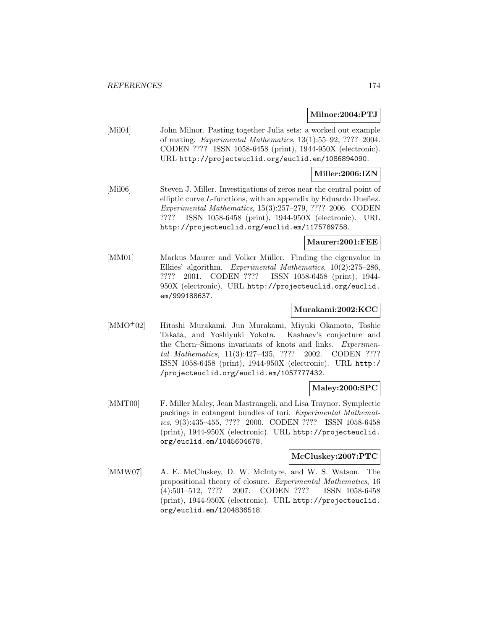## **Milnor:2004:PTJ**

[Mil04] John Milnor. Pasting together Julia sets: a worked out example of mating. Experimental Mathematics, 13(1):55–92, ???? 2004. CODEN ???? ISSN 1058-6458 (print), 1944-950X (electronic). URL http://projecteuclid.org/euclid.em/1086894090.

## **Miller:2006:IZN**

[Mil06] Steven J. Miller. Investigations of zeros near the central point of elliptic curve  $L$ -functions, with an appendix by Eduardo Dueñez. Experimental Mathematics, 15(3):257–279, ???? 2006. CODEN ???? ISSN 1058-6458 (print), 1944-950X (electronic). URL http://projecteuclid.org/euclid.em/1175789758.

#### **Maurer:2001:FEE**

[MM01] Markus Maurer and Volker Müller. Finding the eigenvalue in Elkies' algorithm. Experimental Mathematics, 10(2):275–286, ???? 2001. CODEN ???? ISSN 1058-6458 (print), 1944- 950X (electronic). URL http://projecteuclid.org/euclid. em/999188637.

#### **Murakami:2002:KCC**

[MMO<sup>+</sup>02] Hitoshi Murakami, Jun Murakami, Miyuki Okamoto, Toshie Takata, and Yoshiyuki Yokota. Kashaev's conjecture and the Chern–Simons invariants of knots and links. Experimental Mathematics, 11(3):427–435, ???? 2002. CODEN ???? ISSN 1058-6458 (print), 1944-950X (electronic). URL http:/ /projecteuclid.org/euclid.em/1057777432.

# **Maley:2000:SPC**

[MMT00] F. Miller Maley, Jean Mastrangeli, and Lisa Traynor. Symplectic packings in cotangent bundles of tori. Experimental Mathematics, 9(3):435–455, ???? 2000. CODEN ???? ISSN 1058-6458 (print), 1944-950X (electronic). URL http://projecteuclid. org/euclid.em/1045604678.

#### **McCluskey:2007:PTC**

[MMW07] A. E. McCluskey, D. W. McIntyre, and W. S. Watson. The propositional theory of closure. Experimental Mathematics, 16 (4):501–512, ???? 2007. CODEN ???? ISSN 1058-6458 (print), 1944-950X (electronic). URL http://projecteuclid. org/euclid.em/1204836518.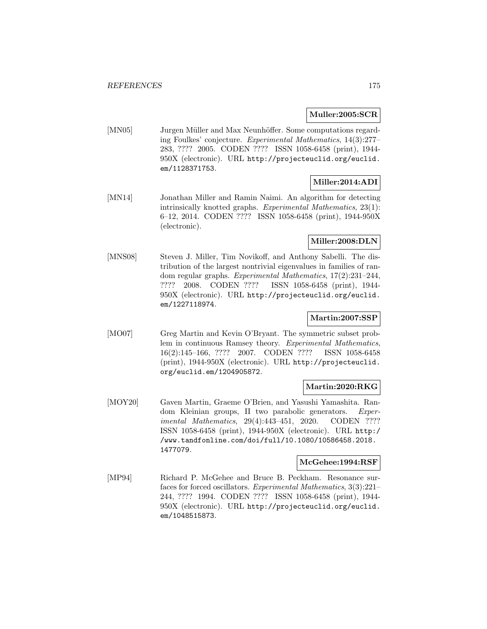# **Muller:2005:SCR**

[MN05] Jurgen Müller and Max Neunhöffer. Some computations regarding Foulkes' conjecture. Experimental Mathematics, 14(3):277– 283, ???? 2005. CODEN ???? ISSN 1058-6458 (print), 1944- 950X (electronic). URL http://projecteuclid.org/euclid. em/1128371753.

# **Miller:2014:ADI**

[MN14] Jonathan Miller and Ramin Naimi. An algorithm for detecting intrinsically knotted graphs. Experimental Mathematics, 23(1): 6–12, 2014. CODEN ???? ISSN 1058-6458 (print), 1944-950X (electronic).

# **Miller:2008:DLN**

[MNS08] Steven J. Miller, Tim Novikoff, and Anthony Sabelli. The distribution of the largest nontrivial eigenvalues in families of random regular graphs. Experimental Mathematics, 17(2):231–244, ???? 2008. CODEN ???? ISSN 1058-6458 (print), 1944- 950X (electronic). URL http://projecteuclid.org/euclid. em/1227118974.

# **Martin:2007:SSP**

[MO07] Greg Martin and Kevin O'Bryant. The symmetric subset problem in continuous Ramsey theory. Experimental Mathematics, 16(2):145–166, ???? 2007. CODEN ???? ISSN 1058-6458 (print), 1944-950X (electronic). URL http://projecteuclid. org/euclid.em/1204905872.

## **Martin:2020:RKG**

[MOY20] Gaven Martin, Graeme O'Brien, and Yasushi Yamashita. Random Kleinian groups, II two parabolic generators. Experimental Mathematics, 29(4):443–451, 2020. CODEN ???? ISSN 1058-6458 (print), 1944-950X (electronic). URL http:/ /www.tandfonline.com/doi/full/10.1080/10586458.2018. 1477079.

# **McGehee:1994:RSF**

[MP94] Richard P. McGehee and Bruce B. Peckham. Resonance surfaces for forced oscillators. Experimental Mathematics, 3(3):221– 244, ???? 1994. CODEN ???? ISSN 1058-6458 (print), 1944- 950X (electronic). URL http://projecteuclid.org/euclid. em/1048515873.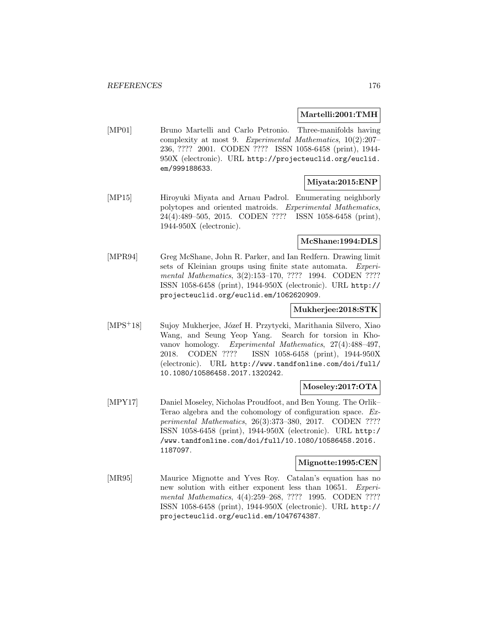**Martelli:2001:TMH**

[MP01] Bruno Martelli and Carlo Petronio. Three-manifolds having complexity at most 9. Experimental Mathematics, 10(2):207– 236, ???? 2001. CODEN ???? ISSN 1058-6458 (print), 1944- 950X (electronic). URL http://projecteuclid.org/euclid. em/999188633.

# **Miyata:2015:ENP**

[MP15] Hiroyuki Miyata and Arnau Padrol. Enumerating neighborly polytopes and oriented matroids. Experimental Mathematics, 24(4):489–505, 2015. CODEN ???? ISSN 1058-6458 (print), 1944-950X (electronic).

# **McShane:1994:DLS**

[MPR94] Greg McShane, John R. Parker, and Ian Redfern. Drawing limit sets of Kleinian groups using finite state automata. Experimental Mathematics, 3(2):153–170, ???? 1994. CODEN ???? ISSN 1058-6458 (print), 1944-950X (electronic). URL http:// projecteuclid.org/euclid.em/1062620909.

## **Mukherjee:2018:STK**

[MPS<sup>+</sup>18] Sujoy Mukherjee, Józef H. Przytycki, Marithania Silvero, Xiao Wang, and Seung Yeop Yang. Search for torsion in Khovanov homology. Experimental Mathematics, 27(4):488–497, 2018. CODEN ???? ISSN 1058-6458 (print), 1944-950X (electronic). URL http://www.tandfonline.com/doi/full/ 10.1080/10586458.2017.1320242.

# **Moseley:2017:OTA**

[MPY17] Daniel Moseley, Nicholas Proudfoot, and Ben Young. The Orlik– Terao algebra and the cohomology of configuration space. Experimental Mathematics, 26(3):373–380, 2017. CODEN ???? ISSN 1058-6458 (print), 1944-950X (electronic). URL http:/ /www.tandfonline.com/doi/full/10.1080/10586458.2016. 1187097.

## **Mignotte:1995:CEN**

[MR95] Maurice Mignotte and Yves Roy. Catalan's equation has no new solution with either exponent less than 10651. Experimental Mathematics, 4(4):259–268, ???? 1995. CODEN ???? ISSN 1058-6458 (print), 1944-950X (electronic). URL http:// projecteuclid.org/euclid.em/1047674387.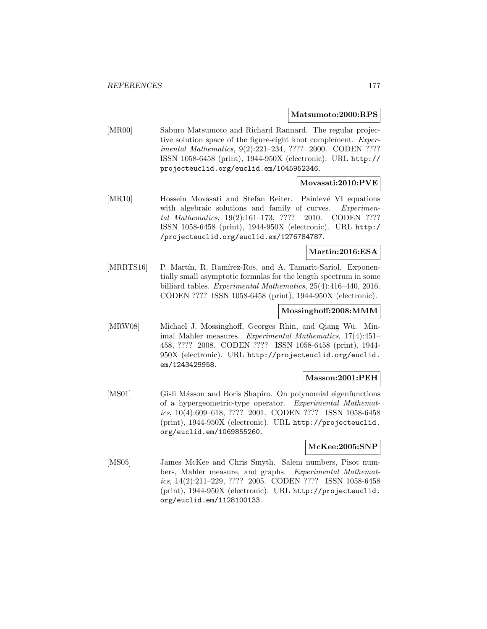#### **Matsumoto:2000:RPS**

[MR00] Saburo Matsumoto and Richard Rannard. The regular projective solution space of the figure-eight knot complement. Experimental Mathematics, 9(2):221–234, ???? 2000. CODEN ???? ISSN 1058-6458 (print), 1944-950X (electronic). URL http:// projecteuclid.org/euclid.em/1045952346.

# **Movasati:2010:PVE**

[MR10] Hossein Movasati and Stefan Reiter. Painlevé VI equations with algebraic solutions and family of curves. Experimental Mathematics, 19(2):161–173, ???? 2010. CODEN ???? ISSN 1058-6458 (print), 1944-950X (electronic). URL http:/ /projecteuclid.org/euclid.em/1276784787.

# **Martin:2016:ESA**

[MRRTS16] P. Martín, R. Ramírez-Ros, and A. Tamarit-Sariol. Exponentially small asymptotic formulas for the length spectrum in some billiard tables. Experimental Mathematics, 25(4):416–440, 2016. CODEN ???? ISSN 1058-6458 (print), 1944-950X (electronic).

## **Mossinghoff:2008:MMM**

[MRW08] Michael J. Mossinghoff, Georges Rhin, and Qiang Wu. Minimal Mahler measures. Experimental Mathematics, 17(4):451– 458, ???? 2008. CODEN ???? ISSN 1058-6458 (print), 1944- 950X (electronic). URL http://projecteuclid.org/euclid. em/1243429958.

## **Masson:2001:PEH**

[MS01] Gisli Másson and Boris Shapiro. On polynomial eigenfunctions of a hypergeometric-type operator. Experimental Mathematics, 10(4):609–618, ???? 2001. CODEN ???? ISSN 1058-6458 (print), 1944-950X (electronic). URL http://projecteuclid. org/euclid.em/1069855260.

# **McKee:2005:SNP**

[MS05] James McKee and Chris Smyth. Salem numbers, Pisot numbers, Mahler measure, and graphs. Experimental Mathematics, 14(2):211–229, ???? 2005. CODEN ???? ISSN 1058-6458 (print), 1944-950X (electronic). URL http://projecteuclid. org/euclid.em/1128100133.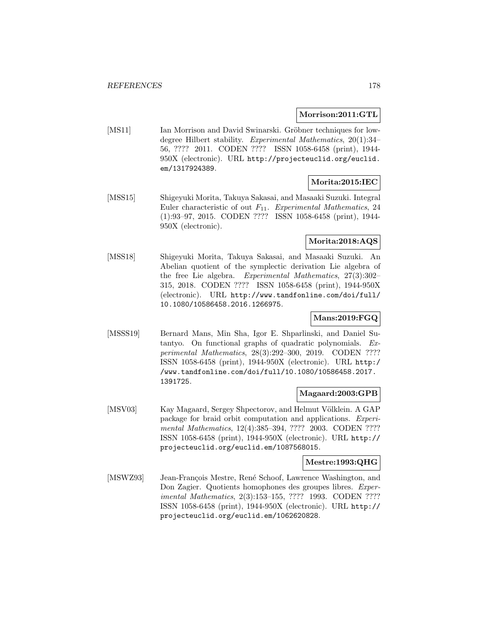# **Morrison:2011:GTL**

[MS11] Ian Morrison and David Swinarski. Gröbner techniques for lowdegree Hilbert stability. Experimental Mathematics, 20(1):34– 56, ???? 2011. CODEN ???? ISSN 1058-6458 (print), 1944- 950X (electronic). URL http://projecteuclid.org/euclid. em/1317924389.

# **Morita:2015:IEC**

[MSS15] Shigeyuki Morita, Takuya Sakasai, and Masaaki Suzuki. Integral Euler characteristic of out  $F_{11}$ . Experimental Mathematics, 24 (1):93–97, 2015. CODEN ???? ISSN 1058-6458 (print), 1944- 950X (electronic).

# **Morita:2018:AQS**

[MSS18] Shigeyuki Morita, Takuya Sakasai, and Masaaki Suzuki. An Abelian quotient of the symplectic derivation Lie algebra of the free Lie algebra. Experimental Mathematics, 27(3):302– 315, 2018. CODEN ???? ISSN 1058-6458 (print), 1944-950X (electronic). URL http://www.tandfonline.com/doi/full/ 10.1080/10586458.2016.1266975.

# **Mans:2019:FGQ**

[MSSS19] Bernard Mans, Min Sha, Igor E. Shparlinski, and Daniel Sutantyo. On functional graphs of quadratic polynomials. Experimental Mathematics, 28(3):292–300, 2019. CODEN ???? ISSN 1058-6458 (print), 1944-950X (electronic). URL http:/ /www.tandfonline.com/doi/full/10.1080/10586458.2017. 1391725.

# **Magaard:2003:GPB**

[MSV03] Kay Magaard, Sergey Shpectorov, and Helmut Völklein. A GAP package for braid orbit computation and applications. Experimental Mathematics, 12(4):385–394, ???? 2003. CODEN ???? ISSN 1058-6458 (print), 1944-950X (electronic). URL http:// projecteuclid.org/euclid.em/1087568015.

# **Mestre:1993:QHG**

[MSWZ93] Jean-François Mestre, René Schoof, Lawrence Washington, and Don Zagier. Quotients homophones des groupes libres. Experimental Mathematics, 2(3):153–155, ???? 1993. CODEN ???? ISSN 1058-6458 (print), 1944-950X (electronic). URL http:// projecteuclid.org/euclid.em/1062620828.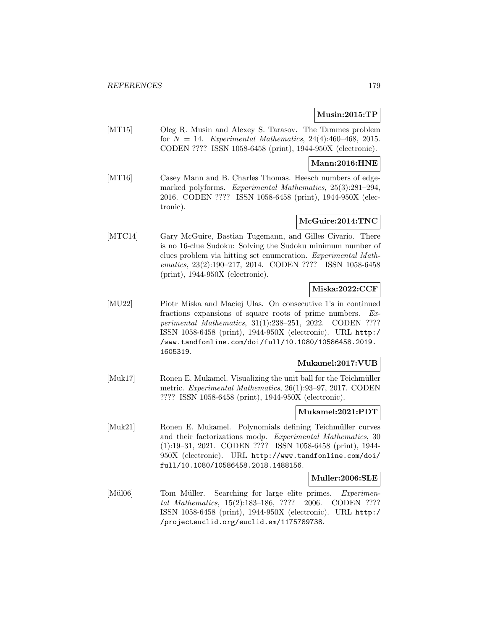# **Musin:2015:TP**

[MT15] Oleg R. Musin and Alexey S. Tarasov. The Tammes problem for  $N = 14$ . Experimental Mathematics, 24(4):460-468, 2015. CODEN ???? ISSN 1058-6458 (print), 1944-950X (electronic).

## **Mann:2016:HNE**

[MT16] Casey Mann and B. Charles Thomas. Heesch numbers of edgemarked polyforms. Experimental Mathematics, 25(3):281–294, 2016. CODEN ???? ISSN 1058-6458 (print), 1944-950X (electronic).

# **McGuire:2014:TNC**

[MTC14] Gary McGuire, Bastian Tugemann, and Gilles Civario. There is no 16-clue Sudoku: Solving the Sudoku minimum number of clues problem via hitting set enumeration. Experimental Mathematics, 23(2):190–217, 2014. CODEN ???? ISSN 1058-6458 (print), 1944-950X (electronic).

# **Miska:2022:CCF**

[MU22] Piotr Miska and Maciej Ulas. On consecutive 1's in continued fractions expansions of square roots of prime numbers. Experimental Mathematics, 31(1):238–251, 2022. CODEN ???? ISSN 1058-6458 (print), 1944-950X (electronic). URL http:/ /www.tandfonline.com/doi/full/10.1080/10586458.2019. 1605319.

## **Mukamel:2017:VUB**

[Muk17] Ronen E. Mukamel. Visualizing the unit ball for the Teichmüller metric. Experimental Mathematics, 26(1):93–97, 2017. CODEN ???? ISSN 1058-6458 (print), 1944-950X (electronic).

#### **Mukamel:2021:PDT**

[Muk21] Ronen E. Mukamel. Polynomials defining Teichmüller curves and their factorizations modp. Experimental Mathematics, 30 (1):19–31, 2021. CODEN ???? ISSN 1058-6458 (print), 1944- 950X (electronic). URL http://www.tandfonline.com/doi/ full/10.1080/10586458.2018.1488156.

## **Muller:2006:SLE**

[Mül06] Tom Müller. Searching for large elite primes. Experimental Mathematics, 15(2):183–186, ???? 2006. CODEN ???? ISSN 1058-6458 (print), 1944-950X (electronic). URL http:/ /projecteuclid.org/euclid.em/1175789738.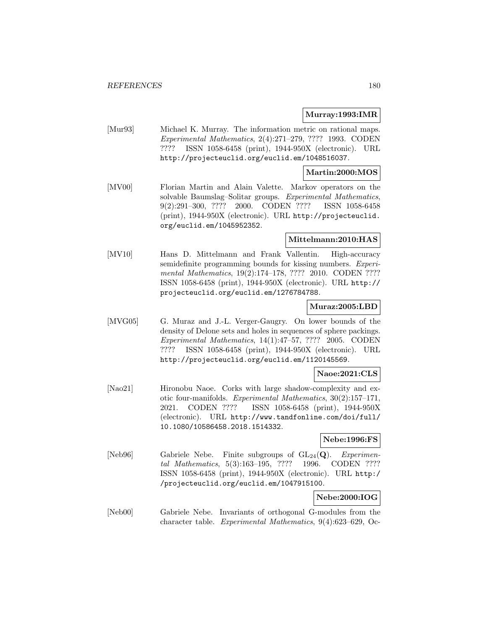#### **Murray:1993:IMR**

[Mur93] Michael K. Murray. The information metric on rational maps. Experimental Mathematics, 2(4):271–279, ???? 1993. CODEN ???? ISSN 1058-6458 (print), 1944-950X (electronic). URL http://projecteuclid.org/euclid.em/1048516037.

#### **Martin:2000:MOS**

[MV00] Florian Martin and Alain Valette. Markov operators on the solvable Baumslag–Solitar groups. Experimental Mathematics, 9(2):291–300, ???? 2000. CODEN ???? ISSN 1058-6458 (print), 1944-950X (electronic). URL http://projecteuclid. org/euclid.em/1045952352.

# **Mittelmann:2010:HAS**

[MV10] Hans D. Mittelmann and Frank Vallentin. High-accuracy semidefinite programming bounds for kissing numbers. Experimental Mathematics, 19(2):174-178, ???? 2010. CODEN ???? ISSN 1058-6458 (print), 1944-950X (electronic). URL http:// projecteuclid.org/euclid.em/1276784788.

## **Muraz:2005:LBD**

[MVG05] G. Muraz and J.-L. Verger-Gaugry. On lower bounds of the density of Delone sets and holes in sequences of sphere packings. Experimental Mathematics, 14(1):47–57, ???? 2005. CODEN ???? ISSN 1058-6458 (print), 1944-950X (electronic). URL http://projecteuclid.org/euclid.em/1120145569.

## **Naoe:2021:CLS**

[Nao21] Hironobu Naoe. Corks with large shadow-complexity and exotic four-manifolds. Experimental Mathematics, 30(2):157–171, 2021. CODEN ???? ISSN 1058-6458 (print), 1944-950X (electronic). URL http://www.tandfonline.com/doi/full/ 10.1080/10586458.2018.1514332.

**Nebe:1996:FS**

[Neb96] Gabriele Nebe. Finite subgroups of  $GL_{24}(\mathbf{Q})$ . *Experimen*tal Mathematics, 5(3):163–195, ???? 1996. CODEN ???? ISSN 1058-6458 (print), 1944-950X (electronic). URL http:/ /projecteuclid.org/euclid.em/1047915100.

# **Nebe:2000:IOG**

[Neb00] Gabriele Nebe. Invariants of orthogonal G-modules from the character table. Experimental Mathematics, 9(4):623–629, Oc-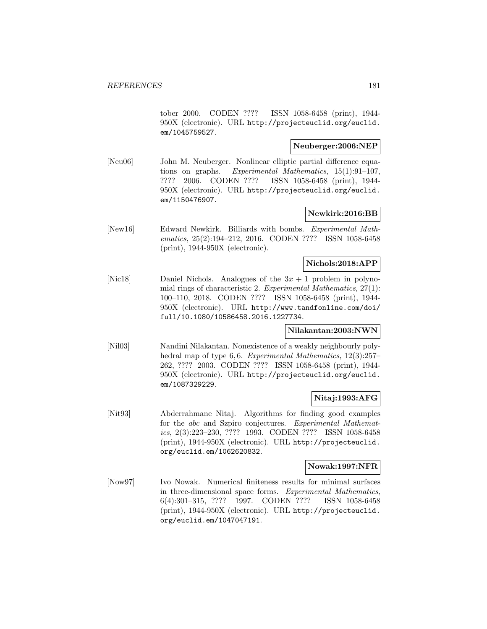tober 2000. CODEN ???? ISSN 1058-6458 (print), 1944- 950X (electronic). URL http://projecteuclid.org/euclid. em/1045759527.

### **Neuberger:2006:NEP**

[Neu06] John M. Neuberger. Nonlinear elliptic partial difference equations on graphs. Experimental Mathematics, 15(1):91–107, ???? 2006. CODEN ???? ISSN 1058-6458 (print), 1944- 950X (electronic). URL http://projecteuclid.org/euclid. em/1150476907.

## **Newkirk:2016:BB**

[New16] Edward Newkirk. Billiards with bombs. Experimental Mathematics, 25(2):194–212, 2016. CODEN ???? ISSN 1058-6458 (print), 1944-950X (electronic).

#### **Nichols:2018:APP**

[Nic18] Daniel Nichols. Analogues of the  $3x + 1$  problem in polynomial rings of characteristic 2. Experimental Mathematics, 27(1): 100–110, 2018. CODEN ???? ISSN 1058-6458 (print), 1944- 950X (electronic). URL http://www.tandfonline.com/doi/ full/10.1080/10586458.2016.1227734.

## **Nilakantan:2003:NWN**

[Nil03] Nandini Nilakantan. Nonexistence of a weakly neighbourly polyhedral map of type 6,6. Experimental Mathematics, 12(3):257-262, ???? 2003. CODEN ???? ISSN 1058-6458 (print), 1944- 950X (electronic). URL http://projecteuclid.org/euclid. em/1087329229.

## **Nitaj:1993:AFG**

[Nit93] Abderrahmane Nitaj. Algorithms for finding good examples for the abc and Szpiro conjectures. Experimental Mathematics, 2(3):223–230, ???? 1993. CODEN ???? ISSN 1058-6458 (print), 1944-950X (electronic). URL http://projecteuclid. org/euclid.em/1062620832.

#### **Nowak:1997:NFR**

[Now97] Ivo Nowak. Numerical finiteness results for minimal surfaces in three-dimensional space forms. Experimental Mathematics, 6(4):301–315, ???? 1997. CODEN ???? ISSN 1058-6458 (print), 1944-950X (electronic). URL http://projecteuclid. org/euclid.em/1047047191.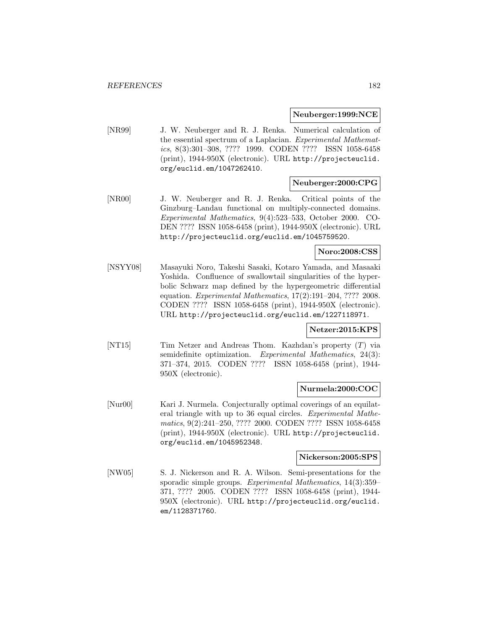#### **Neuberger:1999:NCE**

[NR99] J. W. Neuberger and R. J. Renka. Numerical calculation of the essential spectrum of a Laplacian. Experimental Mathematics, 8(3):301–308, ???? 1999. CODEN ???? ISSN 1058-6458 (print), 1944-950X (electronic). URL http://projecteuclid. org/euclid.em/1047262410.

## **Neuberger:2000:CPG**

[NR00] J. W. Neuberger and R. J. Renka. Critical points of the Ginzburg–Landau functional on multiply-connected domains. Experimental Mathematics, 9(4):523–533, October 2000. CO-DEN ???? ISSN 1058-6458 (print), 1944-950X (electronic). URL http://projecteuclid.org/euclid.em/1045759520.

## **Noro:2008:CSS**

[NSYY08] Masayuki Noro, Takeshi Sasaki, Kotaro Yamada, and Masaaki Yoshida. Confluence of swallowtail singularities of the hyperbolic Schwarz map defined by the hypergeometric differential equation. Experimental Mathematics, 17(2):191–204, ???? 2008. CODEN ???? ISSN 1058-6458 (print), 1944-950X (electronic). URL http://projecteuclid.org/euclid.em/1227118971.

## **Netzer:2015:KPS**

[NT15] Tim Netzer and Andreas Thom. Kazhdan's property (T) via semidefinite optimization. Experimental Mathematics, 24(3): 371–374, 2015. CODEN ???? ISSN 1058-6458 (print), 1944- 950X (electronic).

### **Nurmela:2000:COC**

[Nur00] Kari J. Nurmela. Conjecturally optimal coverings of an equilateral triangle with up to 36 equal circles. Experimental Mathematics, 9(2):241–250, ???? 2000. CODEN ???? ISSN 1058-6458 (print), 1944-950X (electronic). URL http://projecteuclid. org/euclid.em/1045952348.

## **Nickerson:2005:SPS**

[NW05] S. J. Nickerson and R. A. Wilson. Semi-presentations for the sporadic simple groups. Experimental Mathematics, 14(3):359– 371, ???? 2005. CODEN ???? ISSN 1058-6458 (print), 1944- 950X (electronic). URL http://projecteuclid.org/euclid. em/1128371760.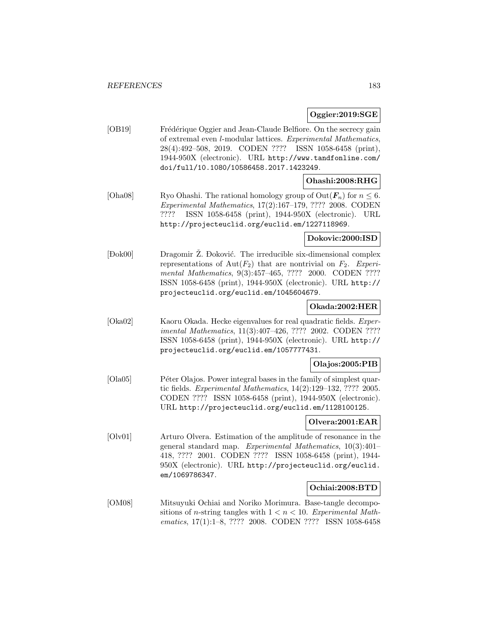## **Oggier:2019:SGE**

[OB19] Frédérique Oggier and Jean-Claude Belfiore. On the secrecy gain of extremal even l-modular lattices. Experimental Mathematics, 28(4):492–508, 2019. CODEN ???? ISSN 1058-6458 (print), 1944-950X (electronic). URL http://www.tandfonline.com/ doi/full/10.1080/10586458.2017.1423249.

## **Ohashi:2008:RHG**

[Oha08] Ryo Ohashi. The rational homology group of  $Out(F_n)$  for  $n \leq 6$ . Experimental Mathematics, 17(2):167–179, ???? 2008. CODEN ???? ISSN 1058-6458 (print), 1944-950X (electronic). URL http://projecteuclid.org/euclid.em/1227118969.

## **Dokovic:2000:ISD**

 $[**Dok00**]$ Dok00 Dragomir Ž. Đoković. The irreducible six-dimensional complex representations of Aut $(F_2)$  that are nontrivial on  $F_2$ . Experimental Mathematics, 9(3):457-465, ???? 2000. CODEN ???? ISSN 1058-6458 (print), 1944-950X (electronic). URL http:// projecteuclid.org/euclid.em/1045604679.

## **Okada:2002:HER**

[Oka02] Kaoru Okada. Hecke eigenvalues for real quadratic fields. Experimental Mathematics, 11(3):407–426, ???? 2002. CODEN ???? ISSN 1058-6458 (print), 1944-950X (electronic). URL http:// projecteuclid.org/euclid.em/1057777431.

## **Olajos:2005:PIB**

[Ola05] Péter Olajos. Power integral bases in the family of simplest quartic fields. Experimental Mathematics, 14(2):129–132, ???? 2005. CODEN ???? ISSN 1058-6458 (print), 1944-950X (electronic). URL http://projecteuclid.org/euclid.em/1128100125.

## **Olvera:2001:EAR**

[Olv01] Arturo Olvera. Estimation of the amplitude of resonance in the general standard map. Experimental Mathematics, 10(3):401– 418, ???? 2001. CODEN ???? ISSN 1058-6458 (print), 1944- 950X (electronic). URL http://projecteuclid.org/euclid. em/1069786347.

## **Ochiai:2008:BTD**

[OM08] Mitsuyuki Ochiai and Noriko Morimura. Base-tangle decompositions of *n*-string tangles with  $1 < n < 10$ . Experimental Mathematics, 17(1):1–8, ???? 2008. CODEN ???? ISSN 1058-6458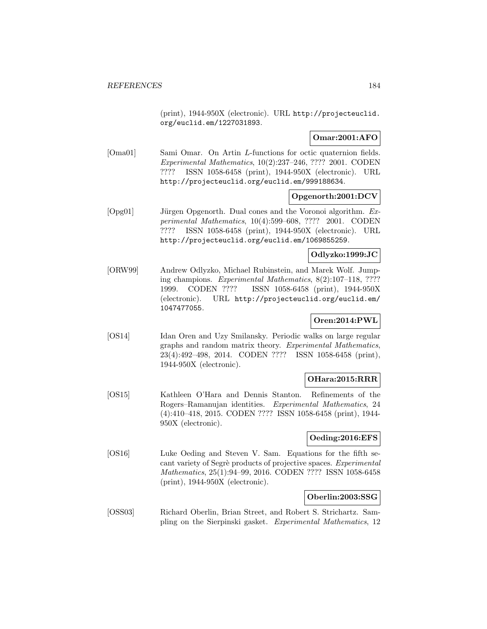(print), 1944-950X (electronic). URL http://projecteuclid. org/euclid.em/1227031893.

## **Omar:2001:AFO**

[Oma01] Sami Omar. On Artin L-functions for octic quaternion fields. Experimental Mathematics, 10(2):237–246, ???? 2001. CODEN ???? ISSN 1058-6458 (print), 1944-950X (electronic). URL http://projecteuclid.org/euclid.em/999188634.

## **Opgenorth:2001:DCV**

[Opg01] Jürgen Opgenorth. Dual cones and the Voronoi algorithm. Experimental Mathematics, 10(4):599–608, ???? 2001. CODEN ???? ISSN 1058-6458 (print), 1944-950X (electronic). URL http://projecteuclid.org/euclid.em/1069855259.

## **Odlyzko:1999:JC**

[ORW99] Andrew Odlyzko, Michael Rubinstein, and Marek Wolf. Jumping champions. Experimental Mathematics, 8(2):107–118, ???? 1999. CODEN ???? ISSN 1058-6458 (print), 1944-950X (electronic). URL http://projecteuclid.org/euclid.em/ 1047477055.

# **Oren:2014:PWL**

[OS14] Idan Oren and Uzy Smilansky. Periodic walks on large regular graphs and random matrix theory. Experimental Mathematics, 23(4):492–498, 2014. CODEN ???? ISSN 1058-6458 (print), 1944-950X (electronic).

## **OHara:2015:RRR**

[OS15] Kathleen O'Hara and Dennis Stanton. Refinements of the Rogers–Ramanujan identities. Experimental Mathematics, 24 (4):410–418, 2015. CODEN ???? ISSN 1058-6458 (print), 1944- 950X (electronic).

## **Oeding:2016:EFS**

[OS16] Luke Oeding and Steven V. Sam. Equations for the fifth secant variety of Segrè products of projective spaces. Experimental Mathematics, 25(1):94–99, 2016. CODEN ???? ISSN 1058-6458 (print), 1944-950X (electronic).

## **Oberlin:2003:SSG**

[OSS03] Richard Oberlin, Brian Street, and Robert S. Strichartz. Sampling on the Sierpinski gasket. Experimental Mathematics, 12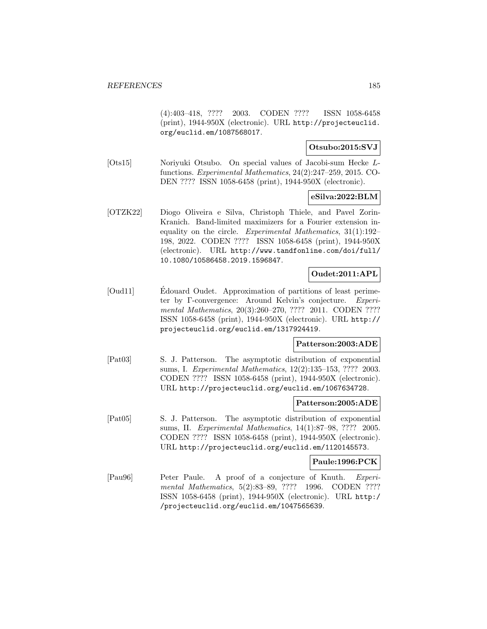(4):403–418, ???? 2003. CODEN ???? ISSN 1058-6458 (print), 1944-950X (electronic). URL http://projecteuclid. org/euclid.em/1087568017.

## **Otsubo:2015:SVJ**

[Ots15] Noriyuki Otsubo. On special values of Jacobi-sum Hecke Lfunctions. Experimental Mathematics, 24(2):247–259, 2015. CO-DEN ???? ISSN 1058-6458 (print), 1944-950X (electronic).

#### **eSilva:2022:BLM**

[OTZK22] Diogo Oliveira e Silva, Christoph Thiele, and Pavel Zorin-Kranich. Band-limited maximizers for a Fourier extension inequality on the circle. Experimental Mathematics, 31(1):192– 198, 2022. CODEN ???? ISSN 1058-6458 (print), 1944-950X (electronic). URL http://www.tandfonline.com/doi/full/ 10.1080/10586458.2019.1596847.

## **Oudet:2011:APL**

[Oud11] Edouard Oudet. Approximation of partitions of least perimeter by Γ-convergence: Around Kelvin's conjecture. Experimental Mathematics, 20(3):260–270, ???? 2011. CODEN ???? ISSN 1058-6458 (print), 1944-950X (electronic). URL http:// projecteuclid.org/euclid.em/1317924419.

## **Patterson:2003:ADE**

[Pat03] S. J. Patterson. The asymptotic distribution of exponential sums, I. Experimental Mathematics, 12(2):135–153, ???? 2003. CODEN ???? ISSN 1058-6458 (print), 1944-950X (electronic). URL http://projecteuclid.org/euclid.em/1067634728.

#### **Patterson:2005:ADE**

[Pat05] S. J. Patterson. The asymptotic distribution of exponential sums, II. Experimental Mathematics, 14(1):87–98, ???? 2005. CODEN ???? ISSN 1058-6458 (print), 1944-950X (electronic). URL http://projecteuclid.org/euclid.em/1120145573.

#### **Paule:1996:PCK**

[Pau96] Peter Paule. A proof of a conjecture of Knuth. Experimental Mathematics, 5(2):83-89, ???? 1996. CODEN ???? ISSN 1058-6458 (print), 1944-950X (electronic). URL http:/ /projecteuclid.org/euclid.em/1047565639.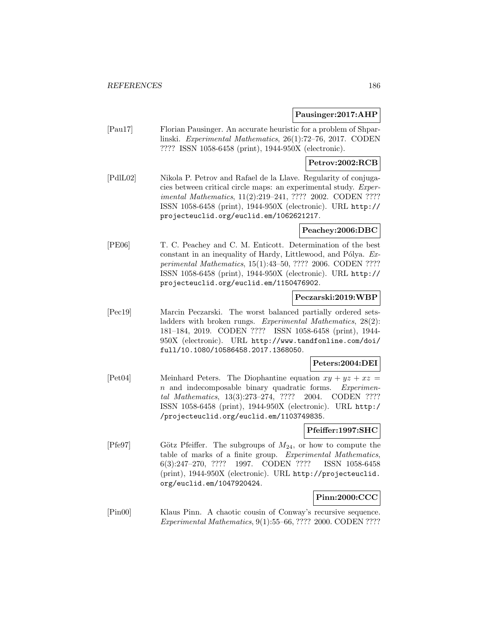### **Pausinger:2017:AHP**

[Pau17] Florian Pausinger. An accurate heuristic for a problem of Shparlinski. Experimental Mathematics, 26(1):72–76, 2017. CODEN ???? ISSN 1058-6458 (print), 1944-950X (electronic).

## **Petrov:2002:RCB**

[PdlL02] Nikola P. Petrov and Rafael de la Llave. Regularity of conjugacies between critical circle maps: an experimental study. Experimental Mathematics, 11(2):219–241, ???? 2002. CODEN ???? ISSN 1058-6458 (print), 1944-950X (electronic). URL http:// projecteuclid.org/euclid.em/1062621217.

## **Peachey:2006:DBC**

[PE06] T. C. Peachey and C. M. Enticott. Determination of the best constant in an inequality of Hardy, Littlewood, and Pólya. Experimental Mathematics, 15(1):43–50, ???? 2006. CODEN ???? ISSN 1058-6458 (print), 1944-950X (electronic). URL http:// projecteuclid.org/euclid.em/1150476902.

## **Peczarski:2019:WBP**

[Pec19] Marcin Peczarski. The worst balanced partially ordered setsladders with broken rungs. Experimental Mathematics, 28(2): 181–184, 2019. CODEN ???? ISSN 1058-6458 (print), 1944- 950X (electronic). URL http://www.tandfonline.com/doi/ full/10.1080/10586458.2017.1368050.

## **Peters:2004:DEI**

[Pet04] Meinhard Peters. The Diophantine equation  $xy + yz + xz =$ n and indecomposable binary quadratic forms. Experimental Mathematics, 13(3):273–274, ???? 2004. CODEN ???? ISSN 1058-6458 (print), 1944-950X (electronic). URL http:/ /projecteuclid.org/euclid.em/1103749835.

## **Pfeiffer:1997:SHC**

[Pfe97] Götz Pfeiffer. The subgroups of  $M_{24}$ , or how to compute the table of marks of a finite group. Experimental Mathematics, 6(3):247–270, ???? 1997. CODEN ???? ISSN 1058-6458 (print), 1944-950X (electronic). URL http://projecteuclid. org/euclid.em/1047920424.

## **Pinn:2000:CCC**

[Pin00] Klaus Pinn. A chaotic cousin of Conway's recursive sequence. Experimental Mathematics, 9(1):55–66, ???? 2000. CODEN ????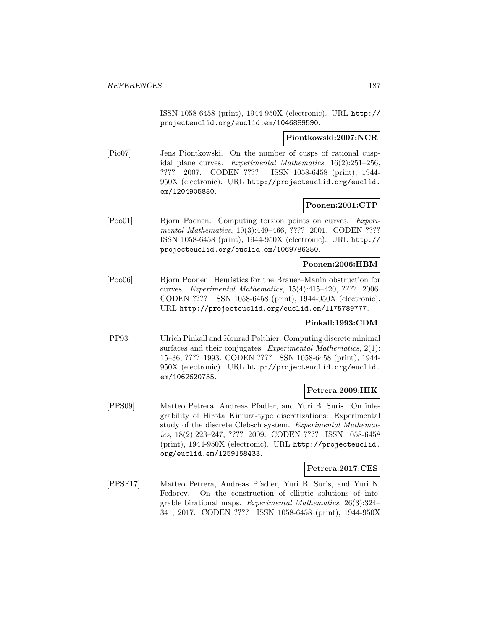ISSN 1058-6458 (print), 1944-950X (electronic). URL http:// projecteuclid.org/euclid.em/1046889590.

**Piontkowski:2007:NCR**

[Pio07] Jens Piontkowski. On the number of cusps of rational cuspidal plane curves. Experimental Mathematics, 16(2):251–256, ???? 2007. CODEN ???? ISSN 1058-6458 (print), 1944- 950X (electronic). URL http://projecteuclid.org/euclid. em/1204905880.

## **Poonen:2001:CTP**

[Poo01] Bjorn Poonen. Computing torsion points on curves. Experimental Mathematics, 10(3):449–466, ???? 2001. CODEN ???? ISSN 1058-6458 (print), 1944-950X (electronic). URL http:// projecteuclid.org/euclid.em/1069786350.

## **Poonen:2006:HBM**

[Poo06] Bjorn Poonen. Heuristics for the Brauer–Manin obstruction for curves. Experimental Mathematics, 15(4):415–420, ???? 2006. CODEN ???? ISSN 1058-6458 (print), 1944-950X (electronic). URL http://projecteuclid.org/euclid.em/1175789777.

## **Pinkall:1993:CDM**

[PP93] Ulrich Pinkall and Konrad Polthier. Computing discrete minimal surfaces and their conjugates. Experimental Mathematics,  $2(1)$ : 15–36, ???? 1993. CODEN ???? ISSN 1058-6458 (print), 1944- 950X (electronic). URL http://projecteuclid.org/euclid. em/1062620735.

#### **Petrera:2009:IHK**

[PPS09] Matteo Petrera, Andreas Pfadler, and Yuri B. Suris. On integrability of Hirota–Kimura-type discretizations: Experimental study of the discrete Clebsch system. Experimental Mathematics, 18(2):223–247, ???? 2009. CODEN ???? ISSN 1058-6458 (print), 1944-950X (electronic). URL http://projecteuclid. org/euclid.em/1259158433.

### **Petrera:2017:CES**

[PPSF17] Matteo Petrera, Andreas Pfadler, Yuri B. Suris, and Yuri N. Fedorov. On the construction of elliptic solutions of integrable birational maps. Experimental Mathematics, 26(3):324– 341, 2017. CODEN ???? ISSN 1058-6458 (print), 1944-950X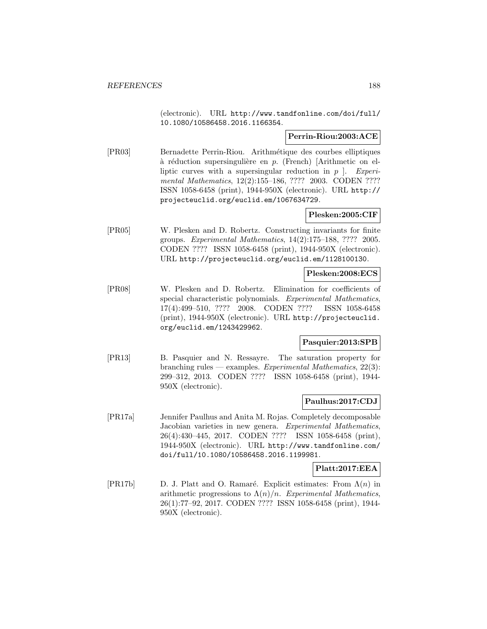(electronic). URL http://www.tandfonline.com/doi/full/ 10.1080/10586458.2016.1166354.

## **Perrin-Riou:2003:ACE**

[PR03] Bernadette Perrin-Riou. Arithm´etique des courbes elliptiques à réduction supersingulière en  $p$ . (French) [Arithmetic on elliptic curves with a supersingular reduction in  $p \mid$ . Experimental Mathematics, 12(2):155-186, ???? 2003. CODEN ???? ISSN 1058-6458 (print), 1944-950X (electronic). URL http:// projecteuclid.org/euclid.em/1067634729.

# **Plesken:2005:CIF**

[PR05] W. Plesken and D. Robertz. Constructing invariants for finite groups. Experimental Mathematics, 14(2):175–188, ???? 2005. CODEN ???? ISSN 1058-6458 (print), 1944-950X (electronic). URL http://projecteuclid.org/euclid.em/1128100130.

## **Plesken:2008:ECS**

[PR08] W. Plesken and D. Robertz. Elimination for coefficients of special characteristic polynomials. Experimental Mathematics, 17(4):499–510, ???? 2008. CODEN ???? ISSN 1058-6458 (print), 1944-950X (electronic). URL http://projecteuclid. org/euclid.em/1243429962.

# **Pasquier:2013:SPB**

[PR13] B. Pasquier and N. Ressayre. The saturation property for branching rules — examples. Experimental Mathematics,  $22(3)$ : 299–312, 2013. CODEN ???? ISSN 1058-6458 (print), 1944- 950X (electronic).

# **Paulhus:2017:CDJ**

[PR17a] Jennifer Paulhus and Anita M. Rojas. Completely decomposable Jacobian varieties in new genera. Experimental Mathematics, 26(4):430–445, 2017. CODEN ???? ISSN 1058-6458 (print), 1944-950X (electronic). URL http://www.tandfonline.com/ doi/full/10.1080/10586458.2016.1199981.

## **Platt:2017:EEA**

[PR17b] D. J. Platt and O. Ramaré. Explicit estimates: From  $\Lambda(n)$  in arithmetic progressions to  $\Lambda(n)/n$ . Experimental Mathematics, 26(1):77–92, 2017. CODEN ???? ISSN 1058-6458 (print), 1944- 950X (electronic).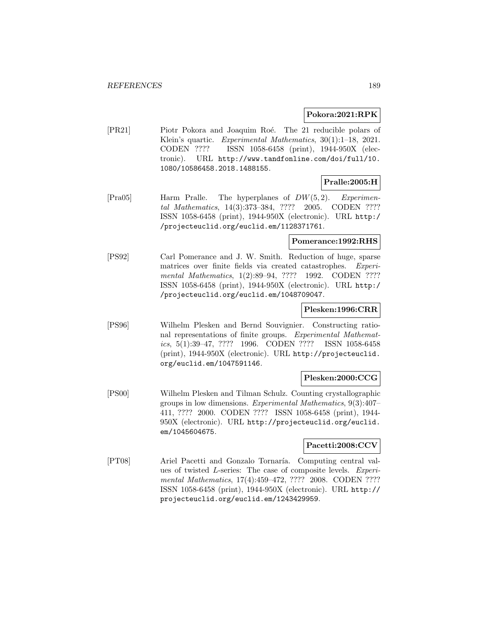#### **Pokora:2021:RPK**

[PR21] Piotr Pokora and Joaquim Roé. The 21 reducible polars of Klein's quartic. Experimental Mathematics, 30(1):1-18, 2021. CODEN ???? ISSN 1058-6458 (print), 1944-950X (electronic). URL http://www.tandfonline.com/doi/full/10. 1080/10586458.2018.1488155.

## **Pralle:2005:H**

[Pra05] Harm Pralle. The hyperplanes of DW(5, 2). Experimental Mathematics, 14(3):373–384, ???? 2005. CODEN ???? ISSN 1058-6458 (print), 1944-950X (electronic). URL http:/ /projecteuclid.org/euclid.em/1128371761.

## **Pomerance:1992:RHS**

[PS92] Carl Pomerance and J. W. Smith. Reduction of huge, sparse matrices over finite fields via created catastrophes. Experimental Mathematics, 1(2):89-94, ???? 1992. CODEN ???? ISSN 1058-6458 (print), 1944-950X (electronic). URL http:/ /projecteuclid.org/euclid.em/1048709047.

#### **Plesken:1996:CRR**

[PS96] Wilhelm Plesken and Bernd Souvignier. Constructing rational representations of finite groups. Experimental Mathematics, 5(1):39–47, ???? 1996. CODEN ???? ISSN 1058-6458 (print), 1944-950X (electronic). URL http://projecteuclid. org/euclid.em/1047591146.

## **Plesken:2000:CCG**

[PS00] Wilhelm Plesken and Tilman Schulz. Counting crystallographic groups in low dimensions. Experimental Mathematics, 9(3):407– 411, ???? 2000. CODEN ???? ISSN 1058-6458 (print), 1944- 950X (electronic). URL http://projecteuclid.org/euclid. em/1045604675.

## **Pacetti:2008:CCV**

[PT08] Ariel Pacetti and Gonzalo Tornaría. Computing central values of twisted L-series: The case of composite levels. Experimental Mathematics, 17(4):459-472, ???? 2008. CODEN ???? ISSN 1058-6458 (print), 1944-950X (electronic). URL http:// projecteuclid.org/euclid.em/1243429959.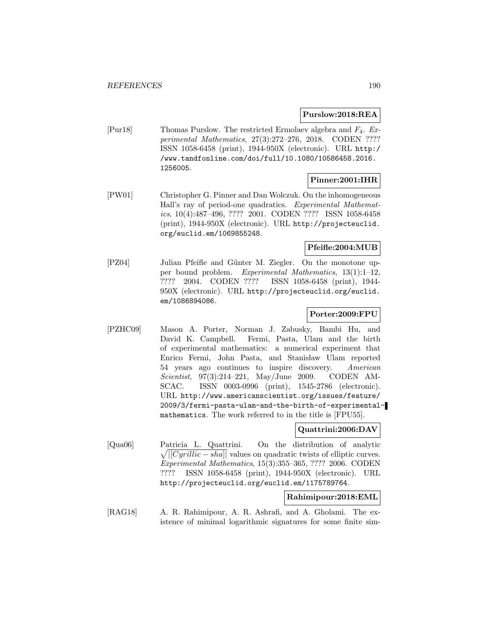## **Purslow:2018:REA**

[Pur18] Thomas Purslow. The restricted Ermolaev algebra and F4. Experimental Mathematics, 27(3):272–276, 2018. CODEN ???? ISSN 1058-6458 (print), 1944-950X (electronic). URL http:/ /www.tandfonline.com/doi/full/10.1080/10586458.2016. 1256005.

## **Pinner:2001:IHR**

[PW01] Christopher G. Pinner and Dan Wolczuk. On the inhomogeneous Hall's ray of period-one quadratics. Experimental Mathematics, 10(4):487–496, ???? 2001. CODEN ???? ISSN 1058-6458 (print), 1944-950X (electronic). URL http://projecteuclid. org/euclid.em/1069855248.

## **Pfeifle:2004:MUB**

[PZ04] Julian Pfeifle and Günter M. Ziegler. On the monotone upper bound problem. Experimental Mathematics, 13(1):1–12, ???? 2004. CODEN ???? ISSN 1058-6458 (print), 1944- 950X (electronic). URL http://projecteuclid.org/euclid. em/1086894086.

# **Porter:2009:FPU**

[PZHC09] Mason A. Porter, Norman J. Zabusky, Bambi Hu, and David K. Campbell. Fermi, Pasta, Ulam and the birth of experimental mathematics: a numerical experiment that Enrico Fermi, John Pasta, and Stanisław Ulam reported 54 years ago continues to inspire discovery. American Scientist, 97(3):214–221, May/June 2009. CODEN AM-SCAC. ISSN 0003-0996 (print), 1545-2786 (electronic). URL http://www.americanscientist.org/issues/feature/ 2009/3/fermi-pasta-ulam-and-the-birth-of-experimentalmathematics. The work referred to in the title is [FPU55].

## **Quattrini:2006:DAV**

[Qua06] Patricia L. Quattrini. On the distribution of analytic  $\sqrt{|[Cyrillic - sha]|}$  values on quadratic twists of elliptic curves. Experimental Mathematics, 15(3):355–365, ???? 2006. CODEN ???? ISSN 1058-6458 (print), 1944-950X (electronic). URL http://projecteuclid.org/euclid.em/1175789764.

## **Rahimipour:2018:EML**

[RAG18] A. R. Rahimipour, A. R. Ashrafi, and A. Gholami. The existence of minimal logarithmic signatures for some finite sim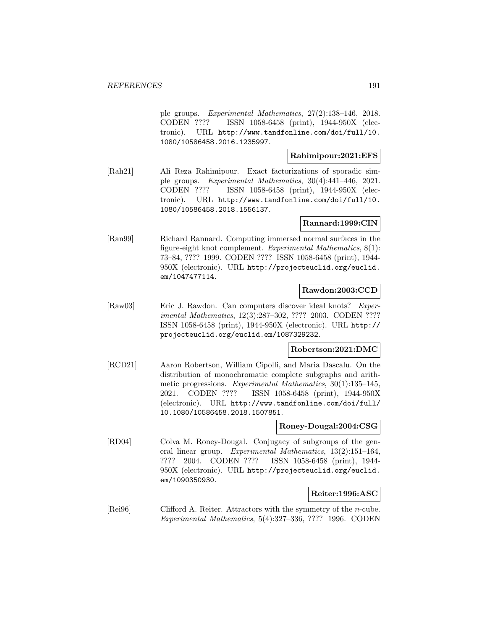ple groups. Experimental Mathematics, 27(2):138–146, 2018. CODEN ???? ISSN 1058-6458 (print), 1944-950X (electronic). URL http://www.tandfonline.com/doi/full/10. 1080/10586458.2016.1235997.

### **Rahimipour:2021:EFS**

[Rah21] Ali Reza Rahimipour. Exact factorizations of sporadic simple groups. Experimental Mathematics, 30(4):441–446, 2021. CODEN ???? ISSN 1058-6458 (print), 1944-950X (electronic). URL http://www.tandfonline.com/doi/full/10. 1080/10586458.2018.1556137.

## **Rannard:1999:CIN**

[Ran99] Richard Rannard. Computing immersed normal surfaces in the figure-eight knot complement. Experimental Mathematics, 8(1): 73–84, ???? 1999. CODEN ???? ISSN 1058-6458 (print), 1944- 950X (electronic). URL http://projecteuclid.org/euclid. em/1047477114.

## **Rawdon:2003:CCD**

[Raw03] Eric J. Rawdon. Can computers discover ideal knots? Experimental Mathematics, 12(3):287–302, ???? 2003. CODEN ???? ISSN 1058-6458 (print), 1944-950X (electronic). URL http:// projecteuclid.org/euclid.em/1087329232.

## **Robertson:2021:DMC**

[RCD21] Aaron Robertson, William Cipolli, and Maria Dascalu. On the distribution of monochromatic complete subgraphs and arithmetic progressions. Experimental Mathematics, 30(1):135–145, 2021. CODEN ???? ISSN 1058-6458 (print), 1944-950X (electronic). URL http://www.tandfonline.com/doi/full/ 10.1080/10586458.2018.1507851.

## **Roney-Dougal:2004:CSG**

[RD04] Colva M. Roney-Dougal. Conjugacy of subgroups of the general linear group. Experimental Mathematics, 13(2):151–164, ???? 2004. CODEN ???? ISSN 1058-6458 (print), 1944- 950X (electronic). URL http://projecteuclid.org/euclid. em/1090350930.

## **Reiter:1996:ASC**

[Rei96] Clifford A. Reiter. Attractors with the symmetry of the n-cube. Experimental Mathematics, 5(4):327–336, ???? 1996. CODEN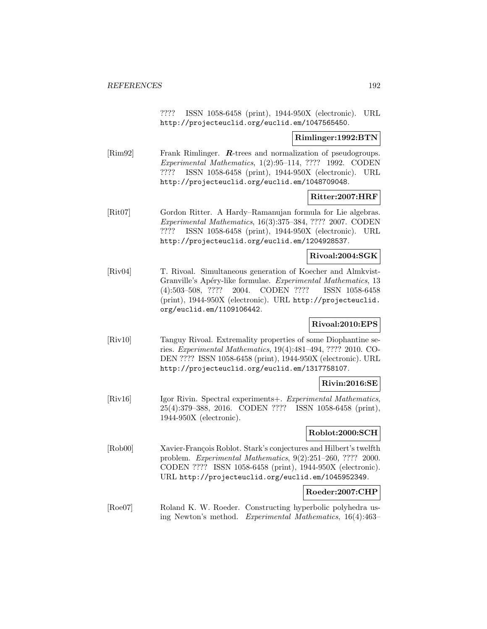???? ISSN 1058-6458 (print), 1944-950X (electronic). URL http://projecteuclid.org/euclid.em/1047565450.

## **Rimlinger:1992:BTN**

[Rim92] Frank Rimlinger. **R**-trees and normalization of pseudogroups. Experimental Mathematics, 1(2):95–114, ???? 1992. CODEN ???? ISSN 1058-6458 (print), 1944-950X (electronic). URL http://projecteuclid.org/euclid.em/1048709048.

## **Ritter:2007:HRF**

[Rit07] Gordon Ritter. A Hardy–Ramanujan formula for Lie algebras. Experimental Mathematics, 16(3):375–384, ???? 2007. CODEN ???? ISSN 1058-6458 (print), 1944-950X (electronic). URL http://projecteuclid.org/euclid.em/1204928537.

## **Rivoal:2004:SGK**

[Riv04] T. Rivoal. Simultaneous generation of Koecher and Almkvist-Granville's Apéry-like formulae. Experimental Mathematics, 13 (4):503–508, ???? 2004. CODEN ???? ISSN 1058-6458 (print), 1944-950X (electronic). URL http://projecteuclid. org/euclid.em/1109106442.

## **Rivoal:2010:EPS**

[Riv10] Tanguy Rivoal. Extremality properties of some Diophantine series. Experimental Mathematics, 19(4):481–494, ???? 2010. CO-DEN ???? ISSN 1058-6458 (print), 1944-950X (electronic). URL http://projecteuclid.org/euclid.em/1317758107.

## **Rivin:2016:SE**

[Riv16] Igor Rivin. Spectral experiments+. Experimental Mathematics, 25(4):379–388, 2016. CODEN ???? ISSN 1058-6458 (print), 1944-950X (electronic).

## **Roblot:2000:SCH**

[Rob00] Xavier-François Roblot. Stark's conjectures and Hilbert's twelfth problem. Experimental Mathematics, 9(2):251–260, ???? 2000. CODEN ???? ISSN 1058-6458 (print), 1944-950X (electronic). URL http://projecteuclid.org/euclid.em/1045952349.

## **Roeder:2007:CHP**

[Roe07] Roland K. W. Roeder. Constructing hyperbolic polyhedra using Newton's method. Experimental Mathematics, 16(4):463–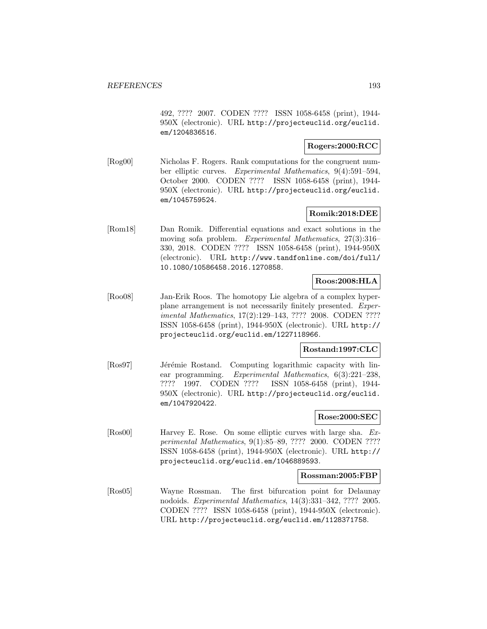492, ???? 2007. CODEN ???? ISSN 1058-6458 (print), 1944- 950X (electronic). URL http://projecteuclid.org/euclid. em/1204836516.

## **Rogers:2000:RCC**

[Rog00] Nicholas F. Rogers. Rank computations for the congruent number elliptic curves. Experimental Mathematics, 9(4):591–594, October 2000. CODEN ???? ISSN 1058-6458 (print), 1944- 950X (electronic). URL http://projecteuclid.org/euclid. em/1045759524.

## **Romik:2018:DEE**

[Rom18] Dan Romik. Differential equations and exact solutions in the moving sofa problem. Experimental Mathematics, 27(3):316– 330, 2018. CODEN ???? ISSN 1058-6458 (print), 1944-950X (electronic). URL http://www.tandfonline.com/doi/full/ 10.1080/10586458.2016.1270858.

## **Roos:2008:HLA**

[Roo08] Jan-Erik Roos. The homotopy Lie algebra of a complex hyperplane arrangement is not necessarily finitely presented. Experimental Mathematics, 17(2):129–143, ???? 2008. CODEN ???? ISSN 1058-6458 (print), 1944-950X (electronic). URL http:// projecteuclid.org/euclid.em/1227118966.

## **Rostand:1997:CLC**

[Ros97] Jérémie Rostand. Computing logarithmic capacity with linear programming. Experimental Mathematics, 6(3):221–238, ???? 1997. CODEN ???? ISSN 1058-6458 (print), 1944- 950X (electronic). URL http://projecteuclid.org/euclid. em/1047920422.

## **Rose:2000:SEC**

[Ros00] Harvey E. Rose. On some elliptic curves with large sha. Experimental Mathematics, 9(1):85–89, ???? 2000. CODEN ???? ISSN 1058-6458 (print), 1944-950X (electronic). URL http:// projecteuclid.org/euclid.em/1046889593.

#### **Rossman:2005:FBP**

[Ros05] Wayne Rossman. The first bifurcation point for Delaunay nodoids. Experimental Mathematics, 14(3):331–342, ???? 2005. CODEN ???? ISSN 1058-6458 (print), 1944-950X (electronic). URL http://projecteuclid.org/euclid.em/1128371758.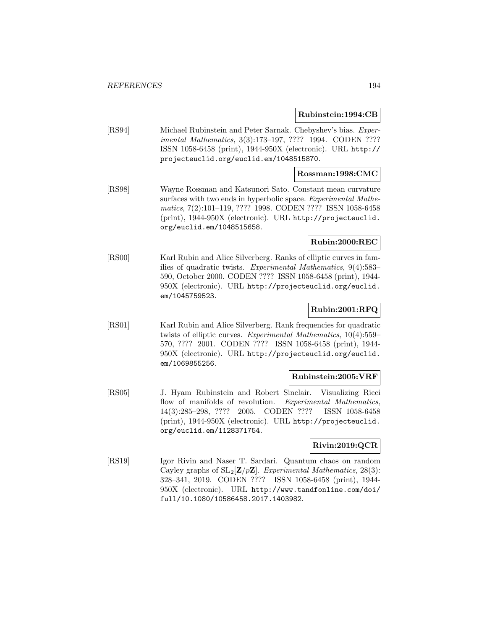### **Rubinstein:1994:CB**

[RS94] Michael Rubinstein and Peter Sarnak. Chebyshev's bias. Experimental Mathematics, 3(3):173–197, ???? 1994. CODEN ???? ISSN 1058-6458 (print), 1944-950X (electronic). URL http:// projecteuclid.org/euclid.em/1048515870.

## **Rossman:1998:CMC**

[RS98] Wayne Rossman and Katsunori Sato. Constant mean curvature surfaces with two ends in hyperbolic space. Experimental Mathematics, 7(2):101–119, ???? 1998. CODEN ???? ISSN 1058-6458 (print), 1944-950X (electronic). URL http://projecteuclid. org/euclid.em/1048515658.

# **Rubin:2000:REC**

[RS00] Karl Rubin and Alice Silverberg. Ranks of elliptic curves in families of quadratic twists. Experimental Mathematics, 9(4):583– 590, October 2000. CODEN ???? ISSN 1058-6458 (print), 1944- 950X (electronic). URL http://projecteuclid.org/euclid. em/1045759523.

## **Rubin:2001:RFQ**

[RS01] Karl Rubin and Alice Silverberg. Rank frequencies for quadratic twists of elliptic curves. Experimental Mathematics, 10(4):559– 570, ???? 2001. CODEN ???? ISSN 1058-6458 (print), 1944- 950X (electronic). URL http://projecteuclid.org/euclid. em/1069855256.

## **Rubinstein:2005:VRF**

[RS05] J. Hyam Rubinstein and Robert Sinclair. Visualizing Ricci flow of manifolds of revolution. Experimental Mathematics, 14(3):285–298, ???? 2005. CODEN ???? ISSN 1058-6458 (print), 1944-950X (electronic). URL http://projecteuclid. org/euclid.em/1128371754.

## **Rivin:2019:QCR**

[RS19] Igor Rivin and Naser T. Sardari. Quantum chaos on random Cayley graphs of  $SL_2[\mathbf{Z}/p\mathbf{Z}]$ . Experimental Mathematics, 28(3): 328–341, 2019. CODEN ???? ISSN 1058-6458 (print), 1944- 950X (electronic). URL http://www.tandfonline.com/doi/ full/10.1080/10586458.2017.1403982.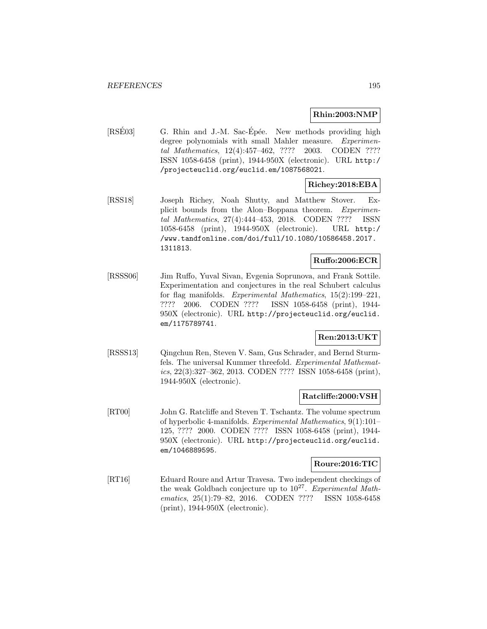## **Rhin:2003:NMP**

[RSE03] G. Rhin and J.-M. Sac-Epée. New methods providing high degree polynomials with small Mahler measure. Experimental Mathematics, 12(4):457–462, ???? 2003. CODEN ???? ISSN 1058-6458 (print), 1944-950X (electronic). URL http:/ /projecteuclid.org/euclid.em/1087568021.

# **Richey:2018:EBA**

[RSS18] Joseph Richey, Noah Shutty, and Matthew Stover. Explicit bounds from the Alon–Boppana theorem. Experimental Mathematics, 27(4):444–453, 2018. CODEN ???? ISSN 1058-6458 (print), 1944-950X (electronic). URL http:/ /www.tandfonline.com/doi/full/10.1080/10586458.2017. 1311813.

## **Ruffo:2006:ECR**

[RSSS06] Jim Ruffo, Yuval Sivan, Evgenia Soprunova, and Frank Sottile. Experimentation and conjectures in the real Schubert calculus for flag manifolds. Experimental Mathematics, 15(2):199–221, ???? 2006. CODEN ???? ISSN 1058-6458 (print), 1944- 950X (electronic). URL http://projecteuclid.org/euclid. em/1175789741.

## **Ren:2013:UKT**

[RSSS13] Qingchun Ren, Steven V. Sam, Gus Schrader, and Bernd Sturmfels. The universal Kummer threefold. Experimental Mathematics, 22(3):327–362, 2013. CODEN ???? ISSN 1058-6458 (print), 1944-950X (electronic).

## **Ratcliffe:2000:VSH**

[RT00] John G. Ratcliffe and Steven T. Tschantz. The volume spectrum of hyperbolic 4-manifolds. Experimental Mathematics, 9(1):101– 125, ???? 2000. CODEN ???? ISSN 1058-6458 (print), 1944- 950X (electronic). URL http://projecteuclid.org/euclid. em/1046889595.

## **Roure:2016:TIC**

[RT16] Eduard Roure and Artur Travesa. Two independent checkings of the weak Goldbach conjecture up to  $10^{27}$ . Experimental Mathematics, 25(1):79–82, 2016. CODEN ???? ISSN 1058-6458 (print), 1944-950X (electronic).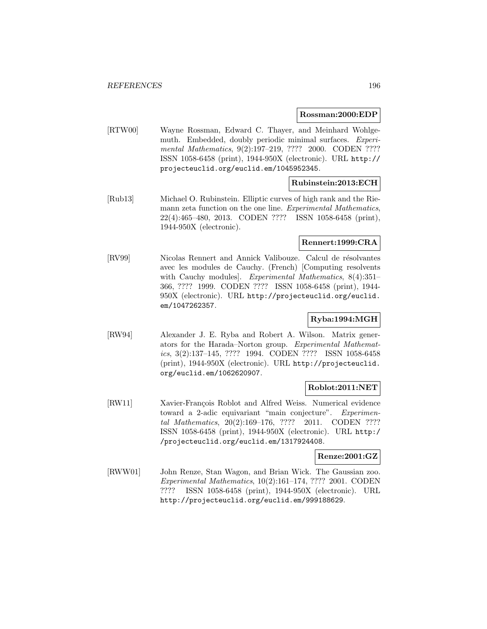#### **Rossman:2000:EDP**

[RTW00] Wayne Rossman, Edward C. Thayer, and Meinhard Wohlgemuth. Embedded, doubly periodic minimal surfaces. Experimental Mathematics, 9(2):197-219, ???? 2000. CODEN ???? ISSN 1058-6458 (print), 1944-950X (electronic). URL http:// projecteuclid.org/euclid.em/1045952345.

# **Rubinstein:2013:ECH**

[Rub13] Michael O. Rubinstein. Elliptic curves of high rank and the Riemann zeta function on the one line. Experimental Mathematics, 22(4):465–480, 2013. CODEN ???? ISSN 1058-6458 (print), 1944-950X (electronic).

## **Rennert:1999:CRA**

[RV99] Nicolas Rennert and Annick Valibouze. Calcul de résolvantes avec les modules de Cauchy. (French) [Computing resolvents with Cauchy modules]. Experimental Mathematics, 8(4):351– 366, ???? 1999. CODEN ???? ISSN 1058-6458 (print), 1944- 950X (electronic). URL http://projecteuclid.org/euclid. em/1047262357.

## **Ryba:1994:MGH**

[RW94] Alexander J. E. Ryba and Robert A. Wilson. Matrix generators for the Harada–Norton group. Experimental Mathematics, 3(2):137–145, ???? 1994. CODEN ???? ISSN 1058-6458 (print), 1944-950X (electronic). URL http://projecteuclid. org/euclid.em/1062620907.

## **Roblot:2011:NET**

[RW11] Xavier-François Roblot and Alfred Weiss. Numerical evidence toward a 2-adic equivariant "main conjecture". Experimental Mathematics, 20(2):169–176, ???? 2011. CODEN ???? ISSN 1058-6458 (print), 1944-950X (electronic). URL http:/ /projecteuclid.org/euclid.em/1317924408.

## **Renze:2001:GZ**

[RWW01] John Renze, Stan Wagon, and Brian Wick. The Gaussian zoo. Experimental Mathematics, 10(2):161–174, ???? 2001. CODEN ???? ISSN 1058-6458 (print), 1944-950X (electronic). URL http://projecteuclid.org/euclid.em/999188629.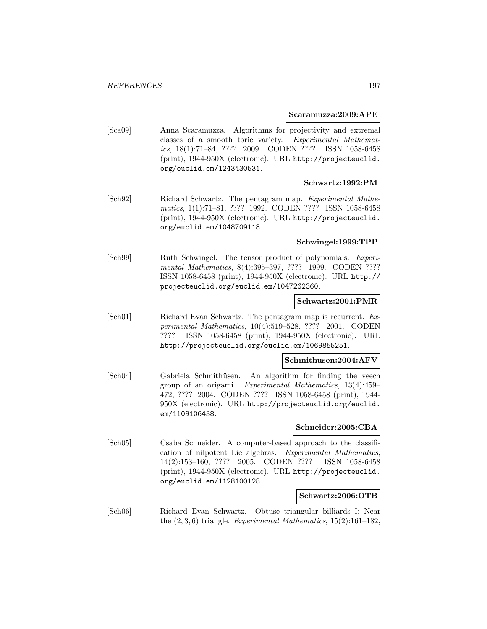#### **Scaramuzza:2009:APE**

[Sca09] Anna Scaramuzza. Algorithms for projectivity and extremal classes of a smooth toric variety. Experimental Mathematics, 18(1):71–84, ???? 2009. CODEN ???? ISSN 1058-6458 (print), 1944-950X (electronic). URL http://projecteuclid. org/euclid.em/1243430531.

## **Schwartz:1992:PM**

[Sch92] Richard Schwartz. The pentagram map. Experimental Mathematics, 1(1):71–81, ???? 1992. CODEN ???? ISSN 1058-6458 (print), 1944-950X (electronic). URL http://projecteuclid. org/euclid.em/1048709118.

## **Schwingel:1999:TPP**

[Sch99] Ruth Schwingel. The tensor product of polynomials. Experimental Mathematics, 8(4):395–397, ???? 1999. CODEN ???? ISSN 1058-6458 (print), 1944-950X (electronic). URL http:// projecteuclid.org/euclid.em/1047262360.

## **Schwartz:2001:PMR**

[Sch01] Richard Evan Schwartz. The pentagram map is recurrent. Experimental Mathematics, 10(4):519–528, ???? 2001. CODEN ???? ISSN 1058-6458 (print), 1944-950X (electronic). URL http://projecteuclid.org/euclid.em/1069855251.

#### **Schmithusen:2004:AFV**

[Sch04] Gabriela Schmithüsen. An algorithm for finding the veech group of an origami. Experimental Mathematics, 13(4):459– 472, ???? 2004. CODEN ???? ISSN 1058-6458 (print), 1944- 950X (electronic). URL http://projecteuclid.org/euclid. em/1109106438.

#### **Schneider:2005:CBA**

[Sch05] Csaba Schneider. A computer-based approach to the classification of nilpotent Lie algebras. Experimental Mathematics, 14(2):153–160, ???? 2005. CODEN ???? ISSN 1058-6458 (print), 1944-950X (electronic). URL http://projecteuclid. org/euclid.em/1128100128.

## **Schwartz:2006:OTB**

[Sch06] Richard Evan Schwartz. Obtuse triangular billiards I: Near the  $(2,3,6)$  triangle. Experimental Mathematics, 15 $(2)$ :161–182,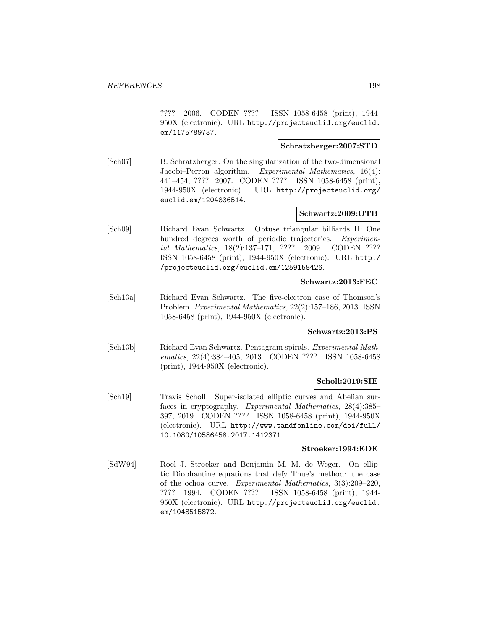???? 2006. CODEN ???? ISSN 1058-6458 (print), 1944- 950X (electronic). URL http://projecteuclid.org/euclid. em/1175789737.

## **Schratzberger:2007:STD**

[Sch07] B. Schratzberger. On the singularization of the two-dimensional Jacobi–Perron algorithm. Experimental Mathematics, 16(4): 441–454, ???? 2007. CODEN ???? ISSN 1058-6458 (print), 1944-950X (electronic). URL http://projecteuclid.org/ euclid.em/1204836514.

# **Schwartz:2009:OTB**

[Sch09] Richard Evan Schwartz. Obtuse triangular billiards II: One hundred degrees worth of periodic trajectories. Experimental Mathematics, 18(2):137–171, ???? 2009. CODEN ???? ISSN 1058-6458 (print), 1944-950X (electronic). URL http:/ /projecteuclid.org/euclid.em/1259158426.

## **Schwartz:2013:FEC**

[Sch13a] Richard Evan Schwartz. The five-electron case of Thomson's Problem. Experimental Mathematics, 22(2):157–186, 2013. ISSN 1058-6458 (print), 1944-950X (electronic).

## **Schwartz:2013:PS**

[Sch13b] Richard Evan Schwartz. Pentagram spirals. Experimental Mathematics, 22(4):384–405, 2013. CODEN ???? ISSN 1058-6458 (print), 1944-950X (electronic).

## **Scholl:2019:SIE**

[Sch19] Travis Scholl. Super-isolated elliptic curves and Abelian surfaces in cryptography. Experimental Mathematics, 28(4):385– 397, 2019. CODEN ???? ISSN 1058-6458 (print), 1944-950X (electronic). URL http://www.tandfonline.com/doi/full/ 10.1080/10586458.2017.1412371.

## **Stroeker:1994:EDE**

[SdW94] Roel J. Stroeker and Benjamin M. M. de Weger. On elliptic Diophantine equations that defy Thue's method: the case of the ochoa curve. Experimental Mathematics, 3(3):209–220, ???? 1994. CODEN ???? ISSN 1058-6458 (print), 1944- 950X (electronic). URL http://projecteuclid.org/euclid. em/1048515872.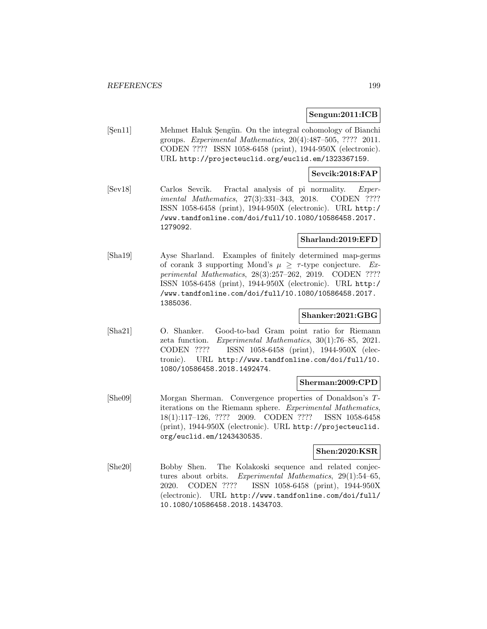## **Sengun:2011:ICB**

[Şen11] Mehmet Haluk Şengün. On the integral cohomology of Bianchi groups. Experimental Mathematics, 20(4):487–505, ???? 2011. CODEN ???? ISSN 1058-6458 (print), 1944-950X (electronic). URL http://projecteuclid.org/euclid.em/1323367159.

### **Sevcik:2018:FAP**

[Sev18] Carlos Sevcik. Fractal analysis of pi normality. Experimental Mathematics, 27(3):331–343, 2018. CODEN ???? ISSN 1058-6458 (print), 1944-950X (electronic). URL http:/ /www.tandfonline.com/doi/full/10.1080/10586458.2017. 1279092.

## **Sharland:2019:EFD**

[Sha19] Ayse Sharland. Examples of finitely determined map-germs of corank 3 supporting Mond's  $\mu \geq \tau$ -type conjecture. Experimental Mathematics, 28(3):257–262, 2019. CODEN ???? ISSN 1058-6458 (print), 1944-950X (electronic). URL http:/ /www.tandfonline.com/doi/full/10.1080/10586458.2017. 1385036.

## **Shanker:2021:GBG**

[Sha21] O. Shanker. Good-to-bad Gram point ratio for Riemann zeta function. Experimental Mathematics, 30(1):76–85, 2021. CODEN ???? ISSN 1058-6458 (print), 1944-950X (electronic). URL http://www.tandfonline.com/doi/full/10. 1080/10586458.2018.1492474.

## **Sherman:2009:CPD**

[She09] Morgan Sherman. Convergence properties of Donaldson's Titerations on the Riemann sphere. Experimental Mathematics, 18(1):117–126, ???? 2009. CODEN ???? ISSN 1058-6458 (print), 1944-950X (electronic). URL http://projecteuclid. org/euclid.em/1243430535.

#### **Shen:2020:KSR**

[She20] Bobby Shen. The Kolakoski sequence and related conjectures about orbits. Experimental Mathematics, 29(1):54–65, 2020. CODEN ???? ISSN 1058-6458 (print), 1944-950X (electronic). URL http://www.tandfonline.com/doi/full/ 10.1080/10586458.2018.1434703.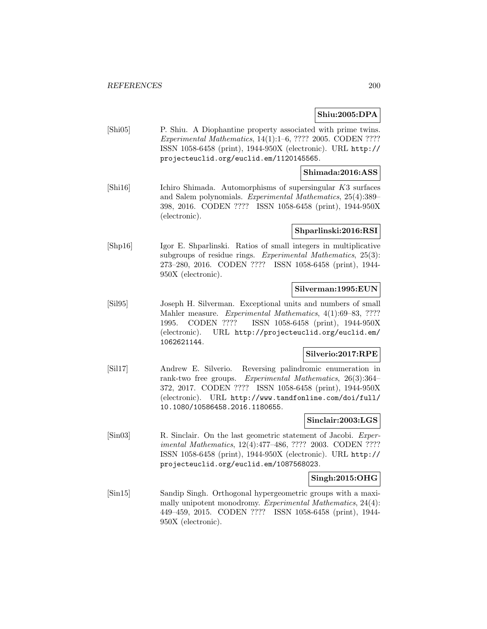## **Shiu:2005:DPA**

[Shi05] P. Shiu. A Diophantine property associated with prime twins. Experimental Mathematics, 14(1):1–6, ???? 2005. CODEN ???? ISSN 1058-6458 (print), 1944-950X (electronic). URL http:// projecteuclid.org/euclid.em/1120145565.

## **Shimada:2016:ASS**

[Shi16] Ichiro Shimada. Automorphisms of supersingular K3 surfaces and Salem polynomials. Experimental Mathematics, 25(4):389– 398, 2016. CODEN ???? ISSN 1058-6458 (print), 1944-950X (electronic).

#### **Shparlinski:2016:RSI**

[Shp16] Igor E. Shparlinski. Ratios of small integers in multiplicative subgroups of residue rings. Experimental Mathematics, 25(3): 273–280, 2016. CODEN ???? ISSN 1058-6458 (print), 1944- 950X (electronic).

## **Silverman:1995:EUN**

[Sil95] Joseph H. Silverman. Exceptional units and numbers of small Mahler measure. Experimental Mathematics, 4(1):69–83, ???? 1995. CODEN ???? ISSN 1058-6458 (print), 1944-950X (electronic). URL http://projecteuclid.org/euclid.em/ 1062621144.

## **Silverio:2017:RPE**

[Sil17] Andrew E. Silverio. Reversing palindromic enumeration in rank-two free groups. Experimental Mathematics, 26(3):364– 372, 2017. CODEN ???? ISSN 1058-6458 (print), 1944-950X (electronic). URL http://www.tandfonline.com/doi/full/ 10.1080/10586458.2016.1180655.

## **Sinclair:2003:LGS**

[Sin03] R. Sinclair. On the last geometric statement of Jacobi. Experimental Mathematics, 12(4):477–486, ???? 2003. CODEN ???? ISSN 1058-6458 (print), 1944-950X (electronic). URL http:// projecteuclid.org/euclid.em/1087568023.

## **Singh:2015:OHG**

[Sin15] Sandip Singh. Orthogonal hypergeometric groups with a maximally unipotent monodromy. Experimental Mathematics, 24(4): 449–459, 2015. CODEN ???? ISSN 1058-6458 (print), 1944- 950X (electronic).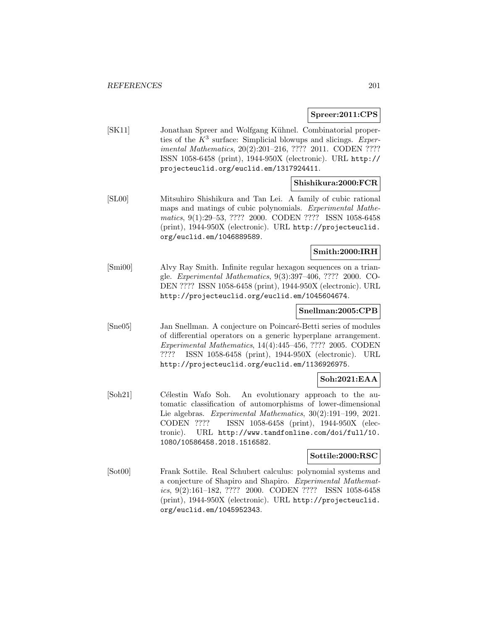### **Spreer:2011:CPS**

[SK11] Jonathan Spreer and Wolfgang Kühnel. Combinatorial properties of the  $K^3$  surface: Simplicial blowups and slicings. Experimental Mathematics, 20(2):201–216, ???? 2011. CODEN ???? ISSN 1058-6458 (print), 1944-950X (electronic). URL http:// projecteuclid.org/euclid.em/1317924411.

## **Shishikura:2000:FCR**

[SL00] Mitsuhiro Shishikura and Tan Lei. A family of cubic rational maps and matings of cubic polynomials. Experimental Mathematics, 9(1):29–53, ???? 2000. CODEN ???? ISSN 1058-6458 (print), 1944-950X (electronic). URL http://projecteuclid. org/euclid.em/1046889589.

## **Smith:2000:IRH**

[Smi00] Alvy Ray Smith. Infinite regular hexagon sequences on a triangle. Experimental Mathematics, 9(3):397–406, ???? 2000. CO-DEN ???? ISSN 1058-6458 (print), 1944-950X (electronic). URL http://projecteuclid.org/euclid.em/1045604674.

## **Snellman:2005:CPB**

[Sne05] Jan Snellman. A conjecture on Poincaré-Betti series of modules of differential operators on a generic hyperplane arrangement. Experimental Mathematics, 14(4):445–456, ???? 2005. CODEN ???? ISSN 1058-6458 (print), 1944-950X (electronic). URL http://projecteuclid.org/euclid.em/1136926975.

## **Soh:2021:EAA**

[Soh21] Célestin Wafo Soh. An evolutionary approach to the automatic classification of automorphisms of lower-dimensional Lie algebras. Experimental Mathematics, 30(2):191–199, 2021. CODEN ???? ISSN 1058-6458 (print), 1944-950X (electronic). URL http://www.tandfonline.com/doi/full/10. 1080/10586458.2018.1516582.

## **Sottile:2000:RSC**

[Sot00] Frank Sottile. Real Schubert calculus: polynomial systems and a conjecture of Shapiro and Shapiro. Experimental Mathematics, 9(2):161–182, ???? 2000. CODEN ???? ISSN 1058-6458 (print), 1944-950X (electronic). URL http://projecteuclid. org/euclid.em/1045952343.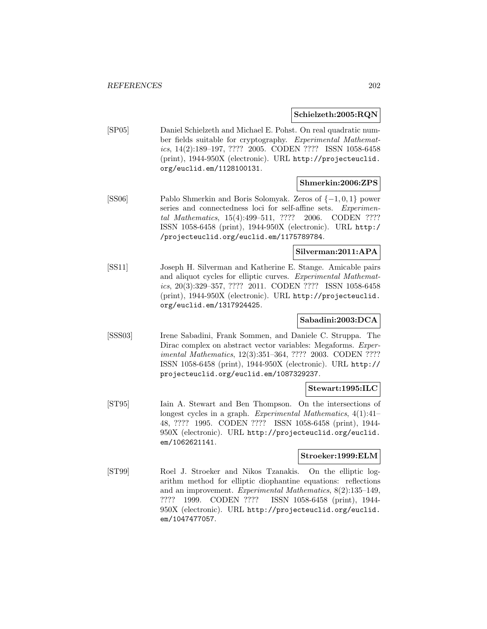### **Schielzeth:2005:RQN**

[SP05] Daniel Schielzeth and Michael E. Pohst. On real quadratic number fields suitable for cryptography. Experimental Mathematics, 14(2):189–197, ???? 2005. CODEN ???? ISSN 1058-6458 (print), 1944-950X (electronic). URL http://projecteuclid. org/euclid.em/1128100131.

## **Shmerkin:2006:ZPS**

[SS06] Pablo Shmerkin and Boris Solomyak. Zeros of {−1, 0, 1} power series and connectedness loci for self-affine sets. Experimental Mathematics, 15(4):499–511, ???? 2006. CODEN ???? ISSN 1058-6458 (print), 1944-950X (electronic). URL http:/ /projecteuclid.org/euclid.em/1175789784.

## **Silverman:2011:APA**

[SS11] Joseph H. Silverman and Katherine E. Stange. Amicable pairs and aliquot cycles for elliptic curves. Experimental Mathematics, 20(3):329–357, ???? 2011. CODEN ???? ISSN 1058-6458 (print), 1944-950X (electronic). URL http://projecteuclid. org/euclid.em/1317924425.

## **Sabadini:2003:DCA**

[SSS03] Irene Sabadini, Frank Sommen, and Daniele C. Struppa. The Dirac complex on abstract vector variables: Megaforms. Experimental Mathematics, 12(3):351–364, ???? 2003. CODEN ???? ISSN 1058-6458 (print), 1944-950X (electronic). URL http:// projecteuclid.org/euclid.em/1087329237.

## **Stewart:1995:ILC**

[ST95] Iain A. Stewart and Ben Thompson. On the intersections of longest cycles in a graph. Experimental Mathematics,  $4(1):41-$ 48, ???? 1995. CODEN ???? ISSN 1058-6458 (print), 1944- 950X (electronic). URL http://projecteuclid.org/euclid. em/1062621141.

#### **Stroeker:1999:ELM**

[ST99] Roel J. Stroeker and Nikos Tzanakis. On the elliptic logarithm method for elliptic diophantine equations: reflections and an improvement. Experimental Mathematics, 8(2):135–149, ???? 1999. CODEN ???? ISSN 1058-6458 (print), 1944- 950X (electronic). URL http://projecteuclid.org/euclid. em/1047477057.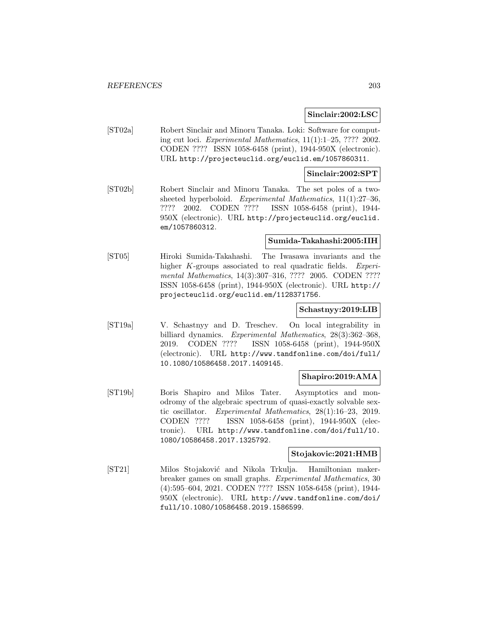### **Sinclair:2002:LSC**

[ST02a] Robert Sinclair and Minoru Tanaka. Loki: Software for computing cut loci. Experimental Mathematics,  $11(1):1-25$ , ???? 2002. CODEN ???? ISSN 1058-6458 (print), 1944-950X (electronic). URL http://projecteuclid.org/euclid.em/1057860311.

#### **Sinclair:2002:SPT**

[ST02b] Robert Sinclair and Minoru Tanaka. The set poles of a twosheeted hyperboloid. Experimental Mathematics, 11(1):27–36, ???? 2002. CODEN ???? ISSN 1058-6458 (print), 1944- 950X (electronic). URL http://projecteuclid.org/euclid. em/1057860312.

### **Sumida-Takahashi:2005:IIH**

[ST05] Hiroki Sumida-Takahashi. The Iwasawa invariants and the higher K-groups associated to real quadratic fields. Experimental Mathematics, 14(3):307–316, ???? 2005. CODEN ???? ISSN 1058-6458 (print), 1944-950X (electronic). URL http:// projecteuclid.org/euclid.em/1128371756.

#### **Schastnyy:2019:LIB**

[ST19a] V. Schastnyy and D. Treschev. On local integrability in billiard dynamics. Experimental Mathematics, 28(3):362–368, 2019. CODEN ???? ISSN 1058-6458 (print), 1944-950X (electronic). URL http://www.tandfonline.com/doi/full/ 10.1080/10586458.2017.1409145.

## **Shapiro:2019:AMA**

[ST19b] Boris Shapiro and Milos Tater. Asymptotics and monodromy of the algebraic spectrum of quasi-exactly solvable sextic oscillator. Experimental Mathematics, 28(1):16–23, 2019. CODEN ???? ISSN 1058-6458 (print), 1944-950X (electronic). URL http://www.tandfonline.com/doi/full/10. 1080/10586458.2017.1325792.

#### **Stojakovic:2021:HMB**

[ST21] Milos Stojaković and Nikola Trkulja. Hamiltonian makerbreaker games on small graphs. Experimental Mathematics, 30 (4):595–604, 2021. CODEN ???? ISSN 1058-6458 (print), 1944- 950X (electronic). URL http://www.tandfonline.com/doi/ full/10.1080/10586458.2019.1586599.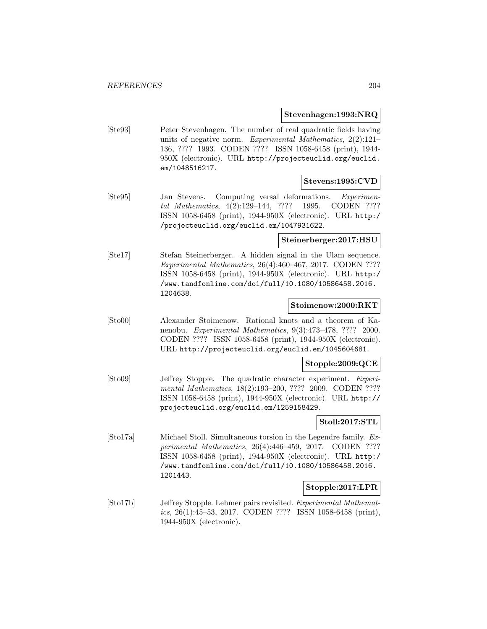### **Stevenhagen:1993:NRQ**

[Ste93] Peter Stevenhagen. The number of real quadratic fields having units of negative norm. Experimental Mathematics, 2(2):121– 136, ???? 1993. CODEN ???? ISSN 1058-6458 (print), 1944- 950X (electronic). URL http://projecteuclid.org/euclid. em/1048516217.

#### **Stevens:1995:CVD**

[Ste95] Jan Stevens. Computing versal deformations. Experimental Mathematics, 4(2):129–144, ???? 1995. CODEN ???? ISSN 1058-6458 (print), 1944-950X (electronic). URL http:/ /projecteuclid.org/euclid.em/1047931622.

## **Steinerberger:2017:HSU**

[Ste17] Stefan Steinerberger. A hidden signal in the Ulam sequence. Experimental Mathematics, 26(4):460–467, 2017. CODEN ???? ISSN 1058-6458 (print), 1944-950X (electronic). URL http:/ /www.tandfonline.com/doi/full/10.1080/10586458.2016. 1204638.

## **Stoimenow:2000:RKT**

[Sto00] Alexander Stoimenow. Rational knots and a theorem of Kanenobu. Experimental Mathematics, 9(3):473–478, ???? 2000. CODEN ???? ISSN 1058-6458 (print), 1944-950X (electronic). URL http://projecteuclid.org/euclid.em/1045604681.

#### **Stopple:2009:QCE**

[Sto09] Jeffrey Stopple. The quadratic character experiment. Experimental Mathematics, 18(2):193–200, ???? 2009. CODEN ???? ISSN 1058-6458 (print), 1944-950X (electronic). URL http:// projecteuclid.org/euclid.em/1259158429.

## **Stoll:2017:STL**

[Sto17a] Michael Stoll. Simultaneous torsion in the Legendre family. Experimental Mathematics, 26(4):446–459, 2017. CODEN ???? ISSN 1058-6458 (print), 1944-950X (electronic). URL http:/ /www.tandfonline.com/doi/full/10.1080/10586458.2016. 1201443.

## **Stopple:2017:LPR**

[Sto17b] Jeffrey Stopple. Lehmer pairs revisited. Experimental Mathematics, 26(1):45–53, 2017. CODEN ???? ISSN 1058-6458 (print), 1944-950X (electronic).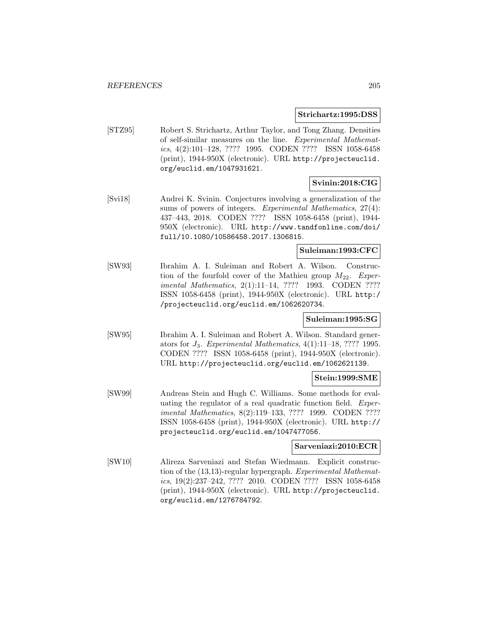#### **Strichartz:1995:DSS**

[STZ95] Robert S. Strichartz, Arthur Taylor, and Tong Zhang. Densities of self-similar measures on the line. Experimental Mathematics, 4(2):101–128, ???? 1995. CODEN ???? ISSN 1058-6458 (print), 1944-950X (electronic). URL http://projecteuclid. org/euclid.em/1047931621.

# **Svinin:2018:CIG**

[Svi18] Andrei K. Svinin. Conjectures involving a generalization of the sums of powers of integers. Experimental Mathematics,  $27(4)$ : 437–443, 2018. CODEN ???? ISSN 1058-6458 (print), 1944- 950X (electronic). URL http://www.tandfonline.com/doi/ full/10.1080/10586458.2017.1306815.

## **Suleiman:1993:CFC**

[SW93] Ibrahim A. I. Suleiman and Robert A. Wilson. Construction of the fourfold cover of the Mathieu group  $M_{22}$ . Experimental Mathematics, 2(1):11–14, ???? 1993. CODEN ???? ISSN 1058-6458 (print), 1944-950X (electronic). URL http:/ /projecteuclid.org/euclid.em/1062620734.

## **Suleiman:1995:SG**

[SW95] Ibrahim A. I. Suleiman and Robert A. Wilson. Standard generators for  $J_3$ . Experimental Mathematics,  $4(1):11-18$ , ???? 1995. CODEN ???? ISSN 1058-6458 (print), 1944-950X (electronic). URL http://projecteuclid.org/euclid.em/1062621139.

## **Stein:1999:SME**

[SW99] Andreas Stein and Hugh C. Williams. Some methods for evaluating the regulator of a real quadratic function field. Experimental Mathematics, 8(2):119–133, ???? 1999. CODEN ???? ISSN 1058-6458 (print), 1944-950X (electronic). URL http:// projecteuclid.org/euclid.em/1047477056.

## **Sarveniazi:2010:ECR**

[SW10] Alireza Sarveniazi and Stefan Wiedmann. Explicit construction of the (13,13)-regular hypergraph. Experimental Mathematics, 19(2):237–242, ???? 2010. CODEN ???? ISSN 1058-6458 (print), 1944-950X (electronic). URL http://projecteuclid. org/euclid.em/1276784792.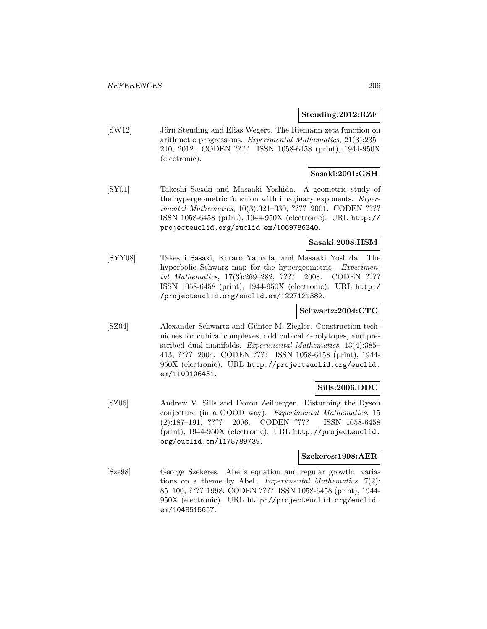## **Steuding:2012:RZF**

[SW12] Jörn Steuding and Elias Wegert. The Riemann zeta function on arithmetic progressions. Experimental Mathematics, 21(3):235– 240, 2012. CODEN ???? ISSN 1058-6458 (print), 1944-950X (electronic).

# **Sasaki:2001:GSH**

[SY01] Takeshi Sasaki and Masaaki Yoshida. A geometric study of the hypergeometric function with imaginary exponents. Experimental Mathematics, 10(3):321–330, ???? 2001. CODEN ???? ISSN 1058-6458 (print), 1944-950X (electronic). URL http:// projecteuclid.org/euclid.em/1069786340.

## **Sasaki:2008:HSM**

[SYY08] Takeshi Sasaki, Kotaro Yamada, and Masaaki Yoshida. The hyperbolic Schwarz map for the hypergeometric. Experimental Mathematics, 17(3):269–282, ???? 2008. CODEN ???? ISSN 1058-6458 (print), 1944-950X (electronic). URL http:/ /projecteuclid.org/euclid.em/1227121382.

## **Schwartz:2004:CTC**

[SZ04] Alexander Schwartz and Günter M. Ziegler. Construction techniques for cubical complexes, odd cubical 4-polytopes, and prescribed dual manifolds. Experimental Mathematics, 13(4):385– 413, ???? 2004. CODEN ???? ISSN 1058-6458 (print), 1944- 950X (electronic). URL http://projecteuclid.org/euclid. em/1109106431.

## **Sills:2006:DDC**

[SZ06] Andrew V. Sills and Doron Zeilberger. Disturbing the Dyson conjecture (in a GOOD way). Experimental Mathematics, 15 (2):187–191, ???? 2006. CODEN ???? ISSN 1058-6458 (print), 1944-950X (electronic). URL http://projecteuclid. org/euclid.em/1175789739.

#### **Szekeres:1998:AER**

[Sze98] George Szekeres. Abel's equation and regular growth: variations on a theme by Abel. Experimental Mathematics,  $7(2)$ : 85–100, ???? 1998. CODEN ???? ISSN 1058-6458 (print), 1944- 950X (electronic). URL http://projecteuclid.org/euclid. em/1048515657.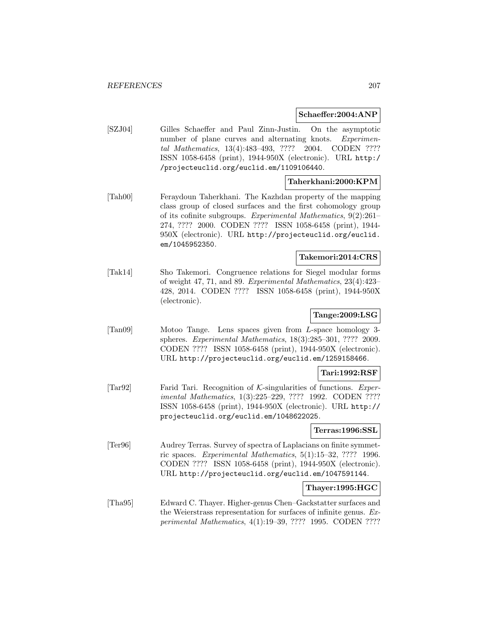#### **Schaeffer:2004:ANP**

[SZJ04] Gilles Schaeffer and Paul Zinn-Justin. On the asymptotic number of plane curves and alternating knots. Experimental Mathematics, 13(4):483–493, ???? 2004. CODEN ???? ISSN 1058-6458 (print), 1944-950X (electronic). URL http:/ /projecteuclid.org/euclid.em/1109106440.

## **Taherkhani:2000:KPM**

[Tah00] Feraydoun Taherkhani. The Kazhdan property of the mapping class group of closed surfaces and the first cohomology group of its cofinite subgroups. Experimental Mathematics, 9(2):261– 274, ???? 2000. CODEN ???? ISSN 1058-6458 (print), 1944- 950X (electronic). URL http://projecteuclid.org/euclid. em/1045952350.

## **Takemori:2014:CRS**

[Tak14] Sho Takemori. Congruence relations for Siegel modular forms of weight 47, 71, and 89. Experimental Mathematics, 23(4):423– 428, 2014. CODEN ???? ISSN 1058-6458 (print), 1944-950X (electronic).

# **Tange:2009:LSG**

[Tan09] Motoo Tange. Lens spaces given from L-space homology 3 spheres. Experimental Mathematics, 18(3):285–301, ???? 2009. CODEN ???? ISSN 1058-6458 (print), 1944-950X (electronic). URL http://projecteuclid.org/euclid.em/1259158466.

## **Tari:1992:RSF**

[Tar92] Farid Tari. Recognition of K-singularities of functions. Experimental Mathematics, 1(3):225–229, ???? 1992. CODEN ???? ISSN 1058-6458 (print), 1944-950X (electronic). URL http:// projecteuclid.org/euclid.em/1048622025.

## **Terras:1996:SSL**

[Ter96] Audrey Terras. Survey of spectra of Laplacians on finite symmetric spaces. Experimental Mathematics, 5(1):15–32, ???? 1996. CODEN ???? ISSN 1058-6458 (print), 1944-950X (electronic). URL http://projecteuclid.org/euclid.em/1047591144.

## **Thayer:1995:HGC**

[Tha95] Edward C. Thayer. Higher-genus Chen–Gackstatter surfaces and the Weierstrass representation for surfaces of infinite genus. Experimental Mathematics, 4(1):19–39, ???? 1995. CODEN ????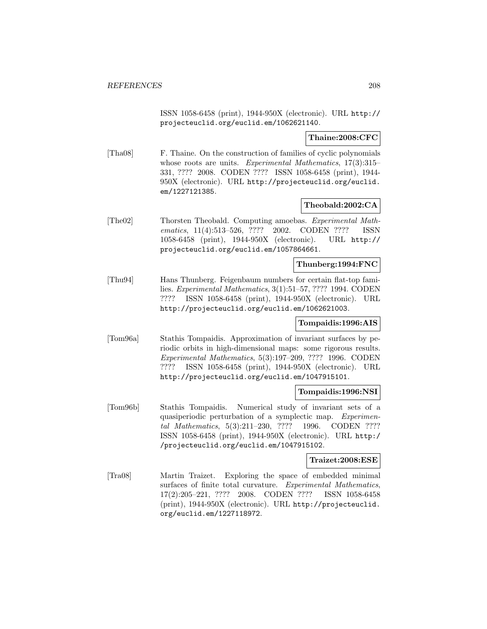ISSN 1058-6458 (print), 1944-950X (electronic). URL http:// projecteuclid.org/euclid.em/1062621140.

**Thaine:2008:CFC**

[Tha08] F. Thaine. On the construction of families of cyclic polynomials whose roots are units. Experimental Mathematics, 17(3):315– 331, ???? 2008. CODEN ???? ISSN 1058-6458 (print), 1944- 950X (electronic). URL http://projecteuclid.org/euclid. em/1227121385.

## **Theobald:2002:CA**

[The02] Thorsten Theobald. Computing amoebas. Experimental Mathematics, 11(4):513-526, ???? 2002. CODEN ???? ISSN 1058-6458 (print), 1944-950X (electronic). URL http:// projecteuclid.org/euclid.em/1057864661.

## **Thunberg:1994:FNC**

[Thu94] Hans Thunberg. Feigenbaum numbers for certain flat-top families. Experimental Mathematics, 3(1):51–57, ???? 1994. CODEN ???? ISSN 1058-6458 (print), 1944-950X (electronic). URL http://projecteuclid.org/euclid.em/1062621003.

## **Tompaidis:1996:AIS**

[Tom96a] Stathis Tompaidis. Approximation of invariant surfaces by periodic orbits in high-dimensional maps: some rigorous results. Experimental Mathematics, 5(3):197–209, ???? 1996. CODEN ???? ISSN 1058-6458 (print), 1944-950X (electronic). URL http://projecteuclid.org/euclid.em/1047915101.

## **Tompaidis:1996:NSI**

[Tom96b] Stathis Tompaidis. Numerical study of invariant sets of a quasiperiodic perturbation of a symplectic map. Experimental Mathematics, 5(3):211–230, ???? 1996. CODEN ???? ISSN 1058-6458 (print), 1944-950X (electronic). URL http:/ /projecteuclid.org/euclid.em/1047915102.

#### **Traizet:2008:ESE**

[Tra08] Martin Traizet. Exploring the space of embedded minimal surfaces of finite total curvature. Experimental Mathematics, 17(2):205–221, ???? 2008. CODEN ???? ISSN 1058-6458 (print), 1944-950X (electronic). URL http://projecteuclid. org/euclid.em/1227118972.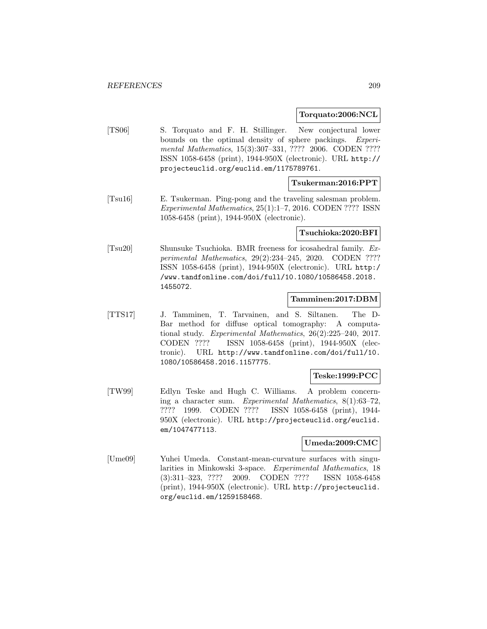**Torquato:2006:NCL**

[TS06] S. Torquato and F. H. Stillinger. New conjectural lower bounds on the optimal density of sphere packings. Experimental Mathematics, 15(3):307–331, ???? 2006. CODEN ???? ISSN 1058-6458 (print), 1944-950X (electronic). URL http:// projecteuclid.org/euclid.em/1175789761.

## **Tsukerman:2016:PPT**

[Tsu16] E. Tsukerman. Ping-pong and the traveling salesman problem. Experimental Mathematics, 25(1):1–7, 2016. CODEN ???? ISSN 1058-6458 (print), 1944-950X (electronic).

### **Tsuchioka:2020:BFI**

[Tsu20] Shunsuke Tsuchioka. BMR freeness for icosahedral family. Experimental Mathematics, 29(2):234–245, 2020. CODEN ???? ISSN 1058-6458 (print), 1944-950X (electronic). URL http:/ /www.tandfonline.com/doi/full/10.1080/10586458.2018. 1455072.

## **Tamminen:2017:DBM**

[TTS17] J. Tamminen, T. Tarvainen, and S. Siltanen. The D-Bar method for diffuse optical tomography: A computational study. Experimental Mathematics, 26(2):225–240, 2017. CODEN ???? ISSN 1058-6458 (print), 1944-950X (electronic). URL http://www.tandfonline.com/doi/full/10. 1080/10586458.2016.1157775.

## **Teske:1999:PCC**

[TW99] Edlyn Teske and Hugh C. Williams. A problem concerning a character sum. Experimental Mathematics, 8(1):63–72, ???? 1999. CODEN ???? ISSN 1058-6458 (print), 1944- 950X (electronic). URL http://projecteuclid.org/euclid. em/1047477113.

#### **Umeda:2009:CMC**

[Ume09] Yuhei Umeda. Constant-mean-curvature surfaces with singularities in Minkowski 3-space. Experimental Mathematics, 18 (3):311–323, ???? 2009. CODEN ???? ISSN 1058-6458 (print), 1944-950X (electronic). URL http://projecteuclid. org/euclid.em/1259158468.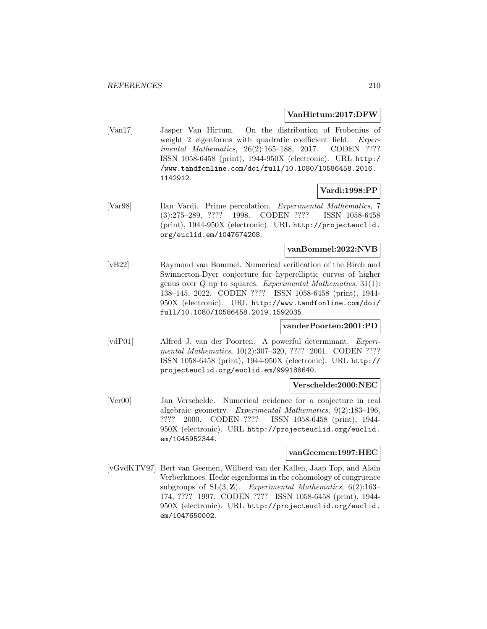## **VanHirtum:2017:DFW**

[Van17] Jasper Van Hirtum. On the distribution of Frobenius of weight 2 eigenforms with quadratic coefficient field. Experimental Mathematics, 26(2):165-188, 2017. CODEN ???? ISSN 1058-6458 (print), 1944-950X (electronic). URL http:/ /www.tandfonline.com/doi/full/10.1080/10586458.2016. 1142912.

## **Vardi:1998:PP**

[Var98] Ilan Vardi. Prime percolation. Experimental Mathematics, 7 (3):275–289, ???? 1998. CODEN ???? ISSN 1058-6458 (print), 1944-950X (electronic). URL http://projecteuclid. org/euclid.em/1047674208.

## **vanBommel:2022:NVB**

[vB22] Raymond van Bommel. Numerical verification of the Birch and Swinnerton-Dyer conjecture for hyperelliptic curves of higher genus over  $Q$  up to squares. Experimental Mathematics,  $31(1)$ : 138–145, 2022. CODEN ???? ISSN 1058-6458 (print), 1944- 950X (electronic). URL http://www.tandfonline.com/doi/ full/10.1080/10586458.2019.1592035.

## **vanderPoorten:2001:PD**

[vdP01] Alfred J. van der Poorten. A powerful determinant. Experimental Mathematics, 10(2):307-320, ???? 2001. CODEN ???? ISSN 1058-6458 (print), 1944-950X (electronic). URL http:// projecteuclid.org/euclid.em/999188640.

#### **Verschelde:2000:NEC**

[Ver00] Jan Verschelde. Numerical evidence for a conjecture in real algebraic geometry. Experimental Mathematics, 9(2):183–196, ???? 2000. CODEN ???? ISSN 1058-6458 (print), 1944- 950X (electronic). URL http://projecteuclid.org/euclid. em/1045952344.

#### **vanGeemen:1997:HEC**

[vGvdKTV97] Bert van Geemen, Wilberd van der Kallen, Jaap Top, and Alain Verberkmoes. Hecke eigenforms in the cohomology of congruence subgroups of  $SL(3, \mathbb{Z})$ . Experimental Mathematics,  $6(2):163-$ 174, ???? 1997. CODEN ???? ISSN 1058-6458 (print), 1944- 950X (electronic). URL http://projecteuclid.org/euclid. em/1047650002.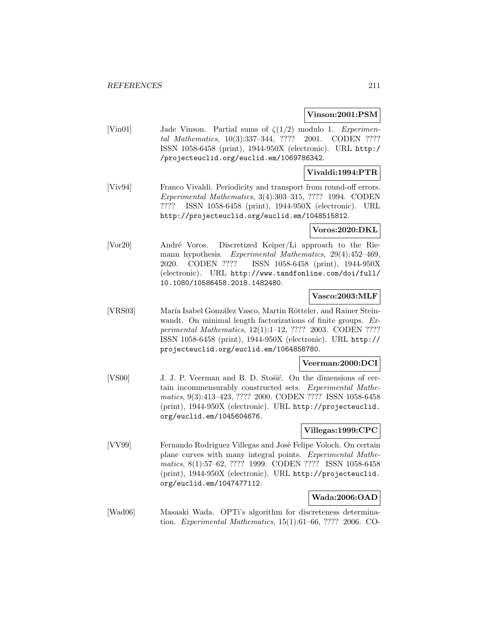### **Vinson:2001:PSM**

[Vin01] Jade Vinson. Partial sums of  $\zeta(1/2)$  modulo 1. Experimental Mathematics, 10(3):337–344, ???? 2001. CODEN ???? ISSN 1058-6458 (print), 1944-950X (electronic). URL http:/ /projecteuclid.org/euclid.em/1069786342.

## **Vivaldi:1994:PTR**

[Viv94] Franco Vivaldi. Periodicity and transport from round-off errors. Experimental Mathematics, 3(4):303–315, ???? 1994. CODEN ???? ISSN 1058-6458 (print), 1944-950X (electronic). URL http://projecteuclid.org/euclid.em/1048515812.

#### **Voros:2020:DKL**

[Vor20] André Voros. Discretized Keiper/Li approach to the Riemann hypothesis. Experimental Mathematics, 29(4):452–469, 2020. CODEN ???? ISSN 1058-6458 (print), 1944-950X (electronic). URL http://www.tandfonline.com/doi/full/ 10.1080/10586458.2018.1482480.

# **Vasco:2003:MLF**

[VRS03] María Isabel González Vasco, Martin Rötteler, and Rainer Steinwandt. On minimal length factorizations of finite groups. Experimental Mathematics, 12(1):1–12, ???? 2003. CODEN ???? ISSN 1058-6458 (print), 1944-950X (electronic). URL http:// projecteuclid.org/euclid.em/1064858780.

#### **Veerman:2000:DCI**

[VS00] J. J. P. Veerman and B. D. Stošić. On the dimensions of certain incommensurably constructed sets. Experimental Mathematics, 9(3):413–423, ???? 2000. CODEN ???? ISSN 1058-6458 (print), 1944-950X (electronic). URL http://projecteuclid. org/euclid.em/1045604676.

### **Villegas:1999:CPC**

[VV99] Fernando Rodriguez Villegas and José Felipe Voloch. On certain plane curves with many integral points. Experimental Mathematics, 8(1):57–62, ???? 1999. CODEN ???? ISSN 1058-6458 (print), 1944-950X (electronic). URL http://projecteuclid. org/euclid.em/1047477112.

### **Wada:2006:OAD**

[Wad06] Masaaki Wada. OPTi's algorithm for discreteness determination. Experimental Mathematics, 15(1):61–66, ???? 2006. CO-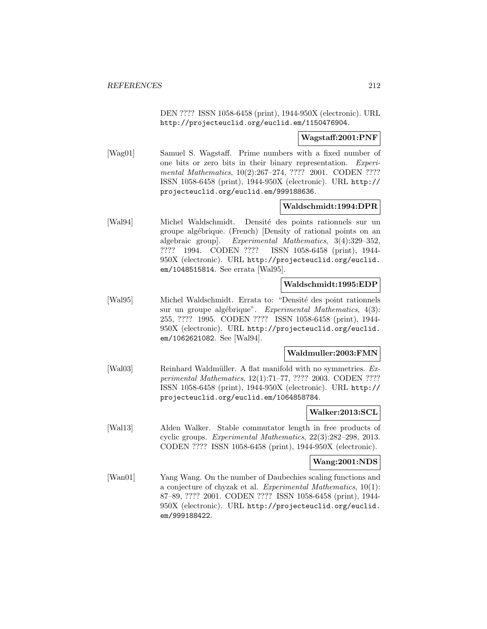DEN ???? ISSN 1058-6458 (print), 1944-950X (electronic). URL http://projecteuclid.org/euclid.em/1150476904.

### **Wagstaff:2001:PNF**

[Wag01] Samuel S. Wagstaff. Prime numbers with a fixed number of one bits or zero bits in their binary representation. Experimental Mathematics, 10(2):267-274, ???? 2001. CODEN ???? ISSN 1058-6458 (print), 1944-950X (electronic). URL http:// projecteuclid.org/euclid.em/999188636.

## **Waldschmidt:1994:DPR**

[Wal94] Michel Waldschmidt. Densité des points rationnels sur un groupe algébrique. (French) [Density of rational points on an algebraic group]. Experimental Mathematics, 3(4):329–352, ???? 1994. CODEN ???? ISSN 1058-6458 (print), 1944- 950X (electronic). URL http://projecteuclid.org/euclid. em/1048515814. See errata [Wal95].

#### **Waldschmidt:1995:EDP**

[Wal95] Michel Waldschmidt. Errata to: "Densité des point rationnels sur un groupe algébrique". Experimental Mathematics,  $4(3)$ : 255, ???? 1995. CODEN ???? ISSN 1058-6458 (print), 1944- 950X (electronic). URL http://projecteuclid.org/euclid. em/1062621082. See [Wal94].

### **Waldmuller:2003:FMN**

[Wal03] Reinhard Waldmüller. A flat manifold with no symmetries. Experimental Mathematics, 12(1):71–77, ???? 2003. CODEN ???? ISSN 1058-6458 (print), 1944-950X (electronic). URL http:// projecteuclid.org/euclid.em/1064858784.

#### **Walker:2013:SCL**

[Wal13] Alden Walker. Stable commutator length in free products of cyclic groups. Experimental Mathematics, 22(3):282–298, 2013. CODEN ???? ISSN 1058-6458 (print), 1944-950X (electronic).

#### **Wang:2001:NDS**

[Wan01] Yang Wang. On the number of Daubechies scaling functions and a conjecture of chyzak et al. Experimental Mathematics, 10(1): 87–89, ???? 2001. CODEN ???? ISSN 1058-6458 (print), 1944- 950X (electronic). URL http://projecteuclid.org/euclid. em/999188422.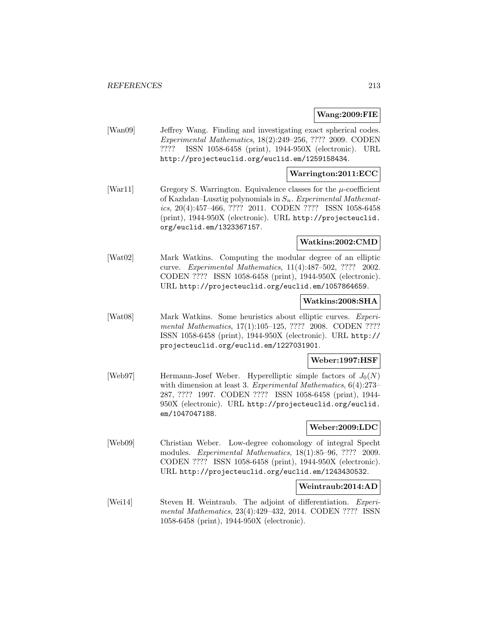#### **Wang:2009:FIE**

[Wan09] Jeffrey Wang. Finding and investigating exact spherical codes. Experimental Mathematics, 18(2):249–256, ???? 2009. CODEN ???? ISSN 1058-6458 (print), 1944-950X (electronic). URL http://projecteuclid.org/euclid.em/1259158434.

## **Warrington:2011:ECC**

[War11] Gregory S. Warrington. Equivalence classes for the  $\mu$ -coefficient of Kazhdan–Lusztig polynomials in  $S_n$ . Experimental Mathematics, 20(4):457–466, ???? 2011. CODEN ???? ISSN 1058-6458 (print), 1944-950X (electronic). URL http://projecteuclid. org/euclid.em/1323367157.

## **Watkins:2002:CMD**

[Wat02] Mark Watkins. Computing the modular degree of an elliptic curve. Experimental Mathematics, 11(4):487–502, ???? 2002. CODEN ???? ISSN 1058-6458 (print), 1944-950X (electronic). URL http://projecteuclid.org/euclid.em/1057864659.

## **Watkins:2008:SHA**

[Wat08] Mark Watkins. Some heuristics about elliptic curves. Experimental Mathematics, 17(1):105-125, ???? 2008. CODEN ???? ISSN 1058-6458 (print), 1944-950X (electronic). URL http:// projecteuclid.org/euclid.em/1227031901.

## **Weber:1997:HSF**

[Web97] Hermann-Josef Weber. Hyperelliptic simple factors of  $J_0(N)$ with dimension at least 3. Experimental Mathematics,  $6(4):273-$ 287, ???? 1997. CODEN ???? ISSN 1058-6458 (print), 1944- 950X (electronic). URL http://projecteuclid.org/euclid. em/1047047188.

## **Weber:2009:LDC**

[Web09] Christian Weber. Low-degree cohomology of integral Specht modules. Experimental Mathematics, 18(1):85–96, ???? 2009. CODEN ???? ISSN 1058-6458 (print), 1944-950X (electronic). URL http://projecteuclid.org/euclid.em/1243430532.

## **Weintraub:2014:AD**

[Wei14] Steven H. Weintraub. The adjoint of differentiation. *Experi*mental Mathematics, 23(4):429–432, 2014. CODEN ???? ISSN 1058-6458 (print), 1944-950X (electronic).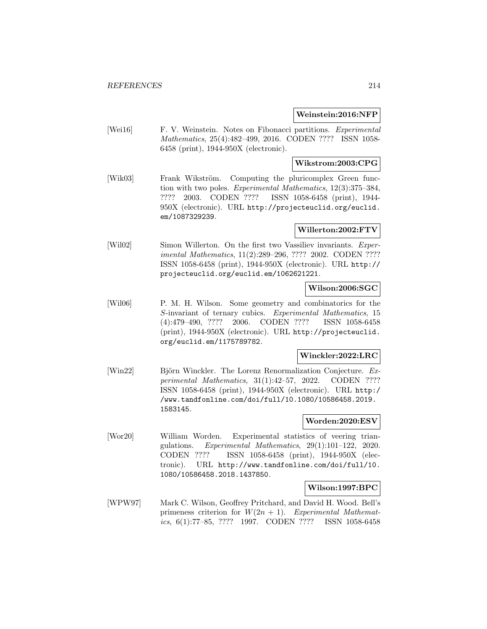## **Weinstein:2016:NFP**

[Wei16] F. V. Weinstein. Notes on Fibonacci partitions. *Experimental* Mathematics, 25(4):482–499, 2016. CODEN ???? ISSN 1058- 6458 (print), 1944-950X (electronic).

## **Wikstrom:2003:CPG**

[Wik03] Frank Wikström. Computing the pluricomplex Green function with two poles. Experimental Mathematics, 12(3):375–384, ???? 2003. CODEN ???? ISSN 1058-6458 (print), 1944- 950X (electronic). URL http://projecteuclid.org/euclid. em/1087329239.

## **Willerton:2002:FTV**

[Wil02] Simon Willerton. On the first two Vassiliev invariants. *Exper*imental Mathematics, 11(2):289–296, ???? 2002. CODEN ???? ISSN 1058-6458 (print), 1944-950X (electronic). URL http:// projecteuclid.org/euclid.em/1062621221.

# **Wilson:2006:SGC**

[Wil06] P. M. H. Wilson. Some geometry and combinatorics for the S-invariant of ternary cubics. Experimental Mathematics, 15 (4):479–490, ???? 2006. CODEN ???? ISSN 1058-6458 (print), 1944-950X (electronic). URL http://projecteuclid. org/euclid.em/1175789782.

## **Winckler:2022:LRC**

[Win22] Björn Winckler. The Lorenz Renormalization Conjecture. Experimental Mathematics, 31(1):42–57, 2022. CODEN ???? ISSN 1058-6458 (print), 1944-950X (electronic). URL http:/ /www.tandfonline.com/doi/full/10.1080/10586458.2019. 1583145.

#### **Worden:2020:ESV**

[Wor20] William Worden. Experimental statistics of veering triangulations. Experimental Mathematics, 29(1):101–122, 2020. CODEN ???? ISSN 1058-6458 (print), 1944-950X (electronic). URL http://www.tandfonline.com/doi/full/10. 1080/10586458.2018.1437850.

## **Wilson:1997:BPC**

[WPW97] Mark C. Wilson, Geoffrey Pritchard, and David H. Wood. Bell's primeness criterion for  $W(2n + 1)$ . Experimental Mathematics, 6(1):77–85, ???? 1997. CODEN ???? ISSN 1058-6458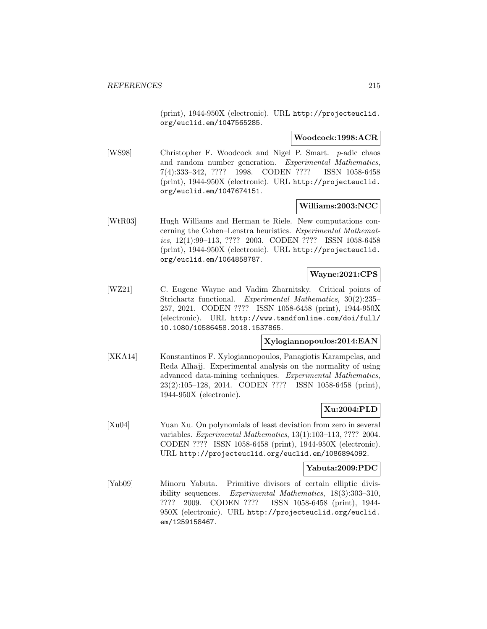(print), 1944-950X (electronic). URL http://projecteuclid. org/euclid.em/1047565285.

#### **Woodcock:1998:ACR**

[WS98] Christopher F. Woodcock and Nigel P. Smart. p-adic chaos and random number generation. Experimental Mathematics, 7(4):333–342, ???? 1998. CODEN ???? ISSN 1058-6458 (print), 1944-950X (electronic). URL http://projecteuclid. org/euclid.em/1047674151.

## **Williams:2003:NCC**

[WtR03] Hugh Williams and Herman te Riele. New computations concerning the Cohen–Lenstra heuristics. Experimental Mathematics, 12(1):99–113, ???? 2003. CODEN ???? ISSN 1058-6458 (print), 1944-950X (electronic). URL http://projecteuclid. org/euclid.em/1064858787.

## **Wayne:2021:CPS**

[WZ21] C. Eugene Wayne and Vadim Zharnitsky. Critical points of Strichartz functional. Experimental Mathematics, 30(2):235– 257, 2021. CODEN ???? ISSN 1058-6458 (print), 1944-950X (electronic). URL http://www.tandfonline.com/doi/full/ 10.1080/10586458.2018.1537865.

### **Xylogiannopoulos:2014:EAN**

[XKA14] Konstantinos F. Xylogiannopoulos, Panagiotis Karampelas, and Reda Alhajj. Experimental analysis on the normality of using advanced data-mining techniques. Experimental Mathematics, 23(2):105–128, 2014. CODEN ???? ISSN 1058-6458 (print), 1944-950X (electronic).

## **Xu:2004:PLD**

[Xu04] Yuan Xu. On polynomials of least deviation from zero in several variables. Experimental Mathematics, 13(1):103–113, ???? 2004. CODEN ???? ISSN 1058-6458 (print), 1944-950X (electronic). URL http://projecteuclid.org/euclid.em/1086894092.

#### **Yabuta:2009:PDC**

[Yab09] Minoru Yabuta. Primitive divisors of certain elliptic divisibility sequences. Experimental Mathematics, 18(3):303–310, ???? 2009. CODEN ???? ISSN 1058-6458 (print), 1944- 950X (electronic). URL http://projecteuclid.org/euclid. em/1259158467.